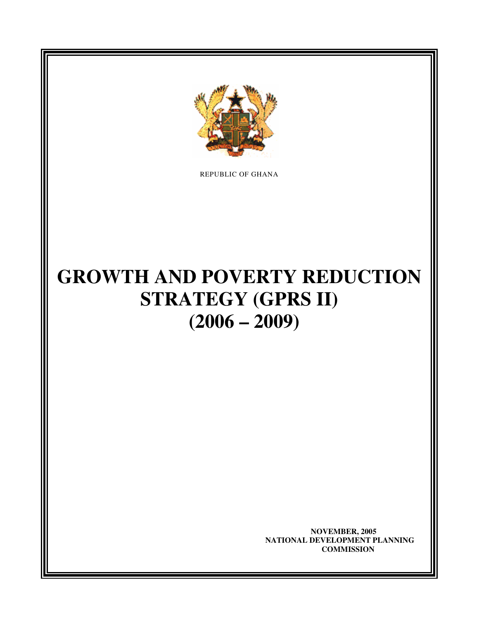

REPUBLIC OF GHANA

# **GROWTH AND POVERTY REDUCTION STRATEGY (GPRS II) (2006 – 2009)**

 **NOVEMBER, 2005 NATIONAL DEVELOPMENT PLANNING COMMISSION**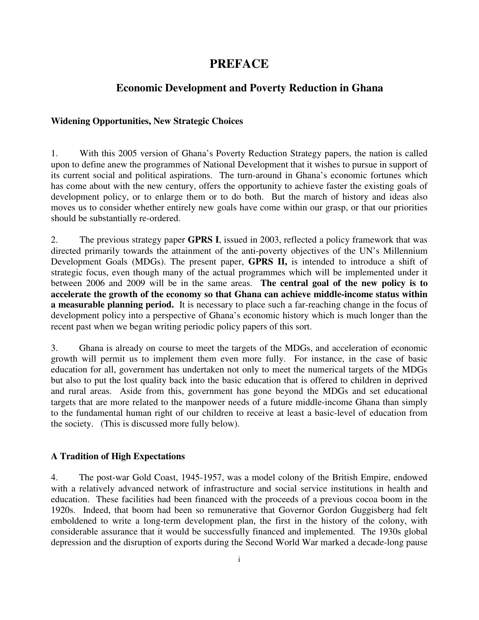# **PREFACE**

# **Economic Development and Poverty Reduction in Ghana**

#### **Widening Opportunities, New Strategic Choices**

1. With this 2005 version of Ghana's Poverty Reduction Strategy papers, the nation is called upon to define anew the programmes of National Development that it wishes to pursue in support of its current social and political aspirations. The turn-around in Ghana's economic fortunes which has come about with the new century, offers the opportunity to achieve faster the existing goals of development policy, or to enlarge them or to do both. But the march of history and ideas also moves us to consider whether entirely new goals have come within our grasp, or that our priorities should be substantially re-ordered.

2. The previous strategy paper **GPRS I**, issued in 2003, reflected a policy framework that was directed primarily towards the attainment of the anti-poverty objectives of the UN's Millennium Development Goals (MDGs). The present paper, **GPRS II,** is intended to introduce a shift of strategic focus, even though many of the actual programmes which will be implemented under it between 2006 and 2009 will be in the same areas. **The central goal of the new policy is to accelerate the growth of the economy so that Ghana can achieve middle-income status within a measurable planning period.** It is necessary to place such a far-reaching change in the focus of development policy into a perspective of Ghana's economic history which is much longer than the recent past when we began writing periodic policy papers of this sort.

3. Ghana is already on course to meet the targets of the MDGs, and acceleration of economic growth will permit us to implement them even more fully. For instance, in the case of basic education for all, government has undertaken not only to meet the numerical targets of the MDGs but also to put the lost quality back into the basic education that is offered to children in deprived and rural areas. Aside from this, government has gone beyond the MDGs and set educational targets that are more related to the manpower needs of a future middle-income Ghana than simply to the fundamental human right of our children to receive at least a basic-level of education from the society. (This is discussed more fully below).

#### **A Tradition of High Expectations**

4. The post-war Gold Coast, 1945-1957, was a model colony of the British Empire, endowed with a relatively advanced network of infrastructure and social service institutions in health and education. These facilities had been financed with the proceeds of a previous cocoa boom in the 1920s. Indeed, that boom had been so remunerative that Governor Gordon Guggisberg had felt emboldened to write a long-term development plan, the first in the history of the colony, with considerable assurance that it would be successfully financed and implemented. The 1930s global depression and the disruption of exports during the Second World War marked a decade-long pause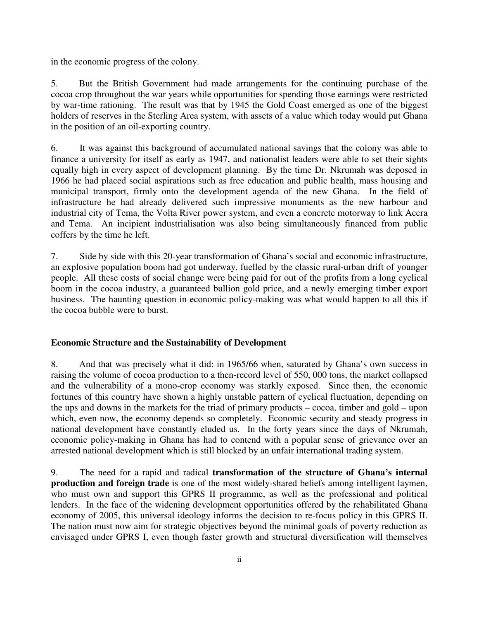in the economic progress of the colony.

5. But the British Government had made arrangements for the continuing purchase of the cocoa crop throughout the war years while opportunities for spending those earnings were restricted by war-time rationing. The result was that by 1945 the Gold Coast emerged as one of the biggest holders of reserves in the Sterling Area system, with assets of a value which today would put Ghana in the position of an oil-exporting country.

6. It was against this background of accumulated national savings that the colony was able to finance a university for itself as early as 1947, and nationalist leaders were able to set their sights equally high in every aspect of development planning. By the time Dr. Nkrumah was deposed in 1966 he had placed social aspirations such as free education and public health, mass housing and municipal transport, firmly onto the development agenda of the new Ghana. In the field of infrastructure he had already delivered such impressive monuments as the new harbour and industrial city of Tema, the Volta River power system, and even a concrete motorway to link Accra and Tema. An incipient industrialisation was also being simultaneously financed from public coffers by the time he left.

7. Side by side with this 20-year transformation of Ghana's social and economic infrastructure, an explosive population boom had got underway, fuelled by the classic rural-urban drift of younger people. All these costs of social change were being paid for out of the profits from a long cyclical boom in the cocoa industry, a guaranteed bullion gold price, and a newly emerging timber export business. The haunting question in economic policy-making was what would happen to all this if the cocoa bubble were to burst.

#### **Economic Structure and the Sustainability of Development**

8. And that was precisely what it did: in 1965/66 when, saturated by Ghana's own success in raising the volume of cocoa production to a then-record level of 550, 000 tons, the market collapsed and the vulnerability of a mono-crop economy was starkly exposed. Since then, the economic fortunes of this country have shown a highly unstable pattern of cyclical fluctuation, depending on the ups and downs in the markets for the triad of primary products – cocoa, timber and gold – upon which, even now, the economy depends so completely. Economic security and steady progress in national development have constantly eluded us. In the forty years since the days of Nkrumah, economic policy-making in Ghana has had to contend with a popular sense of grievance over an arrested national development which is still blocked by an unfair international trading system.

9. The need for a rapid and radical **transformation of the structure of Ghana's internal production and foreign trade** is one of the most widely-shared beliefs among intelligent laymen, who must own and support this GPRS II programme, as well as the professional and political lenders. In the face of the widening development opportunities offered by the rehabilitated Ghana economy of 2005, this universal ideology informs the decision to re-focus policy in this GPRS II. The nation must now aim for strategic objectives beyond the minimal goals of poverty reduction as envisaged under GPRS I, even though faster growth and structural diversification will themselves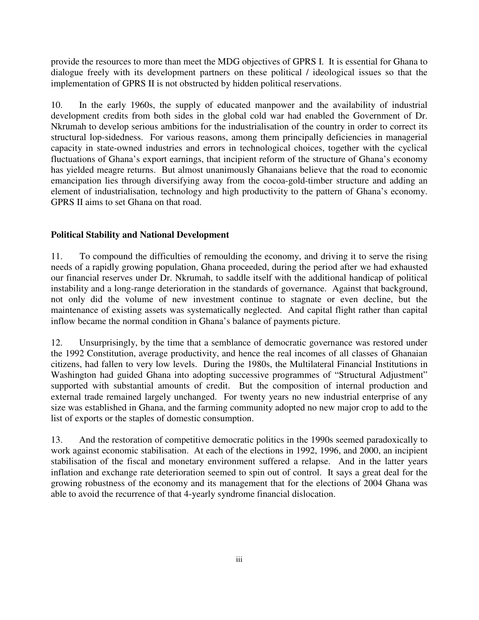provide the resources to more than meet the MDG objectives of GPRS I. It is essential for Ghana to dialogue freely with its development partners on these political / ideological issues so that the implementation of GPRS II is not obstructed by hidden political reservations.

10. In the early 1960s, the supply of educated manpower and the availability of industrial development credits from both sides in the global cold war had enabled the Government of Dr. Nkrumah to develop serious ambitions for the industrialisation of the country in order to correct its structural lop-sidedness. For various reasons, among them principally deficiencies in managerial capacity in state-owned industries and errors in technological choices, together with the cyclical fluctuations of Ghana's export earnings, that incipient reform of the structure of Ghana's economy has yielded meagre returns. But almost unanimously Ghanaians believe that the road to economic emancipation lies through diversifying away from the cocoa-gold-timber structure and adding an element of industrialisation, technology and high productivity to the pattern of Ghana's economy. GPRS II aims to set Ghana on that road.

### **Political Stability and National Development**

11. To compound the difficulties of remoulding the economy, and driving it to serve the rising needs of a rapidly growing population, Ghana proceeded, during the period after we had exhausted our financial reserves under Dr. Nkrumah, to saddle itself with the additional handicap of political instability and a long-range deterioration in the standards of governance. Against that background, not only did the volume of new investment continue to stagnate or even decline, but the maintenance of existing assets was systematically neglected. And capital flight rather than capital inflow became the normal condition in Ghana's balance of payments picture.

12. Unsurprisingly, by the time that a semblance of democratic governance was restored under the 1992 Constitution, average productivity, and hence the real incomes of all classes of Ghanaian citizens, had fallen to very low levels. During the 1980s, the Multilateral Financial Institutions in Washington had guided Ghana into adopting successive programmes of "Structural Adjustment" supported with substantial amounts of credit. But the composition of internal production and external trade remained largely unchanged. For twenty years no new industrial enterprise of any size was established in Ghana, and the farming community adopted no new major crop to add to the list of exports or the staples of domestic consumption.

13. And the restoration of competitive democratic politics in the 1990s seemed paradoxically to work against economic stabilisation. At each of the elections in 1992, 1996, and 2000, an incipient stabilisation of the fiscal and monetary environment suffered a relapse. And in the latter years inflation and exchange rate deterioration seemed to spin out of control. It says a great deal for the growing robustness of the economy and its management that for the elections of 2004 Ghana was able to avoid the recurrence of that 4-yearly syndrome financial dislocation.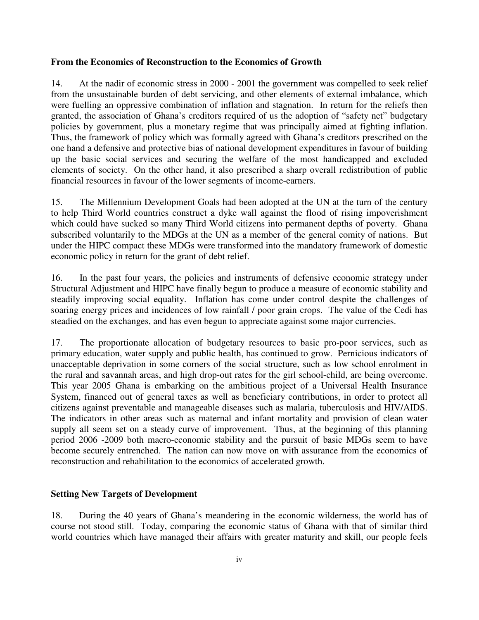#### **From the Economics of Reconstruction to the Economics of Growth**

14. At the nadir of economic stress in 2000 - 2001 the government was compelled to seek relief from the unsustainable burden of debt servicing, and other elements of external imbalance, which were fuelling an oppressive combination of inflation and stagnation. In return for the reliefs then granted, the association of Ghana's creditors required of us the adoption of "safety net" budgetary policies by government, plus a monetary regime that was principally aimed at fighting inflation. Thus, the framework of policy which was formally agreed with Ghana's creditors prescribed on the one hand a defensive and protective bias of national development expenditures in favour of building up the basic social services and securing the welfare of the most handicapped and excluded elements of society. On the other hand, it also prescribed a sharp overall redistribution of public financial resources in favour of the lower segments of income-earners.

15. The Millennium Development Goals had been adopted at the UN at the turn of the century to help Third World countries construct a dyke wall against the flood of rising impoverishment which could have sucked so many Third World citizens into permanent depths of poverty. Ghana subscribed voluntarily to the MDGs at the UN as a member of the general comity of nations. But under the HIPC compact these MDGs were transformed into the mandatory framework of domestic economic policy in return for the grant of debt relief.

16. In the past four years, the policies and instruments of defensive economic strategy under Structural Adjustment and HIPC have finally begun to produce a measure of economic stability and steadily improving social equality. Inflation has come under control despite the challenges of soaring energy prices and incidences of low rainfall / poor grain crops. The value of the Cedi has steadied on the exchanges, and has even begun to appreciate against some major currencies.

17. The proportionate allocation of budgetary resources to basic pro-poor services, such as primary education, water supply and public health, has continued to grow. Pernicious indicators of unacceptable deprivation in some corners of the social structure, such as low school enrolment in the rural and savannah areas, and high drop-out rates for the girl school-child, are being overcome. This year 2005 Ghana is embarking on the ambitious project of a Universal Health Insurance System, financed out of general taxes as well as beneficiary contributions, in order to protect all citizens against preventable and manageable diseases such as malaria, tuberculosis and HIV/AIDS. The indicators in other areas such as maternal and infant mortality and provision of clean water supply all seem set on a steady curve of improvement. Thus, at the beginning of this planning period 2006 -2009 both macro-economic stability and the pursuit of basic MDGs seem to have become securely entrenched. The nation can now move on with assurance from the economics of reconstruction and rehabilitation to the economics of accelerated growth.

#### **Setting New Targets of Development**

18. During the 40 years of Ghana's meandering in the economic wilderness, the world has of course not stood still. Today, comparing the economic status of Ghana with that of similar third world countries which have managed their affairs with greater maturity and skill, our people feels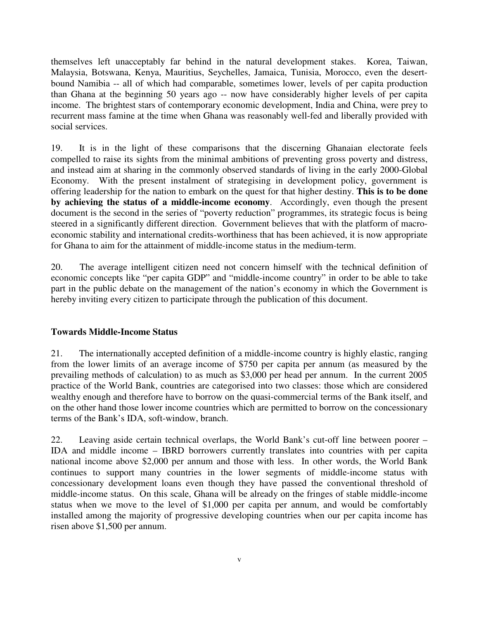themselves left unacceptably far behind in the natural development stakes. Korea, Taiwan, Malaysia, Botswana, Kenya, Mauritius, Seychelles, Jamaica, Tunisia, Morocco, even the desertbound Namibia -- all of which had comparable, sometimes lower, levels of per capita production than Ghana at the beginning 50 years ago -- now have considerably higher levels of per capita income. The brightest stars of contemporary economic development, India and China, were prey to recurrent mass famine at the time when Ghana was reasonably well-fed and liberally provided with social services.

19. It is in the light of these comparisons that the discerning Ghanaian electorate feels compelled to raise its sights from the minimal ambitions of preventing gross poverty and distress, and instead aim at sharing in the commonly observed standards of living in the early 2000-Global Economy. With the present instalment of strategising in development policy, government is offering leadership for the nation to embark on the quest for that higher destiny. **This is to be done by achieving the status of a middle-income economy**. Accordingly, even though the present document is the second in the series of "poverty reduction" programmes, its strategic focus is being steered in a significantly different direction. Government believes that with the platform of macroeconomic stability and international credits-worthiness that has been achieved, it is now appropriate for Ghana to aim for the attainment of middle-income status in the medium-term.

20. The average intelligent citizen need not concern himself with the technical definition of economic concepts like "per capita GDP" and "middle-income country" in order to be able to take part in the public debate on the management of the nation's economy in which the Government is hereby inviting every citizen to participate through the publication of this document.

#### **Towards Middle-Income Status**

21. The internationally accepted definition of a middle-income country is highly elastic, ranging from the lower limits of an average income of \$750 per capita per annum (as measured by the prevailing methods of calculation) to as much as \$3,000 per head per annum. In the current 2005 practice of the World Bank, countries are categorised into two classes: those which are considered wealthy enough and therefore have to borrow on the quasi-commercial terms of the Bank itself, and on the other hand those lower income countries which are permitted to borrow on the concessionary terms of the Bank's IDA, soft-window, branch.

22. Leaving aside certain technical overlaps, the World Bank's cut-off line between poorer – IDA and middle income – IBRD borrowers currently translates into countries with per capita national income above \$2,000 per annum and those with less. In other words, the World Bank continues to support many countries in the lower segments of middle-income status with concessionary development loans even though they have passed the conventional threshold of middle-income status. On this scale, Ghana will be already on the fringes of stable middle-income status when we move to the level of \$1,000 per capita per annum, and would be comfortably installed among the majority of progressive developing countries when our per capita income has risen above \$1,500 per annum.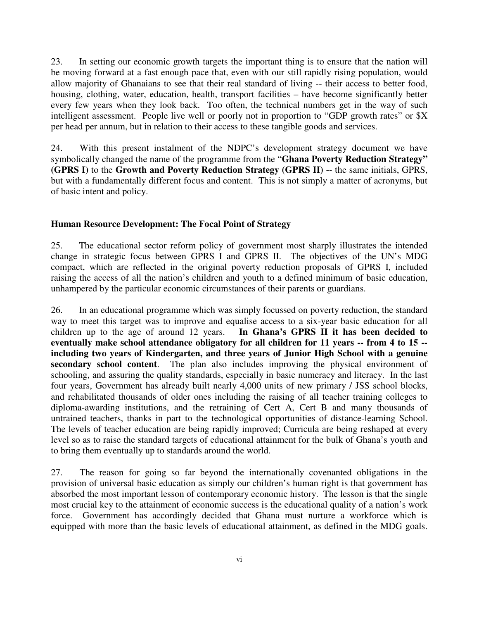23. In setting our economic growth targets the important thing is to ensure that the nation will be moving forward at a fast enough pace that, even with our still rapidly rising population, would allow majority of Ghanaians to see that their real standard of living -- their access to better food, housing, clothing, water, education, health, transport facilities – have become significantly better every few years when they look back. Too often, the technical numbers get in the way of such intelligent assessment. People live well or poorly not in proportion to "GDP growth rates" or \$X per head per annum, but in relation to their access to these tangible goods and services.

24. With this present instalment of the NDPC's development strategy document we have symbolically changed the name of the programme from the "**Ghana Poverty Reduction Strategy" (GPRS I)** to the **Growth and Poverty Reduction Strategy (GPRS II)** -- the same initials, GPRS, but with a fundamentally different focus and content. This is not simply a matter of acronyms, but of basic intent and policy.

#### **Human Resource Development: The Focal Point of Strategy**

25. The educational sector reform policy of government most sharply illustrates the intended change in strategic focus between GPRS I and GPRS II. The objectives of the UN's MDG compact, which are reflected in the original poverty reduction proposals of GPRS I, included raising the access of all the nation's children and youth to a defined minimum of basic education, unhampered by the particular economic circumstances of their parents or guardians.

26. In an educational programme which was simply focussed on poverty reduction, the standard way to meet this target was to improve and equalise access to a six-year basic education for all children up to the age of around 12 years. **In Ghana's GPRS II it has been decided to eventually make school attendance obligatory for all children for 11 years -- from 4 to 15 - including two years of Kindergarten, and three years of Junior High School with a genuine secondary school content**. The plan also includes improving the physical environment of schooling, and assuring the quality standards, especially in basic numeracy and literacy. In the last four years, Government has already built nearly 4,000 units of new primary / JSS school blocks, and rehabilitated thousands of older ones including the raising of all teacher training colleges to diploma-awarding institutions, and the retraining of Cert A, Cert B and many thousands of untrained teachers, thanks in part to the technological opportunities of distance-learning School. The levels of teacher education are being rapidly improved; Curricula are being reshaped at every level so as to raise the standard targets of educational attainment for the bulk of Ghana's youth and to bring them eventually up to standards around the world.

27. The reason for going so far beyond the internationally covenanted obligations in the provision of universal basic education as simply our children's human right is that government has absorbed the most important lesson of contemporary economic history. The lesson is that the single most crucial key to the attainment of economic success is the educational quality of a nation's work force. Government has accordingly decided that Ghana must nurture a workforce which is equipped with more than the basic levels of educational attainment, as defined in the MDG goals.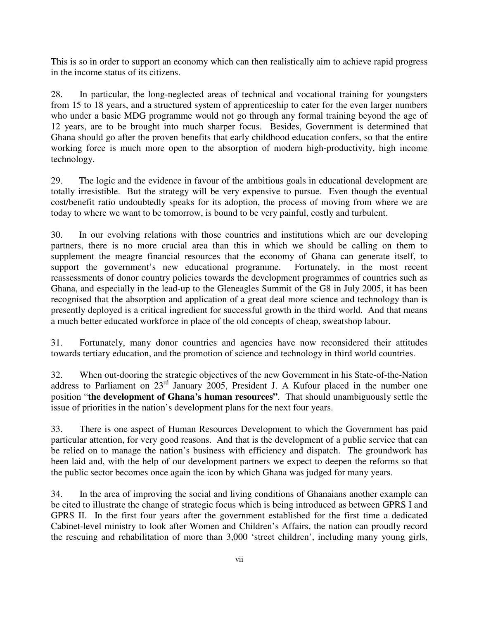This is so in order to support an economy which can then realistically aim to achieve rapid progress in the income status of its citizens.

28. In particular, the long-neglected areas of technical and vocational training for youngsters from 15 to 18 years, and a structured system of apprenticeship to cater for the even larger numbers who under a basic MDG programme would not go through any formal training beyond the age of 12 years, are to be brought into much sharper focus. Besides, Government is determined that Ghana should go after the proven benefits that early childhood education confers, so that the entire working force is much more open to the absorption of modern high-productivity, high income technology.

29. The logic and the evidence in favour of the ambitious goals in educational development are totally irresistible. But the strategy will be very expensive to pursue. Even though the eventual cost/benefit ratio undoubtedly speaks for its adoption, the process of moving from where we are today to where we want to be tomorrow, is bound to be very painful, costly and turbulent.

30. In our evolving relations with those countries and institutions which are our developing partners, there is no more crucial area than this in which we should be calling on them to supplement the meagre financial resources that the economy of Ghana can generate itself, to support the government's new educational programme. Fortunately, in the most recent reassessments of donor country policies towards the development programmes of countries such as Ghana, and especially in the lead-up to the Gleneagles Summit of the G8 in July 2005, it has been recognised that the absorption and application of a great deal more science and technology than is presently deployed is a critical ingredient for successful growth in the third world. And that means a much better educated workforce in place of the old concepts of cheap, sweatshop labour.

31. Fortunately, many donor countries and agencies have now reconsidered their attitudes towards tertiary education, and the promotion of science and technology in third world countries.

32. When out-dooring the strategic objectives of the new Government in his State-of-the-Nation address to Parliament on 23<sup>rd</sup> January 2005, President J. A Kufour placed in the number one position "**the development of Ghana's human resources"**. That should unambiguously settle the issue of priorities in the nation's development plans for the next four years.

33. There is one aspect of Human Resources Development to which the Government has paid particular attention, for very good reasons. And that is the development of a public service that can be relied on to manage the nation's business with efficiency and dispatch. The groundwork has been laid and, with the help of our development partners we expect to deepen the reforms so that the public sector becomes once again the icon by which Ghana was judged for many years.

34. In the area of improving the social and living conditions of Ghanaians another example can be cited to illustrate the change of strategic focus which is being introduced as between GPRS I and GPRS II. In the first four years after the government established for the first time a dedicated Cabinet-level ministry to look after Women and Children's Affairs, the nation can proudly record the rescuing and rehabilitation of more than 3,000 'street children', including many young girls,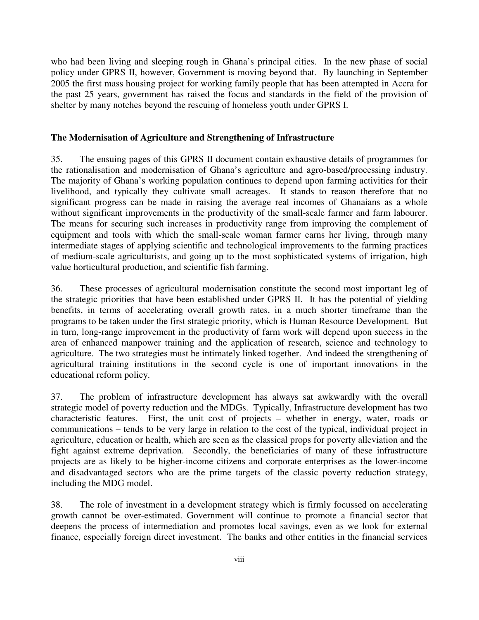who had been living and sleeping rough in Ghana's principal cities. In the new phase of social policy under GPRS II, however, Government is moving beyond that. By launching in September 2005 the first mass housing project for working family people that has been attempted in Accra for the past 25 years, government has raised the focus and standards in the field of the provision of shelter by many notches beyond the rescuing of homeless youth under GPRS I.

#### **The Modernisation of Agriculture and Strengthening of Infrastructure**

35. The ensuing pages of this GPRS II document contain exhaustive details of programmes for the rationalisation and modernisation of Ghana's agriculture and agro-based/processing industry. The majority of Ghana's working population continues to depend upon farming activities for their livelihood, and typically they cultivate small acreages. It stands to reason therefore that no significant progress can be made in raising the average real incomes of Ghanaians as a whole without significant improvements in the productivity of the small-scale farmer and farm labourer. The means for securing such increases in productivity range from improving the complement of equipment and tools with which the small-scale woman farmer earns her living, through many intermediate stages of applying scientific and technological improvements to the farming practices of medium-scale agriculturists, and going up to the most sophisticated systems of irrigation, high value horticultural production, and scientific fish farming.

36. These processes of agricultural modernisation constitute the second most important leg of the strategic priorities that have been established under GPRS II. It has the potential of yielding benefits, in terms of accelerating overall growth rates, in a much shorter timeframe than the programs to be taken under the first strategic priority, which is Human Resource Development. But in turn, long-range improvement in the productivity of farm work will depend upon success in the area of enhanced manpower training and the application of research, science and technology to agriculture. The two strategies must be intimately linked together. And indeed the strengthening of agricultural training institutions in the second cycle is one of important innovations in the educational reform policy.

37. The problem of infrastructure development has always sat awkwardly with the overall strategic model of poverty reduction and the MDGs. Typically, Infrastructure development has two characteristic features. First, the unit cost of projects – whether in energy, water, roads or communications – tends to be very large in relation to the cost of the typical, individual project in agriculture, education or health, which are seen as the classical props for poverty alleviation and the fight against extreme deprivation. Secondly, the beneficiaries of many of these infrastructure projects are as likely to be higher-income citizens and corporate enterprises as the lower-income and disadvantaged sectors who are the prime targets of the classic poverty reduction strategy, including the MDG model.

38. The role of investment in a development strategy which is firmly focussed on accelerating growth cannot be over-estimated. Government will continue to promote a financial sector that deepens the process of intermediation and promotes local savings, even as we look for external finance, especially foreign direct investment. The banks and other entities in the financial services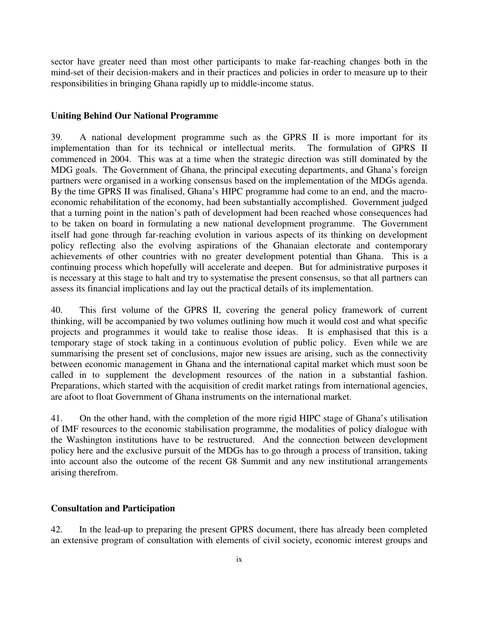sector have greater need than most other participants to make far-reaching changes both in the mind-set of their decision-makers and in their practices and policies in order to measure up to their responsibilities in bringing Ghana rapidly up to middle-income status.

#### **Uniting Behind Our National Programme**

39. A national development programme such as the GPRS II is more important for its implementation than for its technical or intellectual merits. The formulation of GPRS II commenced in 2004. This was at a time when the strategic direction was still dominated by the MDG goals. The Government of Ghana, the principal executing departments, and Ghana's foreign partners were organised in a working consensus based on the implementation of the MDGs agenda. By the time GPRS II was finalised, Ghana's HIPC programme had come to an end, and the macroeconomic rehabilitation of the economy, had been substantially accomplished. Government judged that a turning point in the nation's path of development had been reached whose consequences had to be taken on board in formulating a new national development programme. The Government itself had gone through far-reaching evolution in various aspects of its thinking on development policy reflecting also the evolving aspirations of the Ghanaian electorate and contemporary achievements of other countries with no greater development potential than Ghana. This is a continuing process which hopefully will accelerate and deepen. But for administrative purposes it is necessary at this stage to halt and try to systematise the present consensus, so that all partners can assess its financial implications and lay out the practical details of its implementation.

40. This first volume of the GPRS II, covering the general policy framework of current thinking, will be accompanied by two volumes outlining how much it would cost and what specific projects and programmes it would take to realise those ideas. It is emphasised that this is a temporary stage of stock taking in a continuous evolution of public policy. Even while we are summarising the present set of conclusions, major new issues are arising, such as the connectivity between economic management in Ghana and the international capital market which must soon be called in to supplement the development resources of the nation in a substantial fashion. Preparations, which started with the acquisition of credit market ratings from international agencies, are afoot to float Government of Ghana instruments on the international market.

41. On the other hand, with the completion of the more rigid HIPC stage of Ghana's utilisation of IMF resources to the economic stabilisation programme, the modalities of policy dialogue with the Washington institutions have to be restructured. And the connection between development policy here and the exclusive pursuit of the MDGs has to go through a process of transition, taking into account also the outcome of the recent G8 Summit and any new institutional arrangements arising therefrom.

#### **Consultation and Participation**

42. In the lead-up to preparing the present GPRS document, there has already been completed an extensive program of consultation with elements of civil society, economic interest groups and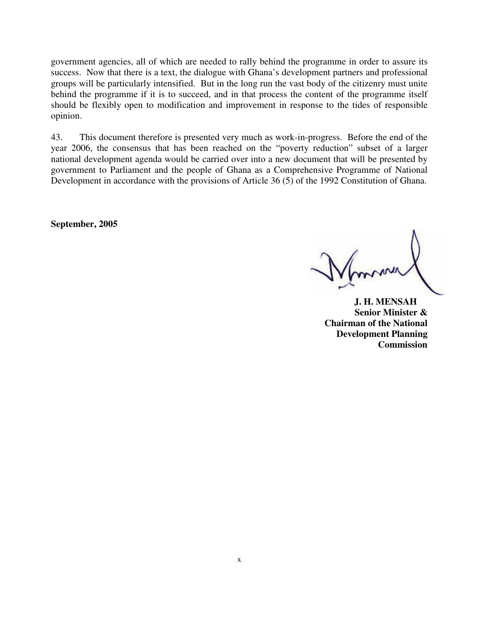government agencies, all of which are needed to rally behind the programme in order to assure its success. Now that there is a text, the dialogue with Ghana's development partners and professional groups will be particularly intensified. But in the long run the vast body of the citizenry must unite behind the programme if it is to succeed, and in that process the content of the programme itself should be flexibly open to modification and improvement in response to the tides of responsible opinion.

43. This document therefore is presented very much as work-in-progress. Before the end of the year 2006, the consensus that has been reached on the "poverty reduction" subset of a larger national development agenda would be carried over into a new document that will be presented by government to Parliament and the people of Ghana as a Comprehensive Programme of National Development in accordance with the provisions of Article 36 (5) of the 1992 Constitution of Ghana.

**September, 2005** 

 **J. H. MENSAH Senior Minister & Chairman of the National Development Planning Commission**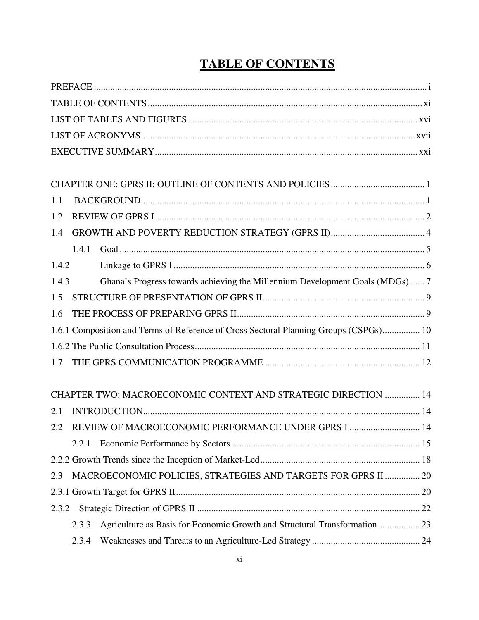| 1.1   |       |                                                                                       |  |
|-------|-------|---------------------------------------------------------------------------------------|--|
| 1.2   |       |                                                                                       |  |
| 1.4   |       |                                                                                       |  |
|       | 1.4.1 |                                                                                       |  |
| 1.4.2 |       |                                                                                       |  |
| 1.4.3 |       | Ghana's Progress towards achieving the Millennium Development Goals (MDGs)  7         |  |
| 1.5   |       |                                                                                       |  |
| 1.6   |       |                                                                                       |  |
|       |       | 1.6.1 Composition and Terms of Reference of Cross Sectoral Planning Groups (CSPGs) 10 |  |
|       |       |                                                                                       |  |
| 1.7   |       |                                                                                       |  |
|       |       | CHAPTER TWO: MACROECONOMIC CONTEXT AND STRATEGIC DIRECTION  14                        |  |
| 2.1   |       |                                                                                       |  |
| 2.2   |       | REVIEW OF MACROECONOMIC PERFORMANCE UNDER GPRS I  14                                  |  |
|       | 2.2.1 |                                                                                       |  |
|       |       |                                                                                       |  |
| 2.3   |       | MACROECONOMIC POLICIES, STRATEGIES AND TARGETS FOR GPRS II  20                        |  |
|       |       |                                                                                       |  |
| 2.3.2 |       |                                                                                       |  |
|       | 2.3.3 | Agriculture as Basis for Economic Growth and Structural Transformation 23             |  |
|       | 2.3.4 |                                                                                       |  |

# **TABLE OF CONTENTS**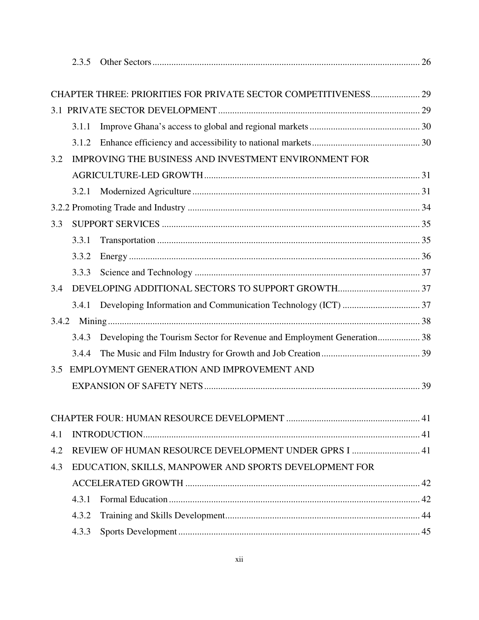|       | 2.3.5 |                                                                        |  |
|-------|-------|------------------------------------------------------------------------|--|
|       |       |                                                                        |  |
|       |       | CHAPTER THREE: PRIORITIES FOR PRIVATE SECTOR COMPETITIVENESS 29        |  |
|       |       |                                                                        |  |
|       | 3.1.1 |                                                                        |  |
|       | 3.1.2 |                                                                        |  |
| 3.2   |       | IMPROVING THE BUSINESS AND INVESTMENT ENVIRONMENT FOR                  |  |
|       |       |                                                                        |  |
|       | 3.2.1 |                                                                        |  |
|       |       |                                                                        |  |
| 3.3   |       |                                                                        |  |
|       | 3.3.1 |                                                                        |  |
|       | 3.3.2 |                                                                        |  |
|       | 3.3.3 |                                                                        |  |
| 3.4   |       |                                                                        |  |
|       |       | 3.4.1 Developing Information and Communication Technology (ICT)  37    |  |
| 3.4.2 |       |                                                                        |  |
|       | 3.4.3 | Developing the Tourism Sector for Revenue and Employment Generation 38 |  |
|       | 3.4.4 |                                                                        |  |
| 3.5   |       | EMPLOYMENT GENERATION AND IMPROVEMENT AND                              |  |
|       |       |                                                                        |  |
|       |       |                                                                        |  |
|       |       |                                                                        |  |
| 4.1   |       |                                                                        |  |
| 4.2   |       | REVIEW OF HUMAN RESOURCE DEVELOPMENT UNDER GPRS I  41                  |  |
| 4.3   |       | EDUCATION, SKILLS, MANPOWER AND SPORTS DEVELOPMENT FOR                 |  |
|       |       |                                                                        |  |
|       | 4.3.1 |                                                                        |  |
|       | 4.3.2 |                                                                        |  |
|       | 4.3.3 |                                                                        |  |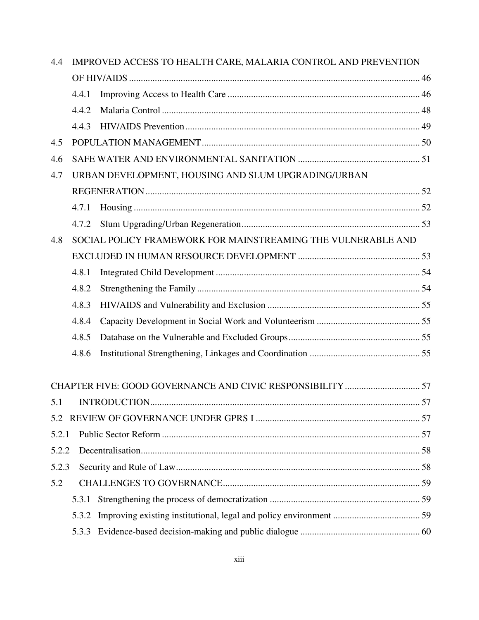| 4.4   | IMPROVED ACCESS TO HEALTH CARE, MALARIA CONTROL AND PREVENTION |                                                              |  |  |
|-------|----------------------------------------------------------------|--------------------------------------------------------------|--|--|
|       |                                                                |                                                              |  |  |
|       | 4.4.1                                                          |                                                              |  |  |
|       | 4.4.2                                                          |                                                              |  |  |
|       | 4.4.3                                                          |                                                              |  |  |
| 4.5   |                                                                |                                                              |  |  |
| 4.6   |                                                                |                                                              |  |  |
| 4.7   |                                                                | URBAN DEVELOPMENT, HOUSING AND SLUM UPGRADING/URBAN          |  |  |
|       |                                                                |                                                              |  |  |
|       | 4.7.1                                                          |                                                              |  |  |
|       | 4.7.2                                                          |                                                              |  |  |
| 4.8   |                                                                | SOCIAL POLICY FRAMEWORK FOR MAINSTREAMING THE VULNERABLE AND |  |  |
|       |                                                                |                                                              |  |  |
|       | 4.8.1                                                          |                                                              |  |  |
|       | 4.8.2                                                          |                                                              |  |  |
|       | 4.8.3                                                          |                                                              |  |  |
|       | 4.8.4                                                          |                                                              |  |  |
|       | 4.8.5                                                          |                                                              |  |  |
|       | 4.8.6                                                          |                                                              |  |  |
|       |                                                                |                                                              |  |  |
| 5.1   |                                                                |                                                              |  |  |
| 5.2   |                                                                |                                                              |  |  |
| 5.2.1 |                                                                |                                                              |  |  |
| 5.2.2 |                                                                |                                                              |  |  |
| 5.2.3 |                                                                |                                                              |  |  |
| 5.2   |                                                                |                                                              |  |  |
|       | 5.3.1                                                          |                                                              |  |  |
|       | 5.3.2                                                          |                                                              |  |  |
|       | 5.3.3                                                          |                                                              |  |  |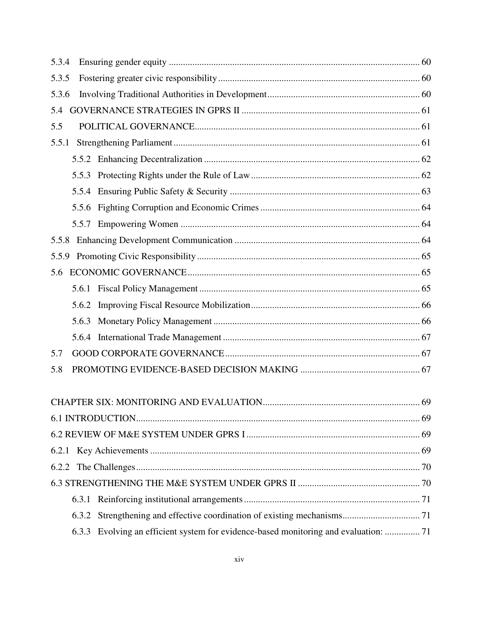| 5.3.4 |       |                                                                                      |  |
|-------|-------|--------------------------------------------------------------------------------------|--|
| 5.3.5 |       |                                                                                      |  |
| 5.3.6 |       |                                                                                      |  |
| 5.4   |       |                                                                                      |  |
| 5.5   |       |                                                                                      |  |
| 5.5.1 |       |                                                                                      |  |
|       |       |                                                                                      |  |
|       |       |                                                                                      |  |
|       |       |                                                                                      |  |
|       | 5.5.6 |                                                                                      |  |
|       |       |                                                                                      |  |
| 5.5.8 |       |                                                                                      |  |
| 5.5.9 |       |                                                                                      |  |
| 5.6   |       |                                                                                      |  |
|       |       |                                                                                      |  |
|       | 5.6.2 |                                                                                      |  |
|       | 5.6.3 |                                                                                      |  |
|       |       |                                                                                      |  |
| 5.7   |       |                                                                                      |  |
| 5.8   |       |                                                                                      |  |
|       |       |                                                                                      |  |
|       |       |                                                                                      |  |
|       |       |                                                                                      |  |
|       |       |                                                                                      |  |
| 6.2.2 |       |                                                                                      |  |
|       |       |                                                                                      |  |
|       | 6.3.1 |                                                                                      |  |
|       | 6.3.2 |                                                                                      |  |
|       |       | 6.3.3 Evolving an efficient system for evidence-based monitoring and evaluation:  71 |  |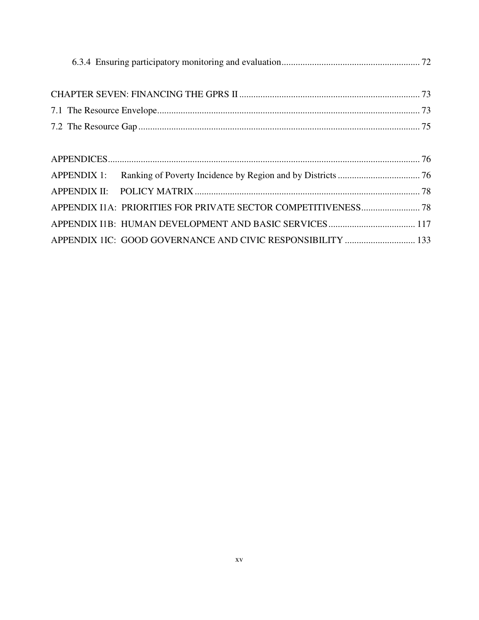| APPENDIX 1IC: GOOD GOVERNANCE AND CIVIC RESPONSIBILITY  133 |
|-------------------------------------------------------------|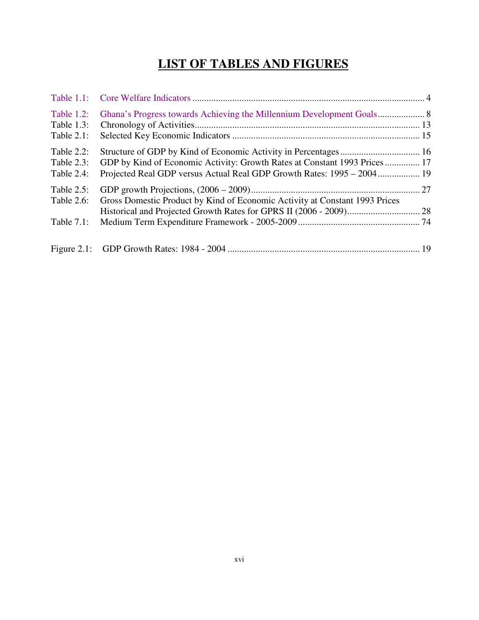# **LIST OF TABLES AND FIGURES**

| Table $1.2$ :<br>Table $1.3$ : |                                                                                                                                                     |  |
|--------------------------------|-----------------------------------------------------------------------------------------------------------------------------------------------------|--|
| Table $2.1$ :                  |                                                                                                                                                     |  |
| Table $2.2$ :                  |                                                                                                                                                     |  |
| Table $2.3$ :<br>Table 2.4:    | GDP by Kind of Economic Activity: Growth Rates at Constant 1993 Prices 17<br>Projected Real GDP versus Actual Real GDP Growth Rates: 1995 – 2004 19 |  |
| Table $2.5$ :<br>Table 2.6:    | Gross Domestic Product by Kind of Economic Activity at Constant 1993 Prices                                                                         |  |
| Table $7.1$ :                  |                                                                                                                                                     |  |
|                                |                                                                                                                                                     |  |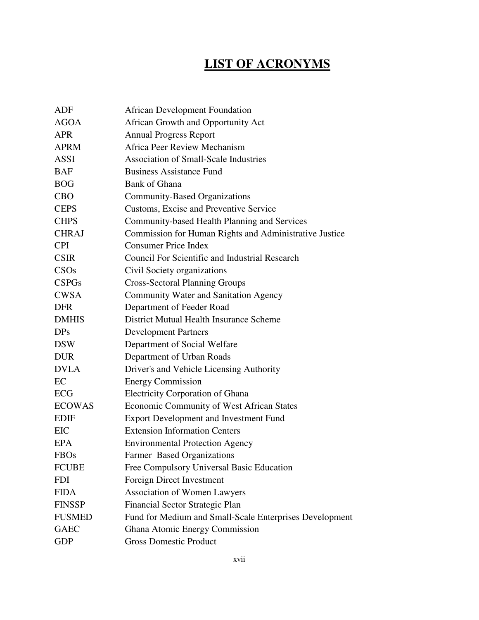# **LIST OF ACRONYMS**

| ADF           | <b>African Development Foundation</b>                   |
|---------------|---------------------------------------------------------|
| <b>AGOA</b>   | African Growth and Opportunity Act                      |
| <b>APR</b>    | <b>Annual Progress Report</b>                           |
| <b>APRM</b>   | Africa Peer Review Mechanism                            |
| <b>ASSI</b>   | <b>Association of Small-Scale Industries</b>            |
| <b>BAF</b>    | <b>Business Assistance Fund</b>                         |
| <b>BOG</b>    | <b>Bank of Ghana</b>                                    |
| <b>CBO</b>    | <b>Community-Based Organizations</b>                    |
| <b>CEPS</b>   | Customs, Excise and Preventive Service                  |
| <b>CHPS</b>   | Community-based Health Planning and Services            |
| <b>CHRAJ</b>  | Commission for Human Rights and Administrative Justice  |
| <b>CPI</b>    | <b>Consumer Price Index</b>                             |
| <b>CSIR</b>   | <b>Council For Scientific and Industrial Research</b>   |
| CSOs          | Civil Society organizations                             |
| <b>CSPGs</b>  | <b>Cross-Sectoral Planning Groups</b>                   |
| <b>CWSA</b>   | Community Water and Sanitation Agency                   |
| <b>DFR</b>    | Department of Feeder Road                               |
| <b>DMHIS</b>  | District Mutual Health Insurance Scheme                 |
| DPs           | <b>Development Partners</b>                             |
| <b>DSW</b>    | Department of Social Welfare                            |
| <b>DUR</b>    | Department of Urban Roads                               |
| <b>DVLA</b>   | Driver's and Vehicle Licensing Authority                |
| EC            | <b>Energy Commission</b>                                |
| ECG           | <b>Electricity Corporation of Ghana</b>                 |
| <b>ECOWAS</b> | Economic Community of West African States               |
| <b>EDIF</b>   | <b>Export Development and Investment Fund</b>           |
| <b>EIC</b>    | <b>Extension Information Centers</b>                    |
| <b>EPA</b>    | <b>Environmental Protection Agency</b>                  |
| <b>FBOs</b>   | <b>Farmer Based Organizations</b>                       |
| <b>FCUBE</b>  | Free Compulsory Universal Basic Education               |
| <b>FDI</b>    | Foreign Direct Investment                               |
| <b>FIDA</b>   | <b>Association of Women Lawyers</b>                     |
| <b>FINSSP</b> | Financial Sector Strategic Plan                         |
| <b>FUSMED</b> | Fund for Medium and Small-Scale Enterprises Development |
| <b>GAEC</b>   | Ghana Atomic Energy Commission                          |
| <b>GDP</b>    | <b>Gross Domestic Product</b>                           |
|               |                                                         |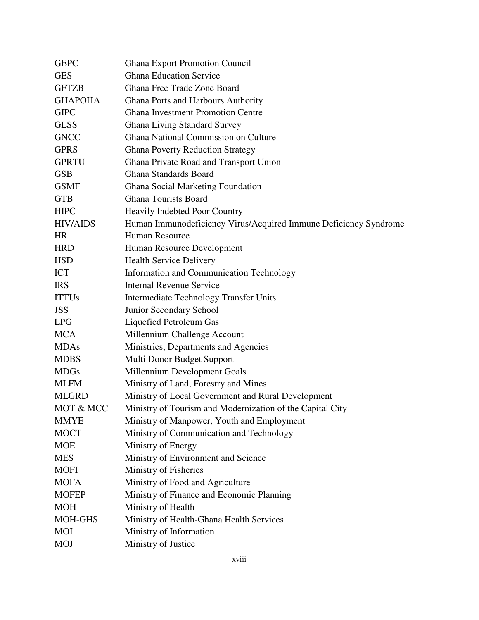| <b>GEPC</b>     | <b>Ghana Export Promotion Council</b>                            |
|-----------------|------------------------------------------------------------------|
| <b>GES</b>      | <b>Ghana Education Service</b>                                   |
| <b>GFTZB</b>    | Ghana Free Trade Zone Board                                      |
| <b>GHAPOHA</b>  | <b>Ghana Ports and Harbours Authority</b>                        |
| <b>GIPC</b>     | <b>Ghana Investment Promotion Centre</b>                         |
| <b>GLSS</b>     | <b>Ghana Living Standard Survey</b>                              |
| <b>GNCC</b>     | Ghana National Commission on Culture                             |
| <b>GPRS</b>     | <b>Ghana Poverty Reduction Strategy</b>                          |
| <b>GPRTU</b>    | Ghana Private Road and Transport Union                           |
| <b>GSB</b>      | Ghana Standards Board                                            |
| <b>GSMF</b>     | <b>Ghana Social Marketing Foundation</b>                         |
| <b>GTB</b>      | <b>Ghana Tourists Board</b>                                      |
| <b>HIPC</b>     | <b>Heavily Indebted Poor Country</b>                             |
| <b>HIV/AIDS</b> | Human Immunodeficiency Virus/Acquired Immune Deficiency Syndrome |
| <b>HR</b>       | <b>Human Resource</b>                                            |
| <b>HRD</b>      | Human Resource Development                                       |
| <b>HSD</b>      | <b>Health Service Delivery</b>                                   |
| <b>ICT</b>      | <b>Information and Communication Technology</b>                  |
| <b>IRS</b>      | <b>Internal Revenue Service</b>                                  |
| <b>ITTUs</b>    | Intermediate Technology Transfer Units                           |
| <b>JSS</b>      | Junior Secondary School                                          |
| <b>LPG</b>      | Liquefied Petroleum Gas                                          |
| <b>MCA</b>      | Millennium Challenge Account                                     |
| <b>MDAs</b>     | Ministries, Departments and Agencies                             |
| <b>MDBS</b>     | Multi Donor Budget Support                                       |
| <b>MDGs</b>     | Millennium Development Goals                                     |
| <b>MLFM</b>     | Ministry of Land, Forestry and Mines                             |
| <b>MLGRD</b>    | Ministry of Local Government and Rural Development               |
| MOT & MCC       | Ministry of Tourism and Modernization of the Capital City        |
| <b>MMYE</b>     | Ministry of Manpower, Youth and Employment                       |
| <b>MOCT</b>     | Ministry of Communication and Technology                         |
| <b>MOE</b>      | Ministry of Energy                                               |
| <b>MES</b>      | Ministry of Environment and Science                              |
| <b>MOFI</b>     | Ministry of Fisheries                                            |
| <b>MOFA</b>     | Ministry of Food and Agriculture                                 |
| <b>MOFEP</b>    | Ministry of Finance and Economic Planning                        |
| <b>MOH</b>      | Ministry of Health                                               |
| <b>MOH-GHS</b>  | Ministry of Health-Ghana Health Services                         |
| <b>MOI</b>      | Ministry of Information                                          |
| <b>MOJ</b>      | Ministry of Justice                                              |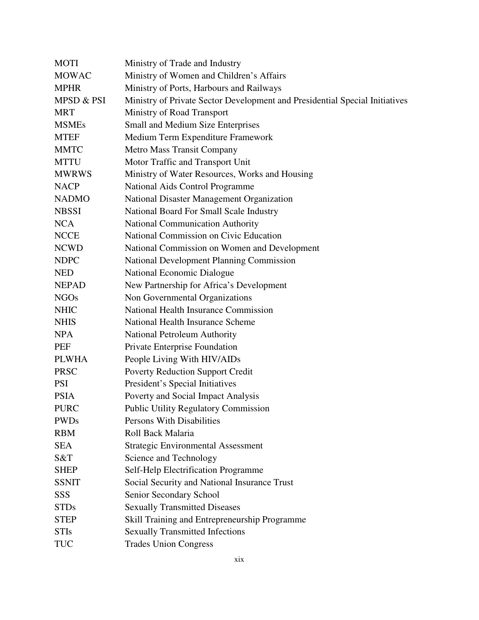| <b>MOTI</b>  | Ministry of Trade and Industry                                              |
|--------------|-----------------------------------------------------------------------------|
| <b>MOWAC</b> | Ministry of Women and Children's Affairs                                    |
| <b>MPHR</b>  | Ministry of Ports, Harbours and Railways                                    |
| MPSD & PSI   | Ministry of Private Sector Development and Presidential Special Initiatives |
| <b>MRT</b>   | Ministry of Road Transport                                                  |
| <b>MSMEs</b> | Small and Medium Size Enterprises                                           |
| <b>MTEF</b>  | Medium Term Expenditure Framework                                           |
| <b>MMTC</b>  | Metro Mass Transit Company                                                  |
| <b>MTTU</b>  | Motor Traffic and Transport Unit                                            |
| <b>MWRWS</b> | Ministry of Water Resources, Works and Housing                              |
| <b>NACP</b>  | National Aids Control Programme                                             |
| <b>NADMO</b> | National Disaster Management Organization                                   |
| <b>NBSSI</b> | National Board For Small Scale Industry                                     |
| <b>NCA</b>   | <b>National Communication Authority</b>                                     |
| <b>NCCE</b>  | National Commission on Civic Education                                      |
| <b>NCWD</b>  | National Commission on Women and Development                                |
| <b>NDPC</b>  | <b>National Development Planning Commission</b>                             |
| <b>NED</b>   | National Economic Dialogue                                                  |
| <b>NEPAD</b> | New Partnership for Africa's Development                                    |
| <b>NGOs</b>  | Non Governmental Organizations                                              |
| <b>NHIC</b>  | National Health Insurance Commission                                        |
| <b>NHIS</b>  | National Health Insurance Scheme                                            |
| <b>NPA</b>   | <b>National Petroleum Authority</b>                                         |
| PEF          | Private Enterprise Foundation                                               |
| <b>PLWHA</b> | People Living With HIV/AIDs                                                 |
| <b>PRSC</b>  | <b>Poverty Reduction Support Credit</b>                                     |
| <b>PSI</b>   | President's Special Initiatives                                             |
| <b>PSIA</b>  | Poverty and Social Impact Analysis                                          |
| <b>PURC</b>  | <b>Public Utility Regulatory Commission</b>                                 |
| <b>PWDs</b>  | Persons With Disabilities                                                   |
| <b>RBM</b>   | Roll Back Malaria                                                           |
| <b>SEA</b>   | <b>Strategic Environmental Assessment</b>                                   |
| S&T          | Science and Technology                                                      |
| <b>SHEP</b>  | Self-Help Electrification Programme                                         |
| <b>SSNIT</b> | Social Security and National Insurance Trust                                |
| SSS          | Senior Secondary School                                                     |
| <b>STDs</b>  | <b>Sexually Transmitted Diseases</b>                                        |
| <b>STEP</b>  | Skill Training and Entrepreneurship Programme                               |
| <b>STIs</b>  | <b>Sexually Transmitted Infections</b>                                      |
| <b>TUC</b>   | <b>Trades Union Congress</b>                                                |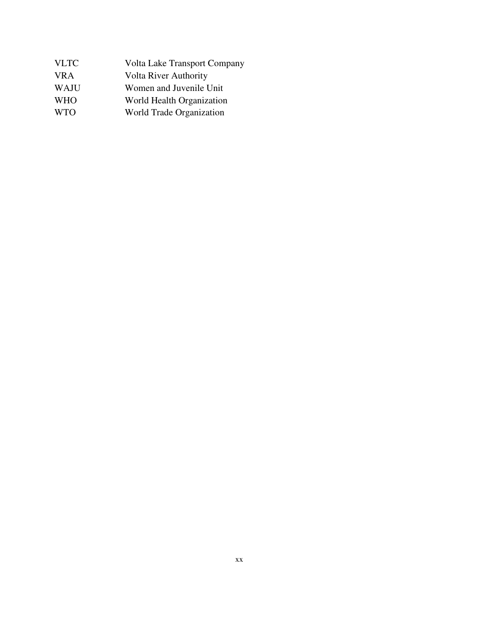| <b>Volta Lake Transport Company</b> |
|-------------------------------------|
| <b>Volta River Authority</b>        |
| Women and Juvenile Unit             |
| World Health Organization           |
| World Trade Organization            |
|                                     |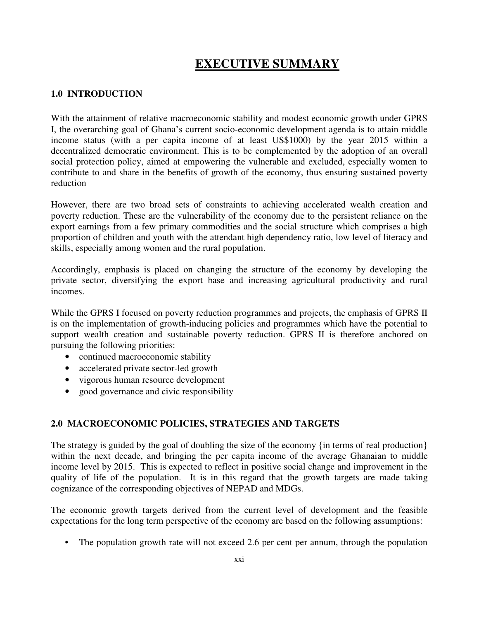# **EXECUTIVE SUMMARY**

# **1.0 INTRODUCTION**

With the attainment of relative macroeconomic stability and modest economic growth under GPRS I, the overarching goal of Ghana's current socio-economic development agenda is to attain middle income status (with a per capita income of at least US\$1000) by the year 2015 within a decentralized democratic environment. This is to be complemented by the adoption of an overall social protection policy, aimed at empowering the vulnerable and excluded, especially women to contribute to and share in the benefits of growth of the economy, thus ensuring sustained poverty reduction

However, there are two broad sets of constraints to achieving accelerated wealth creation and poverty reduction. These are the vulnerability of the economy due to the persistent reliance on the export earnings from a few primary commodities and the social structure which comprises a high proportion of children and youth with the attendant high dependency ratio, low level of literacy and skills, especially among women and the rural population.

Accordingly, emphasis is placed on changing the structure of the economy by developing the private sector, diversifying the export base and increasing agricultural productivity and rural incomes.

While the GPRS I focused on poverty reduction programmes and projects, the emphasis of GPRS II is on the implementation of growth-inducing policies and programmes which have the potential to support wealth creation and sustainable poverty reduction. GPRS II is therefore anchored on pursuing the following priorities:

- continued macroeconomic stability
- accelerated private sector-led growth
- vigorous human resource development
- good governance and civic responsibility

# **2.0 MACROECONOMIC POLICIES, STRATEGIES AND TARGETS**

The strategy is guided by the goal of doubling the size of the economy {in terms of real production} within the next decade, and bringing the per capita income of the average Ghanaian to middle income level by 2015. This is expected to reflect in positive social change and improvement in the quality of life of the population. It is in this regard that the growth targets are made taking cognizance of the corresponding objectives of NEPAD and MDGs.

The economic growth targets derived from the current level of development and the feasible expectations for the long term perspective of the economy are based on the following assumptions:

• The population growth rate will not exceed 2.6 per cent per annum, through the population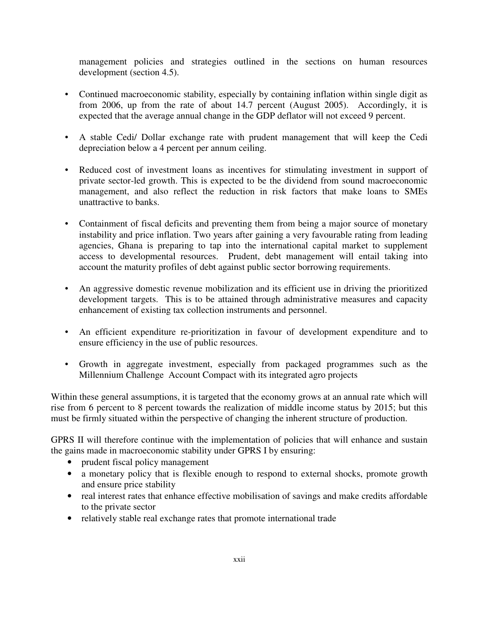management policies and strategies outlined in the sections on human resources development (section 4.5).

- Continued macroeconomic stability, especially by containing inflation within single digit as from 2006, up from the rate of about 14.7 percent (August 2005). Accordingly, it is expected that the average annual change in the GDP deflator will not exceed 9 percent.
- A stable Cedi/ Dollar exchange rate with prudent management that will keep the Cedi depreciation below a 4 percent per annum ceiling.
- Reduced cost of investment loans as incentives for stimulating investment in support of private sector-led growth. This is expected to be the dividend from sound macroeconomic management, and also reflect the reduction in risk factors that make loans to SMEs unattractive to banks.
- Containment of fiscal deficits and preventing them from being a major source of monetary instability and price inflation. Two years after gaining a very favourable rating from leading agencies, Ghana is preparing to tap into the international capital market to supplement access to developmental resources. Prudent, debt management will entail taking into account the maturity profiles of debt against public sector borrowing requirements.
- An aggressive domestic revenue mobilization and its efficient use in driving the prioritized development targets. This is to be attained through administrative measures and capacity enhancement of existing tax collection instruments and personnel.
- An efficient expenditure re-prioritization in favour of development expenditure and to ensure efficiency in the use of public resources.
- Growth in aggregate investment, especially from packaged programmes such as the Millennium Challenge Account Compact with its integrated agro projects

Within these general assumptions, it is targeted that the economy grows at an annual rate which will rise from 6 percent to 8 percent towards the realization of middle income status by 2015; but this must be firmly situated within the perspective of changing the inherent structure of production.

GPRS II will therefore continue with the implementation of policies that will enhance and sustain the gains made in macroeconomic stability under GPRS I by ensuring:

- prudent fiscal policy management
- a monetary policy that is flexible enough to respond to external shocks, promote growth and ensure price stability
- real interest rates that enhance effective mobilisation of savings and make credits affordable to the private sector
- relatively stable real exchange rates that promote international trade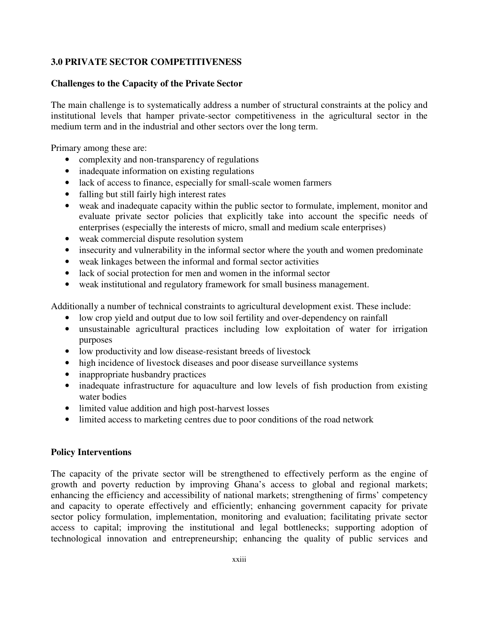# **3.0 PRIVATE SECTOR COMPETITIVENESS**

### **Challenges to the Capacity of the Private Sector**

The main challenge is to systematically address a number of structural constraints at the policy and institutional levels that hamper private-sector competitiveness in the agricultural sector in the medium term and in the industrial and other sectors over the long term.

Primary among these are:

- complexity and non-transparency of regulations
- inadequate information on existing regulations
- lack of access to finance, especially for small-scale women farmers
- falling but still fairly high interest rates
- weak and inadequate capacity within the public sector to formulate, implement, monitor and evaluate private sector policies that explicitly take into account the specific needs of enterprises (especially the interests of micro, small and medium scale enterprises)
- weak commercial dispute resolution system
- insecurity and vulnerability in the informal sector where the youth and women predominate
- weak linkages between the informal and formal sector activities
- lack of social protection for men and women in the informal sector
- weak institutional and regulatory framework for small business management.

Additionally a number of technical constraints to agricultural development exist. These include:

- low crop yield and output due to low soil fertility and over-dependency on rainfall
- unsustainable agricultural practices including low exploitation of water for irrigation purposes
- low productivity and low disease-resistant breeds of livestock
- high incidence of livestock diseases and poor disease surveillance systems
- inappropriate husbandry practices
- inadequate infrastructure for aquaculture and low levels of fish production from existing water bodies
- limited value addition and high post-harvest losses
- limited access to marketing centres due to poor conditions of the road network

#### **Policy Interventions**

The capacity of the private sector will be strengthened to effectively perform as the engine of growth and poverty reduction by improving Ghana's access to global and regional markets; enhancing the efficiency and accessibility of national markets; strengthening of firms' competency and capacity to operate effectively and efficiently; enhancing government capacity for private sector policy formulation, implementation, monitoring and evaluation; facilitating private sector access to capital; improving the institutional and legal bottlenecks; supporting adoption of technological innovation and entrepreneurship; enhancing the quality of public services and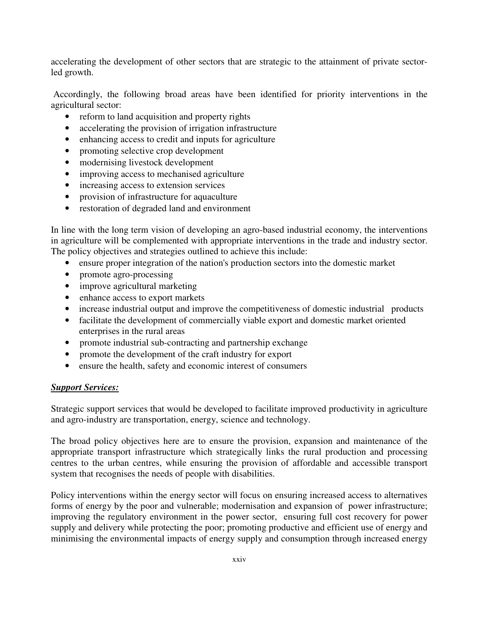accelerating the development of other sectors that are strategic to the attainment of private sectorled growth.

 Accordingly, the following broad areas have been identified for priority interventions in the agricultural sector:

- reform to land acquisition and property rights
- accelerating the provision of irrigation infrastructure
- enhancing access to credit and inputs for agriculture
- promoting selective crop development
- modernising livestock development
- improving access to mechanised agriculture
- increasing access to extension services
- provision of infrastructure for aquaculture
- restoration of degraded land and environment

In line with the long term vision of developing an agro-based industrial economy, the interventions in agriculture will be complemented with appropriate interventions in the trade and industry sector. The policy objectives and strategies outlined to achieve this include:

- ensure proper integration of the nation's production sectors into the domestic market
- promote agro-processing
- improve agricultural marketing
- enhance access to export markets
- increase industrial output and improve the competitiveness of domestic industrial products
- facilitate the development of commercially viable export and domestic market oriented enterprises in the rural areas
- promote industrial sub-contracting and partnership exchange
- promote the development of the craft industry for export
- ensure the health, safety and economic interest of consumers

# *Support Services:*

Strategic support services that would be developed to facilitate improved productivity in agriculture and agro-industry are transportation, energy, science and technology.

The broad policy objectives here are to ensure the provision, expansion and maintenance of the appropriate transport infrastructure which strategically links the rural production and processing centres to the urban centres, while ensuring the provision of affordable and accessible transport system that recognises the needs of people with disabilities.

Policy interventions within the energy sector will focus on ensuring increased access to alternatives forms of energy by the poor and vulnerable; modernisation and expansion of power infrastructure; improving the regulatory environment in the power sector, ensuring full cost recovery for power supply and delivery while protecting the poor; promoting productive and efficient use of energy and minimising the environmental impacts of energy supply and consumption through increased energy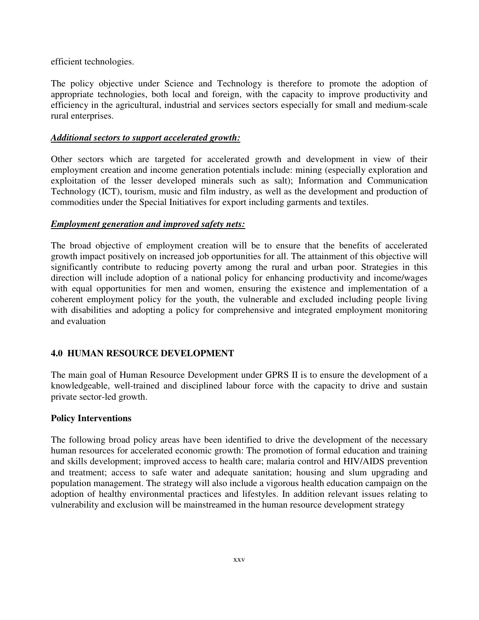efficient technologies.

The policy objective under Science and Technology is therefore to promote the adoption of appropriate technologies, both local and foreign, with the capacity to improve productivity and efficiency in the agricultural, industrial and services sectors especially for small and medium-scale rural enterprises.

#### *Additional sectors to support accelerated growth:*

Other sectors which are targeted for accelerated growth and development in view of their employment creation and income generation potentials include: mining (especially exploration and exploitation of the lesser developed minerals such as salt); Information and Communication Technology (ICT), tourism, music and film industry, as well as the development and production of commodities under the Special Initiatives for export including garments and textiles.

#### *Employment generation and improved safety nets:*

The broad objective of employment creation will be to ensure that the benefits of accelerated growth impact positively on increased job opportunities for all. The attainment of this objective will significantly contribute to reducing poverty among the rural and urban poor. Strategies in this direction will include adoption of a national policy for enhancing productivity and income/wages with equal opportunities for men and women, ensuring the existence and implementation of a coherent employment policy for the youth, the vulnerable and excluded including people living with disabilities and adopting a policy for comprehensive and integrated employment monitoring and evaluation

# **4.0 HUMAN RESOURCE DEVELOPMENT**

The main goal of Human Resource Development under GPRS II is to ensure the development of a knowledgeable, well-trained and disciplined labour force with the capacity to drive and sustain private sector-led growth.

#### **Policy Interventions**

The following broad policy areas have been identified to drive the development of the necessary human resources for accelerated economic growth: The promotion of formal education and training and skills development; improved access to health care; malaria control and HIV/AIDS prevention and treatment; access to safe water and adequate sanitation; housing and slum upgrading and population management. The strategy will also include a vigorous health education campaign on the adoption of healthy environmental practices and lifestyles. In addition relevant issues relating to vulnerability and exclusion will be mainstreamed in the human resource development strategy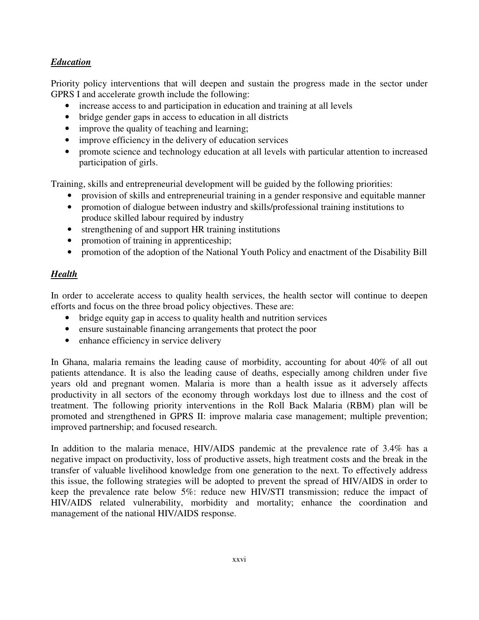# *Education*

Priority policy interventions that will deepen and sustain the progress made in the sector under GPRS I and accelerate growth include the following:

- increase access to and participation in education and training at all levels
- bridge gender gaps in access to education in all districts
- improve the quality of teaching and learning;
- improve efficiency in the delivery of education services
- promote science and technology education at all levels with particular attention to increased participation of girls.

Training, skills and entrepreneurial development will be guided by the following priorities:

- provision of skills and entrepreneurial training in a gender responsive and equitable manner
- promotion of dialogue between industry and skills/professional training institutions to produce skilled labour required by industry
- strengthening of and support HR training institutions
- promotion of training in apprenticeship;
- promotion of the adoption of the National Youth Policy and enactment of the Disability Bill

# *Health*

In order to accelerate access to quality health services, the health sector will continue to deepen efforts and focus on the three broad policy objectives. These are:

- bridge equity gap in access to quality health and nutrition services
- ensure sustainable financing arrangements that protect the poor
- enhance efficiency in service delivery

In Ghana, malaria remains the leading cause of morbidity, accounting for about 40% of all out patients attendance. It is also the leading cause of deaths, especially among children under five years old and pregnant women. Malaria is more than a health issue as it adversely affects productivity in all sectors of the economy through workdays lost due to illness and the cost of treatment. The following priority interventions in the Roll Back Malaria (RBM) plan will be promoted and strengthened in GPRS II: improve malaria case management; multiple prevention; improved partnership; and focused research.

In addition to the malaria menace, HIV/AIDS pandemic at the prevalence rate of 3.4% has a negative impact on productivity, loss of productive assets, high treatment costs and the break in the transfer of valuable livelihood knowledge from one generation to the next. To effectively address this issue, the following strategies will be adopted to prevent the spread of HIV/AIDS in order to keep the prevalence rate below 5%: reduce new HIV/STI transmission; reduce the impact of HIV/AIDS related vulnerability, morbidity and mortality; enhance the coordination and management of the national HIV/AIDS response.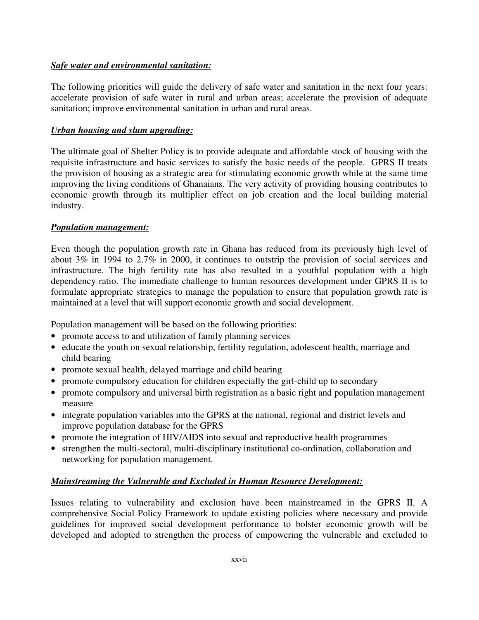### *Safe water and environmental sanitation:*

The following priorities will guide the delivery of safe water and sanitation in the next four years: accelerate provision of safe water in rural and urban areas; accelerate the provision of adequate sanitation; improve environmental sanitation in urban and rural areas.

### *Urban housing and slum upgrading:*

The ultimate goal of Shelter Policy is to provide adequate and affordable stock of housing with the requisite infrastructure and basic services to satisfy the basic needs of the people. GPRS II treats the provision of housing as a strategic area for stimulating economic growth while at the same time improving the living conditions of Ghanaians. The very activity of providing housing contributes to economic growth through its multiplier effect on job creation and the local building material industry.

#### *Population management:*

Even though the population growth rate in Ghana has reduced from its previously high level of about 3% in 1994 to 2.7% in 2000, it continues to outstrip the provision of social services and infrastructure. The high fertility rate has also resulted in a youthful population with a high dependency ratio. The immediate challenge to human resources development under GPRS II is to formulate appropriate strategies to manage the population to ensure that population growth rate is maintained at a level that will support economic growth and social development.

Population management will be based on the following priorities:

- promote access to and utilization of family planning services
- educate the youth on sexual relationship, fertility regulation, adolescent health, marriage and child bearing
- promote sexual health, delayed marriage and child bearing
- promote compulsory education for children especially the girl-child up to secondary
- promote compulsory and universal birth registration as a basic right and population management measure
- integrate population variables into the GPRS at the national, regional and district levels and improve population database for the GPRS
- promote the integration of HIV/AIDS into sexual and reproductive health programmes
- strengthen the multi-sectoral, multi-disciplinary institutional co-ordination, collaboration and networking for population management.

# *Mainstreaming the Vulnerable and Excluded in Human Resource Development:*

Issues relating to vulnerability and exclusion have been mainstreamed in the GPRS II. A comprehensive Social Policy Framework to update existing policies where necessary and provide guidelines for improved social development performance to bolster economic growth will be developed and adopted to strengthen the process of empowering the vulnerable and excluded to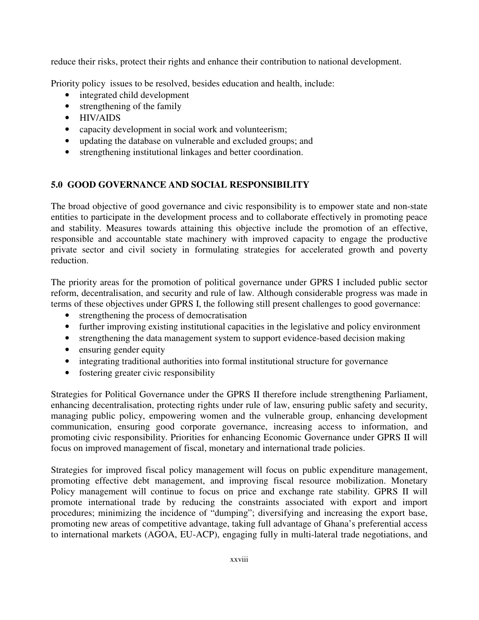reduce their risks, protect their rights and enhance their contribution to national development.

Priority policy issues to be resolved, besides education and health, include:

- integrated child development
- strengthening of the family
- HIV/AIDS
- capacity development in social work and volunteerism;
- updating the database on vulnerable and excluded groups; and
- strengthening institutional linkages and better coordination.

# **5.0 GOOD GOVERNANCE AND SOCIAL RESPONSIBILITY**

The broad objective of good governance and civic responsibility is to empower state and non-state entities to participate in the development process and to collaborate effectively in promoting peace and stability. Measures towards attaining this objective include the promotion of an effective, responsible and accountable state machinery with improved capacity to engage the productive private sector and civil society in formulating strategies for accelerated growth and poverty reduction.

The priority areas for the promotion of political governance under GPRS I included public sector reform, decentralisation, and security and rule of law. Although considerable progress was made in terms of these objectives under GPRS I, the following still present challenges to good governance:

- strengthening the process of democratisation
- further improving existing institutional capacities in the legislative and policy environment
- strengthening the data management system to support evidence-based decision making
- ensuring gender equity
- integrating traditional authorities into formal institutional structure for governance
- fostering greater civic responsibility

Strategies for Political Governance under the GPRS II therefore include strengthening Parliament, enhancing decentralisation, protecting rights under rule of law, ensuring public safety and security, managing public policy, empowering women and the vulnerable group, enhancing development communication, ensuring good corporate governance, increasing access to information, and promoting civic responsibility. Priorities for enhancing Economic Governance under GPRS II will focus on improved management of fiscal, monetary and international trade policies.

Strategies for improved fiscal policy management will focus on public expenditure management, promoting effective debt management, and improving fiscal resource mobilization. Monetary Policy management will continue to focus on price and exchange rate stability. GPRS II will promote international trade by reducing the constraints associated with export and import procedures; minimizing the incidence of "dumping"; diversifying and increasing the export base, promoting new areas of competitive advantage, taking full advantage of Ghana's preferential access to international markets (AGOA, EU-ACP), engaging fully in multi-lateral trade negotiations, and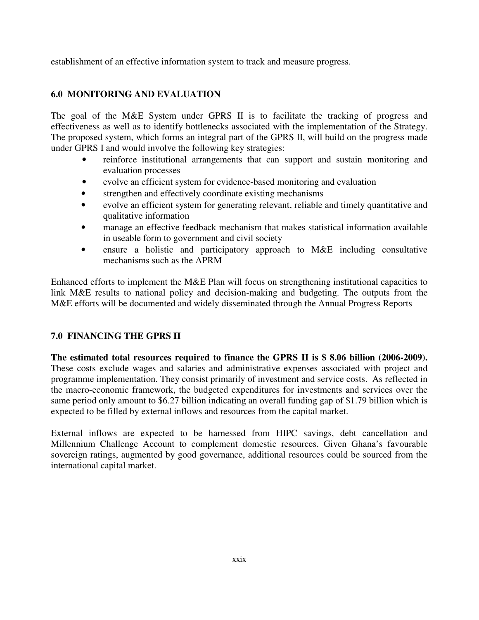establishment of an effective information system to track and measure progress.

# **6.0 MONITORING AND EVALUATION**

The goal of the M&E System under GPRS II is to facilitate the tracking of progress and effectiveness as well as to identify bottlenecks associated with the implementation of the Strategy. The proposed system, which forms an integral part of the GPRS II, will build on the progress made under GPRS I and would involve the following key strategies:

- reinforce institutional arrangements that can support and sustain monitoring and evaluation processes
- evolve an efficient system for evidence-based monitoring and evaluation
- strengthen and effectively coordinate existing mechanisms
- evolve an efficient system for generating relevant, reliable and timely quantitative and qualitative information
- manage an effective feedback mechanism that makes statistical information available in useable form to government and civil society
- ensure a holistic and participatory approach to M&E including consultative mechanisms such as the APRM

Enhanced efforts to implement the M&E Plan will focus on strengthening institutional capacities to link M&E results to national policy and decision-making and budgeting. The outputs from the M&E efforts will be documented and widely disseminated through the Annual Progress Reports

# **7.0 FINANCING THE GPRS II**

**The estimated total resources required to finance the GPRS II is \$ 8.06 billion (2006-2009).** These costs exclude wages and salaries and administrative expenses associated with project and programme implementation. They consist primarily of investment and service costs. As reflected in the macro-economic framework, the budgeted expenditures for investments and services over the same period only amount to \$6.27 billion indicating an overall funding gap of \$1.79 billion which is expected to be filled by external inflows and resources from the capital market.

External inflows are expected to be harnessed from HIPC savings, debt cancellation and Millennium Challenge Account to complement domestic resources. Given Ghana's favourable sovereign ratings, augmented by good governance, additional resources could be sourced from the international capital market.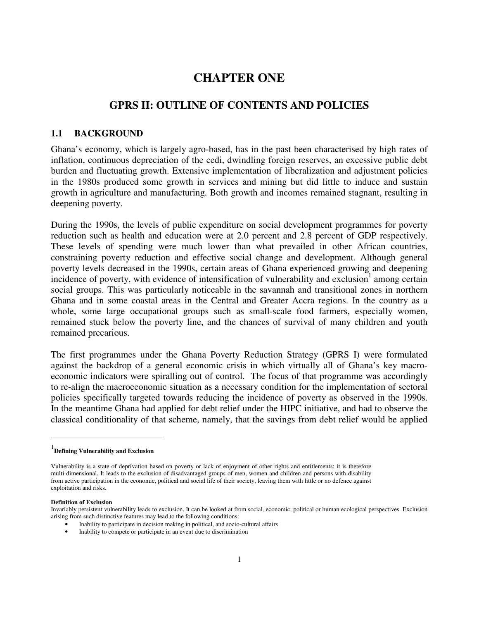# **CHAPTER ONE**

# **GPRS II: OUTLINE OF CONTENTS AND POLICIES**

#### **1.1 BACKGROUND**

Ghana's economy, which is largely agro-based, has in the past been characterised by high rates of inflation, continuous depreciation of the cedi, dwindling foreign reserves, an excessive public debt burden and fluctuating growth. Extensive implementation of liberalization and adjustment policies in the 1980s produced some growth in services and mining but did little to induce and sustain growth in agriculture and manufacturing. Both growth and incomes remained stagnant, resulting in deepening poverty.

During the 1990s, the levels of public expenditure on social development programmes for poverty reduction such as health and education were at 2.0 percent and 2.8 percent of GDP respectively. These levels of spending were much lower than what prevailed in other African countries, constraining poverty reduction and effective social change and development. Although general poverty levels decreased in the 1990s, certain areas of Ghana experienced growing and deepening  $\frac{1}{2}$  incidence of poverty, with evidence of intensification of vulnerability and exclusion<sup>1</sup> among certain social groups. This was particularly noticeable in the savannah and transitional zones in northern Ghana and in some coastal areas in the Central and Greater Accra regions. In the country as a whole, some large occupational groups such as small-scale food farmers, especially women, remained stuck below the poverty line, and the chances of survival of many children and youth remained precarious.

The first programmes under the Ghana Poverty Reduction Strategy (GPRS I) were formulated against the backdrop of a general economic crisis in which virtually all of Ghana's key macroeconomic indicators were spiralling out of control. The focus of that programme was accordingly to re-align the macroeconomic situation as a necessary condition for the implementation of sectoral policies specifically targeted towards reducing the incidence of poverty as observed in the 1990s. In the meantime Ghana had applied for debt relief under the HIPC initiative, and had to observe the classical conditionality of that scheme, namely, that the savings from debt relief would be applied

 $\overline{a}$ 

<sup>1</sup> **Defining Vulnerability and Exclusion** 

Vulnerability is a state of deprivation based on poverty or lack of enjoyment of other rights and entitlements; it is therefore multi-dimensional. It leads to the exclusion of disadvantaged groups of men, women and children and persons with disability from active participation in the economic, political and social life of their society, leaving them with little or no defence against exploitation and risks.

**Definition of Exclusion** 

Invariably persistent vulnerability leads to exclusion. It can be looked at from social, economic, political or human ecological perspectives. Exclusion arising from such distinctive features may lead to the following conditions:

<sup>•</sup> Inability to participate in decision making in political, and socio-cultural affairs

<sup>•</sup> Inability to compete or participate in an event due to discrimination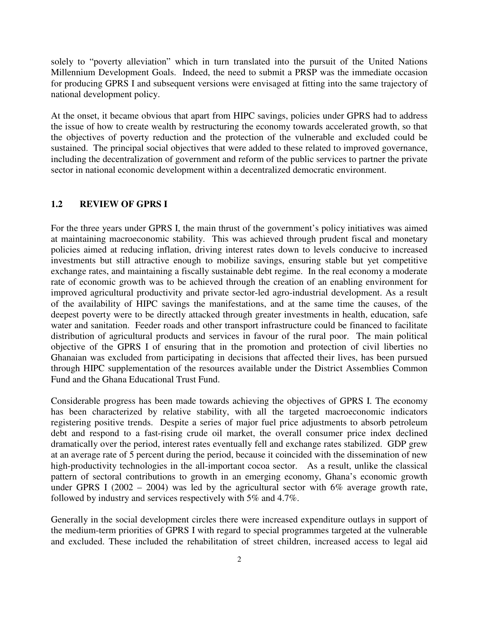solely to "poverty alleviation" which in turn translated into the pursuit of the United Nations Millennium Development Goals. Indeed, the need to submit a PRSP was the immediate occasion for producing GPRS I and subsequent versions were envisaged at fitting into the same trajectory of national development policy.

At the onset, it became obvious that apart from HIPC savings, policies under GPRS had to address the issue of how to create wealth by restructuring the economy towards accelerated growth, so that the objectives of poverty reduction and the protection of the vulnerable and excluded could be sustained. The principal social objectives that were added to these related to improved governance, including the decentralization of government and reform of the public services to partner the private sector in national economic development within a decentralized democratic environment.

#### **1.2 REVIEW OF GPRS I**

For the three years under GPRS I, the main thrust of the government's policy initiatives was aimed at maintaining macroeconomic stability. This was achieved through prudent fiscal and monetary policies aimed at reducing inflation, driving interest rates down to levels conducive to increased investments but still attractive enough to mobilize savings, ensuring stable but yet competitive exchange rates, and maintaining a fiscally sustainable debt regime. In the real economy a moderate rate of economic growth was to be achieved through the creation of an enabling environment for improved agricultural productivity and private sector-led agro-industrial development. As a result of the availability of HIPC savings the manifestations, and at the same time the causes, of the deepest poverty were to be directly attacked through greater investments in health, education, safe water and sanitation. Feeder roads and other transport infrastructure could be financed to facilitate distribution of agricultural products and services in favour of the rural poor. The main political objective of the GPRS I of ensuring that in the promotion and protection of civil liberties no Ghanaian was excluded from participating in decisions that affected their lives, has been pursued through HIPC supplementation of the resources available under the District Assemblies Common Fund and the Ghana Educational Trust Fund.

Considerable progress has been made towards achieving the objectives of GPRS I. The economy has been characterized by relative stability, with all the targeted macroeconomic indicators registering positive trends. Despite a series of major fuel price adjustments to absorb petroleum debt and respond to a fast-rising crude oil market, the overall consumer price index declined dramatically over the period, interest rates eventually fell and exchange rates stabilized. GDP grew at an average rate of 5 percent during the period, because it coincided with the dissemination of new high-productivity technologies in the all-important cocoa sector. As a result, unlike the classical pattern of sectoral contributions to growth in an emerging economy, Ghana's economic growth under GPRS I (2002 – 2004) was led by the agricultural sector with  $6\%$  average growth rate, followed by industry and services respectively with 5% and 4.7%.

Generally in the social development circles there were increased expenditure outlays in support of the medium-term priorities of GPRS I with regard to special programmes targeted at the vulnerable and excluded. These included the rehabilitation of street children, increased access to legal aid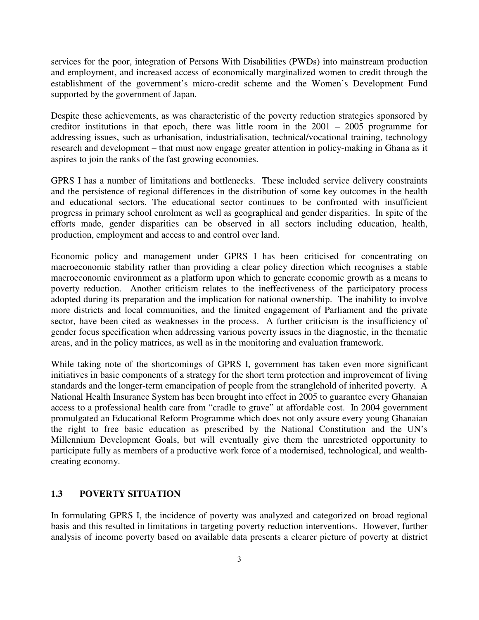services for the poor, integration of Persons With Disabilities (PWDs) into mainstream production and employment, and increased access of economically marginalized women to credit through the establishment of the government's micro-credit scheme and the Women's Development Fund supported by the government of Japan.

Despite these achievements, as was characteristic of the poverty reduction strategies sponsored by creditor institutions in that epoch, there was little room in the 2001 – 2005 programme for addressing issues, such as urbanisation, industrialisation, technical/vocational training, technology research and development – that must now engage greater attention in policy-making in Ghana as it aspires to join the ranks of the fast growing economies.

GPRS I has a number of limitations and bottlenecks. These included service delivery constraints and the persistence of regional differences in the distribution of some key outcomes in the health and educational sectors. The educational sector continues to be confronted with insufficient progress in primary school enrolment as well as geographical and gender disparities. In spite of the efforts made, gender disparities can be observed in all sectors including education, health, production, employment and access to and control over land.

Economic policy and management under GPRS I has been criticised for concentrating on macroeconomic stability rather than providing a clear policy direction which recognises a stable macroeconomic environment as a platform upon which to generate economic growth as a means to poverty reduction. Another criticism relates to the ineffectiveness of the participatory process adopted during its preparation and the implication for national ownership. The inability to involve more districts and local communities, and the limited engagement of Parliament and the private sector, have been cited as weaknesses in the process. A further criticism is the insufficiency of gender focus specification when addressing various poverty issues in the diagnostic, in the thematic areas, and in the policy matrices, as well as in the monitoring and evaluation framework.

While taking note of the shortcomings of GPRS I, government has taken even more significant initiatives in basic components of a strategy for the short term protection and improvement of living standards and the longer-term emancipation of people from the stranglehold of inherited poverty. A National Health Insurance System has been brought into effect in 2005 to guarantee every Ghanaian access to a professional health care from "cradle to grave" at affordable cost. In 2004 government promulgated an Educational Reform Programme which does not only assure every young Ghanaian the right to free basic education as prescribed by the National Constitution and the UN's Millennium Development Goals, but will eventually give them the unrestricted opportunity to participate fully as members of a productive work force of a modernised, technological, and wealthcreating economy.

#### **1.3 POVERTY SITUATION**

In formulating GPRS I, the incidence of poverty was analyzed and categorized on broad regional basis and this resulted in limitations in targeting poverty reduction interventions. However, further analysis of income poverty based on available data presents a clearer picture of poverty at district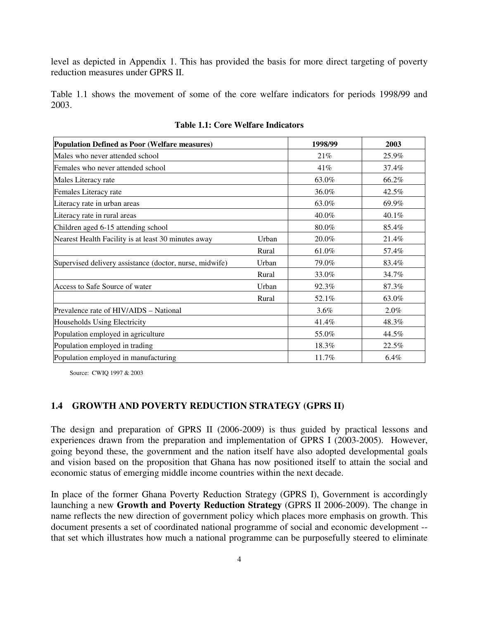level as depicted in Appendix 1. This has provided the basis for more direct targeting of poverty reduction measures under GPRS II.

Table 1.1 shows the movement of some of the core welfare indicators for periods 1998/99 and 2003.

| Population Defined as Poor (Welfare measures)           | 1998/99 | 2003    |         |
|---------------------------------------------------------|---------|---------|---------|
| Males who never attended school                         | 21%     | 25.9%   |         |
| Females who never attended school                       |         | 41%     | 37.4%   |
| Males Literacy rate                                     |         | 63.0%   | 66.2%   |
| Females Literacy rate                                   |         | 36.0%   | 42.5%   |
| Literacy rate in urban areas                            |         | 63.0%   | 69.9%   |
| Literacy rate in rural areas                            |         | 40.0%   | 40.1%   |
| Children aged 6-15 attending school                     |         | 80.0%   | 85.4%   |
| Nearest Health Facility is at least 30 minutes away     | Urban   | 20.0%   | 21.4%   |
|                                                         | Rural   | 61.0%   | 57.4%   |
| Supervised delivery assistance (doctor, nurse, midwife) | Urban   | 79.0%   | 83.4%   |
|                                                         | Rural   | 33.0%   | 34.7%   |
| Access to Safe Source of water                          | Urban   | 92.3%   | 87.3%   |
|                                                         | Rural   | 52.1%   | 63.0%   |
| Prevalence rate of HIV/AIDS – National                  |         | $3.6\%$ | $2.0\%$ |
| Households Using Electricity                            |         | 41.4%   | 48.3%   |
| Population employed in agriculture                      |         | 55.0%   | 44.5%   |
| Population employed in trading                          |         | 18.3%   | 22.5%   |
| Population employed in manufacturing                    |         | 11.7%   | 6.4%    |

**Table 1.1: Core Welfare Indicators** 

Source: CWIQ 1997 & 2003

#### **1.4 GROWTH AND POVERTY REDUCTION STRATEGY (GPRS II)**

The design and preparation of GPRS II (2006-2009) is thus guided by practical lessons and experiences drawn from the preparation and implementation of GPRS I (2003-2005). However, going beyond these, the government and the nation itself have also adopted developmental goals and vision based on the proposition that Ghana has now positioned itself to attain the social and economic status of emerging middle income countries within the next decade.

In place of the former Ghana Poverty Reduction Strategy (GPRS I), Government is accordingly launching a new **Growth and Poverty Reduction Strategy** (GPRS II 2006-2009). The change in name reflects the new direction of government policy which places more emphasis on growth. This document presents a set of coordinated national programme of social and economic development - that set which illustrates how much a national programme can be purposefully steered to eliminate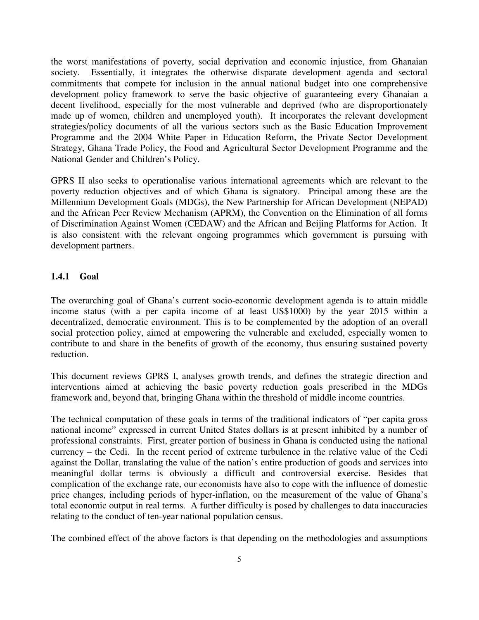the worst manifestations of poverty, social deprivation and economic injustice, from Ghanaian society. Essentially, it integrates the otherwise disparate development agenda and sectoral commitments that compete for inclusion in the annual national budget into one comprehensive development policy framework to serve the basic objective of guaranteeing every Ghanaian a decent livelihood, especially for the most vulnerable and deprived (who are disproportionately made up of women, children and unemployed youth). It incorporates the relevant development strategies/policy documents of all the various sectors such as the Basic Education Improvement Programme and the 2004 White Paper in Education Reform, the Private Sector Development Strategy, Ghana Trade Policy, the Food and Agricultural Sector Development Programme and the National Gender and Children's Policy.

GPRS II also seeks to operationalise various international agreements which are relevant to the poverty reduction objectives and of which Ghana is signatory. Principal among these are the Millennium Development Goals (MDGs), the New Partnership for African Development (NEPAD) and the African Peer Review Mechanism (APRM), the Convention on the Elimination of all forms of Discrimination Against Women (CEDAW) and the African and Beijing Platforms for Action. It is also consistent with the relevant ongoing programmes which government is pursuing with development partners.

#### **1.4.1 Goal**

The overarching goal of Ghana's current socio-economic development agenda is to attain middle income status (with a per capita income of at least US\$1000) by the year 2015 within a decentralized, democratic environment. This is to be complemented by the adoption of an overall social protection policy, aimed at empowering the vulnerable and excluded, especially women to contribute to and share in the benefits of growth of the economy, thus ensuring sustained poverty reduction.

This document reviews GPRS I, analyses growth trends, and defines the strategic direction and interventions aimed at achieving the basic poverty reduction goals prescribed in the MDGs framework and, beyond that, bringing Ghana within the threshold of middle income countries.

The technical computation of these goals in terms of the traditional indicators of "per capita gross national income" expressed in current United States dollars is at present inhibited by a number of professional constraints. First, greater portion of business in Ghana is conducted using the national currency – the Cedi. In the recent period of extreme turbulence in the relative value of the Cedi against the Dollar, translating the value of the nation's entire production of goods and services into meaningful dollar terms is obviously a difficult and controversial exercise. Besides that complication of the exchange rate, our economists have also to cope with the influence of domestic price changes, including periods of hyper-inflation, on the measurement of the value of Ghana's total economic output in real terms. A further difficulty is posed by challenges to data inaccuracies relating to the conduct of ten-year national population census.

The combined effect of the above factors is that depending on the methodologies and assumptions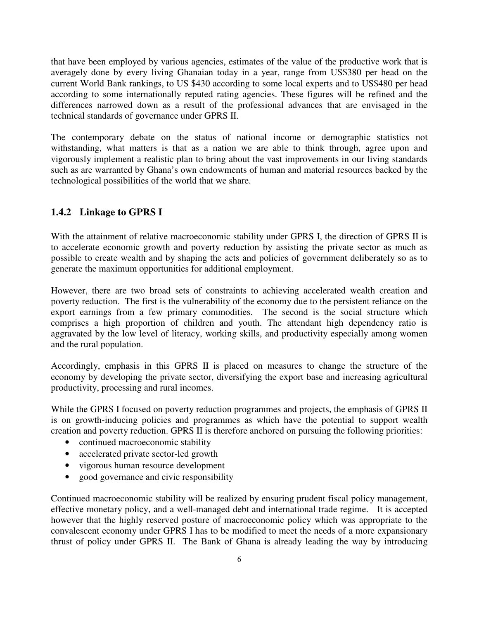that have been employed by various agencies, estimates of the value of the productive work that is averagely done by every living Ghanaian today in a year, range from US\$380 per head on the current World Bank rankings, to US \$430 according to some local experts and to US\$480 per head according to some internationally reputed rating agencies. These figures will be refined and the differences narrowed down as a result of the professional advances that are envisaged in the technical standards of governance under GPRS II.

The contemporary debate on the status of national income or demographic statistics not withstanding, what matters is that as a nation we are able to think through, agree upon and vigorously implement a realistic plan to bring about the vast improvements in our living standards such as are warranted by Ghana's own endowments of human and material resources backed by the technological possibilities of the world that we share.

# **1.4.2 Linkage to GPRS I**

With the attainment of relative macroeconomic stability under GPRS I, the direction of GPRS II is to accelerate economic growth and poverty reduction by assisting the private sector as much as possible to create wealth and by shaping the acts and policies of government deliberately so as to generate the maximum opportunities for additional employment.

However, there are two broad sets of constraints to achieving accelerated wealth creation and poverty reduction. The first is the vulnerability of the economy due to the persistent reliance on the export earnings from a few primary commodities. The second is the social structure which comprises a high proportion of children and youth. The attendant high dependency ratio is aggravated by the low level of literacy, working skills, and productivity especially among women and the rural population.

Accordingly, emphasis in this GPRS II is placed on measures to change the structure of the economy by developing the private sector, diversifying the export base and increasing agricultural productivity, processing and rural incomes.

While the GPRS I focused on poverty reduction programmes and projects, the emphasis of GPRS II is on growth-inducing policies and programmes as which have the potential to support wealth creation and poverty reduction. GPRS II is therefore anchored on pursuing the following priorities:

- continued macroeconomic stability
- accelerated private sector-led growth
- vigorous human resource development
- good governance and civic responsibility

Continued macroeconomic stability will be realized by ensuring prudent fiscal policy management, effective monetary policy, and a well-managed debt and international trade regime. It is accepted however that the highly reserved posture of macroeconomic policy which was appropriate to the convalescent economy under GPRS I has to be modified to meet the needs of a more expansionary thrust of policy under GPRS II. The Bank of Ghana is already leading the way by introducing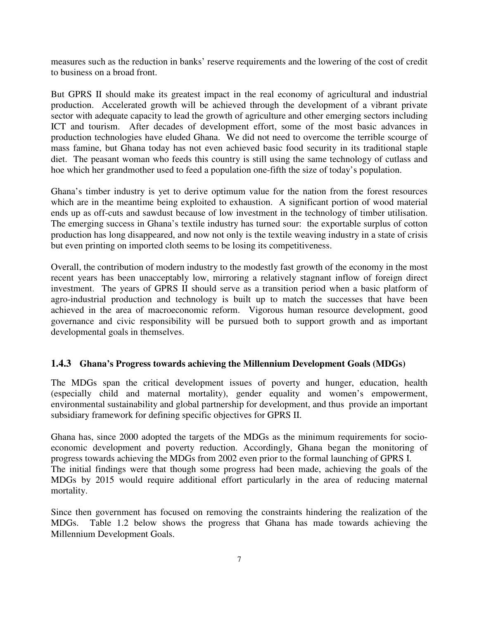measures such as the reduction in banks' reserve requirements and the lowering of the cost of credit to business on a broad front.

But GPRS II should make its greatest impact in the real economy of agricultural and industrial production. Accelerated growth will be achieved through the development of a vibrant private sector with adequate capacity to lead the growth of agriculture and other emerging sectors including ICT and tourism. After decades of development effort, some of the most basic advances in production technologies have eluded Ghana. We did not need to overcome the terrible scourge of mass famine, but Ghana today has not even achieved basic food security in its traditional staple diet. The peasant woman who feeds this country is still using the same technology of cutlass and hoe which her grandmother used to feed a population one-fifth the size of today's population.

Ghana's timber industry is yet to derive optimum value for the nation from the forest resources which are in the meantime being exploited to exhaustion. A significant portion of wood material ends up as off-cuts and sawdust because of low investment in the technology of timber utilisation. The emerging success in Ghana's textile industry has turned sour: the exportable surplus of cotton production has long disappeared, and now not only is the textile weaving industry in a state of crisis but even printing on imported cloth seems to be losing its competitiveness.

Overall, the contribution of modern industry to the modestly fast growth of the economy in the most recent years has been unacceptably low, mirroring a relatively stagnant inflow of foreign direct investment. The years of GPRS II should serve as a transition period when a basic platform of agro-industrial production and technology is built up to match the successes that have been achieved in the area of macroeconomic reform. Vigorous human resource development, good governance and civic responsibility will be pursued both to support growth and as important developmental goals in themselves.

## **1.4.3 Ghana's Progress towards achieving the Millennium Development Goals (MDGs)**

The MDGs span the critical development issues of poverty and hunger, education, health (especially child and maternal mortality), gender equality and women's empowerment, environmental sustainability and global partnership for development, and thus provide an important subsidiary framework for defining specific objectives for GPRS II.

Ghana has, since 2000 adopted the targets of the MDGs as the minimum requirements for socioeconomic development and poverty reduction. Accordingly, Ghana began the monitoring of progress towards achieving the MDGs from 2002 even prior to the formal launching of GPRS I. The initial findings were that though some progress had been made, achieving the goals of the MDGs by 2015 would require additional effort particularly in the area of reducing maternal mortality.

Since then government has focused on removing the constraints hindering the realization of the MDGs. Table 1.2 below shows the progress that Ghana has made towards achieving the Millennium Development Goals.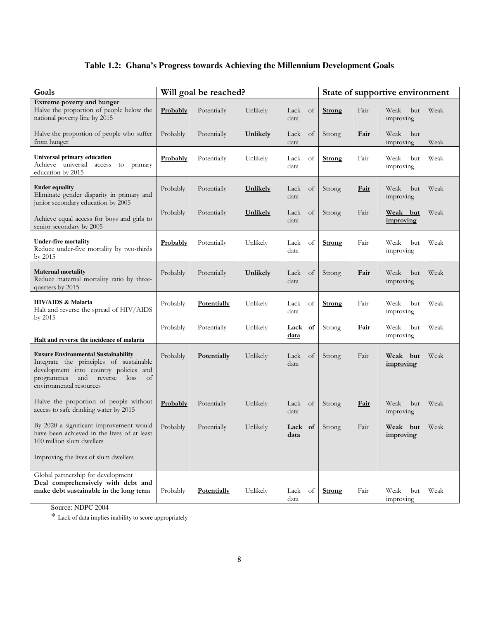## **Table 1.2: Ghana's Progress towards Achieving the Millennium Development Goals**

| Goals                                                                                                                                                                                             | Will goal be reached? |                    |                 |                               |  |               |             | State of supportive environment |      |
|---------------------------------------------------------------------------------------------------------------------------------------------------------------------------------------------------|-----------------------|--------------------|-----------------|-------------------------------|--|---------------|-------------|---------------------------------|------|
| Extreme poverty and hunger<br>Halve the proportion of people below the<br>national poverty line by 2015                                                                                           | Probably              | Potentially        | Unlikely        | Lack<br><sub>of</sub><br>data |  | Strong        | Fair        | Weak<br>but<br>improving        | Weak |
| Halve the proportion of people who suffer<br>from hunger                                                                                                                                          | Probably              | Potentially        | Unlikely        | Lack<br>of<br>data            |  | Strong        | <b>Fair</b> | Weak<br>but<br>improving        | Weak |
| <b>Universal primary education</b><br>Achieve universal access to primary<br>education by 2015                                                                                                    | Probably              | Potentially        | Unlikely        | Lack<br>of<br>data            |  | <b>Strong</b> | Fair        | Weak<br>but<br>improving        | Weak |
| <b>Ender equality</b><br>Eliminate gender disparity in primary and<br>junior secondary education by 2005                                                                                          | Probably              | Potentially        | Unlikely        | Lack<br>of<br>data            |  | Strong        | <u>Fair</u> | Weak<br>but<br>improving        | Weak |
| Achieve equal access for boys and girls to<br>senior secondary by 2005                                                                                                                            | Probably              | Potentially        | <b>Unlikely</b> | Lack<br>of<br>data            |  | Strong        | Fair        | Weak but<br>improving           | Weak |
| <b>Under-five mortality</b><br>Reduce under-five mortality by two-thirds<br>by 2015                                                                                                               | Probably              | Potentially        | Unlikely        | Lack<br>of<br>data            |  | <b>Strong</b> | Fair        | Weak<br>but<br>improving        | Weak |
| <b>Maternal mortality</b><br>Reduce maternal mortality ratio by three-<br>quarters by 2015                                                                                                        | Probably              | Potentially        | Unlikely        | Lack<br>of<br>data            |  | Strong        | Fair        | Weak<br>but<br>improving        | Weak |
| <b>HIV/AIDS &amp; Malaria</b><br>Halt and reverse the spread of HIV/AIDS<br>by 2015                                                                                                               | Probably              | Potentially        | Unlikely        | Lack<br>of<br>data            |  | <b>Strong</b> | Fair        | Weak<br>but<br>improving        | Weak |
| Halt and reverse the incidence of malaria                                                                                                                                                         | Probably              | Potentially        | Unlikely        | Lack of<br><u>data</u>        |  | Strong        | <u>Fair</u> | Weak<br>but<br>improving        | Weak |
| <b>Ensure Environmental Sustainability</b><br>Integrate the principles of sustainable<br>development into country policies and<br>programmes and reverse<br>loss<br>of<br>environmental resources | Probably              | Potentially        | Unlikely        | Lack<br>of<br>data            |  | Strong        | Fair        | Weak but<br>improving           | Weak |
| Halve the proportion of people without<br>access to safe drinking water by 2015                                                                                                                   | Probably              | Potentially        | Unlikely        | Lack of<br>data               |  | Strong        | Fair        | Weak<br>but<br>improving        | Weak |
| By 2020 a significant improvement would<br>have been achieved in the lives of at least<br>100 million slum dwellers                                                                               | Probably              | Potentially        | Unlikely        | Lack of<br>data               |  | Strong        | Fair        | Weak but<br>improving           | Weak |
| Improving the lives of slum dwellers                                                                                                                                                              |                       |                    |                 |                               |  |               |             |                                 |      |
| Global partnership for development<br>Deal comprehensively with debt and<br>make debt sustainable in the long term                                                                                | Probably              | <b>Potentially</b> | Unlikely        | Lack<br>of<br>data            |  | Strong        | Fair        | Weak<br>but<br>improving        | Weak |

Source: NDPC 2004

 $\displaystyle{\vphantom{\big|}}^*$  Lack of data implies inability to score appropriately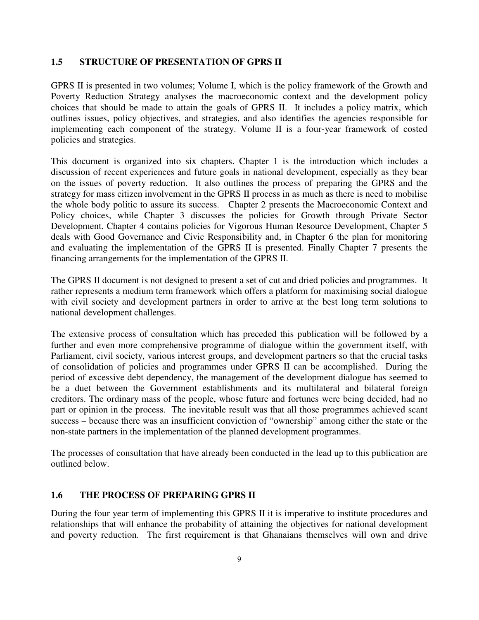#### **1.5 STRUCTURE OF PRESENTATION OF GPRS II**

GPRS II is presented in two volumes; Volume I, which is the policy framework of the Growth and Poverty Reduction Strategy analyses the macroeconomic context and the development policy choices that should be made to attain the goals of GPRS II. It includes a policy matrix, which outlines issues, policy objectives, and strategies, and also identifies the agencies responsible for implementing each component of the strategy. Volume II is a four-year framework of costed policies and strategies.

This document is organized into six chapters. Chapter 1 is the introduction which includes a discussion of recent experiences and future goals in national development, especially as they bear on the issues of poverty reduction. It also outlines the process of preparing the GPRS and the strategy for mass citizen involvement in the GPRS II process in as much as there is need to mobilise the whole body politic to assure its success. Chapter 2 presents the Macroeconomic Context and Policy choices, while Chapter 3 discusses the policies for Growth through Private Sector Development. Chapter 4 contains policies for Vigorous Human Resource Development, Chapter 5 deals with Good Governance and Civic Responsibility and, in Chapter 6 the plan for monitoring and evaluating the implementation of the GPRS II is presented. Finally Chapter 7 presents the financing arrangements for the implementation of the GPRS II.

The GPRS II document is not designed to present a set of cut and dried policies and programmes. It rather represents a medium term framework which offers a platform for maximising social dialogue with civil society and development partners in order to arrive at the best long term solutions to national development challenges.

The extensive process of consultation which has preceded this publication will be followed by a further and even more comprehensive programme of dialogue within the government itself, with Parliament, civil society, various interest groups, and development partners so that the crucial tasks of consolidation of policies and programmes under GPRS II can be accomplished. During the period of excessive debt dependency, the management of the development dialogue has seemed to be a duet between the Government establishments and its multilateral and bilateral foreign creditors. The ordinary mass of the people, whose future and fortunes were being decided, had no part or opinion in the process. The inevitable result was that all those programmes achieved scant success – because there was an insufficient conviction of "ownership" among either the state or the non-state partners in the implementation of the planned development programmes.

The processes of consultation that have already been conducted in the lead up to this publication are outlined below.

## **1.6 THE PROCESS OF PREPARING GPRS II**

During the four year term of implementing this GPRS II it is imperative to institute procedures and relationships that will enhance the probability of attaining the objectives for national development and poverty reduction. The first requirement is that Ghanaians themselves will own and drive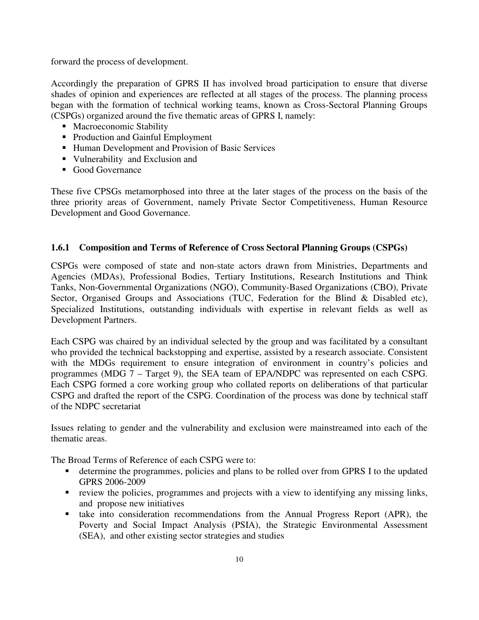forward the process of development.

Accordingly the preparation of GPRS II has involved broad participation to ensure that diverse shades of opinion and experiences are reflected at all stages of the process. The planning process began with the formation of technical working teams, known as Cross-Sectoral Planning Groups (CSPGs) organized around the five thematic areas of GPRS I, namely:

- Macroeconomic Stability
- Production and Gainful Employment
- Human Development and Provision of Basic Services
- Vulnerability and Exclusion and
- Good Governance

These five CPSGs metamorphosed into three at the later stages of the process on the basis of the three priority areas of Government, namely Private Sector Competitiveness, Human Resource Development and Good Governance.

## **1.6.1 Composition and Terms of Reference of Cross Sectoral Planning Groups (CSPGs)**

CSPGs were composed of state and non-state actors drawn from Ministries, Departments and Agencies (MDAs), Professional Bodies, Tertiary Institutions, Research Institutions and Think Tanks, Non-Governmental Organizations (NGO), Community-Based Organizations (CBO), Private Sector, Organised Groups and Associations (TUC, Federation for the Blind & Disabled etc), Specialized Institutions, outstanding individuals with expertise in relevant fields as well as Development Partners.

Each CSPG was chaired by an individual selected by the group and was facilitated by a consultant who provided the technical backstopping and expertise, assisted by a research associate. Consistent with the MDGs requirement to ensure integration of environment in country's policies and programmes (MDG 7 – Target 9), the SEA team of EPA/NDPC was represented on each CSPG. Each CSPG formed a core working group who collated reports on deliberations of that particular CSPG and drafted the report of the CSPG. Coordination of the process was done by technical staff of the NDPC secretariat

Issues relating to gender and the vulnerability and exclusion were mainstreamed into each of the thematic areas.

The Broad Terms of Reference of each CSPG were to:

- determine the programmes, policies and plans to be rolled over from GPRS I to the updated GPRS 2006-2009
- review the policies, programmes and projects with a view to identifying any missing links, and propose new initiatives
- take into consideration recommendations from the Annual Progress Report (APR), the Poverty and Social Impact Analysis (PSIA), the Strategic Environmental Assessment (SEA), and other existing sector strategies and studies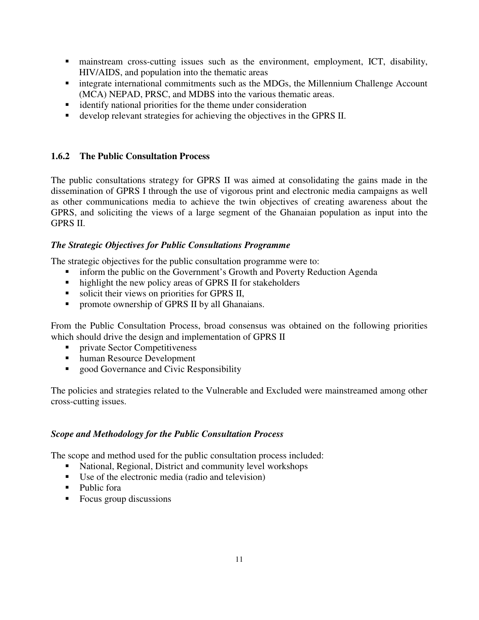- mainstream cross-cutting issues such as the environment, employment, ICT, disability, HIV/AIDS, and population into the thematic areas
- **Integrate international commitments such as the MDGs, the Millennium Challenge Account** (MCA) NEPAD, PRSC, and MDBS into the various thematic areas.
- **identify national priorities for the theme under consideration**
- develop relevant strategies for achieving the objectives in the GPRS II.

## **1.6.2 The Public Consultation Process**

The public consultations strategy for GPRS II was aimed at consolidating the gains made in the dissemination of GPRS I through the use of vigorous print and electronic media campaigns as well as other communications media to achieve the twin objectives of creating awareness about the GPRS, and soliciting the views of a large segment of the Ghanaian population as input into the GPRS II.

## *The Strategic Objectives for Public Consultations Programme*

The strategic objectives for the public consultation programme were to:

- inform the public on the Government's Growth and Poverty Reduction Agenda
- highlight the new policy areas of GPRS II for stakeholders
- solicit their views on priorities for GPRS II,
- **•** promote ownership of GPRS II by all Ghanaians.

From the Public Consultation Process, broad consensus was obtained on the following priorities which should drive the design and implementation of GPRS II

- **Private Sector Competitiveness**
- human Resource Development
- good Governance and Civic Responsibility

The policies and strategies related to the Vulnerable and Excluded were mainstreamed among other cross-cutting issues.

## *Scope and Methodology for the Public Consultation Process*

The scope and method used for the public consultation process included:

- National, Regional, District and community level workshops
- Use of the electronic media (radio and television)
- Public fora
- Focus group discussions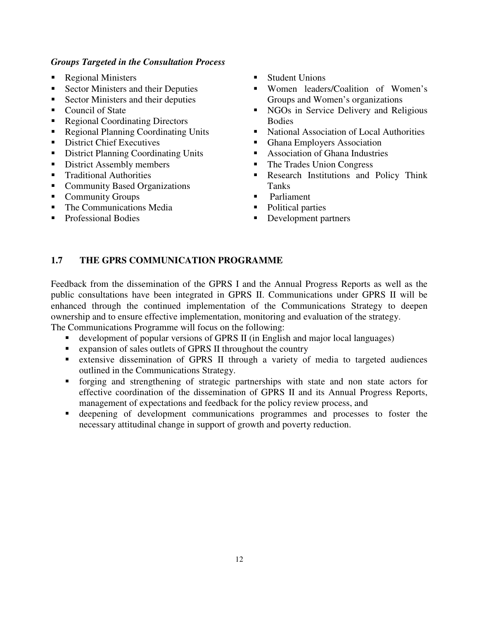#### *Groups Targeted in the Consultation Process*

- Regional Ministers
- Sector Ministers and their Deputies
- Sector Ministers and their deputies
- Council of State
- Regional Coordinating Directors
- Regional Planning Coordinating Units
- **District Chief Executives**
- District Planning Coordinating Units
- District Assembly members
- **Traditional Authorities**
- Community Based Organizations
- Community Groups
- The Communications Media
- **Professional Bodies**
- **Student Unions**
- **Women leaders/Coalition of Women's** Groups and Women's organizations
- NGOs in Service Delivery and Religious Bodies
- National Association of Local Authorities
- **Ghana Employers Association**
- **Association of Ghana Industries**
- The Trades Union Congress
- **Research Institutions and Policy Think** Tanks
- **Parliament**
- Political parties
- Development partners

## **1.7 THE GPRS COMMUNICATION PROGRAMME**

Feedback from the dissemination of the GPRS I and the Annual Progress Reports as well as the public consultations have been integrated in GPRS II. Communications under GPRS II will be enhanced through the continued implementation of the Communications Strategy to deepen ownership and to ensure effective implementation, monitoring and evaluation of the strategy.

The Communications Programme will focus on the following:

- development of popular versions of GPRS II (in English and major local languages)
- expansion of sales outlets of GPRS II throughout the country
- extensive dissemination of GPRS II through a variety of media to targeted audiences outlined in the Communications Strategy.
- forging and strengthening of strategic partnerships with state and non state actors for effective coordination of the dissemination of GPRS II and its Annual Progress Reports, management of expectations and feedback for the policy review process, and
- deepening of development communications programmes and processes to foster the necessary attitudinal change in support of growth and poverty reduction.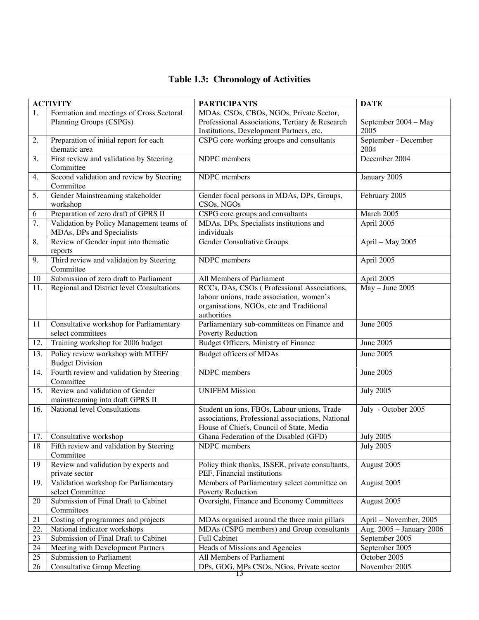|  | <b>Table 1.3: Chronology of Activities</b> |  |
|--|--------------------------------------------|--|
|--|--------------------------------------------|--|

|        | <b>ACTIVITY</b>                                                       | <b>PARTICIPANTS</b>                                                                                                                                 | <b>DATE</b>                  |
|--------|-----------------------------------------------------------------------|-----------------------------------------------------------------------------------------------------------------------------------------------------|------------------------------|
| 1.     | Formation and meetings of Cross Sectoral                              | MDAs, CSOs, CBOs, NGOs, Private Sector,                                                                                                             |                              |
|        | Planning Groups (CSPGs)                                               | Professional Associations, Tertiary & Research                                                                                                      | September 2004 - May         |
|        |                                                                       | Institutions, Development Partners, etc.                                                                                                            | 2005                         |
| 2.     | Preparation of initial report for each<br>thematic area               | CSPG core working groups and consultants                                                                                                            | September - December<br>2004 |
| 3.     | First review and validation by Steering<br>Committee                  | NDPC members                                                                                                                                        | December 2004                |
| 4.     | Second validation and review by Steering<br>Committee                 | NDPC members                                                                                                                                        | January 2005                 |
| 5.     | Gender Mainstreaming stakeholder<br>workshop                          | Gender focal persons in MDAs, DPs, Groups,<br>CSOs, NGOs                                                                                            | February 2005                |
| 6      | Preparation of zero draft of GPRS II                                  | CSPG core groups and consultants                                                                                                                    | March 2005                   |
| 7.     | Validation by Policy Management teams of<br>MDAs, DPs and Specialists | MDAs, DPs, Specialists institutions and<br>individuals                                                                                              | April 2005                   |
| 8.     | Review of Gender input into thematic<br>reports                       | <b>Gender Consultative Groups</b>                                                                                                                   | April - May 2005             |
| 9.     | Third review and validation by Steering<br>Committee                  | NDPC members                                                                                                                                        | April 2005                   |
| 10     | Submission of zero draft to Parliament                                | All Members of Parliament                                                                                                                           | April 2005                   |
| 11.    | Regional and District level Consultations                             | RCCs, DAs, CSOs (Professional Associations,<br>labour unions, trade association, women's<br>organisations, NGOs, etc and Traditional<br>authorities | $May - June 2005$            |
| 11     | Consultative workshop for Parliamentary<br>select committees          | Parliamentary sub-committees on Finance and<br>Poverty Reduction                                                                                    | June 2005                    |
| 12.    | Training workshop for 2006 budget                                     | <b>Budget Officers, Ministry of Finance</b>                                                                                                         | June 2005                    |
| 13.    | Policy review workshop with MTEF/<br><b>Budget Division</b>           | <b>Budget officers of MDAs</b>                                                                                                                      | June 2005                    |
| 14.    | Fourth review and validation by Steering<br>Committee                 | NDPC members                                                                                                                                        | June 2005                    |
| 15.    | Review and validation of Gender<br>mainstreaming into draft GPRS II   | <b>UNIFEM Mission</b>                                                                                                                               | <b>July 2005</b>             |
| 16.    | National level Consultations                                          | Student un ions, FBOs, Labour unions, Trade<br>associations, Professional associations, National<br>House of Chiefs, Council of State, Media        | July - October 2005          |
| 17.    | Consultative workshop                                                 | Ghana Federation of the Disabled (GFD)                                                                                                              | <b>July 2005</b>             |
| 18     | Fifth review and validation by Steering<br>Committee                  | NDPC members                                                                                                                                        | <b>July 2005</b>             |
| 19     | Review and validation by experts and<br>private sector                | Policy think thanks, ISSER, private consultants,<br>PEF, Financial institutions                                                                     | August 2005                  |
| 19.    | Validation workshop for Parliamentary<br>select Committee             | Members of Parliamentary select committee on<br>Poverty Reduction                                                                                   | August 2005                  |
| 20     | Submission of Final Draft to Cabinet<br>Committees                    | Oversight, Finance and Economy Committees                                                                                                           | August 2005                  |
| 21     | Costing of programmes and projects                                    | MDAs organised around the three main pillars                                                                                                        | April - November, 2005       |
| 22.    | National indicator workshops                                          | MDAs (CSPG members) and Group consultants                                                                                                           | Aug. 2005 - January 2006     |
| 23     | Submission of Final Draft to Cabinet                                  | Full Cabinet                                                                                                                                        | September 2005               |
| 24     | Meeting with Development Partners                                     | Heads of Missions and Agencies                                                                                                                      | September 2005               |
| $25\,$ | Submission to Parliament                                              | All Members of Parliament                                                                                                                           | October 2005                 |
| 26     | <b>Consultative Group Meeting</b>                                     | DPs, GOG, MPs CSOs, NGos, Private sector                                                                                                            | November 2005                |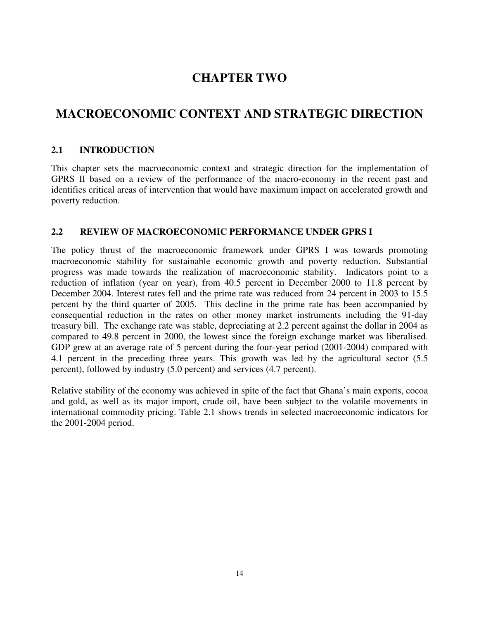# **CHAPTER TWO**

# **MACROECONOMIC CONTEXT AND STRATEGIC DIRECTION**

## **2.1 INTRODUCTION**

This chapter sets the macroeconomic context and strategic direction for the implementation of GPRS II based on a review of the performance of the macro-economy in the recent past and identifies critical areas of intervention that would have maximum impact on accelerated growth and poverty reduction.

## **2.2 REVIEW OF MACROECONOMIC PERFORMANCE UNDER GPRS I**

The policy thrust of the macroeconomic framework under GPRS I was towards promoting macroeconomic stability for sustainable economic growth and poverty reduction. Substantial progress was made towards the realization of macroeconomic stability. Indicators point to a reduction of inflation (year on year), from 40.5 percent in December 2000 to 11.8 percent by December 2004. Interest rates fell and the prime rate was reduced from 24 percent in 2003 to 15.5 percent by the third quarter of 2005. This decline in the prime rate has been accompanied by consequential reduction in the rates on other money market instruments including the 91-day treasury bill. The exchange rate was stable, depreciating at 2.2 percent against the dollar in 2004 as compared to 49.8 percent in 2000, the lowest since the foreign exchange market was liberalised. GDP grew at an average rate of 5 percent during the four-year period (2001-2004) compared with 4.1 percent in the preceding three years. This growth was led by the agricultural sector (5.5) percent), followed by industry (5.0 percent) and services (4.7 percent).

Relative stability of the economy was achieved in spite of the fact that Ghana's main exports, cocoa and gold, as well as its major import, crude oil, have been subject to the volatile movements in international commodity pricing. Table 2.1 shows trends in selected macroeconomic indicators for the 2001-2004 period.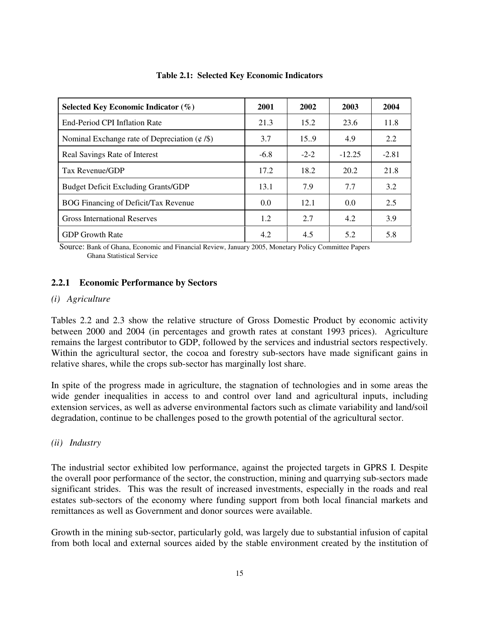| Selected Key Economic Indicator $(\%)$            | 2001   | 2002   | 2003     | 2004    |
|---------------------------------------------------|--------|--------|----------|---------|
| End-Period CPI Inflation Rate                     | 21.3   | 15.2   | 23.6     | 11.8    |
| Nominal Exchange rate of Depreciation $(\phi/\$)$ | 3.7    | 15.9   | 4.9      | 2.2     |
| Real Savings Rate of Interest                     | $-6.8$ | $-2-2$ | $-12.25$ | $-2.81$ |
| Tax Revenue/GDP                                   | 17.2   | 18.2   | 20.2     | 21.8    |
| <b>Budget Deficit Excluding Grants/GDP</b>        | 13.1   | 7.9    | 7.7      | 3.2     |
| BOG Financing of Deficit/Tax Revenue              | 0.0    | 12.1   | 0.0      | 2.5     |
| <b>Gross International Reserves</b>               | 1.2    | 2.7    | 4.2      | 3.9     |
| <b>GDP</b> Growth Rate                            | 4.2    | 4.5    | 5.2      | 5.8     |

#### **Table 2.1: Selected Key Economic Indicators**

 Source: Bank of Ghana, Economic and Financial Review, January 2005, Monetary Policy Committee Papers Ghana Statistical Service

## **2.2.1 Economic Performance by Sectors**

#### *(i) Agriculture*

Tables 2.2 and 2.3 show the relative structure of Gross Domestic Product by economic activity between 2000 and 2004 (in percentages and growth rates at constant 1993 prices). Agriculture remains the largest contributor to GDP, followed by the services and industrial sectors respectively. Within the agricultural sector, the cocoa and forestry sub-sectors have made significant gains in relative shares, while the crops sub-sector has marginally lost share.

In spite of the progress made in agriculture, the stagnation of technologies and in some areas the wide gender inequalities in access to and control over land and agricultural inputs, including extension services, as well as adverse environmental factors such as climate variability and land/soil degradation, continue to be challenges posed to the growth potential of the agricultural sector.

## *(ii) Industry*

The industrial sector exhibited low performance, against the projected targets in GPRS I. Despite the overall poor performance of the sector, the construction, mining and quarrying sub-sectors made significant strides. This was the result of increased investments, especially in the roads and real estates sub-sectors of the economy where funding support from both local financial markets and remittances as well as Government and donor sources were available.

Growth in the mining sub-sector, particularly gold, was largely due to substantial infusion of capital from both local and external sources aided by the stable environment created by the institution of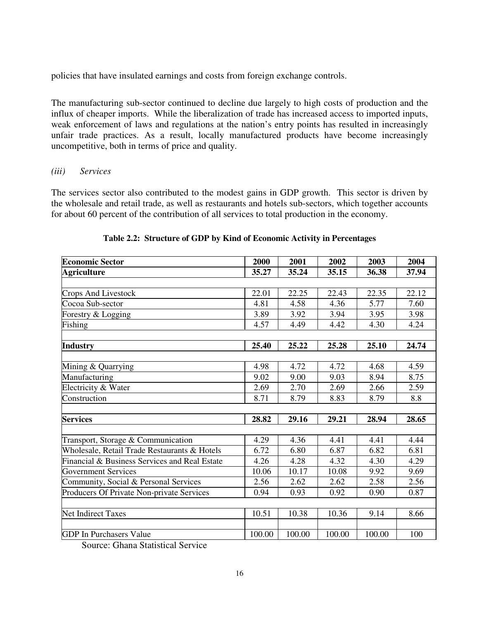policies that have insulated earnings and costs from foreign exchange controls.

The manufacturing sub-sector continued to decline due largely to high costs of production and the influx of cheaper imports. While the liberalization of trade has increased access to imported inputs, weak enforcement of laws and regulations at the nation's entry points has resulted in increasingly unfair trade practices. As a result, locally manufactured products have become increasingly uncompetitive, both in terms of price and quality.

## *(iii) Services*

The services sector also contributed to the modest gains in GDP growth. This sector is driven by the wholesale and retail trade, as well as restaurants and hotels sub-sectors, which together accounts for about 60 percent of the contribution of all services to total production in the economy.

| <b>Economic Sector</b>                        | 2000   | 2001   | 2002   | 2003   | 2004  |
|-----------------------------------------------|--------|--------|--------|--------|-------|
| <b>Agriculture</b>                            | 35.27  | 35.24  | 35.15  | 36.38  | 37.94 |
|                                               |        |        |        |        |       |
| Crops And Livestock                           | 22.01  | 22.25  | 22.43  | 22.35  | 22.12 |
| Cocoa Sub-sector                              | 4.81   | 4.58   | 4.36   | 5.77   | 7.60  |
| Forestry & Logging                            | 3.89   | 3.92   | 3.94   | 3.95   | 3.98  |
| Fishing                                       | 4.57   | 4.49   | 4.42   | 4.30   | 4.24  |
|                                               |        |        |        |        |       |
| <b>Industry</b>                               | 25.40  | 25.22  | 25.28  | 25.10  | 24.74 |
|                                               |        |        |        |        |       |
| Mining & Quarrying                            | 4.98   | 4.72   | 4.72   | 4.68   | 4.59  |
| Manufacturing                                 | 9.02   | 9.00   | 9.03   | 8.94   | 8.75  |
| Electricity & Water                           | 2.69   | 2.70   | 2.69   | 2.66   | 2.59  |
| Construction                                  | 8.71   | 8.79   | 8.83   | 8.79   | 8.8   |
|                                               |        |        |        |        |       |
| <b>Services</b>                               | 28.82  | 29.16  | 29.21  | 28.94  | 28.65 |
|                                               |        |        |        |        |       |
| Transport, Storage & Communication            | 4.29   | 4.36   | 4.41   | 4.41   | 4.44  |
| Wholesale, Retail Trade Restaurants & Hotels  | 6.72   | 6.80   | 6.87   | 6.82   | 6.81  |
| Financial & Business Services and Real Estate | 4.26   | 4.28   | 4.32   | 4.30   | 4.29  |
| <b>Government Services</b>                    | 10.06  | 10.17  | 10.08  | 9.92   | 9.69  |
| Community, Social & Personal Services         | 2.56   | 2.62   | 2.62   | 2.58   | 2.56  |
| Producers Of Private Non-private Services     | 0.94   | 0.93   | 0.92   | 0.90   | 0.87  |
|                                               |        |        |        |        |       |
| <b>Net Indirect Taxes</b>                     | 10.51  | 10.38  | 10.36  | 9.14   | 8.66  |
|                                               |        |        |        |        |       |
| <b>GDP</b> In Purchasers Value                | 100.00 | 100.00 | 100.00 | 100.00 | 100   |

## **Table 2.2: Structure of GDP by Kind of Economic Activity in Percentages**

Source: Ghana Statistical Service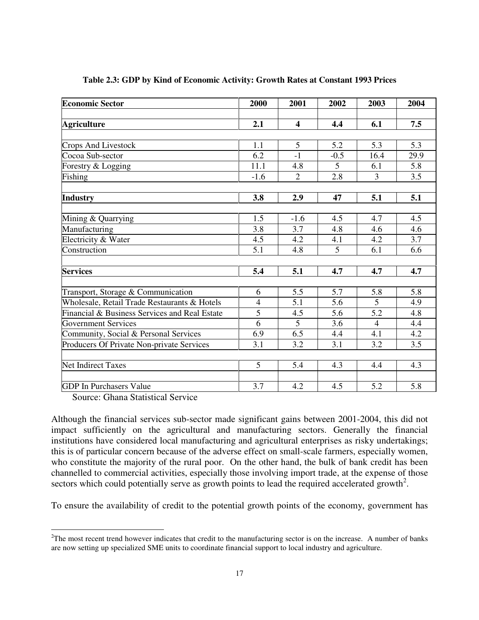| <b>Economic Sector</b>                        | 2000           | 2001                    | 2002   | 2003           | 2004 |
|-----------------------------------------------|----------------|-------------------------|--------|----------------|------|
|                                               |                |                         |        |                |      |
| <b>Agriculture</b>                            | 2.1            | $\overline{\mathbf{4}}$ | 4.4    | 6.1            | 7.5  |
|                                               |                |                         |        |                |      |
| Crops And Livestock                           | 1.1            | 5                       | 5.2    | 5.3            | 5.3  |
| Cocoa Sub-sector                              | 6.2            | $-1$                    | $-0.5$ | 16.4           | 29.9 |
| Forestry & Logging                            | 11.1           | 4.8                     | 5      | 6.1            | 5.8  |
| Fishing                                       | $-1.6$         | $\overline{2}$          | 2.8    | 3              | 3.5  |
|                                               |                |                         |        |                |      |
| <b>Industry</b>                               | 3.8            | 2.9                     | 47     | 5.1            | 5.1  |
|                                               |                |                         |        |                |      |
| Mining & Quarrying                            | 1.5            | $-1.6$                  | 4.5    | 4.7            | 4.5  |
| Manufacturing                                 | 3.8            | 3.7                     | 4.8    | 4.6            | 4.6  |
| Electricity & Water                           | 4.5            | 4.2                     | 4.1    | 4.2            | 3.7  |
| Construction                                  | 5.1            | 4.8                     | 5      | 6.1            | 6.6  |
| <b>Services</b>                               | 5.4            | 5.1                     | 4.7    | 4.7            | 4.7  |
|                                               |                |                         |        |                |      |
| Transport, Storage & Communication            | 6              | 5.5                     | 5.7    | 5.8            | 5.8  |
| Wholesale, Retail Trade Restaurants & Hotels  | $\overline{4}$ | 5.1                     | 5.6    | 5              | 4.9  |
| Financial & Business Services and Real Estate | 5              | 4.5                     | 5.6    | 5.2            | 4.8  |
| <b>Government Services</b>                    | 6              | 5                       | 3.6    | $\overline{4}$ | 4.4  |
| Community, Social & Personal Services         | 6.9            | 6.5                     | 4.4    | 4.1            | 4.2  |
| Producers Of Private Non-private Services     | 3.1            | 3.2                     | 3.1    | 3.2            | 3.5  |
| Net Indirect Taxes                            | 5              | 5.4                     | 4.3    | 4.4            | 4.3  |
|                                               |                |                         |        |                |      |
| <b>GDP</b> In Purchasers Value                | 3.7            | 4.2                     | 4.5    | 5.2            | 5.8  |

#### **Table 2.3: GDP by Kind of Economic Activity: Growth Rates at Constant 1993 Prices**

Source: Ghana Statistical Service

Although the financial services sub-sector made significant gains between 2001-2004, this did not impact sufficiently on the agricultural and manufacturing sectors. Generally the financial institutions have considered local manufacturing and agricultural enterprises as risky undertakings; this is of particular concern because of the adverse effect on small-scale farmers, especially women, who constitute the majority of the rural poor. On the other hand, the bulk of bank credit has been channelled to commercial activities, especially those involving import trade, at the expense of those sectors which could potentially serve as growth points to lead the required accelerated growth<sup>2</sup>.

To ensure the availability of credit to the potential growth points of the economy, government has

 $\overline{a}$  $2^2$ The most recent trend however indicates that credit to the manufacturing sector is on the increase. A number of banks are now setting up specialized SME units to coordinate financial support to local industry and agriculture.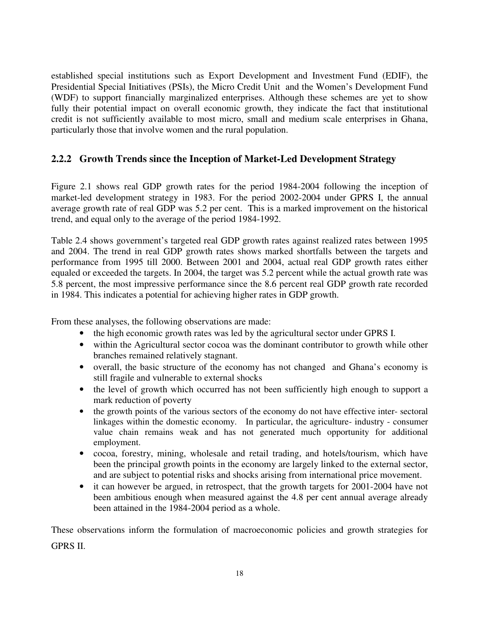established special institutions such as Export Development and Investment Fund (EDIF), the Presidential Special Initiatives (PSIs), the Micro Credit Unit and the Women's Development Fund (WDF) to support financially marginalized enterprises. Although these schemes are yet to show fully their potential impact on overall economic growth, they indicate the fact that institutional credit is not sufficiently available to most micro, small and medium scale enterprises in Ghana, particularly those that involve women and the rural population.

## **2.2.2 Growth Trends since the Inception of Market-Led Development Strategy**

Figure 2.1 shows real GDP growth rates for the period 1984-2004 following the inception of market-led development strategy in 1983. For the period 2002-2004 under GPRS I, the annual average growth rate of real GDP was 5.2 per cent. This is a marked improvement on the historical trend, and equal only to the average of the period 1984-1992.

Table 2.4 shows government's targeted real GDP growth rates against realized rates between 1995 and 2004. The trend in real GDP growth rates shows marked shortfalls between the targets and performance from 1995 till 2000. Between 2001 and 2004, actual real GDP growth rates either equaled or exceeded the targets. In 2004, the target was 5.2 percent while the actual growth rate was 5.8 percent, the most impressive performance since the 8.6 percent real GDP growth rate recorded in 1984. This indicates a potential for achieving higher rates in GDP growth.

From these analyses, the following observations are made:

- the high economic growth rates was led by the agricultural sector under GPRS I.
- within the Agricultural sector cocoa was the dominant contributor to growth while other branches remained relatively stagnant.
- overall, the basic structure of the economy has not changed and Ghana's economy is still fragile and vulnerable to external shocks
- the level of growth which occurred has not been sufficiently high enough to support a mark reduction of poverty
- the growth points of the various sectors of the economy do not have effective inter-sectoral linkages within the domestic economy. In particular, the agriculture- industry - consumer value chain remains weak and has not generated much opportunity for additional employment.
- cocoa, forestry, mining, wholesale and retail trading, and hotels/tourism, which have been the principal growth points in the economy are largely linked to the external sector, and are subject to potential risks and shocks arising from international price movement.
- it can however be argued, in retrospect, that the growth targets for 2001-2004 have not been ambitious enough when measured against the 4.8 per cent annual average already been attained in the 1984-2004 period as a whole.

These observations inform the formulation of macroeconomic policies and growth strategies for GPRS II.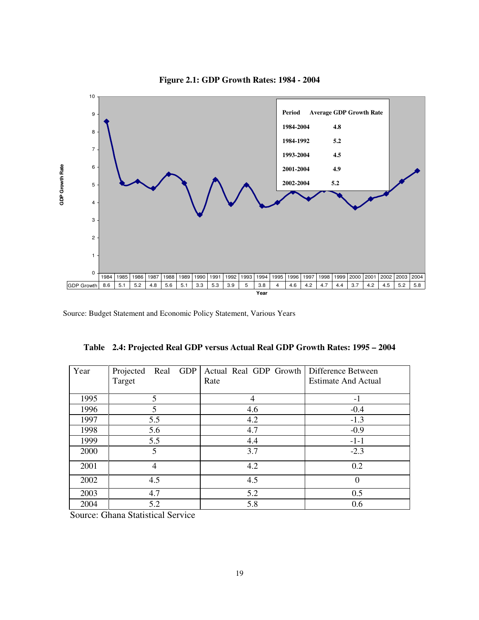

#### **Figure 2.1: GDP Growth Rates: 1984 - 2004**

Source: Budget Statement and Economic Policy Statement, Various Years

| Year | <b>GDP</b><br>Real<br>Projected | Actual Real GDP Growth | Difference Between         |
|------|---------------------------------|------------------------|----------------------------|
|      | Target                          | Rate                   | <b>Estimate And Actual</b> |
| 1995 | 5                               | 4                      | $-1$                       |
| 1996 | 5                               | 4.6                    | $-0.4$                     |
| 1997 | 5.5                             | 4.2                    | $-1.3$                     |
| 1998 | 5.6                             | 4.7                    | $-0.9$                     |
| 1999 | 5.5                             | 4.4                    | $-1-1$                     |
| 2000 | 5                               | 3.7                    | $-2.3$                     |
| 2001 | $\overline{4}$                  | 4.2                    | 0.2                        |
| 2002 | 4.5                             | 4.5                    | $\Omega$                   |
| 2003 | 4.7                             | 5.2                    | 0.5                        |
| 2004 | 5.2                             | 5.8                    | 0.6                        |

**Table 2.4: Projected Real GDP versus Actual Real GDP Growth Rates: 1995 – 2004** 

Source: Ghana Statistical Service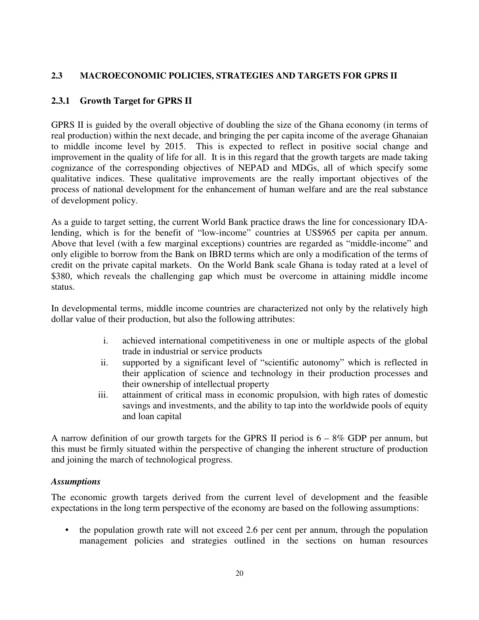## **2.3 MACROECONOMIC POLICIES, STRATEGIES AND TARGETS FOR GPRS II**

## **2.3.1 Growth Target for GPRS II**

GPRS II is guided by the overall objective of doubling the size of the Ghana economy (in terms of real production) within the next decade, and bringing the per capita income of the average Ghanaian to middle income level by 2015. This is expected to reflect in positive social change and improvement in the quality of life for all. It is in this regard that the growth targets are made taking cognizance of the corresponding objectives of NEPAD and MDGs, all of which specify some qualitative indices. These qualitative improvements are the really important objectives of the process of national development for the enhancement of human welfare and are the real substance of development policy.

As a guide to target setting, the current World Bank practice draws the line for concessionary IDAlending, which is for the benefit of "low-income" countries at US\$965 per capita per annum. Above that level (with a few marginal exceptions) countries are regarded as "middle-income" and only eligible to borrow from the Bank on IBRD terms which are only a modification of the terms of credit on the private capital markets. On the World Bank scale Ghana is today rated at a level of \$380, which reveals the challenging gap which must be overcome in attaining middle income status.

In developmental terms, middle income countries are characterized not only by the relatively high dollar value of their production, but also the following attributes:

- i. achieved international competitiveness in one or multiple aspects of the global trade in industrial or service products
- ii. supported by a significant level of "scientific autonomy" which is reflected in their application of science and technology in their production processes and their ownership of intellectual property
- iii. attainment of critical mass in economic propulsion, with high rates of domestic savings and investments, and the ability to tap into the worldwide pools of equity and loan capital

A narrow definition of our growth targets for the GPRS II period is  $6 - 8\%$  GDP per annum, but this must be firmly situated within the perspective of changing the inherent structure of production and joining the march of technological progress.

## *Assumptions*

The economic growth targets derived from the current level of development and the feasible expectations in the long term perspective of the economy are based on the following assumptions:

• the population growth rate will not exceed 2.6 per cent per annum, through the population management policies and strategies outlined in the sections on human resources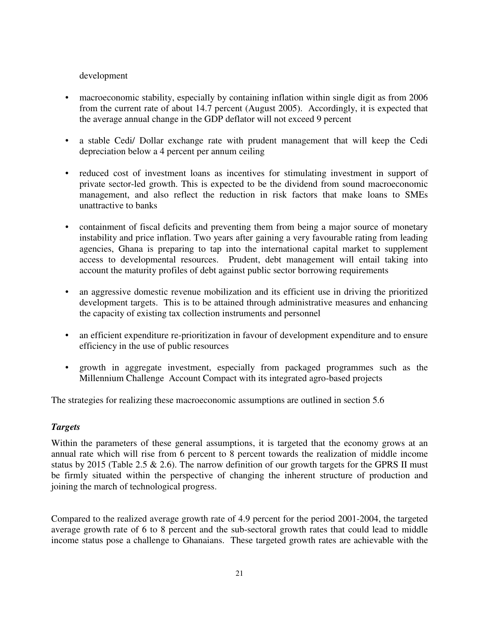## development

- macroeconomic stability, especially by containing inflation within single digit as from 2006 from the current rate of about 14.7 percent (August 2005). Accordingly, it is expected that the average annual change in the GDP deflator will not exceed 9 percent
- a stable Cedi/ Dollar exchange rate with prudent management that will keep the Cedi depreciation below a 4 percent per annum ceiling
- reduced cost of investment loans as incentives for stimulating investment in support of private sector-led growth. This is expected to be the dividend from sound macroeconomic management, and also reflect the reduction in risk factors that make loans to SMEs unattractive to banks
- containment of fiscal deficits and preventing them from being a major source of monetary instability and price inflation. Two years after gaining a very favourable rating from leading agencies, Ghana is preparing to tap into the international capital market to supplement access to developmental resources. Prudent, debt management will entail taking into account the maturity profiles of debt against public sector borrowing requirements
- an aggressive domestic revenue mobilization and its efficient use in driving the prioritized development targets. This is to be attained through administrative measures and enhancing the capacity of existing tax collection instruments and personnel
- an efficient expenditure re-prioritization in favour of development expenditure and to ensure efficiency in the use of public resources
- growth in aggregate investment, especially from packaged programmes such as the Millennium Challenge Account Compact with its integrated agro-based projects

The strategies for realizing these macroeconomic assumptions are outlined in section 5.6

## *Targets*

Within the parameters of these general assumptions, it is targeted that the economy grows at an annual rate which will rise from 6 percent to 8 percent towards the realization of middle income status by 2015 (Table 2.5  $\&$  2.6). The narrow definition of our growth targets for the GPRS II must be firmly situated within the perspective of changing the inherent structure of production and joining the march of technological progress.

Compared to the realized average growth rate of 4.9 percent for the period 2001-2004, the targeted average growth rate of 6 to 8 percent and the sub-sectoral growth rates that could lead to middle income status pose a challenge to Ghanaians. These targeted growth rates are achievable with the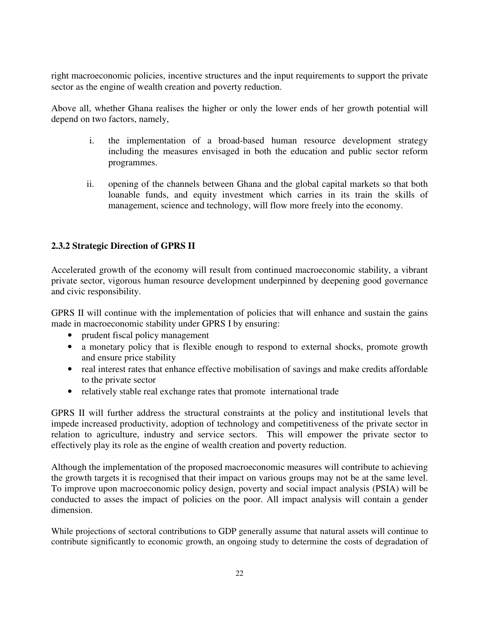right macroeconomic policies, incentive structures and the input requirements to support the private sector as the engine of wealth creation and poverty reduction.

Above all, whether Ghana realises the higher or only the lower ends of her growth potential will depend on two factors, namely,

- i. the implementation of a broad-based human resource development strategy including the measures envisaged in both the education and public sector reform programmes.
- ii. opening of the channels between Ghana and the global capital markets so that both loanable funds, and equity investment which carries in its train the skills of management, science and technology, will flow more freely into the economy.

## **2.3.2 Strategic Direction of GPRS II**

Accelerated growth of the economy will result from continued macroeconomic stability, a vibrant private sector, vigorous human resource development underpinned by deepening good governance and civic responsibility.

GPRS II will continue with the implementation of policies that will enhance and sustain the gains made in macroeconomic stability under GPRS I by ensuring:

- prudent fiscal policy management
- a monetary policy that is flexible enough to respond to external shocks, promote growth and ensure price stability
- real interest rates that enhance effective mobilisation of savings and make credits affordable to the private sector
- relatively stable real exchange rates that promote international trade

GPRS II will further address the structural constraints at the policy and institutional levels that impede increased productivity, adoption of technology and competitiveness of the private sector in relation to agriculture, industry and service sectors. This will empower the private sector to effectively play its role as the engine of wealth creation and poverty reduction.

Although the implementation of the proposed macroeconomic measures will contribute to achieving the growth targets it is recognised that their impact on various groups may not be at the same level. To improve upon macroeconomic policy design, poverty and social impact analysis (PSIA) will be conducted to asses the impact of policies on the poor. All impact analysis will contain a gender dimension.

While projections of sectoral contributions to GDP generally assume that natural assets will continue to contribute significantly to economic growth, an ongoing study to determine the costs of degradation of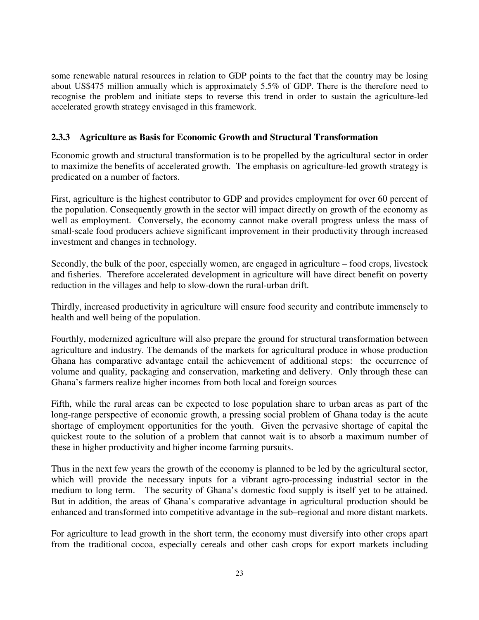some renewable natural resources in relation to GDP points to the fact that the country may be losing about US\$475 million annually which is approximately 5.5% of GDP. There is the therefore need to recognise the problem and initiate steps to reverse this trend in order to sustain the agriculture-led accelerated growth strategy envisaged in this framework.

## **2.3.3 Agriculture as Basis for Economic Growth and Structural Transformation**

Economic growth and structural transformation is to be propelled by the agricultural sector in order to maximize the benefits of accelerated growth. The emphasis on agriculture-led growth strategy is predicated on a number of factors.

First, agriculture is the highest contributor to GDP and provides employment for over 60 percent of the population. Consequently growth in the sector will impact directly on growth of the economy as well as employment. Conversely, the economy cannot make overall progress unless the mass of small-scale food producers achieve significant improvement in their productivity through increased investment and changes in technology.

Secondly, the bulk of the poor, especially women, are engaged in agriculture – food crops, livestock and fisheries. Therefore accelerated development in agriculture will have direct benefit on poverty reduction in the villages and help to slow-down the rural-urban drift.

Thirdly, increased productivity in agriculture will ensure food security and contribute immensely to health and well being of the population.

Fourthly, modernized agriculture will also prepare the ground for structural transformation between agriculture and industry. The demands of the markets for agricultural produce in whose production Ghana has comparative advantage entail the achievement of additional steps: the occurrence of volume and quality, packaging and conservation, marketing and delivery. Only through these can Ghana's farmers realize higher incomes from both local and foreign sources

Fifth, while the rural areas can be expected to lose population share to urban areas as part of the long-range perspective of economic growth, a pressing social problem of Ghana today is the acute shortage of employment opportunities for the youth. Given the pervasive shortage of capital the quickest route to the solution of a problem that cannot wait is to absorb a maximum number of these in higher productivity and higher income farming pursuits.

Thus in the next few years the growth of the economy is planned to be led by the agricultural sector, which will provide the necessary inputs for a vibrant agro-processing industrial sector in the medium to long term. The security of Ghana's domestic food supply is itself yet to be attained. But in addition, the areas of Ghana's comparative advantage in agricultural production should be enhanced and transformed into competitive advantage in the sub–regional and more distant markets.

For agriculture to lead growth in the short term, the economy must diversify into other crops apart from the traditional cocoa, especially cereals and other cash crops for export markets including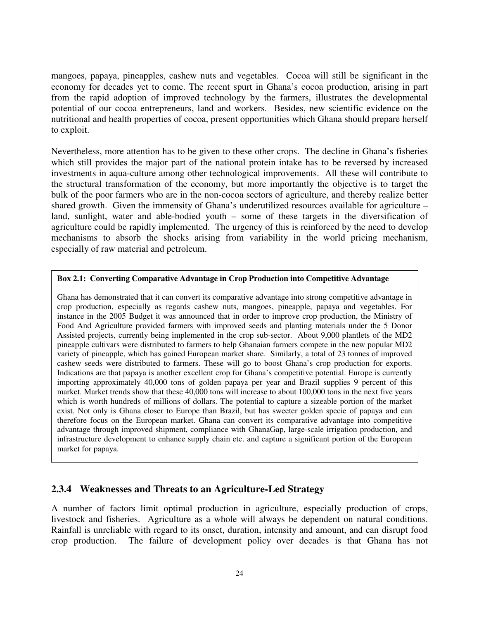mangoes, papaya, pineapples, cashew nuts and vegetables. Cocoa will still be significant in the economy for decades yet to come. The recent spurt in Ghana's cocoa production, arising in part from the rapid adoption of improved technology by the farmers, illustrates the developmental potential of our cocoa entrepreneurs, land and workers. Besides, new scientific evidence on the nutritional and health properties of cocoa, present opportunities which Ghana should prepare herself to exploit.

Nevertheless, more attention has to be given to these other crops. The decline in Ghana's fisheries which still provides the major part of the national protein intake has to be reversed by increased investments in aqua-culture among other technological improvements. All these will contribute to the structural transformation of the economy, but more importantly the objective is to target the bulk of the poor farmers who are in the non-cocoa sectors of agriculture, and thereby realize better shared growth. Given the immensity of Ghana's underutilized resources available for agriculture – land, sunlight, water and able-bodied youth – some of these targets in the diversification of agriculture could be rapidly implemented. The urgency of this is reinforced by the need to develop mechanisms to absorb the shocks arising from variability in the world pricing mechanism, especially of raw material and petroleum.

#### **Box 2.1: Converting Comparative Advantage in Crop Production into Competitive Advantage**

Ghana has demonstrated that it can convert its comparative advantage into strong competitive advantage in crop production, especially as regards cashew nuts, mangoes, pineapple, papaya and vegetables. For instance in the 2005 Budget it was announced that in order to improve crop production, the Ministry of Food And Agriculture provided farmers with improved seeds and planting materials under the 5 Donor Assisted projects, currently being implemented in the crop sub-sector. About 9,000 plantlets of the MD2 pineapple cultivars were distributed to farmers to help Ghanaian farmers compete in the new popular MD2 variety of pineapple, which has gained European market share. Similarly, a total of 23 tonnes of improved cashew seeds were distributed to farmers. These will go to boost Ghana's crop production for exports. Indications are that papaya is another excellent crop for Ghana's competitive potential. Europe is currently importing approximately 40,000 tons of golden papaya per year and Brazil supplies 9 percent of this market. Market trends show that these 40,000 tons will increase to about 100,000 tons in the next five years which is worth hundreds of millions of dollars. The potential to capture a sizeable portion of the market exist. Not only is Ghana closer to Europe than Brazil, but has sweeter golden specie of papaya and can therefore focus on the European market. Ghana can convert its comparative advantage into competitive advantage through improved shipment, compliance with GhanaGap, large-scale irrigation production, and infrastructure development to enhance supply chain etc. and capture a significant portion of the European market for papaya.

## **2.3.4 Weaknesses and Threats to an Agriculture-Led Strategy**

A number of factors limit optimal production in agriculture, especially production of crops, livestock and fisheries. Agriculture as a whole will always be dependent on natural conditions. Rainfall is unreliable with regard to its onset, duration, intensity and amount, and can disrupt food crop production. The failure of development policy over decades is that Ghana has not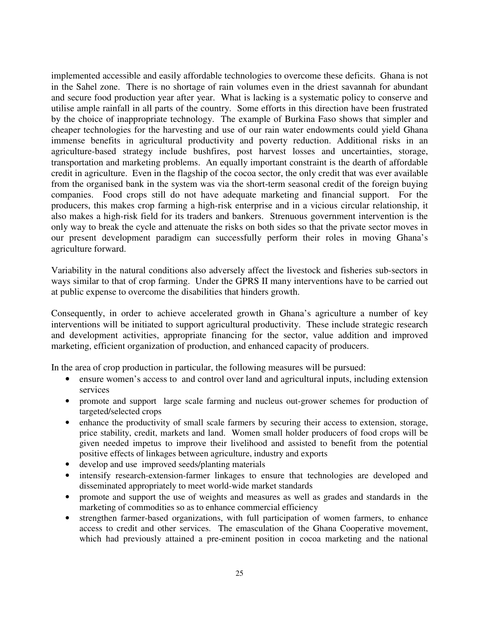implemented accessible and easily affordable technologies to overcome these deficits. Ghana is not in the Sahel zone. There is no shortage of rain volumes even in the driest savannah for abundant and secure food production year after year. What is lacking is a systematic policy to conserve and utilise ample rainfall in all parts of the country. Some efforts in this direction have been frustrated by the choice of inappropriate technology. The example of Burkina Faso shows that simpler and cheaper technologies for the harvesting and use of our rain water endowments could yield Ghana immense benefits in agricultural productivity and poverty reduction. Additional risks in an agriculture-based strategy include bushfires, post harvest losses and uncertainties, storage, transportation and marketing problems. An equally important constraint is the dearth of affordable credit in agriculture. Even in the flagship of the cocoa sector, the only credit that was ever available from the organised bank in the system was via the short-term seasonal credit of the foreign buying companies. Food crops still do not have adequate marketing and financial support. For the producers, this makes crop farming a high-risk enterprise and in a vicious circular relationship, it also makes a high-risk field for its traders and bankers. Strenuous government intervention is the only way to break the cycle and attenuate the risks on both sides so that the private sector moves in our present development paradigm can successfully perform their roles in moving Ghana's agriculture forward.

Variability in the natural conditions also adversely affect the livestock and fisheries sub-sectors in ways similar to that of crop farming. Under the GPRS II many interventions have to be carried out at public expense to overcome the disabilities that hinders growth.

Consequently, in order to achieve accelerated growth in Ghana's agriculture a number of key interventions will be initiated to support agricultural productivity. These include strategic research and development activities, appropriate financing for the sector, value addition and improved marketing, efficient organization of production, and enhanced capacity of producers.

In the area of crop production in particular, the following measures will be pursued:

- ensure women's access to and control over land and agricultural inputs, including extension services
- promote and support large scale farming and nucleus out-grower schemes for production of targeted/selected crops
- enhance the productivity of small scale farmers by securing their access to extension, storage, price stability, credit, markets and land. Women small holder producers of food crops will be given needed impetus to improve their livelihood and assisted to benefit from the potential positive effects of linkages between agriculture, industry and exports
- develop and use improved seeds/planting materials
- intensify research-extension-farmer linkages to ensure that technologies are developed and disseminated appropriately to meet world-wide market standards
- promote and support the use of weights and measures as well as grades and standards in the marketing of commodities so as to enhance commercial efficiency
- strengthen farmer-based organizations, with full participation of women farmers, to enhance access to credit and other services. The emasculation of the Ghana Cooperative movement, which had previously attained a pre-eminent position in cocoa marketing and the national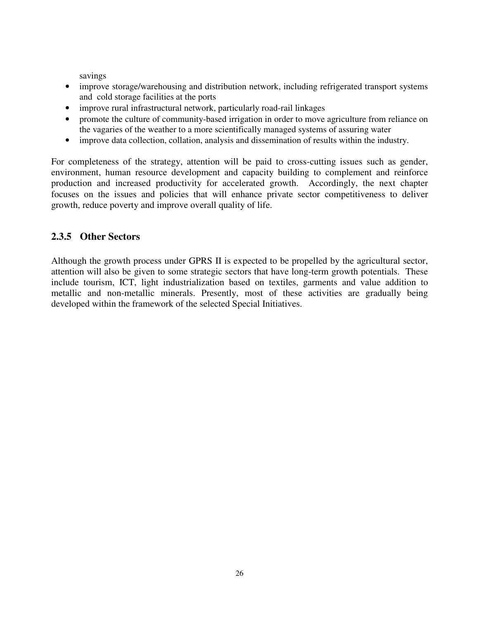savings

- improve storage/warehousing and distribution network, including refrigerated transport systems and cold storage facilities at the ports
- improve rural infrastructural network, particularly road-rail linkages
- promote the culture of community-based irrigation in order to move agriculture from reliance on the vagaries of the weather to a more scientifically managed systems of assuring water
- improve data collection, collation, analysis and dissemination of results within the industry.

For completeness of the strategy, attention will be paid to cross-cutting issues such as gender, environment, human resource development and capacity building to complement and reinforce production and increased productivity for accelerated growth. Accordingly, the next chapter focuses on the issues and policies that will enhance private sector competitiveness to deliver growth, reduce poverty and improve overall quality of life.

## **2.3.5 Other Sectors**

Although the growth process under GPRS II is expected to be propelled by the agricultural sector, attention will also be given to some strategic sectors that have long-term growth potentials. These include tourism, ICT, light industrialization based on textiles, garments and value addition to metallic and non-metallic minerals. Presently, most of these activities are gradually being developed within the framework of the selected Special Initiatives.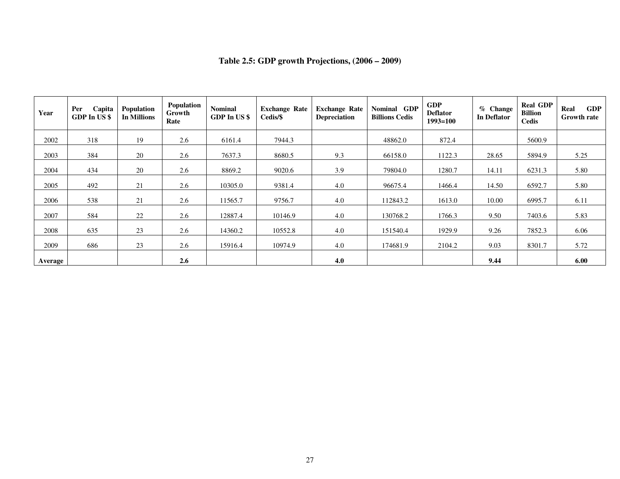| Year    | Per<br>Capita<br>GDP In US\$ | Population<br><b>In Millions</b> | Population<br>Growth<br>Rate | <b>Nominal</b><br>GDP In US\$ | <b>Exchange Rate</b><br>Cedis/\$ | <b>Exchange Rate</b><br>Depreciation | Nominal GDP<br><b>Billions Cedis</b> | <b>GDP</b><br><b>Deflator</b><br>$1993 = 100$ | $%$ Change<br><b>In Deflator</b> | <b>Real GDP</b><br><b>Billion</b><br><b>Cedis</b> | <b>GDP</b><br>Real<br><b>Growth rate</b> |
|---------|------------------------------|----------------------------------|------------------------------|-------------------------------|----------------------------------|--------------------------------------|--------------------------------------|-----------------------------------------------|----------------------------------|---------------------------------------------------|------------------------------------------|
| 2002    | 318                          | 19                               | 2.6                          | 6161.4                        | 7944.3                           |                                      | 48862.0                              | 872.4                                         |                                  | 5600.9                                            |                                          |
| 2003    | 384                          | 20                               | 2.6                          | 7637.3                        | 8680.5                           | 9.3                                  | 66158.0                              | 1122.3                                        | 28.65                            | 5894.9                                            | 5.25                                     |
| 2004    | 434                          | 20                               | 2.6                          | 8869.2                        | 9020.6                           | 3.9                                  | 79804.0                              | 1280.7                                        | 14.11                            | 6231.3                                            | 5.80                                     |
| 2005    | 492                          | 21                               | 2.6                          | 10305.0                       | 9381.4                           | 4.0                                  | 96675.4                              | 1466.4                                        | 14.50                            | 6592.7                                            | 5.80                                     |
| 2006    | 538                          | 21                               | 2.6                          | 11565.7                       | 9756.7                           | 4.0                                  | 112843.2                             | 1613.0                                        | 10.00                            | 6995.7                                            | 6.11                                     |
| 2007    | 584                          | 22                               | 2.6                          | 12887.4                       | 10146.9                          | 4.0                                  | 130768.2                             | 1766.3                                        | 9.50                             | 7403.6                                            | 5.83                                     |
| 2008    | 635                          | 23                               | 2.6                          | 14360.2                       | 10552.8                          | 4.0                                  | 151540.4                             | 1929.9                                        | 9.26                             | 7852.3                                            | 6.06                                     |
| 2009    | 686                          | 23                               | 2.6                          | 15916.4                       | 10974.9                          | 4.0                                  | 174681.9                             | 2104.2                                        | 9.03                             | 8301.7                                            | 5.72                                     |
| Average |                              |                                  | 2.6                          |                               |                                  | 4.0                                  |                                      |                                               | 9.44                             |                                                   | 6.00                                     |

## **Table 2.5: GDP growth Projections, (2006 – 2009)**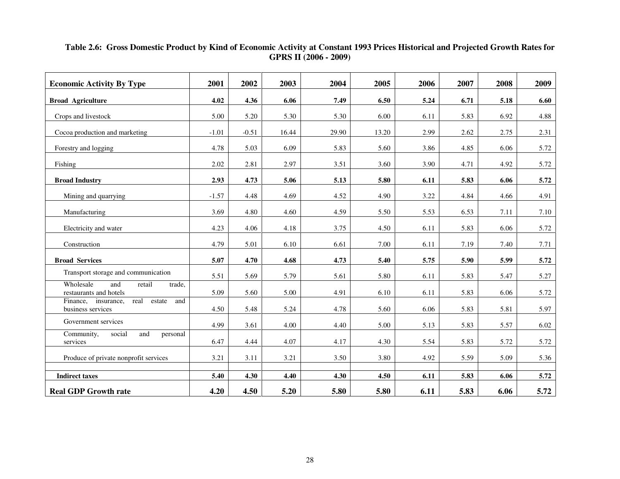# **Table 2.6: Gross Domestic Product by Kind of Economic Activity at Constant 1993 Prices Historical and Projected Growth Rates for GPRS II (2006 - 2009)**

| <b>Economic Activity By Type</b>                                  | 2001    | 2002    | 2003  | 2004  | 2005  | 2006 | 2007 | 2008 | 2009 |
|-------------------------------------------------------------------|---------|---------|-------|-------|-------|------|------|------|------|
| <b>Broad Agriculture</b>                                          | 4.02    | 4.36    | 6.06  | 7.49  | 6.50  | 5.24 | 6.71 | 5.18 | 6.60 |
| Crops and livestock                                               | 5.00    | 5.20    | 5.30  | 5.30  | 6.00  | 6.11 | 5.83 | 6.92 | 4.88 |
| Cocoa production and marketing                                    | $-1.01$ | $-0.51$ | 16.44 | 29.90 | 13.20 | 2.99 | 2.62 | 2.75 | 2.31 |
| Forestry and logging                                              | 4.78    | 5.03    | 6.09  | 5.83  | 5.60  | 3.86 | 4.85 | 6.06 | 5.72 |
| Fishing                                                           | 2.02    | 2.81    | 2.97  | 3.51  | 3.60  | 3.90 | 4.71 | 4.92 | 5.72 |
| <b>Broad Industry</b>                                             | 2.93    | 4.73    | 5.06  | 5.13  | 5.80  | 6.11 | 5.83 | 6.06 | 5.72 |
| Mining and quarrying                                              | $-1.57$ | 4.48    | 4.69  | 4.52  | 4.90  | 3.22 | 4.84 | 4.66 | 4.91 |
| Manufacturing                                                     | 3.69    | 4.80    | 4.60  | 4.59  | 5.50  | 5.53 | 6.53 | 7.11 | 7.10 |
| Electricity and water                                             | 4.23    | 4.06    | 4.18  | 3.75  | 4.50  | 6.11 | 5.83 | 6.06 | 5.72 |
| Construction                                                      | 4.79    | 5.01    | 6.10  | 6.61  | 7.00  | 6.11 | 7.19 | 7.40 | 7.71 |
| <b>Broad Services</b>                                             | 5.07    | 4.70    | 4.68  | 4.73  | 5.40  | 5.75 | 5.90 | 5.99 | 5.72 |
| Transport storage and communication                               | 5.51    | 5.69    | 5.79  | 5.61  | 5.80  | 6.11 | 5.83 | 5.47 | 5.27 |
| Wholesale<br>and<br>retail<br>trade,<br>restaurants and hotels    | 5.09    | 5.60    | 5.00  | 4.91  | 6.10  | 6.11 | 5.83 | 6.06 | 5.72 |
| Finance, insurance,<br>and<br>real<br>estate<br>business services | 4.50    | 5.48    | 5.24  | 4.78  | 5.60  | 6.06 | 5.83 | 5.81 | 5.97 |
| Government services                                               | 4.99    | 3.61    | 4.00  | 4.40  | 5.00  | 5.13 | 5.83 | 5.57 | 6.02 |
| Community,<br>social<br>and<br>personal<br>services               | 6.47    | 4.44    | 4.07  | 4.17  | 4.30  | 5.54 | 5.83 | 5.72 | 5.72 |
| Produce of private nonprofit services                             | 3.21    | 3.11    | 3.21  | 3.50  | 3.80  | 4.92 | 5.59 | 5.09 | 5.36 |
| <b>Indirect taxes</b>                                             | 5.40    | 4.30    | 4.40  | 4.30  | 4.50  | 6.11 | 5.83 | 6.06 | 5.72 |
| <b>Real GDP Growth rate</b>                                       | 4.20    | 4.50    | 5.20  | 5.80  | 5.80  | 6.11 | 5.83 | 6.06 | 5.72 |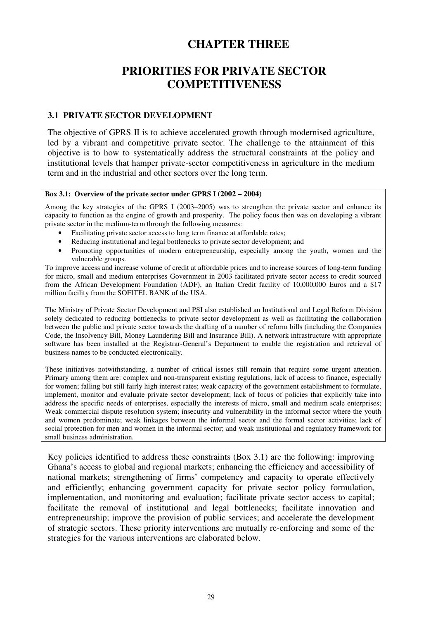## **CHAPTER THREE**

# **PRIORITIES FOR PRIVATE SECTOR COMPETITIVENESS**

#### **3.1 PRIVATE SECTOR DEVELOPMENT**

The objective of GPRS II is to achieve accelerated growth through modernised agriculture, led by a vibrant and competitive private sector. The challenge to the attainment of this objective is to how to systematically address the structural constraints at the policy and institutional levels that hamper private-sector competitiveness in agriculture in the medium term and in the industrial and other sectors over the long term.

#### Box 3.1: Overview of the private sector under GPRS I  $(2002 - 2004)$

Among the key strategies of the GPRS I (2003–2005) was to strengthen the private sector and enhance its capacity to function as the engine of growth and prosperity. The policy focus then was on developing a vibrant private sector in the medium-term through the following measures:

- Facilitating private sector access to long term finance at affordable rates;
- Reducing institutional and legal bottlenecks to private sector development; and
- Promoting opportunities of modern entrepreneurship, especially among the youth, women and the vulnerable groups.

To improve access and increase volume of credit at affordable prices and to increase sources of long-term funding for micro, small and medium enterprises Government in 2003 facilitated private sector access to credit sourced from the African Development Foundation (ADF), an Italian Credit facility of 10,000,000 Euros and a \$17 million facility from the SOFITEL BANK of the USA.

The Ministry of Private Sector Development and PSI also established an Institutional and Legal Reform Division solely dedicated to reducing bottlenecks to private sector development as well as facilitating the collaboration between the public and private sector towards the drafting of a number of reform bills (including the Companies Code, the Insolvency Bill, Money Laundering Bill and Insurance Bill). A network infrastructure with appropriate software has been installed at the Registrar-General's Department to enable the registration and retrieval of business names to be conducted electronically.

These initiatives notwithstanding, a number of critical issues still remain that require some urgent attention. Primary among them are: complex and non-transparent existing regulations, lack of access to finance, especially for women; falling but still fairly high interest rates; weak capacity of the government establishment to formulate, implement, monitor and evaluate private sector development; lack of focus of policies that explicitly take into address the specific needs of enterprises, especially the interests of micro, small and medium scale enterprises; Weak commercial dispute resolution system; insecurity and vulnerability in the informal sector where the youth and women predominate; weak linkages between the informal sector and the formal sector activities; lack of social protection for men and women in the informal sector; and weak institutional and regulatory framework for small business administration.

Key policies identified to address these constraints (Box 3.1) are the following: improving Ghana's access to global and regional markets; enhancing the efficiency and accessibility of national markets; strengthening of firms' competency and capacity to operate effectively and efficiently; enhancing government capacity for private sector policy formulation, implementation, and monitoring and evaluation; facilitate private sector access to capital; facilitate the removal of institutional and legal bottlenecks; facilitate innovation and entrepreneurship; improve the provision of public services; and accelerate the development of strategic sectors. These priority interventions are mutually re-enforcing and some of the strategies for the various interventions are elaborated below.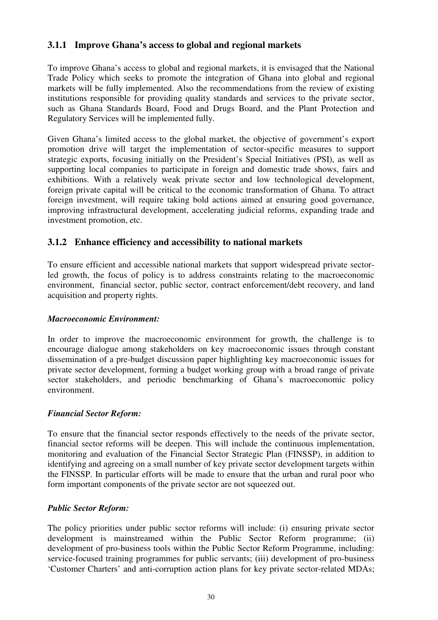## **3.1.1 Improve Ghana's access to global and regional markets**

To improve Ghana's access to global and regional markets, it is envisaged that the National Trade Policy which seeks to promote the integration of Ghana into global and regional markets will be fully implemented. Also the recommendations from the review of existing institutions responsible for providing quality standards and services to the private sector, such as Ghana Standards Board, Food and Drugs Board, and the Plant Protection and Regulatory Services will be implemented fully.

Given Ghana's limited access to the global market, the objective of government's export promotion drive will target the implementation of sector-specific measures to support strategic exports, focusing initially on the President's Special Initiatives (PSI), as well as supporting local companies to participate in foreign and domestic trade shows, fairs and exhibitions. With a relatively weak private sector and low technological development, foreign private capital will be critical to the economic transformation of Ghana. To attract foreign investment, will require taking bold actions aimed at ensuring good governance, improving infrastructural development, accelerating judicial reforms, expanding trade and investment promotion, etc.

## **3.1.2 Enhance efficiency and accessibility to national markets**

To ensure efficient and accessible national markets that support widespread private sectorled growth, the focus of policy is to address constraints relating to the macroeconomic environment, financial sector, public sector, contract enforcement/debt recovery, and land acquisition and property rights.

## *Macroeconomic Environment:*

In order to improve the macroeconomic environment for growth, the challenge is to encourage dialogue among stakeholders on key macroeconomic issues through constant dissemination of a pre-budget discussion paper highlighting key macroeconomic issues for private sector development, forming a budget working group with a broad range of private sector stakeholders, and periodic benchmarking of Ghana's macroeconomic policy environment.

## *Financial Sector Reform:*

To ensure that the financial sector responds effectively to the needs of the private sector, financial sector reforms will be deepen. This will include the continuous implementation, monitoring and evaluation of the Financial Sector Strategic Plan (FINSSP), in addition to identifying and agreeing on a small number of key private sector development targets within the FINSSP. In particular efforts will be made to ensure that the urban and rural poor who form important components of the private sector are not squeezed out.

## *Public Sector Reform:*

The policy priorities under public sector reforms will include: (i) ensuring private sector development is mainstreamed within the Public Sector Reform programme; (ii) development of pro-business tools within the Public Sector Reform Programme, including: service-focused training programmes for public servants; (iii) development of pro-business 'Customer Charters' and anti-corruption action plans for key private sector-related MDAs;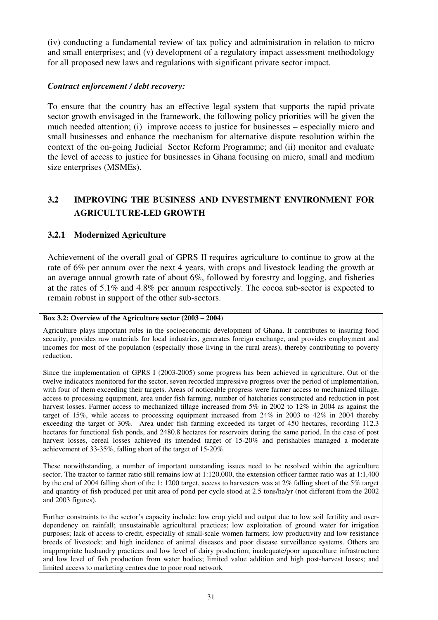(iv) conducting a fundamental review of tax policy and administration in relation to micro and small enterprises; and (v) development of a regulatory impact assessment methodology for all proposed new laws and regulations with significant private sector impact.

## *Contract enforcement / debt recovery:*

To ensure that the country has an effective legal system that supports the rapid private sector growth envisaged in the framework, the following policy priorities will be given the much needed attention; (i) improve access to justice for businesses – especially micro and small businesses and enhance the mechanism for alternative dispute resolution within the context of the on-going Judicial Sector Reform Programme; and (ii) monitor and evaluate the level of access to justice for businesses in Ghana focusing on micro, small and medium size enterprises (MSMEs).

## **3.2 IMPROVING THE BUSINESS AND INVESTMENT ENVIRONMENT FOR AGRICULTURE-LED GROWTH**

## **3.2.1 Modernized Agriculture**

Achievement of the overall goal of GPRS II requires agriculture to continue to grow at the rate of 6% per annum over the next 4 years, with crops and livestock leading the growth at an average annual growth rate of about 6%, followed by forestry and logging, and fisheries at the rates of 5.1% and 4.8% per annum respectively. The cocoa sub-sector is expected to remain robust in support of the other sub-sectors.

#### **Box 3.2: Overview of the Agriculture sector (2003 – 2004)**

Agriculture plays important roles in the socioeconomic development of Ghana. It contributes to insuring food security, provides raw materials for local industries, generates foreign exchange, and provides employment and incomes for most of the population (especially those living in the rural areas), thereby contributing to poverty reduction.

Since the implementation of GPRS I (2003-2005) some progress has been achieved in agriculture. Out of the twelve indicators monitored for the sector, seven recorded impressive progress over the period of implementation, with four of them exceeding their targets. Areas of noticeable progress were farmer access to mechanized tillage, access to processing equipment, area under fish farming, number of hatcheries constructed and reduction in post harvest losses. Farmer access to mechanized tillage increased from 5% in 2002 to 12% in 2004 as against the target of 15%, while access to processing equipment increased from 24% in 2003 to 42% in 2004 thereby exceeding the target of 30%. Area under fish farming exceeded its target of 450 hectares, recording 112.3 hectares for functional fish ponds, and 2480.8 hectares for reservoirs during the same period. In the case of post harvest losses, cereal losses achieved its intended target of 15-20% and perishables managed a moderate achievement of 33-35%, falling short of the target of 15-20%.

These notwithstanding, a number of important outstanding issues need to be resolved within the agriculture sector. The tractor to farmer ratio still remains low at 1:120,000, the extension officer farmer ratio was at 1:1,400 by the end of 2004 falling short of the 1: 1200 target, access to harvesters was at 2% falling short of the 5% target and quantity of fish produced per unit area of pond per cycle stood at 2.5 tons/ha/yr (not different from the 2002 and 2003 figures).

Further constraints to the sector's capacity include: low crop yield and output due to low soil fertility and overdependency on rainfall; unsustainable agricultural practices; low exploitation of ground water for irrigation purposes; lack of access to credit, especially of small-scale women farmers; low productivity and low resistance breeds of livestock; and high incidence of animal diseases and poor disease surveillance systems. Others are inappropriate husbandry practices and low level of dairy production; inadequate/poor aquaculture infrastructure and low level of fish production from water bodies; limited value addition and high post-harvest losses; and limited access to marketing centres due to poor road network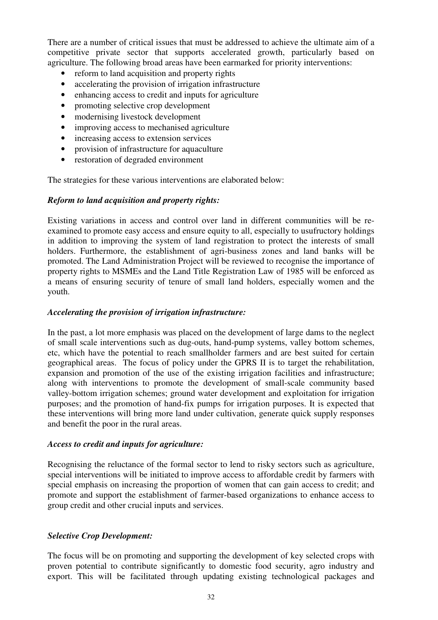There are a number of critical issues that must be addressed to achieve the ultimate aim of a competitive private sector that supports accelerated growth, particularly based on agriculture. The following broad areas have been earmarked for priority interventions:

- reform to land acquisition and property rights
- accelerating the provision of irrigation infrastructure
- enhancing access to credit and inputs for agriculture
- promoting selective crop development
- modernising livestock development
- improving access to mechanised agriculture
- increasing access to extension services
- provision of infrastructure for aquaculture
- restoration of degraded environment

The strategies for these various interventions are elaborated below:

## *Reform to land acquisition and property rights:*

Existing variations in access and control over land in different communities will be reexamined to promote easy access and ensure equity to all, especially to usufructory holdings in addition to improving the system of land registration to protect the interests of small holders. Furthermore, the establishment of agri-business zones and land banks will be promoted. The Land Administration Project will be reviewed to recognise the importance of property rights to MSMEs and the Land Title Registration Law of 1985 will be enforced as a means of ensuring security of tenure of small land holders, especially women and the youth.

## *Accelerating the provision of irrigation infrastructure:*

In the past, a lot more emphasis was placed on the development of large dams to the neglect of small scale interventions such as dug-outs, hand-pump systems, valley bottom schemes, etc, which have the potential to reach smallholder farmers and are best suited for certain geographical areas. The focus of policy under the GPRS II is to target the rehabilitation, expansion and promotion of the use of the existing irrigation facilities and infrastructure; along with interventions to promote the development of small-scale community based valley-bottom irrigation schemes; ground water development and exploitation for irrigation purposes; and the promotion of hand-fix pumps for irrigation purposes. It is expected that these interventions will bring more land under cultivation, generate quick supply responses and benefit the poor in the rural areas.

## *Access to credit and inputs for agriculture:*

Recognising the reluctance of the formal sector to lend to risky sectors such as agriculture, special interventions will be initiated to improve access to affordable credit by farmers with special emphasis on increasing the proportion of women that can gain access to credit; and promote and support the establishment of farmer-based organizations to enhance access to group credit and other crucial inputs and services.

## *Selective Crop Development:*

The focus will be on promoting and supporting the development of key selected crops with proven potential to contribute significantly to domestic food security, agro industry and export. This will be facilitated through updating existing technological packages and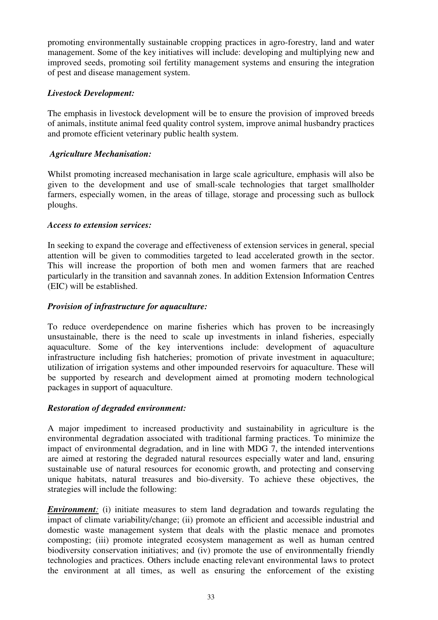promoting environmentally sustainable cropping practices in agro-forestry, land and water management. Some of the key initiatives will include: developing and multiplying new and improved seeds, promoting soil fertility management systems and ensuring the integration of pest and disease management system.

## *Livestock Development:*

The emphasis in livestock development will be to ensure the provision of improved breeds of animals, institute animal feed quality control system, improve animal husbandry practices and promote efficient veterinary public health system.

## *Agriculture Mechanisation:*

Whilst promoting increased mechanisation in large scale agriculture, emphasis will also be given to the development and use of small-scale technologies that target smallholder farmers, especially women, in the areas of tillage, storage and processing such as bullock ploughs.

## *Access to extension services:*

In seeking to expand the coverage and effectiveness of extension services in general, special attention will be given to commodities targeted to lead accelerated growth in the sector. This will increase the proportion of both men and women farmers that are reached particularly in the transition and savannah zones. In addition Extension Information Centres (EIC) will be established.

## *Provision of infrastructure for aquaculture:*

To reduce overdependence on marine fisheries which has proven to be increasingly unsustainable, there is the need to scale up investments in inland fisheries, especially aquaculture. Some of the key interventions include: development of aquaculture infrastructure including fish hatcheries; promotion of private investment in aquaculture; utilization of irrigation systems and other impounded reservoirs for aquaculture. These will be supported by research and development aimed at promoting modern technological packages in support of aquaculture.

## *Restoration of degraded environment:*

A major impediment to increased productivity and sustainability in agriculture is the environmental degradation associated with traditional farming practices. To minimize the impact of environmental degradation, and in line with MDG 7, the intended interventions are aimed at restoring the degraded natural resources especially water and land, ensuring sustainable use of natural resources for economic growth, and protecting and conserving unique habitats, natural treasures and bio-diversity. To achieve these objectives, the strategies will include the following:

*Environment:* (i) initiate measures to stem land degradation and towards regulating the impact of climate variability/change; (ii) promote an efficient and accessible industrial and domestic waste management system that deals with the plastic menace and promotes composting; (iii) promote integrated ecosystem management as well as human centred biodiversity conservation initiatives; and (iv) promote the use of environmentally friendly technologies and practices. Others include enacting relevant environmental laws to protect the environment at all times, as well as ensuring the enforcement of the existing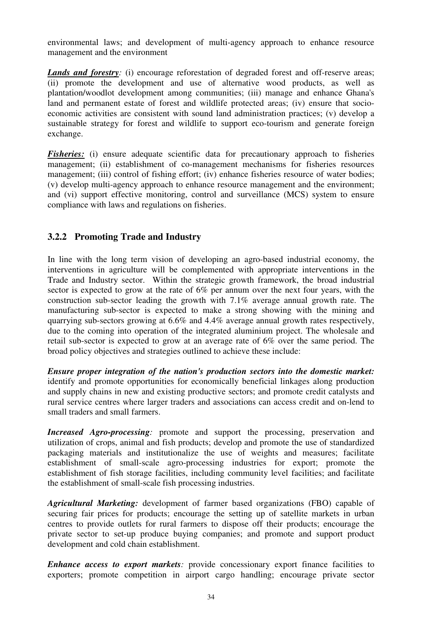environmental laws; and development of multi-agency approach to enhance resource management and the environment

*Lands and forestry:* (i) encourage reforestation of degraded forest and off-reserve areas; (ii) promote the development and use of alternative wood products, as well as plantation/woodlot development among communities; (iii) manage and enhance Ghana's land and permanent estate of forest and wildlife protected areas; (iv) ensure that socioeconomic activities are consistent with sound land administration practices; (v) develop a sustainable strategy for forest and wildlife to support eco-tourism and generate foreign exchange.

*Fisheries:* (i) ensure adequate scientific data for precautionary approach to fisheries management; (ii) establishment of co-management mechanisms for fisheries resources management; (iii) control of fishing effort; (iv) enhance fisheries resource of water bodies; (v) develop multi-agency approach to enhance resource management and the environment; and (vi) support effective monitoring, control and surveillance (MCS) system to ensure compliance with laws and regulations on fisheries.

## **3.2.2 Promoting Trade and Industry**

In line with the long term vision of developing an agro-based industrial economy, the interventions in agriculture will be complemented with appropriate interventions in the Trade and Industry sector. Within the strategic growth framework, the broad industrial sector is expected to grow at the rate of 6% per annum over the next four years, with the construction sub-sector leading the growth with 7.1% average annual growth rate. The manufacturing sub-sector is expected to make a strong showing with the mining and quarrying sub-sectors growing at 6.6% and 4.4% average annual growth rates respectively, due to the coming into operation of the integrated aluminium project. The wholesale and retail sub-sector is expected to grow at an average rate of 6% over the same period. The broad policy objectives and strategies outlined to achieve these include:

*Ensure proper integration of the nation's production sectors into the domestic market:* identify and promote opportunities for economically beneficial linkages along production and supply chains in new and existing productive sectors; and promote credit catalysts and rural service centres where larger traders and associations can access credit and on-lend to small traders and small farmers.

*Increased Agro-processing*: promote and support the processing, preservation and utilization of crops, animal and fish products; develop and promote the use of standardized packaging materials and institutionalize the use of weights and measures; facilitate establishment of small-scale agro-processing industries for export; promote the establishment of fish storage facilities, including community level facilities; and facilitate the establishment of small-scale fish processing industries.

*Agricultural Marketing:* development of farmer based organizations (FBO) capable of securing fair prices for products; encourage the setting up of satellite markets in urban centres to provide outlets for rural farmers to dispose off their products; encourage the private sector to set-up produce buying companies; and promote and support product development and cold chain establishment.

*Enhance access to export markets:* provide concessionary export finance facilities to exporters; promote competition in airport cargo handling; encourage private sector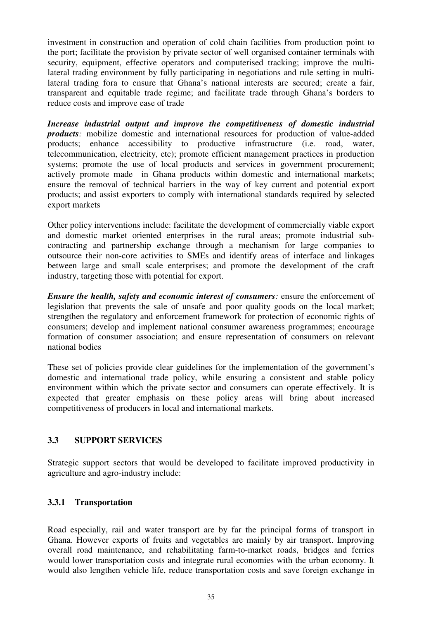investment in construction and operation of cold chain facilities from production point to the port; facilitate the provision by private sector of well organised container terminals with security, equipment, effective operators and computerised tracking; improve the multilateral trading environment by fully participating in negotiations and rule setting in multilateral trading fora to ensure that Ghana's national interests are secured; create a fair, transparent and equitable trade regime; and facilitate trade through Ghana's borders to reduce costs and improve ease of trade

*Increase industrial output and improve the competitiveness of domestic industrial products*: mobilize domestic and international resources for production of value-added products; enhance accessibility to productive infrastructure (i.e. road, water, telecommunication, electricity, etc); promote efficient management practices in production systems; promote the use of local products and services in government procurement; actively promote made in Ghana products within domestic and international markets; ensure the removal of technical barriers in the way of key current and potential export products; and assist exporters to comply with international standards required by selected export markets

Other policy interventions include: facilitate the development of commercially viable export and domestic market oriented enterprises in the rural areas; promote industrial subcontracting and partnership exchange through a mechanism for large companies to outsource their non-core activities to SMEs and identify areas of interface and linkages between large and small scale enterprises; and promote the development of the craft industry, targeting those with potential for export.

*Ensure the health, safety and economic interest of consumers:* ensure the enforcement of legislation that prevents the sale of unsafe and poor quality goods on the local market; strengthen the regulatory and enforcement framework for protection of economic rights of consumers; develop and implement national consumer awareness programmes; encourage formation of consumer association; and ensure representation of consumers on relevant national bodies

These set of policies provide clear guidelines for the implementation of the government's domestic and international trade policy, while ensuring a consistent and stable policy environment within which the private sector and consumers can operate effectively. It is expected that greater emphasis on these policy areas will bring about increased competitiveness of producers in local and international markets.

## **3.3 SUPPORT SERVICES**

Strategic support sectors that would be developed to facilitate improved productivity in agriculture and agro-industry include:

## **3.3.1 Transportation**

Road especially, rail and water transport are by far the principal forms of transport in Ghana. However exports of fruits and vegetables are mainly by air transport. Improving overall road maintenance, and rehabilitating farm-to-market roads, bridges and ferries would lower transportation costs and integrate rural economies with the urban economy. It would also lengthen vehicle life, reduce transportation costs and save foreign exchange in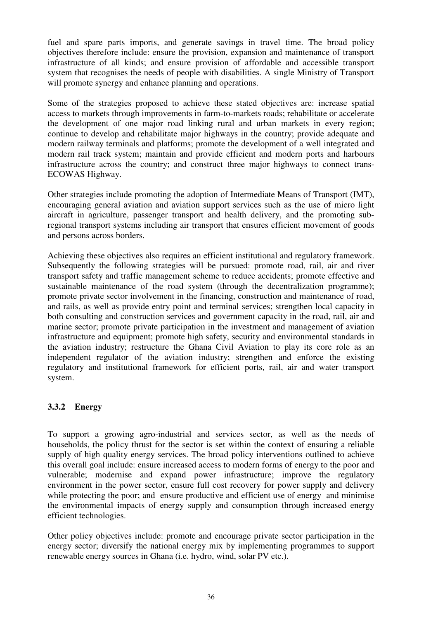fuel and spare parts imports, and generate savings in travel time. The broad policy objectives therefore include: ensure the provision, expansion and maintenance of transport infrastructure of all kinds; and ensure provision of affordable and accessible transport system that recognises the needs of people with disabilities. A single Ministry of Transport will promote synergy and enhance planning and operations.

Some of the strategies proposed to achieve these stated objectives are: increase spatial access to markets through improvements in farm-to-markets roads; rehabilitate or accelerate the development of one major road linking rural and urban markets in every region; continue to develop and rehabilitate major highways in the country; provide adequate and modern railway terminals and platforms; promote the development of a well integrated and modern rail track system; maintain and provide efficient and modern ports and harbours infrastructure across the country; and construct three major highways to connect trans-ECOWAS Highway.

Other strategies include promoting the adoption of Intermediate Means of Transport (IMT), encouraging general aviation and aviation support services such as the use of micro light aircraft in agriculture, passenger transport and health delivery, and the promoting subregional transport systems including air transport that ensures efficient movement of goods and persons across borders.

Achieving these objectives also requires an efficient institutional and regulatory framework. Subsequently the following strategies will be pursued: promote road, rail, air and river transport safety and traffic management scheme to reduce accidents; promote effective and sustainable maintenance of the road system (through the decentralization programme); promote private sector involvement in the financing, construction and maintenance of road, and rails, as well as provide entry point and terminal services; strengthen local capacity in both consulting and construction services and government capacity in the road, rail, air and marine sector; promote private participation in the investment and management of aviation infrastructure and equipment; promote high safety, security and environmental standards in the aviation industry; restructure the Ghana Civil Aviation to play its core role as an independent regulator of the aviation industry; strengthen and enforce the existing regulatory and institutional framework for efficient ports, rail, air and water transport system.

## **3.3.2 Energy**

To support a growing agro-industrial and services sector, as well as the needs of households, the policy thrust for the sector is set within the context of ensuring a reliable supply of high quality energy services. The broad policy interventions outlined to achieve this overall goal include: ensure increased access to modern forms of energy to the poor and vulnerable; modernise and expand power infrastructure; improve the regulatory environment in the power sector, ensure full cost recovery for power supply and delivery while protecting the poor; and ensure productive and efficient use of energy and minimise the environmental impacts of energy supply and consumption through increased energy efficient technologies.

Other policy objectives include: promote and encourage private sector participation in the energy sector; diversify the national energy mix by implementing programmes to support renewable energy sources in Ghana (i.e. hydro, wind, solar PV etc.).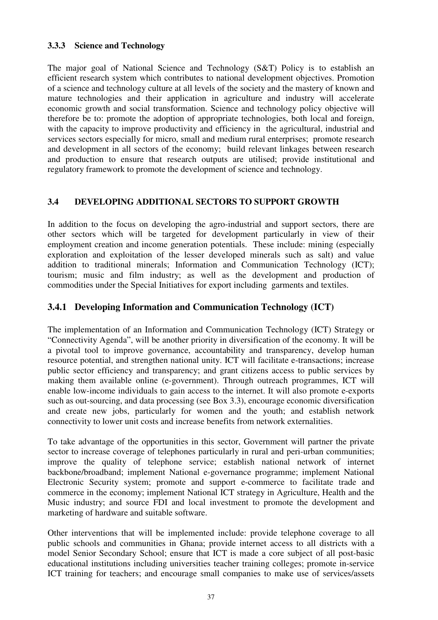## **3.3.3 Science and Technology**

The major goal of National Science and Technology (S&T) Policy is to establish an efficient research system which contributes to national development objectives. Promotion of a science and technology culture at all levels of the society and the mastery of known and mature technologies and their application in agriculture and industry will accelerate economic growth and social transformation. Science and technology policy objective will therefore be to: promote the adoption of appropriate technologies, both local and foreign, with the capacity to improve productivity and efficiency in the agricultural, industrial and services sectors especially for micro, small and medium rural enterprises; promote research and development in all sectors of the economy; build relevant linkages between research and production to ensure that research outputs are utilised; provide institutional and regulatory framework to promote the development of science and technology.

## **3.4 DEVELOPING ADDITIONAL SECTORS TO SUPPORT GROWTH**

In addition to the focus on developing the agro-industrial and support sectors, there are other sectors which will be targeted for development particularly in view of their employment creation and income generation potentials. These include: mining (especially exploration and exploitation of the lesser developed minerals such as salt) and value addition to traditional minerals; Information and Communication Technology (ICT); tourism; music and film industry; as well as the development and production of commodities under the Special Initiatives for export including garments and textiles.

## **3.4.1 Developing Information and Communication Technology (ICT)**

The implementation of an Information and Communication Technology (ICT) Strategy or "Connectivity Agenda", will be another priority in diversification of the economy. It will be a pivotal tool to improve governance, accountability and transparency, develop human resource potential, and strengthen national unity. ICT will facilitate e-transactions; increase public sector efficiency and transparency; and grant citizens access to public services by making them available online (e-government). Through outreach programmes, ICT will enable low-income individuals to gain access to the internet. It will also promote e-exports such as out-sourcing, and data processing (see Box 3.3), encourage economic diversification and create new jobs, particularly for women and the youth; and establish network connectivity to lower unit costs and increase benefits from network externalities.

To take advantage of the opportunities in this sector, Government will partner the private sector to increase coverage of telephones particularly in rural and peri-urban communities; improve the quality of telephone service; establish national network of internet backbone/broadband; implement National e-governance programme; implement National Electronic Security system; promote and support e-commerce to facilitate trade and commerce in the economy; implement National ICT strategy in Agriculture, Health and the Music industry; and source FDI and local investment to promote the development and marketing of hardware and suitable software.

Other interventions that will be implemented include: provide telephone coverage to all public schools and communities in Ghana; provide internet access to all districts with a model Senior Secondary School; ensure that ICT is made a core subject of all post-basic educational institutions including universities teacher training colleges; promote in-service ICT training for teachers; and encourage small companies to make use of services/assets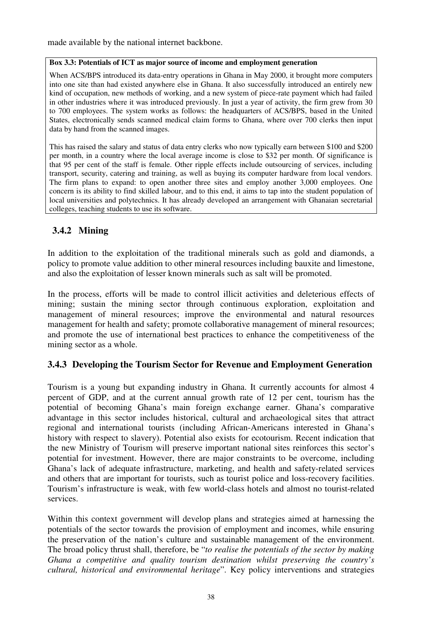made available by the national internet backbone.

#### **Box 3.3: Potentials of ICT as major source of income and employment generation**

When ACS/BPS introduced its data-entry operations in Ghana in May 2000, it brought more computers into one site than had existed anywhere else in Ghana. It also successfully introduced an entirely new kind of occupation, new methods of working, and a new system of piece-rate payment which had failed in other industries where it was introduced previously. In just a year of activity, the firm grew from 30 to 700 employees. The system works as follows: the headquarters of ACS/BPS, based in the United States, electronically sends scanned medical claim forms to Ghana, where over 700 clerks then input data by hand from the scanned images.

This has raised the salary and status of data entry clerks who now typically earn between \$100 and \$200 per month, in a country where the local average income is close to \$32 per month. Of significance is that 95 per cent of the staff is female. Other ripple effects include outsourcing of services, including transport, security, catering and training, as well as buying its computer hardware from local vendors. The firm plans to expand: to open another three sites and employ another 3,000 employees. One concern is its ability to find skilled labour, and to this end, it aims to tap into the student population of local universities and polytechnics. It has already developed an arrangement with Ghanaian secretarial colleges, teaching students to use its software.

## **3.4.2 Mining**

In addition to the exploitation of the traditional minerals such as gold and diamonds, a policy to promote value addition to other mineral resources including bauxite and limestone, and also the exploitation of lesser known minerals such as salt will be promoted.

In the process, efforts will be made to control illicit activities and deleterious effects of mining; sustain the mining sector through continuous exploration, exploitation and management of mineral resources; improve the environmental and natural resources management for health and safety; promote collaborative management of mineral resources; and promote the use of international best practices to enhance the competitiveness of the mining sector as a whole.

## **3.4.3 Developing the Tourism Sector for Revenue and Employment Generation**

Tourism is a young but expanding industry in Ghana. It currently accounts for almost 4 percent of GDP, and at the current annual growth rate of 12 per cent, tourism has the potential of becoming Ghana's main foreign exchange earner. Ghana's comparative advantage in this sector includes historical, cultural and archaeological sites that attract regional and international tourists (including African-Americans interested in Ghana's history with respect to slavery). Potential also exists for ecotourism. Recent indication that the new Ministry of Tourism will preserve important national sites reinforces this sector's potential for investment. However, there are major constraints to be overcome, including Ghana's lack of adequate infrastructure, marketing, and health and safety-related services and others that are important for tourists, such as tourist police and loss-recovery facilities. Tourism's infrastructure is weak, with few world-class hotels and almost no tourist-related services.

Within this context government will develop plans and strategies aimed at harnessing the potentials of the sector towards the provision of employment and incomes, while ensuring the preservation of the nation's culture and sustainable management of the environment. The broad policy thrust shall, therefore, be "*to realise the potentials of the sector by making Ghana a competitive and quality tourism destination whilst preserving the country's cultural, historical and environmental heritage*". Key policy interventions and strategies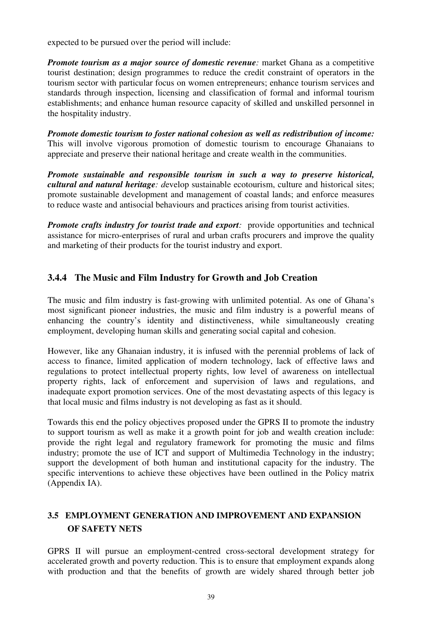expected to be pursued over the period will include:

*Promote tourism as a major source of domestic revenue:* market Ghana as a competitive tourist destination; design programmes to reduce the credit constraint of operators in the tourism sector with particular focus on women entrepreneurs; enhance tourism services and standards through inspection, licensing and classification of formal and informal tourism establishments; and enhance human resource capacity of skilled and unskilled personnel in the hospitality industry.

*Promote domestic tourism to foster national cohesion as well as redistribution of income:* This will involve vigorous promotion of domestic tourism to encourage Ghanaians to appreciate and preserve their national heritage and create wealth in the communities.

*Promote sustainable and responsible tourism in such a way to preserve historical, cultural and natural heritage: d*evelop sustainable ecotourism, culture and historical sites; promote sustainable development and management of coastal lands; and enforce measures to reduce waste and antisocial behaviours and practices arising from tourist activities.

**Promote crafts industry for tourist trade and export:** provide opportunities and technical assistance for micro-enterprises of rural and urban crafts procurers and improve the quality and marketing of their products for the tourist industry and export.

## **3.4.4 The Music and Film Industry for Growth and Job Creation**

The music and film industry is fast-growing with unlimited potential. As one of Ghana's most significant pioneer industries, the music and film industry is a powerful means of enhancing the country's identity and distinctiveness, while simultaneously creating employment, developing human skills and generating social capital and cohesion.

However, like any Ghanaian industry, it is infused with the perennial problems of lack of access to finance, limited application of modern technology, lack of effective laws and regulations to protect intellectual property rights, low level of awareness on intellectual property rights, lack of enforcement and supervision of laws and regulations, and inadequate export promotion services. One of the most devastating aspects of this legacy is that local music and films industry is not developing as fast as it should.

Towards this end the policy objectives proposed under the GPRS II to promote the industry to support tourism as well as make it a growth point for job and wealth creation include: provide the right legal and regulatory framework for promoting the music and films industry; promote the use of ICT and support of Multimedia Technology in the industry; support the development of both human and institutional capacity for the industry. The specific interventions to achieve these objectives have been outlined in the Policy matrix (Appendix IA).

## **3.5 EMPLOYMENT GENERATION AND IMPROVEMENT AND EXPANSION OF SAFETY NETS**

GPRS II will pursue an employment-centred cross-sectoral development strategy for accelerated growth and poverty reduction. This is to ensure that employment expands along with production and that the benefits of growth are widely shared through better job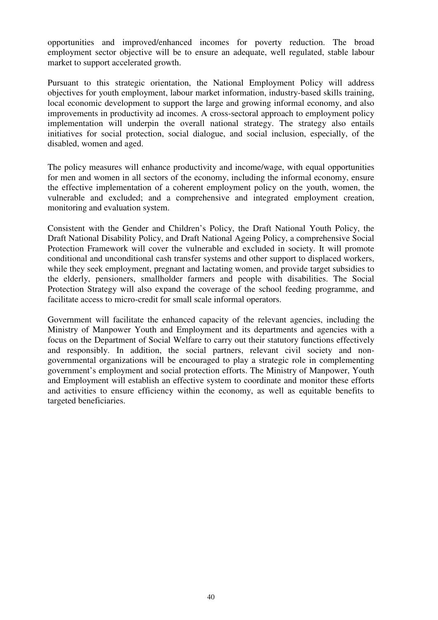opportunities and improved/enhanced incomes for poverty reduction. The broad employment sector objective will be to ensure an adequate, well regulated, stable labour market to support accelerated growth.

Pursuant to this strategic orientation, the National Employment Policy will address objectives for youth employment, labour market information, industry-based skills training, local economic development to support the large and growing informal economy, and also improvements in productivity ad incomes. A cross-sectoral approach to employment policy implementation will underpin the overall national strategy. The strategy also entails initiatives for social protection, social dialogue, and social inclusion, especially, of the disabled, women and aged.

The policy measures will enhance productivity and income/wage, with equal opportunities for men and women in all sectors of the economy, including the informal economy, ensure the effective implementation of a coherent employment policy on the youth, women, the vulnerable and excluded; and a comprehensive and integrated employment creation, monitoring and evaluation system.

Consistent with the Gender and Children's Policy, the Draft National Youth Policy, the Draft National Disability Policy, and Draft National Ageing Policy, a comprehensive Social Protection Framework will cover the vulnerable and excluded in society. It will promote conditional and unconditional cash transfer systems and other support to displaced workers, while they seek employment, pregnant and lactating women, and provide target subsidies to the elderly, pensioners, smallholder farmers and people with disabilities. The Social Protection Strategy will also expand the coverage of the school feeding programme, and facilitate access to micro-credit for small scale informal operators.

Government will facilitate the enhanced capacity of the relevant agencies, including the Ministry of Manpower Youth and Employment and its departments and agencies with a focus on the Department of Social Welfare to carry out their statutory functions effectively and responsibly. In addition, the social partners, relevant civil society and nongovernmental organizations will be encouraged to play a strategic role in complementing government's employment and social protection efforts. The Ministry of Manpower, Youth and Employment will establish an effective system to coordinate and monitor these efforts and activities to ensure efficiency within the economy, as well as equitable benefits to targeted beneficiaries.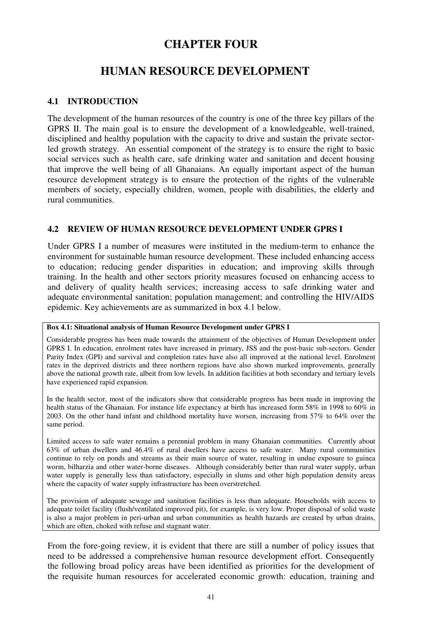# **CHAPTER FOUR**

# **HUMAN RESOURCE DEVELOPMENT**

## **4.1 INTRODUCTION**

The development of the human resources of the country is one of the three key pillars of the GPRS II. The main goal is to ensure the development of a knowledgeable, well-trained, disciplined and healthy population with the capacity to drive and sustain the private sectorled growth strategy. An essential component of the strategy is to ensure the right to basic social services such as health care, safe drinking water and sanitation and decent housing that improve the well being of all Ghanaians. An equally important aspect of the human resource development strategy is to ensure the protection of the rights of the vulnerable members of society, especially children, women, people with disabilities, the elderly and rural communities.

## **4.2 REVIEW OF HUMAN RESOURCE DEVELOPMENT UNDER GPRS I**

Under GPRS I a number of measures were instituted in the medium-term to enhance the environment for sustainable human resource development. These included enhancing access to education; reducing gender disparities in education; and improving skills through training. In the health and other sectors priority measures focused on enhancing access to and delivery of quality health services; increasing access to safe drinking water and adequate environmental sanitation; population management; and controlling the HIV/AIDS epidemic. Key achievements are as summarized in box 4.1 below.

## **Box 4.1: Situational analysis of Human Resource Development under GPRS I**

Considerable progress has been made towards the attainment of the objectives of Human Development under GPRS I. In education, enrolment rates have increased in primary, JSS and the post-basic sub-sectors. Gender Parity Index (GPI) and survival and completion rates have also all improved at the national level. Enrolment rates in the deprived districts and three northern regions have also shown marked improvements, generally above the national growth rate, albeit from low levels. In addition facilities at both secondary and tertiary levels have experienced rapid expansion.

In the health sector, most of the indicators show that considerable progress has been made in improving the health status of the Ghanaian. For instance life expectancy at birth has increased form 58% in 1998 to 60% in 2003. On the other hand infant and childhood mortality have worsen, increasing from 57% to 64% over the same period.

Limited access to safe water remains a perennial problem in many Ghanaian communities. Currently about 63% of urban dwellers and 46.4% of rural dwellers have access to safe water. Many rural communities continue to rely on ponds and streams as their main source of water, resulting in undue exposure to guinea worm, bilharzia and other water-borne diseases. Although considerably better than rural water supply, urban water supply is generally less than satisfactory, especially in slums and other high population density areas where the capacity of water supply infrastructure has been overstretched.

The provision of adequate sewage and sanitation facilities is less than adequate. Households with access to adequate toilet facility (flush/ventilated improved pit), for example, is very low. Proper disposal of solid waste is also a major problem in peri-urban and urban communities as health hazards are created by urban drains, which are often, choked with refuse and stagnant water.

From the fore-going review, it is evident that there are still a number of policy issues that need to be addressed a comprehensive human resource development effort. Consequently the following broad policy areas have been identified as priorities for the development of the requisite human resources for accelerated economic growth: education, training and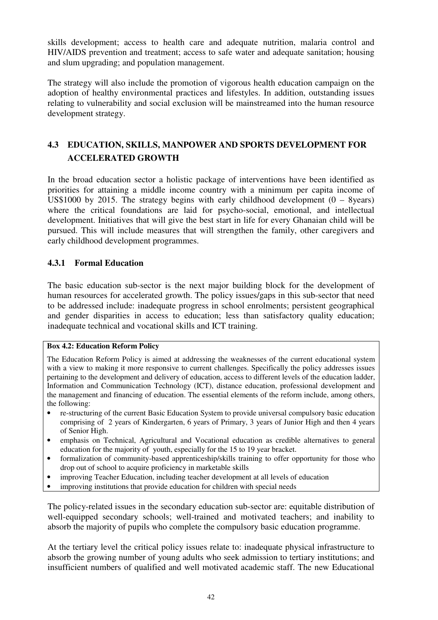skills development; access to health care and adequate nutrition, malaria control and HIV/AIDS prevention and treatment; access to safe water and adequate sanitation; housing and slum upgrading; and population management.

The strategy will also include the promotion of vigorous health education campaign on the adoption of healthy environmental practices and lifestyles. In addition, outstanding issues relating to vulnerability and social exclusion will be mainstreamed into the human resource development strategy.

## **4.3 EDUCATION, SKILLS, MANPOWER AND SPORTS DEVELOPMENT FOR ACCELERATED GROWTH**

In the broad education sector a holistic package of interventions have been identified as priorities for attaining a middle income country with a minimum per capita income of US\$1000 by 2015. The strategy begins with early childhood development  $(0 - 8$ years) where the critical foundations are laid for psycho-social, emotional, and intellectual development. Initiatives that will give the best start in life for every Ghanaian child will be pursued. This will include measures that will strengthen the family, other caregivers and early childhood development programmes.

## **4.3.1 Formal Education**

The basic education sub-sector is the next major building block for the development of human resources for accelerated growth. The policy issues/gaps in this sub-sector that need to be addressed include: inadequate progress in school enrolments; persistent geographical and gender disparities in access to education; less than satisfactory quality education; inadequate technical and vocational skills and ICT training.

## **Box 4.2: Education Reform Policy**

The Education Reform Policy is aimed at addressing the weaknesses of the current educational system with a view to making it more responsive to current challenges. Specifically the policy addresses issues pertaining to the development and delivery of education, access to different levels of the education ladder, Information and Communication Technology (ICT), distance education, professional development and the management and financing of education. The essential elements of the reform include, among others, the following:

- re-structuring of the current Basic Education System to provide universal compulsory basic education comprising of 2 years of Kindergarten, 6 years of Primary, 3 years of Junior High and then 4 years of Senior High.
- emphasis on Technical, Agricultural and Vocational education as credible alternatives to general education for the majority of youth, especially for the 15 to 19 year bracket.
- formalization of community-based apprenticeship/skills training to offer opportunity for those who drop out of school to acquire proficiency in marketable skills
- improving Teacher Education, including teacher development at all levels of education
- improving institutions that provide education for children with special needs

The policy-related issues in the secondary education sub-sector are: equitable distribution of well-equipped secondary schools; well-trained and motivated teachers; and inability to absorb the majority of pupils who complete the compulsory basic education programme.

At the tertiary level the critical policy issues relate to: inadequate physical infrastructure to absorb the growing number of young adults who seek admission to tertiary institutions; and insufficient numbers of qualified and well motivated academic staff. The new Educational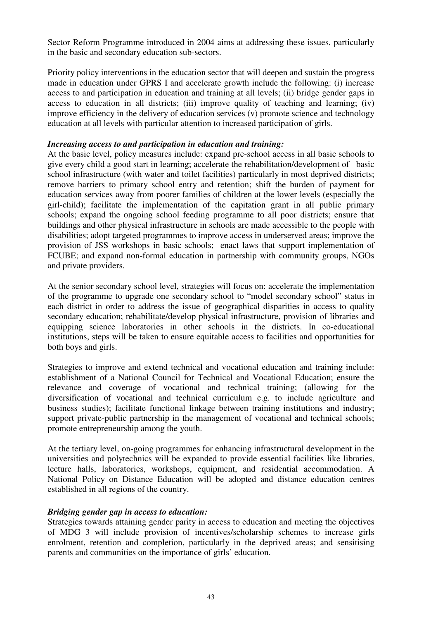Sector Reform Programme introduced in 2004 aims at addressing these issues, particularly in the basic and secondary education sub-sectors.

Priority policy interventions in the education sector that will deepen and sustain the progress made in education under GPRS I and accelerate growth include the following: (i) increase access to and participation in education and training at all levels; (ii) bridge gender gaps in access to education in all districts; (iii) improve quality of teaching and learning; (iv) improve efficiency in the delivery of education services (v) promote science and technology education at all levels with particular attention to increased participation of girls.

#### *Increasing access to and participation in education and training:*

At the basic level, policy measures include: expand pre-school access in all basic schools to give every child a good start in learning; accelerate the rehabilitation/development of basic school infrastructure (with water and toilet facilities) particularly in most deprived districts; remove barriers to primary school entry and retention; shift the burden of payment for education services away from poorer families of children at the lower levels (especially the girl-child); facilitate the implementation of the capitation grant in all public primary schools; expand the ongoing school feeding programme to all poor districts; ensure that buildings and other physical infrastructure in schools are made accessible to the people with disabilities; adopt targeted programmes to improve access in underserved areas; improve the provision of JSS workshops in basic schools; enact laws that support implementation of FCUBE; and expand non-formal education in partnership with community groups, NGOs and private providers.

At the senior secondary school level, strategies will focus on: accelerate the implementation of the programme to upgrade one secondary school to "model secondary school" status in each district in order to address the issue of geographical disparities in access to quality secondary education; rehabilitate/develop physical infrastructure, provision of libraries and equipping science laboratories in other schools in the districts. In co-educational institutions, steps will be taken to ensure equitable access to facilities and opportunities for both boys and girls.

Strategies to improve and extend technical and vocational education and training include: establishment of a National Council for Technical and Vocational Education; ensure the relevance and coverage of vocational and technical training; (allowing for the diversification of vocational and technical curriculum e.g. to include agriculture and business studies); facilitate functional linkage between training institutions and industry; support private-public partnership in the management of vocational and technical schools; promote entrepreneurship among the youth.

At the tertiary level, on-going programmes for enhancing infrastructural development in the universities and polytechnics will be expanded to provide essential facilities like libraries, lecture halls, laboratories, workshops, equipment, and residential accommodation. A National Policy on Distance Education will be adopted and distance education centres established in all regions of the country.

#### *Bridging gender gap in access to education:*

Strategies towards attaining gender parity in access to education and meeting the objectives of MDG 3 will include provision of incentives/scholarship schemes to increase girls enrolment, retention and completion, particularly in the deprived areas; and sensitising parents and communities on the importance of girls' education.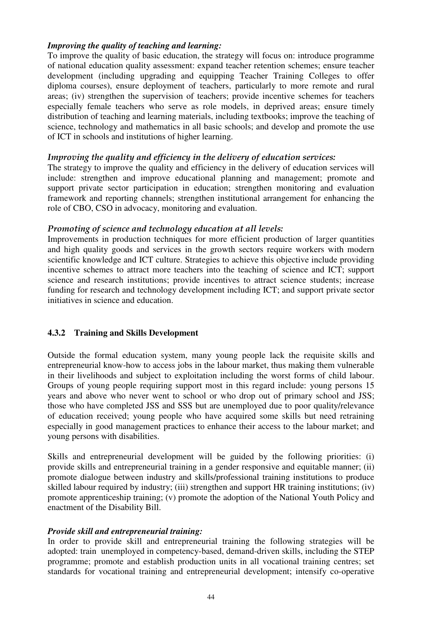#### *Improving the quality of teaching and learning:*

To improve the quality of basic education, the strategy will focus on: introduce programme of national education quality assessment: expand teacher retention schemes; ensure teacher development (including upgrading and equipping Teacher Training Colleges to offer diploma courses), ensure deployment of teachers, particularly to more remote and rural areas; (iv) strengthen the supervision of teachers; provide incentive schemes for teachers especially female teachers who serve as role models, in deprived areas; ensure timely distribution of teaching and learning materials, including textbooks; improve the teaching of science, technology and mathematics in all basic schools; and develop and promote the use of ICT in schools and institutions of higher learning.

## Improving the quality and efficiency in the delivery of education services:

The strategy to improve the quality and efficiency in the delivery of education services will include: strengthen and improve educational planning and management; promote and support private sector participation in education; strengthen monitoring and evaluation framework and reporting channels; strengthen institutional arrangement for enhancing the role of CBO, CSO in advocacy, monitoring and evaluation.

## Promoting of science and technology education at all levels:

Improvements in production techniques for more efficient production of larger quantities and high quality goods and services in the growth sectors require workers with modern scientific knowledge and ICT culture. Strategies to achieve this objective include providing incentive schemes to attract more teachers into the teaching of science and ICT; support science and research institutions; provide incentives to attract science students; increase funding for research and technology development including ICT; and support private sector initiatives in science and education.

## **4.3.2 Training and Skills Development**

Outside the formal education system, many young people lack the requisite skills and entrepreneurial know-how to access jobs in the labour market, thus making them vulnerable in their livelihoods and subject to exploitation including the worst forms of child labour. Groups of young people requiring support most in this regard include: young persons 15 years and above who never went to school or who drop out of primary school and JSS; those who have completed JSS and SSS but are unemployed due to poor quality/relevance of education received; young people who have acquired some skills but need retraining especially in good management practices to enhance their access to the labour market; and young persons with disabilities.

Skills and entrepreneurial development will be guided by the following priorities: (i) provide skills and entrepreneurial training in a gender responsive and equitable manner; (ii) promote dialogue between industry and skills/professional training institutions to produce skilled labour required by industry; (iii) strengthen and support HR training institutions; (iv) promote apprenticeship training; (v) promote the adoption of the National Youth Policy and enactment of the Disability Bill.

#### *Provide skill and entrepreneurial training:*

In order to provide skill and entrepreneurial training the following strategies will be adopted: train unemployed in competency-based, demand-driven skills, including the STEP programme; promote and establish production units in all vocational training centres; set standards for vocational training and entrepreneurial development; intensify co-operative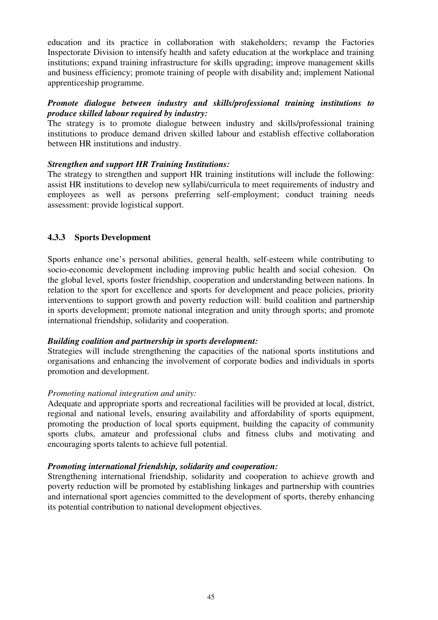education and its practice in collaboration with stakeholders; revamp the Factories Inspectorate Division to intensify health and safety education at the workplace and training institutions; expand training infrastructure for skills upgrading; improve management skills and business efficiency; promote training of people with disability and; implement National apprenticeship programme.

## *Promote dialogue between industry and skills/professional training institutions to produce skilled labour required by industry:*

The strategy is to promote dialogue between industry and skills/professional training institutions to produce demand driven skilled labour and establish effective collaboration between HR institutions and industry.

## *Strengthen and support HR Training Institutions:*

The strategy to strengthen and support HR training institutions will include the following: assist HR institutions to develop new syllabi/curricula to meet requirements of industry and employees as well as persons preferring self-employment; conduct training needs assessment: provide logistical support.

## **4.3.3 Sports Development**

Sports enhance one's personal abilities, general health, self-esteem while contributing to socio-economic development including improving public health and social cohesion. On the global level, sports foster friendship, cooperation and understanding between nations. In relation to the sport for excellence and sports for development and peace policies, priority interventions to support growth and poverty reduction will: build coalition and partnership in sports development; promote national integration and unity through sports; and promote international friendship, solidarity and cooperation.

#### *Building coalition and partnership in sports development:*

Strategies will include strengthening the capacities of the national sports institutions and organisations and enhancing the involvement of corporate bodies and individuals in sports promotion and development.

#### *Promoting national integration and unity:*

Adequate and appropriate sports and recreational facilities will be provided at local, district, regional and national levels, ensuring availability and affordability of sports equipment, promoting the production of local sports equipment, building the capacity of community sports clubs, amateur and professional clubs and fitness clubs and motivating and encouraging sports talents to achieve full potential.

## *Promoting international friendship, solidarity and cooperation:*

Strengthening international friendship, solidarity and cooperation to achieve growth and poverty reduction will be promoted by establishing linkages and partnership with countries and international sport agencies committed to the development of sports, thereby enhancing its potential contribution to national development objectives.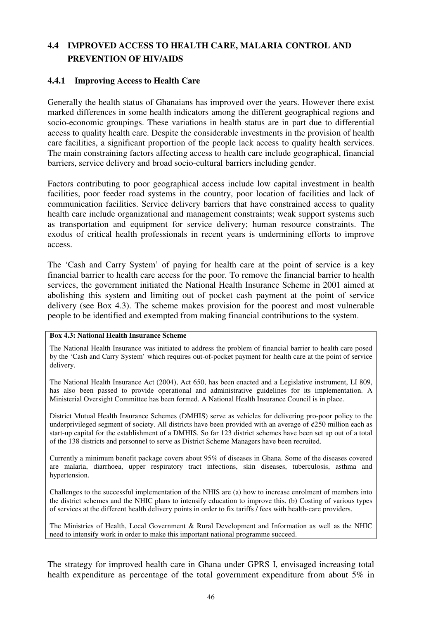# **4.4 IMPROVED ACCESS TO HEALTH CARE, MALARIA CONTROL AND PREVENTION OF HIV/AIDS**

## **4.4.1 Improving Access to Health Care**

Generally the health status of Ghanaians has improved over the years. However there exist marked differences in some health indicators among the different geographical regions and socio-economic groupings. These variations in health status are in part due to differential access to quality health care. Despite the considerable investments in the provision of health care facilities, a significant proportion of the people lack access to quality health services. The main constraining factors affecting access to health care include geographical, financial barriers, service delivery and broad socio-cultural barriers including gender.

Factors contributing to poor geographical access include low capital investment in health facilities, poor feeder road systems in the country, poor location of facilities and lack of communication facilities. Service delivery barriers that have constrained access to quality health care include organizational and management constraints; weak support systems such as transportation and equipment for service delivery; human resource constraints. The exodus of critical health professionals in recent years is undermining efforts to improve access.

The 'Cash and Carry System' of paying for health care at the point of service is a key financial barrier to health care access for the poor. To remove the financial barrier to health services, the government initiated the National Health Insurance Scheme in 2001 aimed at abolishing this system and limiting out of pocket cash payment at the point of service delivery (see Box 4.3). The scheme makes provision for the poorest and most vulnerable people to be identified and exempted from making financial contributions to the system.

#### **Box 4.3: National Health Insurance Scheme**

The National Health Insurance was initiated to address the problem of financial barrier to health care posed by the 'Cash and Carry System' which requires out-of-pocket payment for health care at the point of service delivery.

The National Health Insurance Act (2004), Act 650, has been enacted and a Legislative instrument, LI 809, has also been passed to provide operational and administrative guidelines for its implementation. A Ministerial Oversight Committee has been formed. A National Health Insurance Council is in place.

District Mutual Health Insurance Schemes (DMHIS) serve as vehicles for delivering pro-poor policy to the underprivileged segment of society. All districts have been provided with an average of ¢250 million each as start-up capital for the establishment of a DMHIS. So far 123 district schemes have been set up out of a total of the 138 districts and personnel to serve as District Scheme Managers have been recruited.

Currently a minimum benefit package covers about 95% of diseases in Ghana. Some of the diseases covered are malaria, diarrhoea, upper respiratory tract infections, skin diseases, tuberculosis, asthma and hypertension.

Challenges to the successful implementation of the NHIS are (a) how to increase enrolment of members into the district schemes and the NHIC plans to intensify education to improve this. (b) Costing of various types of services at the different health delivery points in order to fix tariffs / fees with health-care providers.

The Ministries of Health, Local Government & Rural Development and Information as well as the NHIC need to intensify work in order to make this important national programme succeed.

The strategy for improved health care in Ghana under GPRS I, envisaged increasing total health expenditure as percentage of the total government expenditure from about 5% in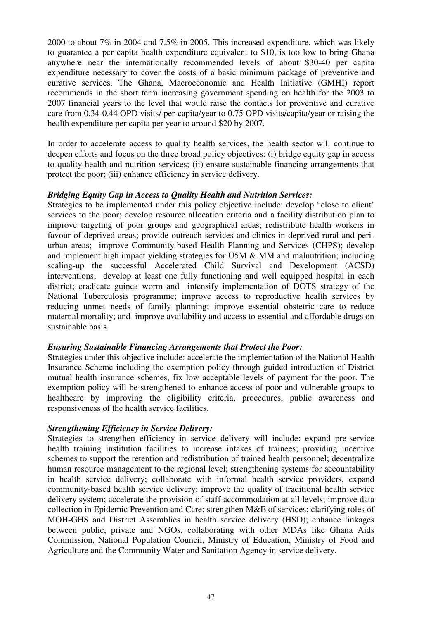2000 to about 7% in 2004 and 7.5% in 2005. This increased expenditure, which was likely to guarantee a per capita health expenditure equivalent to \$10, is too low to bring Ghana anywhere near the internationally recommended levels of about \$30-40 per capita expenditure necessary to cover the costs of a basic minimum package of preventive and curative services. The Ghana, Macroeconomic and Health Initiative (GMHI) report recommends in the short term increasing government spending on health for the 2003 to 2007 financial years to the level that would raise the contacts for preventive and curative care from 0.34-0.44 OPD visits/ per-capita/year to 0.75 OPD visits/capita/year or raising the health expenditure per capita per year to around \$20 by 2007.

In order to accelerate access to quality health services, the health sector will continue to deepen efforts and focus on the three broad policy objectives: (i) bridge equity gap in access to quality health and nutrition services; (ii) ensure sustainable financing arrangements that protect the poor; (iii) enhance efficiency in service delivery.

## *Bridging Equity Gap in Access to Quality Health and Nutrition Services:*

Strategies to be implemented under this policy objective include: develop "close to client' services to the poor; develop resource allocation criteria and a facility distribution plan to improve targeting of poor groups and geographical areas; redistribute health workers in favour of deprived areas; provide outreach services and clinics in deprived rural and periurban areas; improve Community-based Health Planning and Services (CHPS); develop and implement high impact yielding strategies for U5M & MM and malnutrition; including scaling-up the successful Accelerated Child Survival and Development (ACSD) interventions; develop at least one fully functioning and well equipped hospital in each district; eradicate guinea worm and intensify implementation of DOTS strategy of the National Tuberculosis programme; improve access to reproductive health services by reducing unmet needs of family planning; improve essential obstetric care to reduce maternal mortality; and improve availability and access to essential and affordable drugs on sustainable basis.

#### *Ensuring Sustainable Financing Arrangements that Protect the Poor:*

Strategies under this objective include: accelerate the implementation of the National Health Insurance Scheme including the exemption policy through guided introduction of District mutual health insurance schemes, fix low acceptable levels of payment for the poor. The exemption policy will be strengthened to enhance access of poor and vulnerable groups to healthcare by improving the eligibility criteria, procedures, public awareness and responsiveness of the health service facilities.

#### *Strengthening Efficiency in Service Delivery:*

Strategies to strengthen efficiency in service delivery will include: expand pre-service health training institution facilities to increase intakes of trainees; providing incentive schemes to support the retention and redistribution of trained health personnel; decentralize human resource management to the regional level; strengthening systems for accountability in health service delivery; collaborate with informal health service providers, expand community-based health service delivery; improve the quality of traditional health service delivery system; accelerate the provision of staff accommodation at all levels; improve data collection in Epidemic Prevention and Care; strengthen M&E of services; clarifying roles of MOH-GHS and District Assemblies in health service delivery (HSD); enhance linkages between public, private and NGOs, collaborating with other MDAs like Ghana Aids Commission, National Population Council, Ministry of Education, Ministry of Food and Agriculture and the Community Water and Sanitation Agency in service delivery.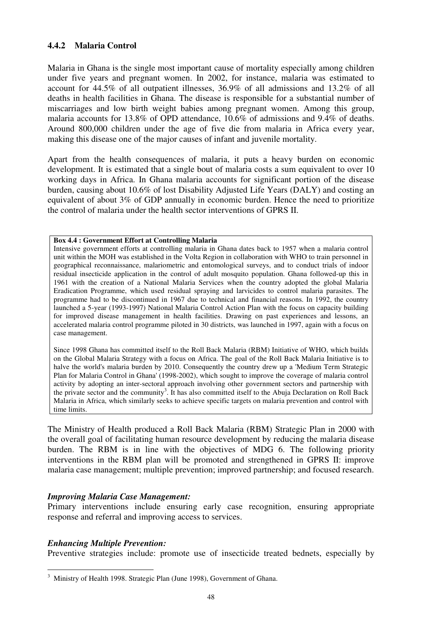## **4.4.2 Malaria Control**

Malaria in Ghana is the single most important cause of mortality especially among children under five years and pregnant women. In 2002, for instance, malaria was estimated to account for 44.5% of all outpatient illnesses, 36.9% of all admissions and 13.2% of all deaths in health facilities in Ghana. The disease is responsible for a substantial number of miscarriages and low birth weight babies among pregnant women. Among this group, malaria accounts for 13.8% of OPD attendance, 10.6% of admissions and 9.4% of deaths. Around 800,000 children under the age of five die from malaria in Africa every year, making this disease one of the major causes of infant and juvenile mortality.

Apart from the health consequences of malaria, it puts a heavy burden on economic development. It is estimated that a single bout of malaria costs a sum equivalent to over 10 working days in Africa. In Ghana malaria accounts for significant portion of the disease burden, causing about 10.6% of lost Disability Adjusted Life Years (DALY) and costing an equivalent of about 3% of GDP annually in economic burden. Hence the need to prioritize the control of malaria under the health sector interventions of GPRS II.

#### **Box 4.4 : Government Effort at Controlling Malaria**

Intensive government efforts at controlling malaria in Ghana dates back to 1957 when a malaria control unit within the MOH was established in the Volta Region in collaboration with WHO to train personnel in geographical reconnaissance, malariometric and entomological surveys, and to conduct trials of indoor residual insecticide application in the control of adult mosquito population. Ghana followed-up this in 1961 with the creation of a National Malaria Services when the country adopted the global Malaria Eradication Programme, which used residual spraying and larvicides to control malaria parasites. The programme had to be discontinued in 1967 due to technical and financial reasons. In 1992, the country launched a 5-year (1993-1997) National Malaria Control Action Plan with the focus on capacity building for improved disease management in health facilities. Drawing on past experiences and lessons, an accelerated malaria control programme piloted in 30 districts, was launched in 1997, again with a focus on case management.

Since 1998 Ghana has committed itself to the Roll Back Malaria (RBM) Initiative of WHO, which builds on the Global Malaria Strategy with a focus on Africa. The goal of the Roll Back Malaria Initiative is to halve the world's malaria burden by 2010. Consequently the country drew up a 'Medium Term Strategic Plan for Malaria Control in Ghana' (1998-2002), which sought to improve the coverage of malaria control activity by adopting an inter-sectoral approach involving other government sectors and partnership with the private sector and the community<sup>3</sup>. It has also committed itself to the Abuja Declaration on Roll Back Malaria in Africa, which similarly seeks to achieve specific targets on malaria prevention and control with time limits.

The Ministry of Health produced a Roll Back Malaria (RBM) Strategic Plan in 2000 with the overall goal of facilitating human resource development by reducing the malaria disease burden. The RBM is in line with the objectives of MDG 6. The following priority interventions in the RBM plan will be promoted and strengthened in GPRS II: improve malaria case management; multiple prevention; improved partnership; and focused research.

#### *Improving Malaria Case Management:*

Primary interventions include ensuring early case recognition, ensuring appropriate response and referral and improving access to services.

#### *Enhancing Multiple Prevention:*

Preventive strategies include: promote use of insecticide treated bednets, especially by

 3 Ministry of Health 1998. Strategic Plan (June 1998), Government of Ghana.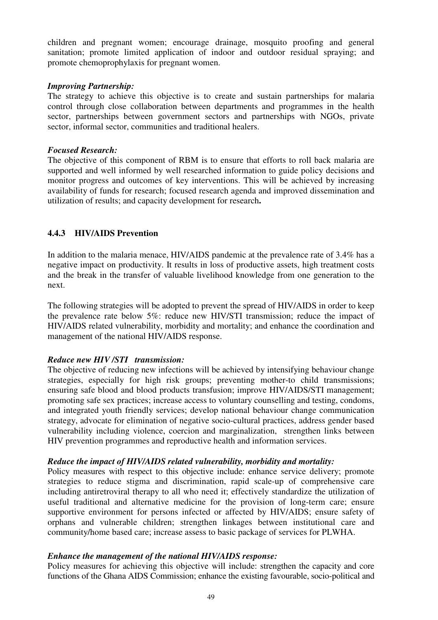children and pregnant women; encourage drainage, mosquito proofing and general sanitation; promote limited application of indoor and outdoor residual spraying; and promote chemoprophylaxis for pregnant women.

#### *Improving Partnership:*

The strategy to achieve this objective is to create and sustain partnerships for malaria control through close collaboration between departments and programmes in the health sector, partnerships between government sectors and partnerships with NGOs, private sector, informal sector, communities and traditional healers.

#### *Focused Research:*

The objective of this component of RBM is to ensure that efforts to roll back malaria are supported and well informed by well researched information to guide policy decisions and monitor progress and outcomes of key interventions. This will be achieved by increasing availability of funds for research; focused research agenda and improved dissemination and utilization of results; and capacity development for research**.** 

## **4.4.3 HIV/AIDS Prevention**

In addition to the malaria menace, HIV/AIDS pandemic at the prevalence rate of 3.4% has a negative impact on productivity. It results in loss of productive assets, high treatment costs and the break in the transfer of valuable livelihood knowledge from one generation to the next.

The following strategies will be adopted to prevent the spread of HIV/AIDS in order to keep the prevalence rate below 5%: reduce new HIV/STI transmission; reduce the impact of HIV/AIDS related vulnerability, morbidity and mortality; and enhance the coordination and management of the national HIV/AIDS response.

#### *Reduce new HIV /STI transmission:*

The objective of reducing new infections will be achieved by intensifying behaviour change strategies, especially for high risk groups; preventing mother-to child transmissions; ensuring safe blood and blood products transfusion; improve HIV/AIDS/STI management; promoting safe sex practices; increase access to voluntary counselling and testing, condoms, and integrated youth friendly services; develop national behaviour change communication strategy, advocate for elimination of negative socio-cultural practices, address gender based vulnerability including violence, coercion and marginalization, strengthen links between HIV prevention programmes and reproductive health and information services.

#### *Reduce the impact of HIV/AIDS related vulnerability, morbidity and mortality:*

Policy measures with respect to this objective include: enhance service delivery; promote strategies to reduce stigma and discrimination, rapid scale-up of comprehensive care including antiretroviral therapy to all who need it; effectively standardize the utilization of useful traditional and alternative medicine for the provision of long-term care; ensure supportive environment for persons infected or affected by HIV/AIDS; ensure safety of orphans and vulnerable children; strengthen linkages between institutional care and community/home based care; increase assess to basic package of services for PLWHA.

#### *Enhance the management of the national HIV/AIDS response:*

Policy measures for achieving this objective will include: strengthen the capacity and core functions of the Ghana AIDS Commission; enhance the existing favourable, socio-political and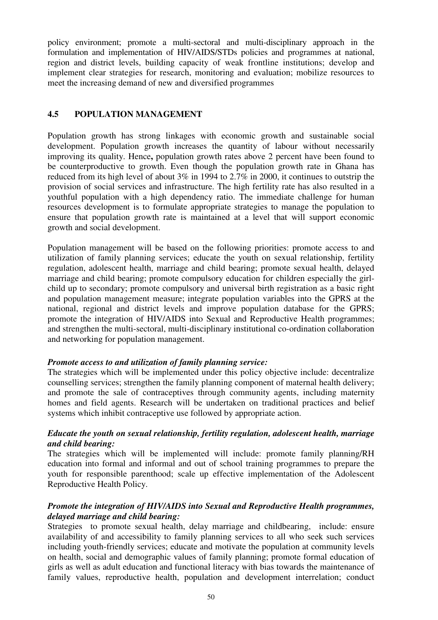policy environment; promote a multi-sectoral and multi-disciplinary approach in the formulation and implementation of HIV/AIDS/STDs policies and programmes at national, region and district levels, building capacity of weak frontline institutions; develop and implement clear strategies for research, monitoring and evaluation; mobilize resources to meet the increasing demand of new and diversified programmes

## **4.5 POPULATION MANAGEMENT**

Population growth has strong linkages with economic growth and sustainable social development. Population growth increases the quantity of labour without necessarily improving its quality. Hence**,** population growth rates above 2 percent have been found to be counterproductive to growth. Even though the population growth rate in Ghana has reduced from its high level of about 3% in 1994 to 2.7% in 2000, it continues to outstrip the provision of social services and infrastructure. The high fertility rate has also resulted in a youthful population with a high dependency ratio. The immediate challenge for human resources development is to formulate appropriate strategies to manage the population to ensure that population growth rate is maintained at a level that will support economic growth and social development.

Population management will be based on the following priorities: promote access to and utilization of family planning services; educate the youth on sexual relationship, fertility regulation, adolescent health, marriage and child bearing; promote sexual health, delayed marriage and child bearing; promote compulsory education for children especially the girlchild up to secondary; promote compulsory and universal birth registration as a basic right and population management measure; integrate population variables into the GPRS at the national, regional and district levels and improve population database for the GPRS; promote the integration of HIV/AIDS into Sexual and Reproductive Health programmes; and strengthen the multi-sectoral, multi-disciplinary institutional co-ordination collaboration and networking for population management.

#### *Promote access to and utilization of family planning service:*

The strategies which will be implemented under this policy objective include: decentralize counselling services; strengthen the family planning component of maternal health delivery; and promote the sale of contraceptives through community agents, including maternity homes and field agents. Research will be undertaken on traditional practices and belief systems which inhibit contraceptive use followed by appropriate action.

## *Educate the youth on sexual relationship, fertility regulation, adolescent health, marriage and child bearing:*

The strategies which will be implemented will include: promote family planning/RH education into formal and informal and out of school training programmes to prepare the youth for responsible parenthood; scale up effective implementation of the Adolescent Reproductive Health Policy.

## *Promote the integration of HIV/AIDS into Sexual and Reproductive Health programmes, delayed marriage and child bearing:*

Strategies to promote sexual health, delay marriage and childbearing, include: ensure availability of and accessibility to family planning services to all who seek such services including youth-friendly services; educate and motivate the population at community levels on health, social and demographic values of family planning; promote formal education of girls as well as adult education and functional literacy with bias towards the maintenance of family values, reproductive health, population and development interrelation; conduct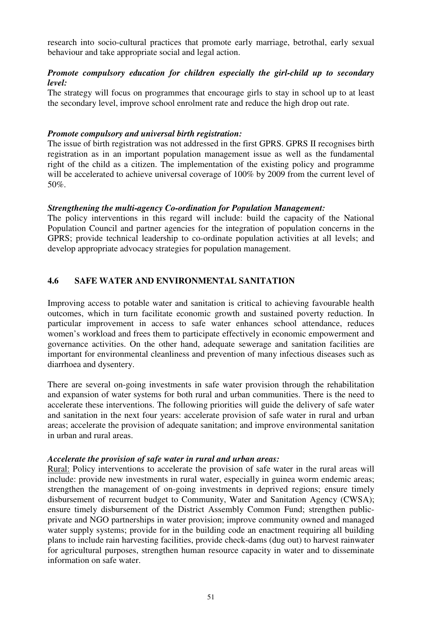research into socio-cultural practices that promote early marriage, betrothal, early sexual behaviour and take appropriate social and legal action.

## *Promote compulsory education for children especially the girl-child up to secondary level:*

The strategy will focus on programmes that encourage girls to stay in school up to at least the secondary level, improve school enrolment rate and reduce the high drop out rate.

#### *Promote compulsory and universal birth registration:*

The issue of birth registration was not addressed in the first GPRS. GPRS II recognises birth registration as in an important population management issue as well as the fundamental right of the child as a citizen. The implementation of the existing policy and programme will be accelerated to achieve universal coverage of 100% by 2009 from the current level of 50%.

#### *Strengthening the multi-agency Co-ordination for Population Management:*

The policy interventions in this regard will include: build the capacity of the National Population Council and partner agencies for the integration of population concerns in the GPRS; provide technical leadership to co-ordinate population activities at all levels; and develop appropriate advocacy strategies for population management.

## **4.6 SAFE WATER AND ENVIRONMENTAL SANITATION**

Improving access to potable water and sanitation is critical to achieving favourable health outcomes, which in turn facilitate economic growth and sustained poverty reduction. In particular improvement in access to safe water enhances school attendance, reduces women's workload and frees them to participate effectively in economic empowerment and governance activities. On the other hand, adequate sewerage and sanitation facilities are important for environmental cleanliness and prevention of many infectious diseases such as diarrhoea and dysentery.

There are several on-going investments in safe water provision through the rehabilitation and expansion of water systems for both rural and urban communities. There is the need to accelerate these interventions. The following priorities will guide the delivery of safe water and sanitation in the next four years: accelerate provision of safe water in rural and urban areas; accelerate the provision of adequate sanitation; and improve environmental sanitation in urban and rural areas.

#### *Accelerate the provision of safe water in rural and urban areas:*

Rural: Policy interventions to accelerate the provision of safe water in the rural areas will include: provide new investments in rural water, especially in guinea worm endemic areas; strengthen the management of on-going investments in deprived regions; ensure timely disbursement of recurrent budget to Community, Water and Sanitation Agency (CWSA); ensure timely disbursement of the District Assembly Common Fund; strengthen publicprivate and NGO partnerships in water provision; improve community owned and managed water supply systems; provide for in the building code an enactment requiring all building plans to include rain harvesting facilities, provide check-dams (dug out) to harvest rainwater for agricultural purposes, strengthen human resource capacity in water and to disseminate information on safe water.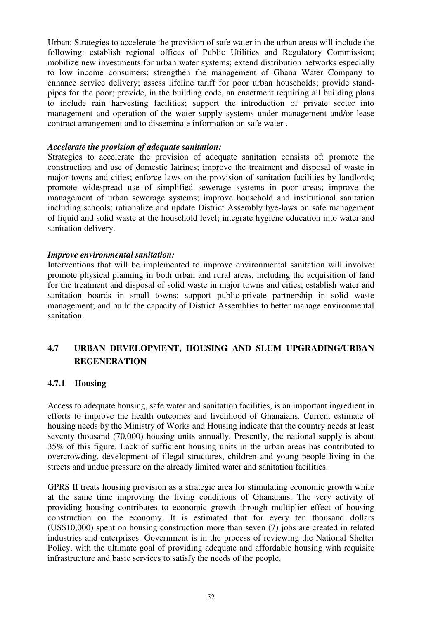Urban: Strategies to accelerate the provision of safe water in the urban areas will include the following: establish regional offices of Public Utilities and Regulatory Commission; mobilize new investments for urban water systems; extend distribution networks especially to low income consumers; strengthen the management of Ghana Water Company to enhance service delivery; assess lifeline tariff for poor urban households; provide standpipes for the poor; provide, in the building code, an enactment requiring all building plans to include rain harvesting facilities; support the introduction of private sector into management and operation of the water supply systems under management and/or lease contract arrangement and to disseminate information on safe water .

#### *Accelerate the provision of adequate sanitation:*

Strategies to accelerate the provision of adequate sanitation consists of: promote the construction and use of domestic latrines; improve the treatment and disposal of waste in major towns and cities; enforce laws on the provision of sanitation facilities by landlords; promote widespread use of simplified sewerage systems in poor areas; improve the management of urban sewerage systems; improve household and institutional sanitation including schools; rationalize and update District Assembly bye-laws on safe management of liquid and solid waste at the household level; integrate hygiene education into water and sanitation delivery.

#### *Improve environmental sanitation:*

Interventions that will be implemented to improve environmental sanitation will involve: promote physical planning in both urban and rural areas, including the acquisition of land for the treatment and disposal of solid waste in major towns and cities; establish water and sanitation boards in small towns; support public-private partnership in solid waste management; and build the capacity of District Assemblies to better manage environmental sanitation.

# **4.7 URBAN DEVELOPMENT, HOUSING AND SLUM UPGRADING/URBAN REGENERATION**

#### **4.7.1 Housing**

Access to adequate housing, safe water and sanitation facilities, is an important ingredient in efforts to improve the health outcomes and livelihood of Ghanaians. Current estimate of housing needs by the Ministry of Works and Housing indicate that the country needs at least seventy thousand (70,000) housing units annually. Presently, the national supply is about 35% of this figure. Lack of sufficient housing units in the urban areas has contributed to overcrowding, development of illegal structures, children and young people living in the streets and undue pressure on the already limited water and sanitation facilities.

GPRS II treats housing provision as a strategic area for stimulating economic growth while at the same time improving the living conditions of Ghanaians. The very activity of providing housing contributes to economic growth through multiplier effect of housing construction on the economy. It is estimated that for every ten thousand dollars (US\$10,000) spent on housing construction more than seven (7) jobs are created in related industries and enterprises. Government is in the process of reviewing the National Shelter Policy, with the ultimate goal of providing adequate and affordable housing with requisite infrastructure and basic services to satisfy the needs of the people.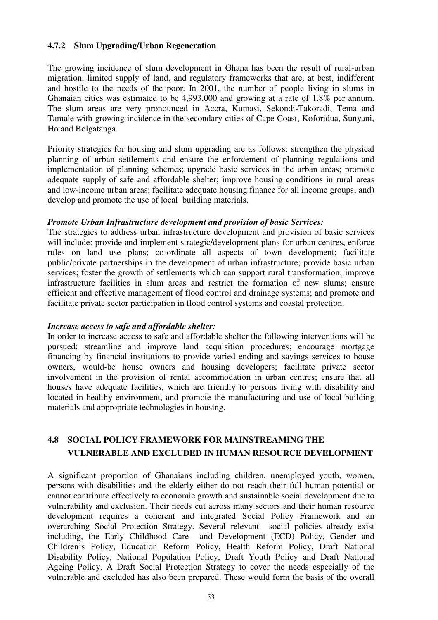#### **4.7.2 Slum Upgrading/Urban Regeneration**

The growing incidence of slum development in Ghana has been the result of rural-urban migration, limited supply of land, and regulatory frameworks that are, at best, indifferent and hostile to the needs of the poor. In 2001, the number of people living in slums in Ghanaian cities was estimated to be 4,993,000 and growing at a rate of 1.8% per annum. The slum areas are very pronounced in Accra, Kumasi, Sekondi-Takoradi, Tema and Tamale with growing incidence in the secondary cities of Cape Coast, Koforidua, Sunyani, Ho and Bolgatanga.

Priority strategies for housing and slum upgrading are as follows: strengthen the physical planning of urban settlements and ensure the enforcement of planning regulations and implementation of planning schemes; upgrade basic services in the urban areas; promote adequate supply of safe and affordable shelter; improve housing conditions in rural areas and low-income urban areas; facilitate adequate housing finance for all income groups; and) develop and promote the use of local building materials.

#### *Promote Urban Infrastructure development and provision of basic Services:*

The strategies to address urban infrastructure development and provision of basic services will include: provide and implement strategic/development plans for urban centres, enforce rules on land use plans; co-ordinate all aspects of town development; facilitate public/private partnerships in the development of urban infrastructure; provide basic urban services; foster the growth of settlements which can support rural transformation; improve infrastructure facilities in slum areas and restrict the formation of new slums; ensure efficient and effective management of flood control and drainage systems; and promote and facilitate private sector participation in flood control systems and coastal protection.

#### *Increase access to safe and affordable shelter:*

In order to increase access to safe and affordable shelter the following interventions will be pursued: streamline and improve land acquisition procedures; encourage mortgage financing by financial institutions to provide varied ending and savings services to house owners, would-be house owners and housing developers; facilitate private sector involvement in the provision of rental accommodation in urban centres; ensure that all houses have adequate facilities, which are friendly to persons living with disability and located in healthy environment, and promote the manufacturing and use of local building materials and appropriate technologies in housing.

# **4.8 SOCIAL POLICY FRAMEWORK FOR MAINSTREAMING THE VULNERABLE AND EXCLUDED IN HUMAN RESOURCE DEVELOPMENT**

A significant proportion of Ghanaians including children, unemployed youth, women, persons with disabilities and the elderly either do not reach their full human potential or cannot contribute effectively to economic growth and sustainable social development due to vulnerability and exclusion. Their needs cut across many sectors and their human resource development requires a coherent and integrated Social Policy Framework and an overarching Social Protection Strategy. Several relevant social policies already exist including, the Early Childhood Care and Development (ECD) Policy, Gender and Children's Policy, Education Reform Policy, Health Reform Policy, Draft National Disability Policy, National Population Policy, Draft Youth Policy and Draft National Ageing Policy. A Draft Social Protection Strategy to cover the needs especially of the vulnerable and excluded has also been prepared. These would form the basis of the overall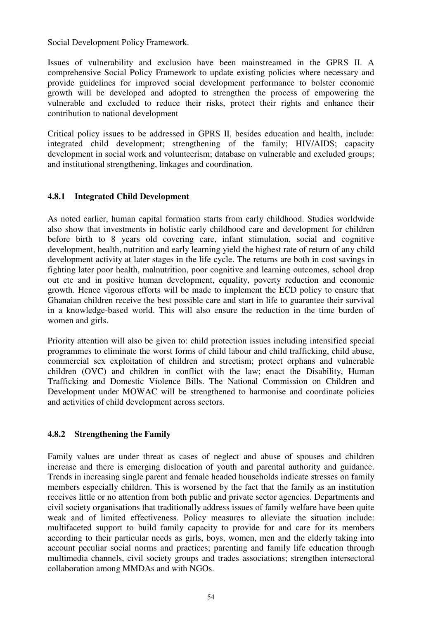Social Development Policy Framework.

Issues of vulnerability and exclusion have been mainstreamed in the GPRS II. A comprehensive Social Policy Framework to update existing policies where necessary and provide guidelines for improved social development performance to bolster economic growth will be developed and adopted to strengthen the process of empowering the vulnerable and excluded to reduce their risks, protect their rights and enhance their contribution to national development

Critical policy issues to be addressed in GPRS II, besides education and health, include: integrated child development; strengthening of the family; HIV/AIDS; capacity development in social work and volunteerism; database on vulnerable and excluded groups; and institutional strengthening, linkages and coordination.

## **4.8.1 Integrated Child Development**

As noted earlier, human capital formation starts from early childhood. Studies worldwide also show that investments in holistic early childhood care and development for children before birth to 8 years old covering care, infant stimulation, social and cognitive development, health, nutrition and early learning yield the highest rate of return of any child development activity at later stages in the life cycle. The returns are both in cost savings in fighting later poor health, malnutrition, poor cognitive and learning outcomes, school drop out etc and in positive human development, equality, poverty reduction and economic growth. Hence vigorous efforts will be made to implement the ECD policy to ensure that Ghanaian children receive the best possible care and start in life to guarantee their survival in a knowledge-based world. This will also ensure the reduction in the time burden of women and girls.

Priority attention will also be given to: child protection issues including intensified special programmes to eliminate the worst forms of child labour and child trafficking, child abuse, commercial sex exploitation of children and streetism; protect orphans and vulnerable children (OVC) and children in conflict with the law; enact the Disability, Human Trafficking and Domestic Violence Bills. The National Commission on Children and Development under MOWAC will be strengthened to harmonise and coordinate policies and activities of child development across sectors.

## **4.8.2 Strengthening the Family**

Family values are under threat as cases of neglect and abuse of spouses and children increase and there is emerging dislocation of youth and parental authority and guidance. Trends in increasing single parent and female headed households indicate stresses on family members especially children. This is worsened by the fact that the family as an institution receives little or no attention from both public and private sector agencies. Departments and civil society organisations that traditionally address issues of family welfare have been quite weak and of limited effectiveness. Policy measures to alleviate the situation include: multifaceted support to build family capacity to provide for and care for its members according to their particular needs as girls, boys, women, men and the elderly taking into account peculiar social norms and practices; parenting and family life education through multimedia channels, civil society groups and trades associations; strengthen intersectoral collaboration among MMDAs and with NGOs.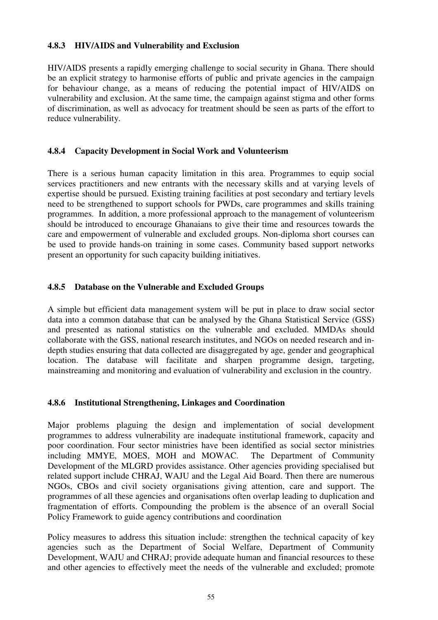## **4.8.3 HIV/AIDS and Vulnerability and Exclusion**

HIV/AIDS presents a rapidly emerging challenge to social security in Ghana. There should be an explicit strategy to harmonise efforts of public and private agencies in the campaign for behaviour change, as a means of reducing the potential impact of HIV/AIDS on vulnerability and exclusion. At the same time, the campaign against stigma and other forms of discrimination, as well as advocacy for treatment should be seen as parts of the effort to reduce vulnerability.

## **4.8.4 Capacity Development in Social Work and Volunteerism**

There is a serious human capacity limitation in this area. Programmes to equip social services practitioners and new entrants with the necessary skills and at varying levels of expertise should be pursued. Existing training facilities at post secondary and tertiary levels need to be strengthened to support schools for PWDs, care programmes and skills training programmes. In addition, a more professional approach to the management of volunteerism should be introduced to encourage Ghanaians to give their time and resources towards the care and empowerment of vulnerable and excluded groups. Non-diploma short courses can be used to provide hands-on training in some cases. Community based support networks present an opportunity for such capacity building initiatives.

## **4.8.5 Database on the Vulnerable and Excluded Groups**

A simple but efficient data management system will be put in place to draw social sector data into a common database that can be analysed by the Ghana Statistical Service (GSS) and presented as national statistics on the vulnerable and excluded. MMDAs should collaborate with the GSS, national research institutes, and NGOs on needed research and indepth studies ensuring that data collected are disaggregated by age, gender and geographical location. The database will facilitate and sharpen programme design, targeting, mainstreaming and monitoring and evaluation of vulnerability and exclusion in the country.

#### **4.8.6 Institutional Strengthening, Linkages and Coordination**

Major problems plaguing the design and implementation of social development programmes to address vulnerability are inadequate institutional framework, capacity and poor coordination. Four sector ministries have been identified as social sector ministries including MMYE, MOES, MOH and MOWAC. The Department of Community Development of the MLGRD provides assistance. Other agencies providing specialised but related support include CHRAJ, WAJU and the Legal Aid Board. Then there are numerous NGOs, CBOs and civil society organisations giving attention, care and support. The programmes of all these agencies and organisations often overlap leading to duplication and fragmentation of efforts. Compounding the problem is the absence of an overall Social Policy Framework to guide agency contributions and coordination

Policy measures to address this situation include: strengthen the technical capacity of key agencies such as the Department of Social Welfare, Department of Community Development, WAJU and CHRAJ; provide adequate human and financial resources to these and other agencies to effectively meet the needs of the vulnerable and excluded; promote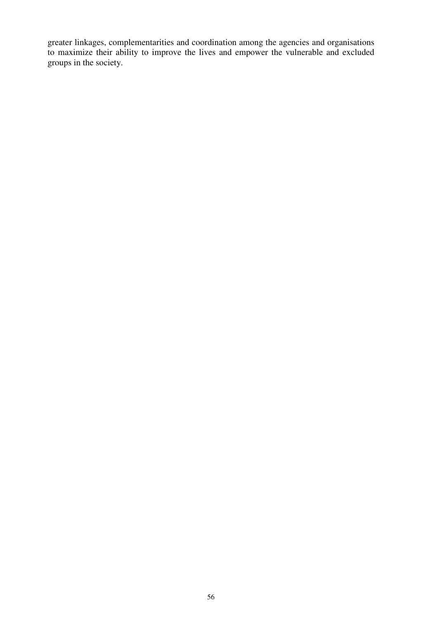greater linkages, complementarities and coordination among the agencies and organisations to maximize their ability to improve the lives and empower the vulnerable and excluded groups in the society.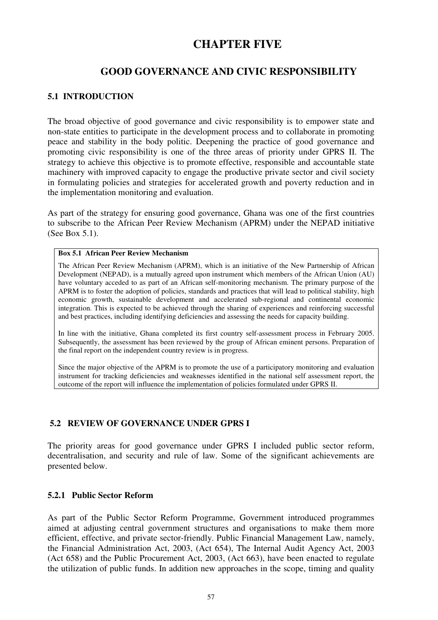# **CHAPTER FIVE**

## **GOOD GOVERNANCE AND CIVIC RESPONSIBILITY**

## **5.1 INTRODUCTION**

The broad objective of good governance and civic responsibility is to empower state and non-state entities to participate in the development process and to collaborate in promoting peace and stability in the body politic. Deepening the practice of good governance and promoting civic responsibility is one of the three areas of priority under GPRS II. The strategy to achieve this objective is to promote effective, responsible and accountable state machinery with improved capacity to engage the productive private sector and civil society in formulating policies and strategies for accelerated growth and poverty reduction and in the implementation monitoring and evaluation.

As part of the strategy for ensuring good governance, Ghana was one of the first countries to subscribe to the African Peer Review Mechanism (APRM) under the NEPAD initiative (See Box 5.1).

#### **Box 5.1 African Peer Review Mechanism**

The African Peer Review Mechanism (APRM), which is an initiative of the New Partnership of African Development (NEPAD), is a mutually agreed upon instrument which members of the African Union (AU) have voluntary acceded to as part of an African self-monitoring mechanism. The primary purpose of the APRM is to foster the adoption of policies, standards and practices that will lead to political stability, high economic growth, sustainable development and accelerated sub-regional and continental economic integration. This is expected to be achieved through the sharing of experiences and reinforcing successful and best practices, including identifying deficiencies and assessing the needs for capacity building.

In line with the initiative, Ghana completed its first country self-assessment process in February 2005. Subsequently, the assessment has been reviewed by the group of African eminent persons. Preparation of the final report on the independent country review is in progress.

Since the major objective of the APRM is to promote the use of a participatory monitoring and evaluation instrument for tracking deficiencies and weaknesses identified in the national self assessment report, the outcome of the report will influence the implementation of policies formulated under GPRS II.

#### **5.2 REVIEW OF GOVERNANCE UNDER GPRS I**

The priority areas for good governance under GPRS I included public sector reform, decentralisation, and security and rule of law. Some of the significant achievements are presented below.

#### **5.2.1 Public Sector Reform**

As part of the Public Sector Reform Programme, Government introduced programmes aimed at adjusting central government structures and organisations to make them more efficient, effective, and private sector-friendly. Public Financial Management Law, namely, the Financial Administration Act, 2003, (Act 654), The Internal Audit Agency Act, 2003 (Act 658) and the Public Procurement Act, 2003, (Act 663), have been enacted to regulate the utilization of public funds. In addition new approaches in the scope, timing and quality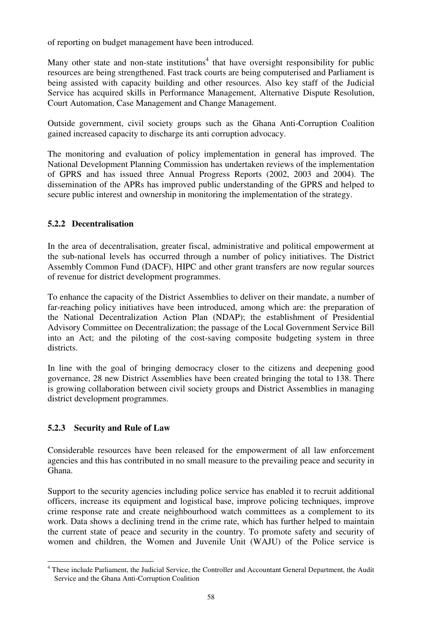of reporting on budget management have been introduced.

Many other state and non-state institutions<sup>4</sup> that have oversight responsibility for public resources are being strengthened. Fast track courts are being computerised and Parliament is being assisted with capacity building and other resources. Also key staff of the Judicial Service has acquired skills in Performance Management, Alternative Dispute Resolution, Court Automation, Case Management and Change Management.

Outside government, civil society groups such as the Ghana Anti-Corruption Coalition gained increased capacity to discharge its anti corruption advocacy.

The monitoring and evaluation of policy implementation in general has improved. The National Development Planning Commission has undertaken reviews of the implementation of GPRS and has issued three Annual Progress Reports (2002, 2003 and 2004). The dissemination of the APRs has improved public understanding of the GPRS and helped to secure public interest and ownership in monitoring the implementation of the strategy.

## **5.2.2 Decentralisation**

In the area of decentralisation, greater fiscal, administrative and political empowerment at the sub-national levels has occurred through a number of policy initiatives. The District Assembly Common Fund (DACF), HIPC and other grant transfers are now regular sources of revenue for district development programmes.

To enhance the capacity of the District Assemblies to deliver on their mandate, a number of far-reaching policy initiatives have been introduced, among which are: the preparation of the National Decentralization Action Plan (NDAP); the establishment of Presidential Advisory Committee on Decentralization; the passage of the Local Government Service Bill into an Act; and the piloting of the cost-saving composite budgeting system in three districts.

In line with the goal of bringing democracy closer to the citizens and deepening good governance, 28 new District Assemblies have been created bringing the total to 138. There is growing collaboration between civil society groups and District Assemblies in managing district development programmes.

## **5.2.3 Security and Rule of Law**

Considerable resources have been released for the empowerment of all law enforcement agencies and this has contributed in no small measure to the prevailing peace and security in Ghana.

Support to the security agencies including police service has enabled it to recruit additional officers, increase its equipment and logistical base, improve policing techniques, improve crime response rate and create neighbourhood watch committees as a complement to its work. Data shows a declining trend in the crime rate, which has further helped to maintain the current state of peace and security in the country. To promote safety and security of women and children, the Women and Juvenile Unit (WAJU) of the Police service is

 4 These include Parliament, the Judicial Service, the Controller and Accountant General Department, the Audit Service and the Ghana Anti-Corruption Coalition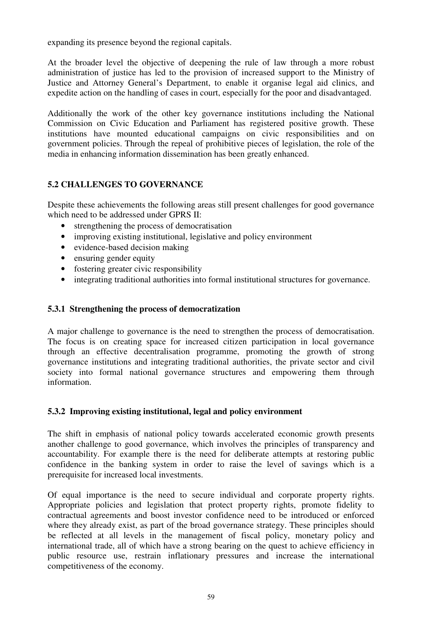expanding its presence beyond the regional capitals.

At the broader level the objective of deepening the rule of law through a more robust administration of justice has led to the provision of increased support to the Ministry of Justice and Attorney General's Department, to enable it organise legal aid clinics, and expedite action on the handling of cases in court, especially for the poor and disadvantaged.

Additionally the work of the other key governance institutions including the National Commission on Civic Education and Parliament has registered positive growth. These institutions have mounted educational campaigns on civic responsibilities and on government policies. Through the repeal of prohibitive pieces of legislation, the role of the media in enhancing information dissemination has been greatly enhanced.

## **5.2 CHALLENGES TO GOVERNANCE**

Despite these achievements the following areas still present challenges for good governance which need to be addressed under GPRS II:

- strengthening the process of democratisation
- improving existing institutional, legislative and policy environment
- evidence-based decision making
- ensuring gender equity
- fostering greater civic responsibility
- integrating traditional authorities into formal institutional structures for governance.

## **5.3.1 Strengthening the process of democratization**

A major challenge to governance is the need to strengthen the process of democratisation. The focus is on creating space for increased citizen participation in local governance through an effective decentralisation programme, promoting the growth of strong governance institutions and integrating traditional authorities, the private sector and civil society into formal national governance structures and empowering them through information.

## **5.3.2 Improving existing institutional, legal and policy environment**

The shift in emphasis of national policy towards accelerated economic growth presents another challenge to good governance, which involves the principles of transparency and accountability. For example there is the need for deliberate attempts at restoring public confidence in the banking system in order to raise the level of savings which is a prerequisite for increased local investments.

Of equal importance is the need to secure individual and corporate property rights. Appropriate policies and legislation that protect property rights, promote fidelity to contractual agreements and boost investor confidence need to be introduced or enforced where they already exist, as part of the broad governance strategy. These principles should be reflected at all levels in the management of fiscal policy, monetary policy and international trade, all of which have a strong bearing on the quest to achieve efficiency in public resource use, restrain inflationary pressures and increase the international competitiveness of the economy.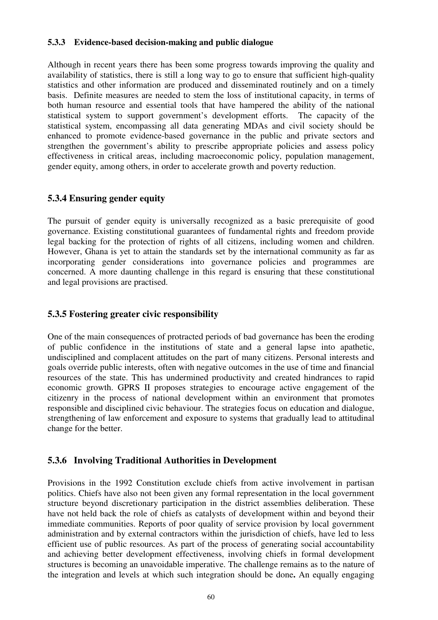## **5.3.3 Evidence-based decision-making and public dialogue**

Although in recent years there has been some progress towards improving the quality and availability of statistics, there is still a long way to go to ensure that sufficient high-quality statistics and other information are produced and disseminated routinely and on a timely basis. Definite measures are needed to stem the loss of institutional capacity, in terms of both human resource and essential tools that have hampered the ability of the national statistical system to support government's development efforts. The capacity of the statistical system, encompassing all data generating MDAs and civil society should be enhanced to promote evidence-based governance in the public and private sectors and strengthen the government's ability to prescribe appropriate policies and assess policy effectiveness in critical areas, including macroeconomic policy, population management, gender equity, among others, in order to accelerate growth and poverty reduction.

## **5.3.4 Ensuring gender equity**

The pursuit of gender equity is universally recognized as a basic prerequisite of good governance. Existing constitutional guarantees of fundamental rights and freedom provide legal backing for the protection of rights of all citizens, including women and children. However, Ghana is yet to attain the standards set by the international community as far as incorporating gender considerations into governance policies and programmes are concerned. A more daunting challenge in this regard is ensuring that these constitutional and legal provisions are practised.

## **5.3.5 Fostering greater civic responsibility**

One of the main consequences of protracted periods of bad governance has been the eroding of public confidence in the institutions of state and a general lapse into apathetic, undisciplined and complacent attitudes on the part of many citizens. Personal interests and goals override public interests, often with negative outcomes in the use of time and financial resources of the state. This has undermined productivity and created hindrances to rapid economic growth. GPRS II proposes strategies to encourage active engagement of the citizenry in the process of national development within an environment that promotes responsible and disciplined civic behaviour. The strategies focus on education and dialogue, strengthening of law enforcement and exposure to systems that gradually lead to attitudinal change for the better.

## **5.3.6 Involving Traditional Authorities in Development**

Provisions in the 1992 Constitution exclude chiefs from active involvement in partisan politics. Chiefs have also not been given any formal representation in the local government structure beyond discretionary participation in the district assemblies deliberation. These have not held back the role of chiefs as catalysts of development within and beyond their immediate communities. Reports of poor quality of service provision by local government administration and by external contractors within the jurisdiction of chiefs, have led to less efficient use of public resources. As part of the process of generating social accountability and achieving better development effectiveness, involving chiefs in formal development structures is becoming an unavoidable imperative. The challenge remains as to the nature of the integration and levels at which such integration should be done**.** An equally engaging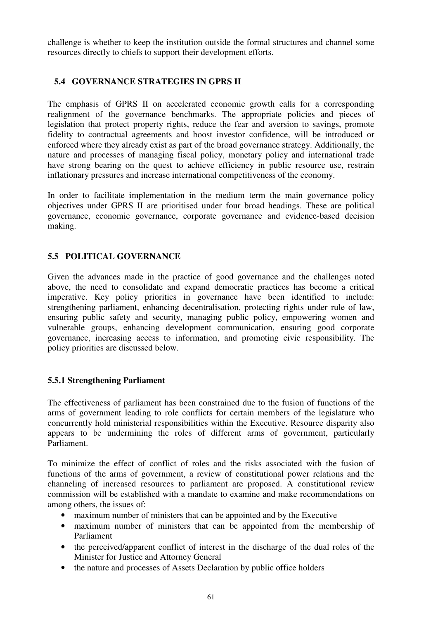challenge is whether to keep the institution outside the formal structures and channel some resources directly to chiefs to support their development efforts.

## **5.4 GOVERNANCE STRATEGIES IN GPRS II**

The emphasis of GPRS II on accelerated economic growth calls for a corresponding realignment of the governance benchmarks. The appropriate policies and pieces of legislation that protect property rights, reduce the fear and aversion to savings, promote fidelity to contractual agreements and boost investor confidence, will be introduced or enforced where they already exist as part of the broad governance strategy. Additionally, the nature and processes of managing fiscal policy, monetary policy and international trade have strong bearing on the quest to achieve efficiency in public resource use, restrain inflationary pressures and increase international competitiveness of the economy.

In order to facilitate implementation in the medium term the main governance policy objectives under GPRS II are prioritised under four broad headings. These are political governance, economic governance, corporate governance and evidence-based decision making.

## **5.5 POLITICAL GOVERNANCE**

Given the advances made in the practice of good governance and the challenges noted above, the need to consolidate and expand democratic practices has become a critical imperative. Key policy priorities in governance have been identified to include: strengthening parliament, enhancing decentralisation, protecting rights under rule of law, ensuring public safety and security, managing public policy, empowering women and vulnerable groups, enhancing development communication, ensuring good corporate governance, increasing access to information, and promoting civic responsibility. The policy priorities are discussed below.

#### **5.5.1 Strengthening Parliament**

The effectiveness of parliament has been constrained due to the fusion of functions of the arms of government leading to role conflicts for certain members of the legislature who concurrently hold ministerial responsibilities within the Executive. Resource disparity also appears to be undermining the roles of different arms of government, particularly Parliament.

To minimize the effect of conflict of roles and the risks associated with the fusion of functions of the arms of government, a review of constitutional power relations and the channeling of increased resources to parliament are proposed. A constitutional review commission will be established with a mandate to examine and make recommendations on among others, the issues of:

- maximum number of ministers that can be appointed and by the Executive
- maximum number of ministers that can be appointed from the membership of Parliament
- the perceived/apparent conflict of interest in the discharge of the dual roles of the Minister for Justice and Attorney General
- the nature and processes of Assets Declaration by public office holders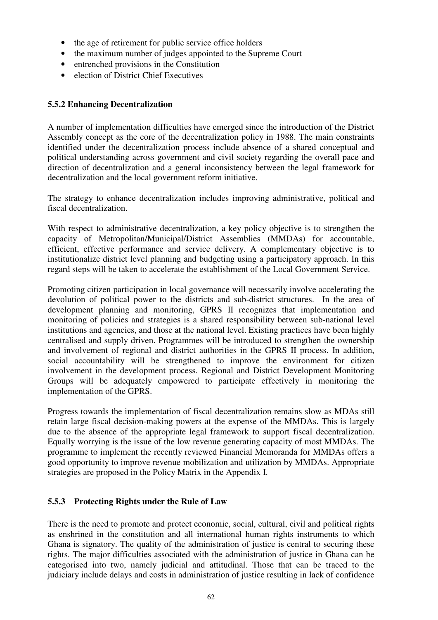- the age of retirement for public service office holders
- the maximum number of judges appointed to the Supreme Court
- entrenched provisions in the Constitution
- election of District Chief Executives

## **5.5.2 Enhancing Decentralization**

A number of implementation difficulties have emerged since the introduction of the District Assembly concept as the core of the decentralization policy in 1988. The main constraints identified under the decentralization process include absence of a shared conceptual and political understanding across government and civil society regarding the overall pace and direction of decentralization and a general inconsistency between the legal framework for decentralization and the local government reform initiative.

The strategy to enhance decentralization includes improving administrative, political and fiscal decentralization.

With respect to administrative decentralization, a key policy objective is to strengthen the capacity of Metropolitan/Municipal/District Assemblies (MMDAs) for accountable, efficient, effective performance and service delivery. A complementary objective is to institutionalize district level planning and budgeting using a participatory approach. In this regard steps will be taken to accelerate the establishment of the Local Government Service.

Promoting citizen participation in local governance will necessarily involve accelerating the devolution of political power to the districts and sub-district structures. In the area of development planning and monitoring, GPRS II recognizes that implementation and monitoring of policies and strategies is a shared responsibility between sub-national level institutions and agencies, and those at the national level. Existing practices have been highly centralised and supply driven. Programmes will be introduced to strengthen the ownership and involvement of regional and district authorities in the GPRS II process. In addition, social accountability will be strengthened to improve the environment for citizen involvement in the development process. Regional and District Development Monitoring Groups will be adequately empowered to participate effectively in monitoring the implementation of the GPRS.

Progress towards the implementation of fiscal decentralization remains slow as MDAs still retain large fiscal decision-making powers at the expense of the MMDAs. This is largely due to the absence of the appropriate legal framework to support fiscal decentralization. Equally worrying is the issue of the low revenue generating capacity of most MMDAs. The programme to implement the recently reviewed Financial Memoranda for MMDAs offers a good opportunity to improve revenue mobilization and utilization by MMDAs. Appropriate strategies are proposed in the Policy Matrix in the Appendix I.

## **5.5.3 Protecting Rights under the Rule of Law**

There is the need to promote and protect economic, social, cultural, civil and political rights as enshrined in the constitution and all international human rights instruments to which Ghana is signatory. The quality of the administration of justice is central to securing these rights. The major difficulties associated with the administration of justice in Ghana can be categorised into two, namely judicial and attitudinal. Those that can be traced to the judiciary include delays and costs in administration of justice resulting in lack of confidence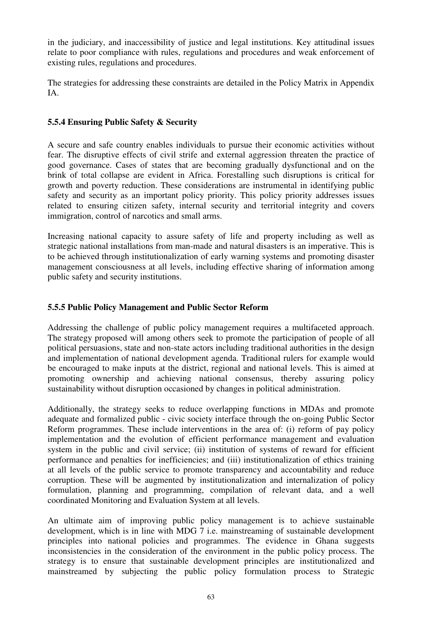in the judiciary, and inaccessibility of justice and legal institutions. Key attitudinal issues relate to poor compliance with rules, regulations and procedures and weak enforcement of existing rules, regulations and procedures.

The strategies for addressing these constraints are detailed in the Policy Matrix in Appendix IA.

## **5.5.4 Ensuring Public Safety & Security**

A secure and safe country enables individuals to pursue their economic activities without fear. The disruptive effects of civil strife and external aggression threaten the practice of good governance. Cases of states that are becoming gradually dysfunctional and on the brink of total collapse are evident in Africa. Forestalling such disruptions is critical for growth and poverty reduction. These considerations are instrumental in identifying public safety and security as an important policy priority. This policy priority addresses issues related to ensuring citizen safety, internal security and territorial integrity and covers immigration, control of narcotics and small arms.

Increasing national capacity to assure safety of life and property including as well as strategic national installations from man-made and natural disasters is an imperative. This is to be achieved through institutionalization of early warning systems and promoting disaster management consciousness at all levels, including effective sharing of information among public safety and security institutions.

## **5.5.5 Public Policy Management and Public Sector Reform**

Addressing the challenge of public policy management requires a multifaceted approach. The strategy proposed will among others seek to promote the participation of people of all political persuasions, state and non-state actors including traditional authorities in the design and implementation of national development agenda. Traditional rulers for example would be encouraged to make inputs at the district, regional and national levels. This is aimed at promoting ownership and achieving national consensus, thereby assuring policy sustainability without disruption occasioned by changes in political administration.

Additionally, the strategy seeks to reduce overlapping functions in MDAs and promote adequate and formalized public - civic society interface through the on-going Public Sector Reform programmes. These include interventions in the area of: (i) reform of pay policy implementation and the evolution of efficient performance management and evaluation system in the public and civil service; (ii) institution of systems of reward for efficient performance and penalties for inefficiencies; and (iii) institutionalization of ethics training at all levels of the public service to promote transparency and accountability and reduce corruption. These will be augmented by institutionalization and internalization of policy formulation, planning and programming, compilation of relevant data, and a well coordinated Monitoring and Evaluation System at all levels.

An ultimate aim of improving public policy management is to achieve sustainable development, which is in line with MDG 7 i.e. mainstreaming of sustainable development principles into national policies and programmes. The evidence in Ghana suggests inconsistencies in the consideration of the environment in the public policy process. The strategy is to ensure that sustainable development principles are institutionalized and mainstreamed by subjecting the public policy formulation process to Strategic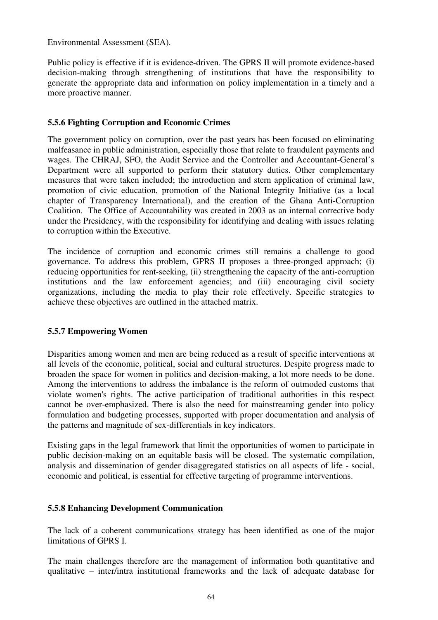Environmental Assessment (SEA).

Public policy is effective if it is evidence-driven. The GPRS II will promote evidence-based decision-making through strengthening of institutions that have the responsibility to generate the appropriate data and information on policy implementation in a timely and a more proactive manner.

## **5.5.6 Fighting Corruption and Economic Crimes**

The government policy on corruption, over the past years has been focused on eliminating malfeasance in public administration, especially those that relate to fraudulent payments and wages. The CHRAJ, SFO, the Audit Service and the Controller and Accountant-General's Department were all supported to perform their statutory duties. Other complementary measures that were taken included; the introduction and stern application of criminal law, promotion of civic education, promotion of the National Integrity Initiative (as a local chapter of Transparency International), and the creation of the Ghana Anti-Corruption Coalition. The Office of Accountability was created in 2003 as an internal corrective body under the Presidency, with the responsibility for identifying and dealing with issues relating to corruption within the Executive.

The incidence of corruption and economic crimes still remains a challenge to good governance. To address this problem, GPRS II proposes a three-pronged approach; (i) reducing opportunities for rent-seeking, (ii) strengthening the capacity of the anti-corruption institutions and the law enforcement agencies; and (iii) encouraging civil society organizations, including the media to play their role effectively. Specific strategies to achieve these objectives are outlined in the attached matrix.

## **5.5.7 Empowering Women**

Disparities among women and men are being reduced as a result of specific interventions at all levels of the economic, political, social and cultural structures. Despite progress made to broaden the space for women in politics and decision-making, a lot more needs to be done. Among the interventions to address the imbalance is the reform of outmoded customs that violate women's rights. The active participation of traditional authorities in this respect cannot be over-emphasized. There is also the need for mainstreaming gender into policy formulation and budgeting processes, supported with proper documentation and analysis of the patterns and magnitude of sex-differentials in key indicators.

Existing gaps in the legal framework that limit the opportunities of women to participate in public decision-making on an equitable basis will be closed. The systematic compilation, analysis and dissemination of gender disaggregated statistics on all aspects of life - social, economic and political, is essential for effective targeting of programme interventions.

#### **5.5.8 Enhancing Development Communication**

The lack of a coherent communications strategy has been identified as one of the major limitations of GPRS I.

The main challenges therefore are the management of information both quantitative and qualitative – inter/intra institutional frameworks and the lack of adequate database for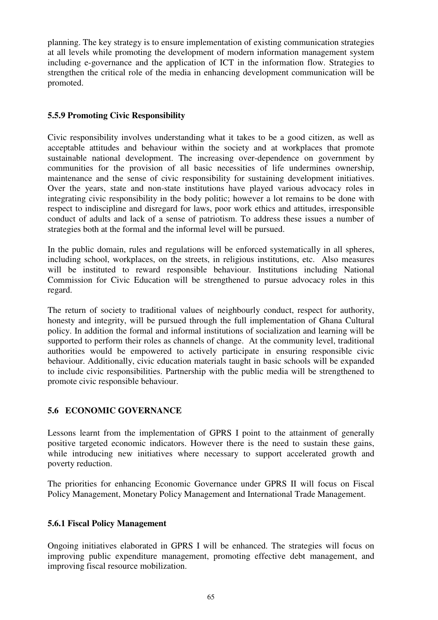planning. The key strategy is to ensure implementation of existing communication strategies at all levels while promoting the development of modern information management system including e-governance and the application of ICT in the information flow. Strategies to strengthen the critical role of the media in enhancing development communication will be promoted.

## **5.5.9 Promoting Civic Responsibility**

Civic responsibility involves understanding what it takes to be a good citizen, as well as acceptable attitudes and behaviour within the society and at workplaces that promote sustainable national development. The increasing over-dependence on government by communities for the provision of all basic necessities of life undermines ownership, maintenance and the sense of civic responsibility for sustaining development initiatives. Over the years, state and non-state institutions have played various advocacy roles in integrating civic responsibility in the body politic; however a lot remains to be done with respect to indiscipline and disregard for laws, poor work ethics and attitudes, irresponsible conduct of adults and lack of a sense of patriotism. To address these issues a number of strategies both at the formal and the informal level will be pursued.

In the public domain, rules and regulations will be enforced systematically in all spheres, including school, workplaces, on the streets, in religious institutions, etc. Also measures will be instituted to reward responsible behaviour. Institutions including National Commission for Civic Education will be strengthened to pursue advocacy roles in this regard.

The return of society to traditional values of neighbourly conduct, respect for authority, honesty and integrity, will be pursued through the full implementation of Ghana Cultural policy. In addition the formal and informal institutions of socialization and learning will be supported to perform their roles as channels of change. At the community level, traditional authorities would be empowered to actively participate in ensuring responsible civic behaviour. Additionally, civic education materials taught in basic schools will be expanded to include civic responsibilities. Partnership with the public media will be strengthened to promote civic responsible behaviour.

## **5.6 ECONOMIC GOVERNANCE**

Lessons learnt from the implementation of GPRS I point to the attainment of generally positive targeted economic indicators. However there is the need to sustain these gains, while introducing new initiatives where necessary to support accelerated growth and poverty reduction.

The priorities for enhancing Economic Governance under GPRS II will focus on Fiscal Policy Management, Monetary Policy Management and International Trade Management.

## **5.6.1 Fiscal Policy Management**

Ongoing initiatives elaborated in GPRS I will be enhanced. The strategies will focus on improving public expenditure management, promoting effective debt management, and improving fiscal resource mobilization.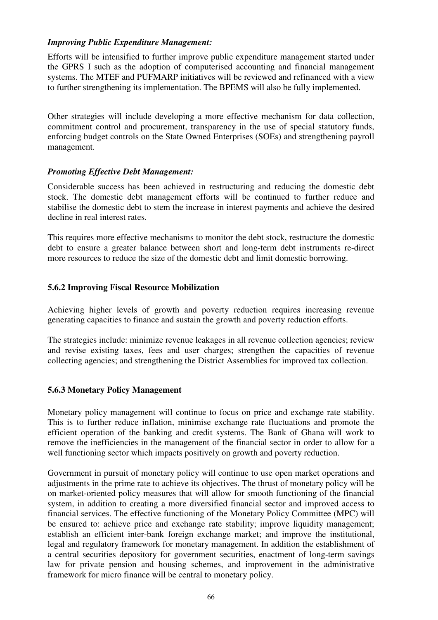## *Improving Public Expenditure Management:*

Efforts will be intensified to further improve public expenditure management started under the GPRS I such as the adoption of computerised accounting and financial management systems. The MTEF and PUFMARP initiatives will be reviewed and refinanced with a view to further strengthening its implementation. The BPEMS will also be fully implemented.

Other strategies will include developing a more effective mechanism for data collection, commitment control and procurement, transparency in the use of special statutory funds, enforcing budget controls on the State Owned Enterprises (SOEs) and strengthening payroll management.

#### *Promoting Effective Debt Management:*

Considerable success has been achieved in restructuring and reducing the domestic debt stock. The domestic debt management efforts will be continued to further reduce and stabilise the domestic debt to stem the increase in interest payments and achieve the desired decline in real interest rates.

This requires more effective mechanisms to monitor the debt stock, restructure the domestic debt to ensure a greater balance between short and long-term debt instruments re-direct more resources to reduce the size of the domestic debt and limit domestic borrowing.

## **5.6.2 Improving Fiscal Resource Mobilization**

Achieving higher levels of growth and poverty reduction requires increasing revenue generating capacities to finance and sustain the growth and poverty reduction efforts.

The strategies include: minimize revenue leakages in all revenue collection agencies; review and revise existing taxes, fees and user charges; strengthen the capacities of revenue collecting agencies; and strengthening the District Assemblies for improved tax collection.

#### **5.6.3 Monetary Policy Management**

Monetary policy management will continue to focus on price and exchange rate stability. This is to further reduce inflation, minimise exchange rate fluctuations and promote the efficient operation of the banking and credit systems. The Bank of Ghana will work to remove the inefficiencies in the management of the financial sector in order to allow for a well functioning sector which impacts positively on growth and poverty reduction.

Government in pursuit of monetary policy will continue to use open market operations and adjustments in the prime rate to achieve its objectives. The thrust of monetary policy will be on market-oriented policy measures that will allow for smooth functioning of the financial system, in addition to creating a more diversified financial sector and improved access to financial services. The effective functioning of the Monetary Policy Committee (MPC) will be ensured to: achieve price and exchange rate stability; improve liquidity management; establish an efficient inter-bank foreign exchange market; and improve the institutional, legal and regulatory framework for monetary management. In addition the establishment of a central securities depository for government securities, enactment of long-term savings law for private pension and housing schemes, and improvement in the administrative framework for micro finance will be central to monetary policy.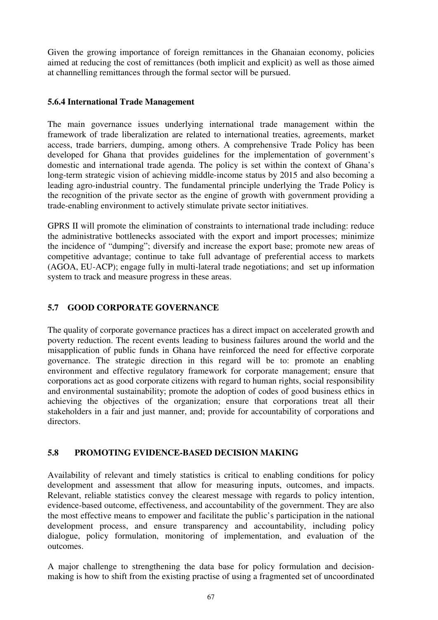Given the growing importance of foreign remittances in the Ghanaian economy, policies aimed at reducing the cost of remittances (both implicit and explicit) as well as those aimed at channelling remittances through the formal sector will be pursued.

#### **5.6.4 International Trade Management**

The main governance issues underlying international trade management within the framework of trade liberalization are related to international treaties, agreements, market access, trade barriers, dumping, among others. A comprehensive Trade Policy has been developed for Ghana that provides guidelines for the implementation of government's domestic and international trade agenda. The policy is set within the context of Ghana's long-term strategic vision of achieving middle-income status by 2015 and also becoming a leading agro-industrial country. The fundamental principle underlying the Trade Policy is the recognition of the private sector as the engine of growth with government providing a trade-enabling environment to actively stimulate private sector initiatives.

GPRS II will promote the elimination of constraints to international trade including: reduce the administrative bottlenecks associated with the export and import processes; minimize the incidence of "dumping"; diversify and increase the export base; promote new areas of competitive advantage; continue to take full advantage of preferential access to markets (AGOA, EU-ACP); engage fully in multi-lateral trade negotiations; and set up information system to track and measure progress in these areas.

## **5.7 GOOD CORPORATE GOVERNANCE**

The quality of corporate governance practices has a direct impact on accelerated growth and poverty reduction. The recent events leading to business failures around the world and the misapplication of public funds in Ghana have reinforced the need for effective corporate governance. The strategic direction in this regard will be to: promote an enabling environment and effective regulatory framework for corporate management; ensure that corporations act as good corporate citizens with regard to human rights, social responsibility and environmental sustainability; promote the adoption of codes of good business ethics in achieving the objectives of the organization; ensure that corporations treat all their stakeholders in a fair and just manner, and; provide for accountability of corporations and directors.

#### **5.8 PROMOTING EVIDENCE-BASED DECISION MAKING**

Availability of relevant and timely statistics is critical to enabling conditions for policy development and assessment that allow for measuring inputs, outcomes, and impacts. Relevant, reliable statistics convey the clearest message with regards to policy intention, evidence-based outcome, effectiveness, and accountability of the government. They are also the most effective means to empower and facilitate the public's participation in the national development process, and ensure transparency and accountability, including policy dialogue, policy formulation, monitoring of implementation, and evaluation of the outcomes.

A major challenge to strengthening the data base for policy formulation and decisionmaking is how to shift from the existing practise of using a fragmented set of uncoordinated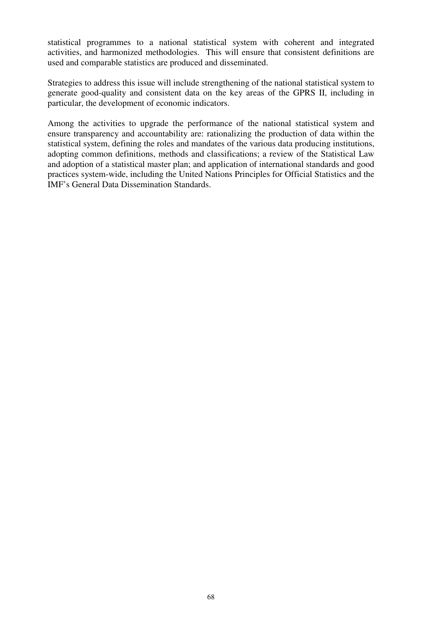statistical programmes to a national statistical system with coherent and integrated activities, and harmonized methodologies. This will ensure that consistent definitions are used and comparable statistics are produced and disseminated.

Strategies to address this issue will include strengthening of the national statistical system to generate good-quality and consistent data on the key areas of the GPRS II, including in particular, the development of economic indicators.

Among the activities to upgrade the performance of the national statistical system and ensure transparency and accountability are: rationalizing the production of data within the statistical system, defining the roles and mandates of the various data producing institutions, adopting common definitions, methods and classifications; a review of the Statistical Law and adoption of a statistical master plan; and application of international standards and good practices system-wide, including the United Nations Principles for Official Statistics and the IMF's General Data Dissemination Standards.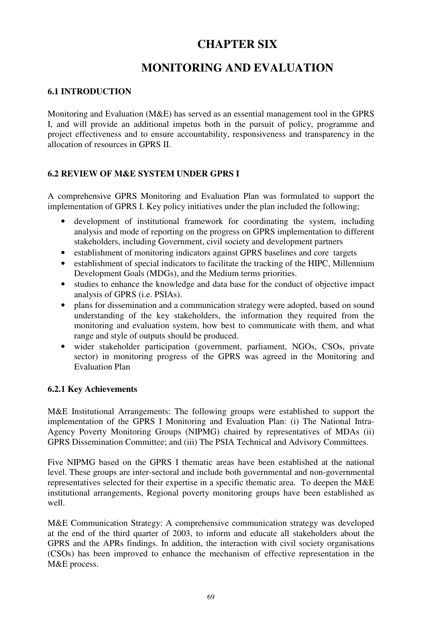# **CHAPTER SIX**

# **MONITORING AND EVALUATION**

## **6.1 INTRODUCTION**

Monitoring and Evaluation (M&E) has served as an essential management tool in the GPRS I, and will provide an additional impetus both in the pursuit of policy, programme and project effectiveness and to ensure accountability, responsiveness and transparency in the allocation of resources in GPRS II.

## **6.2 REVIEW OF M&E SYSTEM UNDER GPRS I**

A comprehensive GPRS Monitoring and Evaluation Plan was formulated to support the implementation of GPRS I. Key policy initiatives under the plan included the following;

- development of institutional framework for coordinating the system, including analysis and mode of reporting on the progress on GPRS implementation to different stakeholders, including Government, civil society and development partners
- establishment of monitoring indicators against GPRS baselines and core targets
- establishment of special indicators to facilitate the tracking of the HIPC, Millennium Development Goals (MDGs), and the Medium terms priorities.
- studies to enhance the knowledge and data base for the conduct of objective impact analysis of GPRS (i.e. PSIAs).
- plans for dissemination and a communication strategy were adopted, based on sound understanding of the key stakeholders, the information they required from the monitoring and evaluation system, how best to communicate with them, and what range and style of outputs should be produced.
- wider stakeholder participation (government, parliament, NGOs, CSOs, private sector) in monitoring progress of the GPRS was agreed in the Monitoring and Evaluation Plan

## **6.2.1 Key Achievements**

M&E Institutional Arrangements: The following groups were established to support the implementation of the GPRS I Monitoring and Evaluation Plan: (i) The National Intra-Agency Poverty Monitoring Groups (NIPMG) chaired by representatives of MDAs (ii) GPRS Dissemination Committee; and (iii) The PSIA Technical and Advisory Committees.

Five NIPMG based on the GPRS I thematic areas have been established at the national level. These groups are inter-sectoral and include both governmental and non-governmental representatives selected for their expertise in a specific thematic area. To deepen the M&E institutional arrangements, Regional poverty monitoring groups have been established as well.

M&E Communication Strategy: A comprehensive communication strategy was developed at the end of the third quarter of 2003, to inform and educate all stakeholders about the GPRS and the APRs findings. In addition, the interaction with civil society organisations (CSOs) has been improved to enhance the mechanism of effective representation in the M&E process.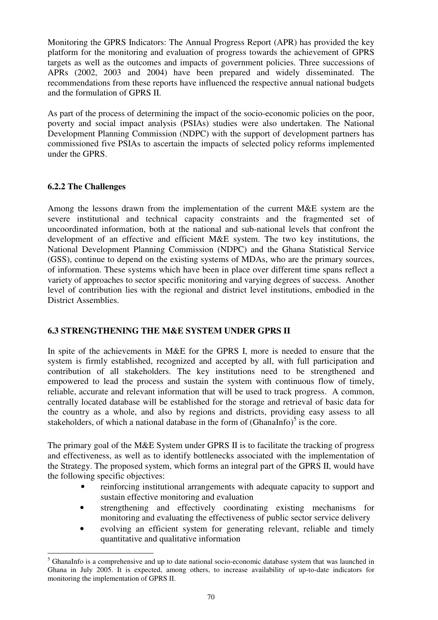Monitoring the GPRS Indicators: The Annual Progress Report (APR) has provided the key platform for the monitoring and evaluation of progress towards the achievement of GPRS targets as well as the outcomes and impacts of government policies. Three successions of APRs (2002, 2003 and 2004) have been prepared and widely disseminated. The recommendations from these reports have influenced the respective annual national budgets and the formulation of GPRS II.

As part of the process of determining the impact of the socio-economic policies on the poor, poverty and social impact analysis (PSIAs) studies were also undertaken. The National Development Planning Commission (NDPC) with the support of development partners has commissioned five PSIAs to ascertain the impacts of selected policy reforms implemented under the GPRS.

## **6.2.2 The Challenges**

 $\overline{a}$ 

Among the lessons drawn from the implementation of the current M&E system are the severe institutional and technical capacity constraints and the fragmented set of uncoordinated information, both at the national and sub-national levels that confront the development of an effective and efficient M&E system. The two key institutions, the National Development Planning Commission (NDPC) and the Ghana Statistical Service (GSS), continue to depend on the existing systems of MDAs, who are the primary sources, of information. These systems which have been in place over different time spans reflect a variety of approaches to sector specific monitoring and varying degrees of success. Another level of contribution lies with the regional and district level institutions, embodied in the District Assemblies.

#### **6.3 STRENGTHENING THE M&E SYSTEM UNDER GPRS II**

In spite of the achievements in M&E for the GPRS I, more is needed to ensure that the system is firmly established, recognized and accepted by all, with full participation and contribution of all stakeholders. The key institutions need to be strengthened and empowered to lead the process and sustain the system with continuous flow of timely, reliable, accurate and relevant information that will be used to track progress. A common, centrally located database will be established for the storage and retrieval of basic data for the country as a whole, and also by regions and districts, providing easy assess to all stakeholders, of which a national database in the form of  $(Ghanalnfo)^5$  is the core.

The primary goal of the M&E System under GPRS II is to facilitate the tracking of progress and effectiveness, as well as to identify bottlenecks associated with the implementation of the Strategy. The proposed system, which forms an integral part of the GPRS II, would have the following specific objectives:

- reinforcing institutional arrangements with adequate capacity to support and sustain effective monitoring and evaluation
- strengthening and effectively coordinating existing mechanisms for monitoring and evaluating the effectiveness of public sector service delivery
- evolving an efficient system for generating relevant, reliable and timely quantitative and qualitative information

<sup>&</sup>lt;sup>5</sup> GhanaInfo is a comprehensive and up to date national socio-economic database system that was launched in Ghana in July 2005. It is expected, among others, to increase availability of up-to-date indicators for monitoring the implementation of GPRS II.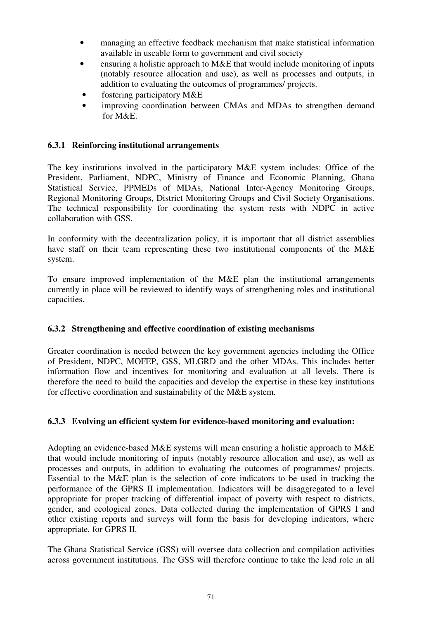- managing an effective feedback mechanism that make statistical information available in useable form to government and civil society
- ensuring a holistic approach to M&E that would include monitoring of inputs (notably resource allocation and use), as well as processes and outputs, in addition to evaluating the outcomes of programmes/ projects.
- fostering participatory M&E
- improving coordination between CMAs and MDAs to strengthen demand for M&E.

## **6.3.1 Reinforcing institutional arrangements**

The key institutions involved in the participatory M&E system includes: Office of the President, Parliament, NDPC, Ministry of Finance and Economic Planning, Ghana Statistical Service, PPMEDs of MDAs, National Inter-Agency Monitoring Groups, Regional Monitoring Groups, District Monitoring Groups and Civil Society Organisations. The technical responsibility for coordinating the system rests with NDPC in active collaboration with GSS.

In conformity with the decentralization policy, it is important that all district assemblies have staff on their team representing these two institutional components of the M&E system.

To ensure improved implementation of the M&E plan the institutional arrangements currently in place will be reviewed to identify ways of strengthening roles and institutional capacities.

#### **6.3.2 Strengthening and effective coordination of existing mechanisms**

Greater coordination is needed between the key government agencies including the Office of President, NDPC, MOFEP, GSS, MLGRD and the other MDAs. This includes better information flow and incentives for monitoring and evaluation at all levels. There is therefore the need to build the capacities and develop the expertise in these key institutions for effective coordination and sustainability of the M&E system.

#### **6.3.3 Evolving an efficient system for evidence-based monitoring and evaluation:**

Adopting an evidence-based M&E systems will mean ensuring a holistic approach to M&E that would include monitoring of inputs (notably resource allocation and use), as well as processes and outputs, in addition to evaluating the outcomes of programmes/ projects. Essential to the M&E plan is the selection of core indicators to be used in tracking the performance of the GPRS II implementation. Indicators will be disaggregated to a level appropriate for proper tracking of differential impact of poverty with respect to districts, gender, and ecological zones. Data collected during the implementation of GPRS I and other existing reports and surveys will form the basis for developing indicators, where appropriate, for GPRS II.

The Ghana Statistical Service (GSS) will oversee data collection and compilation activities across government institutions. The GSS will therefore continue to take the lead role in all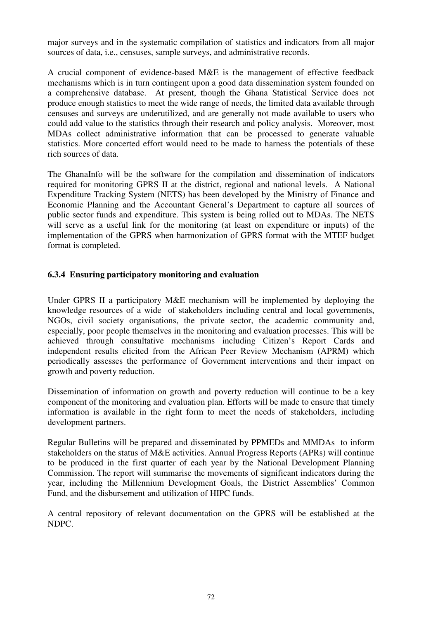major surveys and in the systematic compilation of statistics and indicators from all major sources of data, i.e., censuses, sample surveys, and administrative records.

A crucial component of evidence-based M&E is the management of effective feedback mechanisms which is in turn contingent upon a good data dissemination system founded on a comprehensive database. At present, though the Ghana Statistical Service does not produce enough statistics to meet the wide range of needs, the limited data available through censuses and surveys are underutilized, and are generally not made available to users who could add value to the statistics through their research and policy analysis. Moreover, most MDAs collect administrative information that can be processed to generate valuable statistics. More concerted effort would need to be made to harness the potentials of these rich sources of data.

The GhanaInfo will be the software for the compilation and dissemination of indicators required for monitoring GPRS II at the district, regional and national levels. A National Expenditure Tracking System (NETS) has been developed by the Ministry of Finance and Economic Planning and the Accountant General's Department to capture all sources of public sector funds and expenditure. This system is being rolled out to MDAs. The NETS will serve as a useful link for the monitoring (at least on expenditure or inputs) of the implementation of the GPRS when harmonization of GPRS format with the MTEF budget format is completed.

#### **6.3.4 Ensuring participatory monitoring and evaluation**

Under GPRS II a participatory M&E mechanism will be implemented by deploying the knowledge resources of a wide of stakeholders including central and local governments, NGOs, civil society organisations, the private sector, the academic community and, especially, poor people themselves in the monitoring and evaluation processes. This will be achieved through consultative mechanisms including Citizen's Report Cards and independent results elicited from the African Peer Review Mechanism (APRM) which periodically assesses the performance of Government interventions and their impact on growth and poverty reduction.

Dissemination of information on growth and poverty reduction will continue to be a key component of the monitoring and evaluation plan. Efforts will be made to ensure that timely information is available in the right form to meet the needs of stakeholders, including development partners.

Regular Bulletins will be prepared and disseminated by PPMEDs and MMDAs to inform stakeholders on the status of M&E activities. Annual Progress Reports (APRs) will continue to be produced in the first quarter of each year by the National Development Planning Commission. The report will summarise the movements of significant indicators during the year, including the Millennium Development Goals, the District Assemblies' Common Fund, and the disbursement and utilization of HIPC funds.

A central repository of relevant documentation on the GPRS will be established at the NDPC.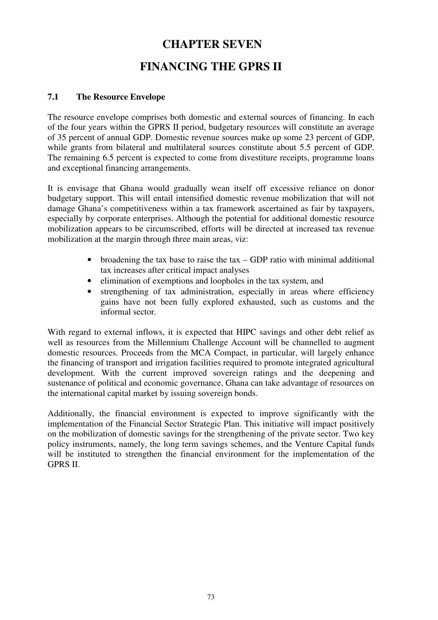# **CHAPTER SEVEN**

# **FINANCING THE GPRS II**

## **7.1 The Resource Envelope**

The resource envelope comprises both domestic and external sources of financing. In each of the four years within the GPRS II period, budgetary resources will constitute an average of 35 percent of annual GDP. Domestic revenue sources make up some 23 percent of GDP, while grants from bilateral and multilateral sources constitute about 5.5 percent of GDP. The remaining 6.5 percent is expected to come from divestiture receipts, programme loans and exceptional financing arrangements.

It is envisage that Ghana would gradually wean itself off excessive reliance on donor budgetary support. This will entail intensified domestic revenue mobilization that will not damage Ghana's competitiveness within a tax framework ascertained as fair by taxpayers, especially by corporate enterprises. Although the potential for additional domestic resource mobilization appears to be circumscribed, efforts will be directed at increased tax revenue mobilization at the margin through three main areas, viz:

- broadening the tax base to raise the tax GDP ratio with minimal additional tax increases after critical impact analyses
- elimination of exemptions and loopholes in the tax system, and
- strengthening of tax administration, especially in areas where efficiency gains have not been fully explored exhausted, such as customs and the informal sector.

With regard to external inflows, it is expected that HIPC savings and other debt relief as well as resources from the Millennium Challenge Account will be channelled to augment domestic resources. Proceeds from the MCA Compact, in particular, will largely enhance the financing of transport and irrigation facilities required to promote integrated agricultural development. With the current improved sovereign ratings and the deepening and sustenance of political and economic governance, Ghana can take advantage of resources on the international capital market by issuing sovereign bonds.

Additionally, the financial environment is expected to improve significantly with the implementation of the Financial Sector Strategic Plan. This initiative will impact positively on the mobilization of domestic savings for the strengthening of the private sector. Two key policy instruments, namely, the long term savings schemes, and the Venture Capital funds will be instituted to strengthen the financial environment for the implementation of the GPRS II.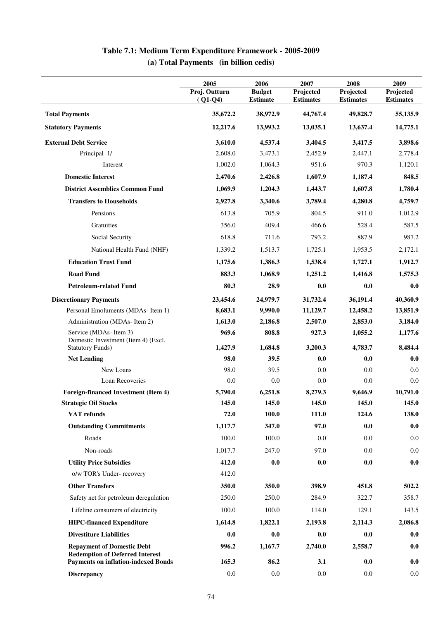|                                                                                                                           | 2005                       | 2006                             | 2007                          | 2008                          | 2009                          |
|---------------------------------------------------------------------------------------------------------------------------|----------------------------|----------------------------------|-------------------------------|-------------------------------|-------------------------------|
|                                                                                                                           | Proj. Outturn<br>$(Q1-Q4)$ | <b>Budget</b><br><b>Estimate</b> | Projected<br><b>Estimates</b> | Projected<br><b>Estimates</b> | Projected<br><b>Estimates</b> |
| <b>Total Payments</b>                                                                                                     | 35,672.2                   | 38,972.9                         | 44,767.4                      | 49,828.7                      | 55,135.9                      |
| <b>Statutory Payments</b>                                                                                                 | 12,217.6                   | 13,993.2                         | 13,035.1                      | 13,637.4                      | 14,775.1                      |
| <b>External Debt Service</b>                                                                                              | 3,610.0                    | 4,537.4                          | 3,404.5                       | 3,417.5                       | 3,898.6                       |
| Principal 1/                                                                                                              | 2,608.0                    | 3,473.1                          | 2,452.9                       | 2,447.1                       | 2,778.4                       |
| Interest                                                                                                                  | 1,002.0                    | 1,064.3                          | 951.6                         | 970.3                         | 1,120.1                       |
| <b>Domestic Interest</b>                                                                                                  | 2,470.6                    | 2,426.8                          | 1,607.9                       | 1,187.4                       | 848.5                         |
| <b>District Assemblies Common Fund</b>                                                                                    | 1,069.9                    | 1,204.3                          | 1,443.7                       | 1,607.8                       | 1,780.4                       |
| <b>Transfers to Households</b>                                                                                            | 2,927.8                    | 3,340.6                          | 3,789.4                       | 4,280.8                       | 4,759.7                       |
| Pensions                                                                                                                  | 613.8                      | 705.9                            | 804.5                         | 911.0                         | 1,012.9                       |
| Gratuities                                                                                                                | 356.0                      | 409.4                            | 466.6                         | 528.4                         | 587.5                         |
| Social Security                                                                                                           | 618.8                      | 711.6                            | 793.2                         | 887.9                         | 987.2                         |
| National Health Fund (NHF)                                                                                                | 1,339.2                    | 1,513.7                          | 1,725.1                       | 1,953.5                       | 2,172.1                       |
| <b>Education Trust Fund</b>                                                                                               | 1,175.6                    | 1,386.3                          | 1,538.4                       | 1,727.1                       | 1,912.7                       |
| <b>Road Fund</b>                                                                                                          | 883.3                      | 1,068.9                          | 1,251.2                       | 1,416.8                       | 1,575.3                       |
| <b>Petroleum-related Fund</b>                                                                                             | 80.3                       | 28.9                             | 0.0                           | 0.0                           | 0.0                           |
| <b>Discretionary Payments</b>                                                                                             | 23,454.6                   | 24,979.7                         | 31,732.4                      | 36,191.4                      | 40,360.9                      |
| Personal Emoluments (MDAs-Item 1)                                                                                         | 8,683.1                    | 9,990.0                          | 11,129.7                      | 12,458.2                      | 13,851.9                      |
| Administration (MDAs-Item 2)                                                                                              | 1,613.0                    | 2,186.8                          | 2,507.0                       | 2,853.0                       | 3,184.0                       |
| Service (MDAs-Item 3)<br>Domestic Investment (Item 4) (Excl.                                                              | 969.6                      | 808.8                            | 927.3                         | 1,055.2                       | 1,177.6                       |
| <b>Statutory Funds)</b>                                                                                                   | 1,427.9                    | 1,684.8                          | 3,200.3                       | 4,783.7                       | 8,484.4                       |
| <b>Net Lending</b>                                                                                                        | 98.0                       | 39.5                             | 0.0                           | 0.0                           | 0.0                           |
| New Loans<br>Loan Recoveries                                                                                              | 98.0<br>0.0                | 39.5<br>0.0                      | 0.0<br>0.0                    | 0.0<br>0.0                    | 0.0<br>0.0                    |
| Foreign-financed Investment (Item 4)                                                                                      |                            | 6,251.8                          |                               |                               | 10,791.0                      |
| <b>Strategic Oil Stocks</b>                                                                                               | 5,790.0<br>145.0           | 145.0                            | 8,279.3<br>145.0              | 9,646.9<br>145.0              | 145.0                         |
| VAT refunds                                                                                                               | 72.0                       | 100.0                            | 111.0                         | 124.6                         | 138.0                         |
| <b>Outstanding Commitments</b>                                                                                            | 1,117.7                    | 347.0                            | 97.0                          | 0.0                           | 0.0                           |
| Roads                                                                                                                     | 100.0                      | 100.0                            | 0.0                           | 0.0                           | 0.0                           |
| Non-roads                                                                                                                 | 1,017.7                    | 247.0                            | 97.0                          | 0.0                           | 0.0                           |
| <b>Utility Price Subsidies</b>                                                                                            | 412.0                      | 0.0                              | 0.0                           | 0.0                           |                               |
| o/w TOR's Under-recovery                                                                                                  | 412.0                      |                                  |                               |                               | 0.0                           |
| <b>Other Transfers</b>                                                                                                    | 350.0                      | 350.0                            | 398.9                         | 451.8                         | 502.2                         |
|                                                                                                                           | 250.0                      | 250.0                            | 284.9                         |                               | 358.7                         |
| Safety net for petroleum deregulation                                                                                     |                            |                                  |                               | 322.7                         |                               |
| Lifeline consumers of electricity                                                                                         | 100.0                      | 100.0                            | 114.0                         | 129.1                         | 143.5                         |
| <b>HIPC-financed Expenditure</b>                                                                                          | 1,614.8                    | 1,822.1                          | 2,193.8                       | 2,114.3                       | 2,086.8                       |
| <b>Divestiture Liabilities</b>                                                                                            | $0.0\,$                    | 0.0                              | 0.0                           | 0.0                           | 0.0                           |
| <b>Repayment of Domestic Debt</b><br><b>Redemption of Deferred Interest</b><br><b>Payments on inflation-indexed Bonds</b> | 996.2<br>165.3             | 1,167.7<br>86.2                  | 2,740.0<br>3.1                | 2,558.7<br>0.0                | 0.0<br>0.0                    |
| <b>Discrepancy</b>                                                                                                        | 0.0                        | $0.0\,$                          | 0.0                           | $0.0\,$                       | $0.0\,$                       |

## **Table 7.1: Medium Term Expenditure Framework - 2005-2009 (a) Total Payments (in billion cedis)**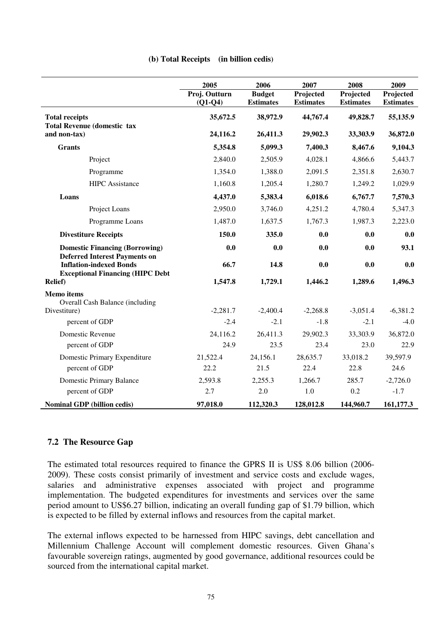|                                                                           | 2005<br>2006  |                  | 2007             | 2008             | 2009             |  |
|---------------------------------------------------------------------------|---------------|------------------|------------------|------------------|------------------|--|
|                                                                           | Proj. Outturn | <b>Budget</b>    | Projected        | Projected        | Projected        |  |
|                                                                           | $(Q1-Q4)$     | <b>Estimates</b> | <b>Estimates</b> | <b>Estimates</b> | <b>Estimates</b> |  |
| <b>Total receipts</b>                                                     | 35,672.5      | 38,972.9         | 44,767.4         | 49,828.7         | 55,135.9         |  |
| <b>Total Revenue (domestic tax</b><br>and non-tax)                        | 24,116.2      | 26,411.3         | 29,902.3         | 33,303.9         | 36,872.0         |  |
|                                                                           |               |                  |                  |                  |                  |  |
| <b>Grants</b>                                                             | 5,354.8       | 5,099.3          | 7,400.3          | 8,467.6          | 9,104.3          |  |
| Project                                                                   | 2,840.0       | 2,505.9          | 4,028.1          | 4,866.6          | 5,443.7          |  |
| Programme                                                                 | 1,354.0       | 1,388.0          | 2,091.5          | 2,351.8          | 2,630.7          |  |
| <b>HIPC</b> Assistance                                                    | 1,160.8       | 1,205.4          | 1,280.7          | 1,249.2          | 1,029.9          |  |
| Loans                                                                     | 4,437.0       | 5,383.4          | 6,018.6          | 6,767.7          | 7,570.3          |  |
| Project Loans                                                             | 2,950.0       | 3,746.0          | 4,251.2          | 4,780.4          | 5,347.3          |  |
| Programme Loans                                                           | 1,487.0       | 1,637.5          | 1,767.3          | 1,987.3          | 2,223.0          |  |
| <b>Divestiture Receipts</b>                                               | 150.0         | 335.0            | 0.0              | 0.0              | 0.0              |  |
| <b>Domestic Financing (Borrowing)</b>                                     | 0.0           | 0.0              | 0.0              | 0.0              | 93.1             |  |
| <b>Deferred Interest Payments on</b>                                      |               |                  |                  |                  |                  |  |
| <b>Inflation-indexed Bonds</b><br><b>Exceptional Financing (HIPC Debt</b> | 66.7          | 14.8             | 0.0              | 0.0              | 0.0              |  |
| <b>Relief</b> )                                                           | 1,547.8       | 1,729.1          | 1,446.2          | 1,289.6          | 1,496.3          |  |
| <b>Memo</b> items                                                         |               |                  |                  |                  |                  |  |
| <b>Overall Cash Balance (including</b>                                    |               |                  |                  |                  |                  |  |
| Divestiture)                                                              | $-2,281.7$    | $-2,400.4$       | $-2,268.8$       | $-3,051.4$       | $-6,381.2$       |  |
| percent of GDP                                                            | $-2.4$        | $-2.1$           | $-1.8$           | $-2.1$           | $-4.0$           |  |
| Domestic Revenue                                                          | 24,116.2      | 26,411.3         | 29,902.3         | 33,303.9         | 36,872.0         |  |
| percent of GDP                                                            | 24.9          | 23.5             | 23.4             | 23.0             | 22.9             |  |
| Domestic Primary Expenditure                                              | 21,522.4      | 24,156.1         | 28,635.7         | 33,018.2         | 39,597.9         |  |
| percent of GDP                                                            | 22.2          | 21.5             | 22.4             | 22.8             | 24.6             |  |
| <b>Domestic Primary Balance</b>                                           | 2,593.8       | 2,255.3          | 1,266.7          | 285.7            | $-2,726.0$       |  |
| percent of GDP                                                            | 2.7           | 2.0              | 1.0              | 0.2              | $-1.7$           |  |
| <b>Nominal GDP</b> (billion cedis)                                        | 97,018.0      | 112,320.3        | 128,012.8        | 144,960.7        | 161,177.3        |  |

#### **7.2 The Resource Gap**

The estimated total resources required to finance the GPRS II is US\$ 8.06 billion (2006- 2009). These costs consist primarily of investment and service costs and exclude wages, salaries and administrative expenses associated with project and programme implementation. The budgeted expenditures for investments and services over the same period amount to US\$6.27 billion, indicating an overall funding gap of \$1.79 billion, which is expected to be filled by external inflows and resources from the capital market.

The external inflows expected to be harnessed from HIPC savings, debt cancellation and Millennium Challenge Account will complement domestic resources. Given Ghana's favourable sovereign ratings, augmented by good governance, additional resources could be sourced from the international capital market.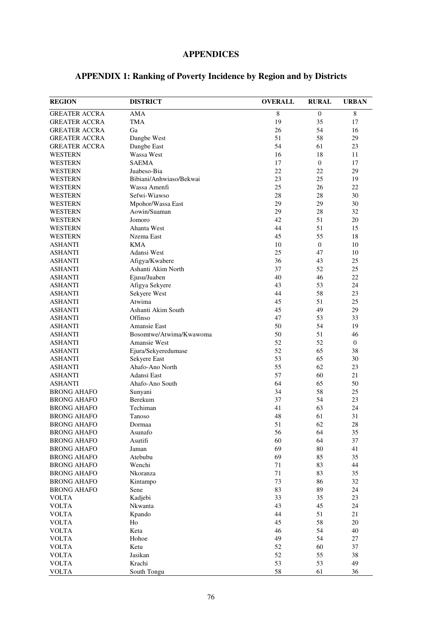# **APPENDICES**

| <b>REGION</b>                    | <b>DISTRICT</b>         | <b>OVERALL</b> | <b>RURAL</b>   | <b>URBAN</b> |
|----------------------------------|-------------------------|----------------|----------------|--------------|
| <b>GREATER ACCRA</b>             | AMA                     | $\,$ 8 $\,$    | $\mathbf{0}$   | 8            |
| <b>GREATER ACCRA</b>             | TMA                     | 19             | 35             | 17           |
| <b>GREATER ACCRA</b>             | Ga                      | 26             | 54             | 16           |
| <b>GREATER ACCRA</b>             | Dangbe West             | 51             | 58             | 29           |
| <b>GREATER ACCRA</b>             | Dangbe East             | 54             | 61             | 23           |
| <b>WESTERN</b>                   | Wassa West              | 16             | 18             | 11           |
| <b>WESTERN</b>                   | <b>SAEMA</b>            | 17             | $\mathbf{0}$   | 17           |
| WESTERN                          | Juabeso-Bia             | 22             | 22             | 29           |
| <b>WESTERN</b>                   | Bibiani/Anhwiaso/Bekwai | 23             | 25             | 19           |
| <b>WESTERN</b>                   | Wassa Amenfi            | 25             | 26             | 22           |
| <b>WESTERN</b>                   | Sefwi-Wiawso            | 28             | 28             | 30           |
| WESTERN                          | Mpohor/Wassa East       | 29             | 29             | 30           |
|                                  | Aowin/Suaman            | 29             | 28             | 32           |
| <b>WESTERN</b><br><b>WESTERN</b> | Jomoro                  | 42             | 51             | 20           |
|                                  |                         |                |                |              |
| <b>WESTERN</b>                   | Ahanta West             | 44<br>45       | 51             | 15           |
| <b>WESTERN</b>                   | Nzema East              |                | 55             | 18           |
| <b>ASHANTI</b>                   | <b>KMA</b>              | 10             | $\overline{0}$ | 10           |
| <b>ASHANTI</b>                   | Adansi West             | 25             | 47             | 10           |
| <b>ASHANTI</b>                   | Afigya/Kwabere          | 36             | 43             | 25           |
| <b>ASHANTI</b>                   | Ashanti Akim North      | 37             | 52             | 25           |
| <b>ASHANTI</b>                   | Ejusu/Juaben            | 40             | 46             | 22           |
| <b>ASHANTI</b>                   | Afigya Sekyere          | 43             | 53             | 24           |
| <b>ASHANTI</b>                   | Sekyere West            | 44             | 58             | 23           |
| <b>ASHANTI</b>                   | Atwima                  | 45             | 51             | 25           |
| <b>ASHANTI</b>                   | Ashanti Akim South      | 45             | 49             | 29           |
| <b>ASHANTI</b>                   | Offinso                 | 47             | 53             | 33           |
| <b>ASHANTI</b>                   | <b>Amansie East</b>     | 50             | 54             | 19           |
| <b>ASHANTI</b>                   | Bosomtwe/Atwima/Kwawoma | 50             | 51             | 46           |
| <b>ASHANTI</b>                   | Amansie West            | 52             | 52             | 0            |
| <b>ASHANTI</b>                   | Ejura/Sekyeredumase     | 52             | 65             | 38           |
| <b>ASHANTI</b>                   | Sekyere East            | 53             | 65             | 30           |
| <b>ASHANTI</b>                   | Ahafo-Ano North         | 55             | 62             | 23           |
| <b>ASHANTI</b>                   | Adansi East             | 57             | 60             | 21           |
| <b>ASHANTI</b>                   | Ahafo-Ano South         | 64             | 65             | 50           |
| <b>BRONG AHAFO</b>               | Sunyani                 | 34             | 58             | 25           |
| <b>BRONG AHAFO</b>               | Berekum                 | 37             | 54             | 23           |
| <b>BRONG AHAFO</b>               | Techiman                | 41             | 63             | 24           |
| <b>BRONG AHAFO</b>               | Tanoso                  | 48             | 61             | 31           |
| <b>BRONG AHAFO</b>               | Dormaa                  | 51             | 62             | $28\,$       |
| <b>BRONG AHAFO</b>               | Asunafo                 | 56             | 64             | 35           |
| <b>BRONG AHAFO</b>               | Asutifi                 | 60             | 64             | 37           |
| <b>BRONG AHAFO</b>               | Jaman                   | 69             | 80             | 41           |
| <b>BRONG AHAFO</b>               | Atebubu                 | 69             | 85             | 35           |
| <b>BRONG AHAFO</b>               | Wenchi                  | 71             | 83             | 44           |
| <b>BRONG AHAFO</b>               | Nkoranza                | 71             | 83             | 35           |
| <b>BRONG AHAFO</b>               | Kintampo                | 73             | 86             | 32           |
| <b>BRONG AHAFO</b>               | Sene                    | 83             | 89             | 24           |
| <b>VOLTA</b>                     | Kadjebi                 | 33             | 35             | 23           |
| <b>VOLTA</b>                     | Nkwanta                 | 43             | 45             | 24           |
| <b>VOLTA</b>                     | Kpando                  | 44             | 51             | 21           |
| <b>VOLTA</b>                     | Ho                      | 45             | 58             | 20           |
| <b>VOLTA</b>                     | Keta                    | 46             | 54             | 40           |
| <b>VOLTA</b>                     | Hohoe                   | 49             | 54             | 27           |
| <b>VOLTA</b>                     | Ketu                    | 52             | 60             | 37           |
| <b>VOLTA</b>                     | Jasikan                 | 52             | 55             | 38           |
| <b>VOLTA</b>                     | Krachi                  | 53             | 53             | 49           |
| <b>VOLTA</b>                     | South Tongu             | 58             | 61             | 36           |

# **APPENDIX 1: Ranking of Poverty Incidence by Region and by Districts**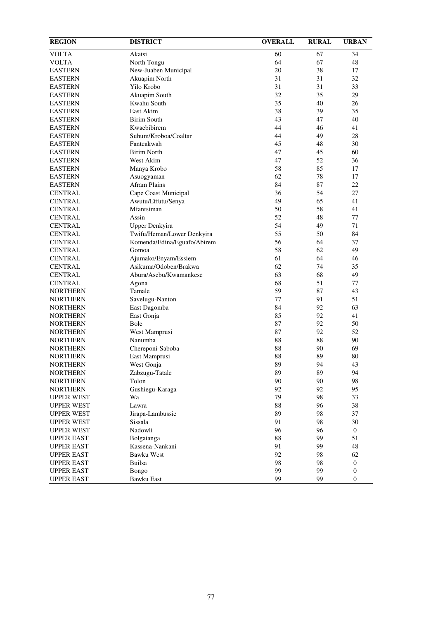| <b>REGION</b>     | <b>DISTRICT</b>             | <b>OVERALL</b> | <b>RURAL</b> | <b>URBAN</b>     |
|-------------------|-----------------------------|----------------|--------------|------------------|
| <b>VOLTA</b>      | Akatsi                      | 60             | 67           | 34               |
| <b>VOLTA</b>      | North Tongu                 | 64             | 67           | 48               |
| <b>EASTERN</b>    | New-Juaben Municipal        | 20             | 38           | 17               |
| <b>EASTERN</b>    | Akuapim North               | 31             | 31           | 32               |
| <b>EASTERN</b>    | Yilo Krobo                  | 31             | 31           | 33               |
| <b>EASTERN</b>    | Akuapim South               | 32             | 35           | 29               |
| <b>EASTERN</b>    | Kwahu South                 | 35             | 40           | 26               |
| <b>EASTERN</b>    | East Akim                   | 38             | 39           | 35               |
| <b>EASTERN</b>    | <b>Birim South</b>          | 43             | 47           | 40               |
| <b>EASTERN</b>    | Kwaebibirem                 | 44             | 46           | 41               |
| <b>EASTERN</b>    | Suhum/Kroboa/Coaltar        | 44             | 49           | 28               |
| <b>EASTERN</b>    | Fanteakwah                  | 45             | 48           | 30               |
| <b>EASTERN</b>    | <b>Birim North</b>          | 47             | 45           | 60               |
| <b>EASTERN</b>    | West Akim                   | 47             | 52           | 36               |
| <b>EASTERN</b>    | Manya Krobo                 | 58             | 85           | 17               |
| <b>EASTERN</b>    | Asuogyaman                  | 62             | 78           | 17               |
| <b>EASTERN</b>    | <b>Afram Plains</b>         | 84             | 87           | 22               |
| <b>CENTRAL</b>    | Cape Coast Municipal        | 36             | 54           | 27               |
| <b>CENTRAL</b>    | Awutu/Effutu/Senya          | 49             | 65           | 41               |
| <b>CENTRAL</b>    | Mfantsiman                  | 50             | 58           | 41               |
| <b>CENTRAL</b>    | Assin                       | 52             | 48           | 77               |
| <b>CENTRAL</b>    | Upper Denkyira              | 54             | 49           | 71               |
| <b>CENTRAL</b>    | Twifu/Heman/Lower Denkyira  | 55             | 50           | 84               |
| <b>CENTRAL</b>    | Komenda/Edina/Eguafo/Abirem | 56             | 64           | 37               |
| <b>CENTRAL</b>    | Gomoa                       | 58             | 62           | 49               |
| <b>CENTRAL</b>    | Ajumako/Enyam/Essiem        | 61             | 64           | 46               |
| <b>CENTRAL</b>    | Asikuma/Odoben/Brakwa       | 62             | 74           | 35               |
| <b>CENTRAL</b>    | Abura/Asebu/Kwamankese      | 63             | 68           | 49               |
| <b>CENTRAL</b>    | Agona                       | 68             | 51           | 77               |
| <b>NORTHERN</b>   | Tamale                      | 59             | 87           | 43               |
| <b>NORTHERN</b>   | Savelugu-Nanton             | 77             | 91           | 51               |
| <b>NORTHERN</b>   |                             | 84             | 92           | 63               |
| <b>NORTHERN</b>   | East Dagomba<br>East Gonja  | 85             | 92           | 41               |
| <b>NORTHERN</b>   | Bole                        | 87             | 92           | 50               |
| <b>NORTHERN</b>   |                             | 87             | 92           |                  |
|                   | West Mamprusi               | 88             | 88           | 52               |
| <b>NORTHERN</b>   | Nanumba                     |                |              | 90               |
| <b>NORTHERN</b>   | Chereponi-Saboba            | 88             | 90           | 69               |
| <b>NORTHERN</b>   | East Mamprusi               | 88<br>89       | 89<br>94     | 80<br>43         |
| <b>NORTHERN</b>   | West Gonja                  |                |              |                  |
| <b>NORTHERN</b>   | Zabzugu-Tatale              | 89             | 89           | 94               |
| <b>NORTHERN</b>   | Tolon                       | 90             | 90           | 98               |
| <b>NORTHERN</b>   | Gushiegu-Karaga             | 92             | 92           | 95               |
| <b>UPPER WEST</b> | Wa                          | 79             | 98           | 33               |
| <b>UPPER WEST</b> | Lawra                       | 88             | 96           | 38               |
| <b>UPPER WEST</b> | Jirapa-Lambussie            | 89             | 98           | 37               |
| <b>UPPER WEST</b> | Sissala                     | 91             | 98           | 30               |
| <b>UPPER WEST</b> | Nadowli                     | 96             | 96           | $\boldsymbol{0}$ |
| <b>UPPER EAST</b> | Bolgatanga                  | $88\,$         | 99           | 51               |
| <b>UPPER EAST</b> | Kassena-Nankani             | 91             | 99           | 48               |
| <b>UPPER EAST</b> | Bawku West                  | 92             | 98           | 62               |
| <b>UPPER EAST</b> | Builsa                      | 98             | 98           | $\boldsymbol{0}$ |
| <b>UPPER EAST</b> | Bongo                       | 99             | 99           | $\boldsymbol{0}$ |
| <b>UPPER EAST</b> | Bawku East                  | 99             | 99           | $\boldsymbol{0}$ |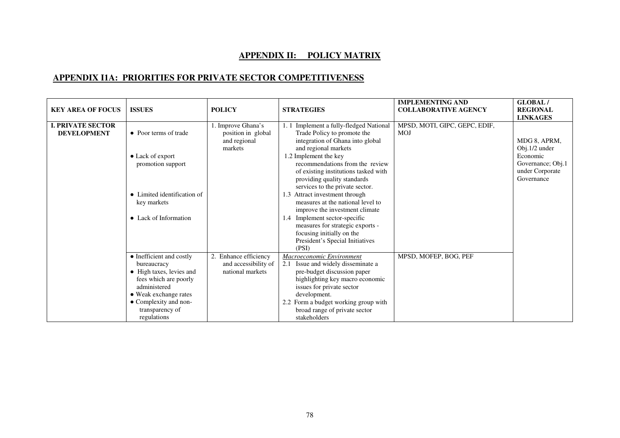## **APPENDIX II: POLICY MATRIX**

## **APPENDIX I1A: PRIORITIES FOR PRIVATE SECTOR COMPETITIVENESS**

| <b>KEY AREA OF FOCUS</b>                       | <b>ISSUES</b>                                                                                                                                                                                    | <b>POLICY</b>                                                      | <b>STRATEGIES</b>                                                                                                                                                                                                                                                       | <b>IMPLEMENTING AND</b><br><b>COLLABORATIVE AGENCY</b> | <b>GLOBAL/</b><br><b>REGIONAL</b><br><b>LINKAGES</b> |
|------------------------------------------------|--------------------------------------------------------------------------------------------------------------------------------------------------------------------------------------------------|--------------------------------------------------------------------|-------------------------------------------------------------------------------------------------------------------------------------------------------------------------------------------------------------------------------------------------------------------------|--------------------------------------------------------|------------------------------------------------------|
| <b>I. PRIVATE SECTOR</b><br><b>DEVELOPMENT</b> | • Poor terms of trade<br>• Lack of export                                                                                                                                                        | . Improve Ghana's<br>position in global<br>and regional<br>markets | Implement a fully-fledged National<br>Trade Policy to promote the<br>integration of Ghana into global<br>and regional markets<br>1.2 Implement the key                                                                                                                  | MPSD, MOTI, GIPC, GEPC, EDIF,<br>MOJ                   | MDG 8, APRM,<br>Obj.1/2 under<br>Economic            |
|                                                | promotion support                                                                                                                                                                                |                                                                    | recommendations from the review<br>of existing institutions tasked with<br>providing quality standards<br>services to the private sector.                                                                                                                               |                                                        | Governance; Obj.1<br>under Corporate<br>Governance   |
|                                                | • Limited identification of<br>key markets                                                                                                                                                       |                                                                    | 1.3 Attract investment through<br>measures at the national level to<br>improve the investment climate                                                                                                                                                                   |                                                        |                                                      |
|                                                | • Lack of Information                                                                                                                                                                            |                                                                    | 1.4 Implement sector-specific<br>measures for strategic exports -<br>focusing initially on the<br>President's Special Initiatives<br>(PSI)                                                                                                                              |                                                        |                                                      |
|                                                | • Inefficient and costly<br>bureaucracy<br>• High taxes, levies and<br>fees which are poorly<br>administered<br>• Weak exchange rates<br>• Complexity and non-<br>transparency of<br>regulations | Enhance efficiency<br>and accessibility of<br>national markets     | Macroeconomic Environment<br>2.1 Issue and widely disseminate a<br>pre-budget discussion paper<br>highlighting key macro economic<br>issues for private sector<br>development.<br>2.2 Form a budget working group with<br>broad range of private sector<br>stakeholders | MPSD, MOFEP, BOG, PEF                                  |                                                      |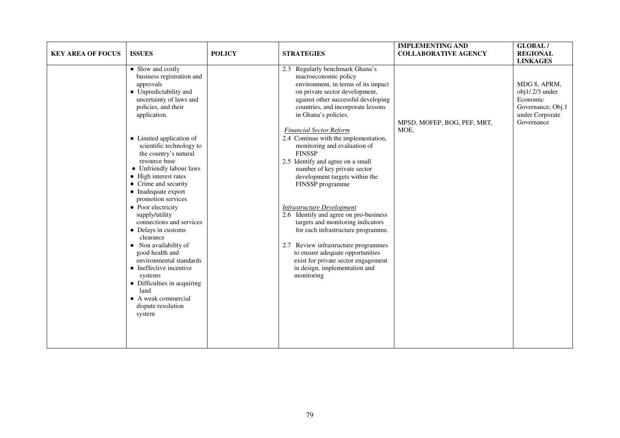| <b>KEY AREA OF FOCUS</b> | <b>ISSUES</b>                                                                                                                                                                                                                                  | <b>POLICY</b> | <b>STRATEGIES</b>                                                                                                                                                                                                                                                                        | <b>IMPLEMENTING AND</b><br><b>COLLABORATIVE AGENCY</b> | <b>GLOBAL/</b><br><b>REGIONAL</b><br><b>LINKAGES</b>                                                |
|--------------------------|------------------------------------------------------------------------------------------------------------------------------------------------------------------------------------------------------------------------------------------------|---------------|------------------------------------------------------------------------------------------------------------------------------------------------------------------------------------------------------------------------------------------------------------------------------------------|--------------------------------------------------------|-----------------------------------------------------------------------------------------------------|
|                          | • Slow and costly<br>business registration and<br>approvals<br>• Unpredictability and<br>uncertainty of laws and<br>policies, and their<br>application.                                                                                        |               | 2.3 Regularly benchmark Ghana's<br>macroeconomic policy<br>environment, in terms of its impact<br>on private sector development,<br>against other successful developing<br>countries, and incorporate lessons<br>in Ghana's policies.                                                    | MPSD, MOFEP, BOG, PEF, MRT,                            | MDG 8, APRM,<br>$obj1/.2/3$ under<br>Economic<br>Governance; Obj.1<br>under Corporate<br>Governance |
|                          | • Limited application of<br>scientific technology to<br>the country's natural<br>resource base<br>• Unfriendly labour laws<br>• High interest rates<br>• Crime and security<br>• Inadequate export<br>promotion services<br>• Poor electricity |               | <b>Financial Sector Reform</b><br>2.4 Continue with the implementation,<br>monitoring and evaluation of<br><b>FINSSP</b><br>2.5 Identify and agree on a small<br>number of key private sector<br>development targets within the<br>FINSSP programme<br><b>Infrastructure Development</b> | MOE,                                                   |                                                                                                     |
|                          | supply/utility<br>connections and services<br>• Delays in customs<br>clearance<br>• Non availability of<br>good health and<br>environmental standards<br>• Ineffective incentive<br>systems<br>• Difficulties in acquiring<br>land             |               | 2.6 Identify and agree on pro-business<br>targets and monitoring indicators<br>for each infrastructure programme.<br>2.7 Review infrastructure programmes<br>to ensure adequate opportunities<br>exist for private sector engagement<br>in design, implementation and<br>monitoring      |                                                        |                                                                                                     |
|                          | • A weak commercial<br>dispute resolution<br>system                                                                                                                                                                                            |               |                                                                                                                                                                                                                                                                                          |                                                        |                                                                                                     |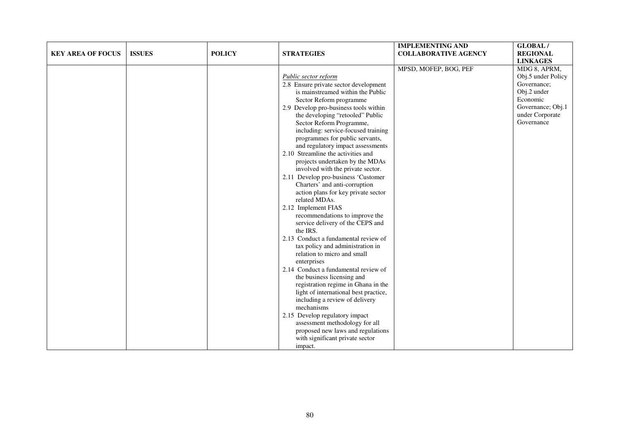| <b>KEY AREA OF FOCUS</b> | <b>ISSUES</b> | <b>POLICY</b> | <b>STRATEGIES</b>                                                                                                                                                                                                                                                                                                                                                                                                                                                                                                                                                                                                                                                                                                                                                                                                                                                                                                                                                                                                                                                                                                                                                                                   | <b>IMPLEMENTING AND</b><br><b>COLLABORATIVE AGENCY</b> | <b>GLOBAL/</b><br><b>REGIONAL</b><br><b>LINKAGES</b>                                                                               |
|--------------------------|---------------|---------------|-----------------------------------------------------------------------------------------------------------------------------------------------------------------------------------------------------------------------------------------------------------------------------------------------------------------------------------------------------------------------------------------------------------------------------------------------------------------------------------------------------------------------------------------------------------------------------------------------------------------------------------------------------------------------------------------------------------------------------------------------------------------------------------------------------------------------------------------------------------------------------------------------------------------------------------------------------------------------------------------------------------------------------------------------------------------------------------------------------------------------------------------------------------------------------------------------------|--------------------------------------------------------|------------------------------------------------------------------------------------------------------------------------------------|
|                          |               |               | Public sector reform<br>2.8 Ensure private sector development<br>is mainstreamed within the Public<br>Sector Reform programme<br>2.9 Develop pro-business tools within<br>the developing "retooled" Public<br>Sector Reform Programme,<br>including: service-focused training<br>programmes for public servants,<br>and regulatory impact assessments<br>2.10 Streamline the activities and<br>projects undertaken by the MDAs<br>involved with the private sector.<br>2.11 Develop pro-business 'Customer<br>Charters' and anti-corruption<br>action plans for key private sector<br>related MDAs.<br>2.12 Implement FIAS<br>recommendations to improve the<br>service delivery of the CEPS and<br>the IRS.<br>2.13 Conduct a fundamental review of<br>tax policy and administration in<br>relation to micro and small<br>enterprises<br>2.14 Conduct a fundamental review of<br>the business licensing and<br>registration regime in Ghana in the<br>light of international best practice,<br>including a review of delivery<br>mechanisms<br>2.15 Develop regulatory impact<br>assessment methodology for all<br>proposed new laws and regulations<br>with significant private sector<br>impact. | MPSD, MOFEP, BOG, PEF                                  | MDG 8, APRM,<br>Obj.5 under Policy<br>Governance;<br>Obj.2 under<br>Economic<br>Governance; Obj.1<br>under Corporate<br>Governance |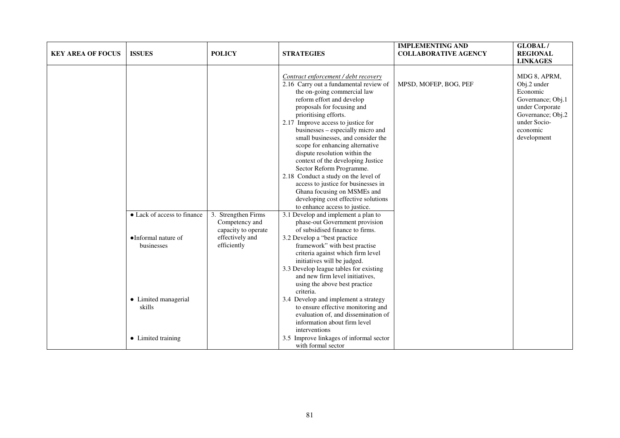| <b>KEY AREA OF FOCUS</b> | <b>ISSUES</b>                                                                                      | <b>POLICY</b>                                                                                  | <b>STRATEGIES</b>                                                                                                                                                                                                                                                                                                                                                                                                                                                                                                                                                                                            | <b>IMPLEMENTING AND</b><br><b>COLLABORATIVE AGENCY</b> | <b>GLOBAL/</b><br><b>REGIONAL</b><br><b>LINKAGES</b>                                                                                            |
|--------------------------|----------------------------------------------------------------------------------------------------|------------------------------------------------------------------------------------------------|--------------------------------------------------------------------------------------------------------------------------------------------------------------------------------------------------------------------------------------------------------------------------------------------------------------------------------------------------------------------------------------------------------------------------------------------------------------------------------------------------------------------------------------------------------------------------------------------------------------|--------------------------------------------------------|-------------------------------------------------------------------------------------------------------------------------------------------------|
|                          |                                                                                                    |                                                                                                | Contract enforcement / debt recovery<br>2.16 Carry out a fundamental review of<br>the on-going commercial law<br>reform effort and develop<br>proposals for focusing and<br>prioritising efforts.<br>2.17 Improve access to justice for<br>businesses – especially micro and<br>small businesses, and consider the<br>scope for enhancing alternative<br>dispute resolution within the<br>context of the developing Justice<br>Sector Reform Programme.<br>2.18 Conduct a study on the level of<br>access to justice for businesses in<br>Ghana focusing on MSMEs and<br>developing cost effective solutions | MPSD, MOFEP, BOG, PEF                                  | MDG 8, APRM,<br>Obj.2 under<br>Economic<br>Governance; Obj.1<br>under Corporate<br>Governance; Obj.2<br>under Socio-<br>economic<br>development |
|                          | • Lack of access to finance<br>•Informal nature of<br>businesses<br>• Limited managerial<br>skills | 3. Strengthen Firms<br>Competency and<br>capacity to operate<br>effectively and<br>efficiently | to enhance access to justice.<br>3.1 Develop and implement a plan to<br>phase-out Government provision<br>of subsidised finance to firms.<br>3.2 Develop a "best practice<br>framework" with best practise<br>criteria against which firm level<br>initiatives will be judged.<br>3.3 Develop league tables for existing<br>and new firm level initiatives,<br>using the above best practice<br>criteria.<br>3.4 Develop and implement a strategy<br>to ensure effective monitoring and<br>evaluation of, and dissemination of                                                                               |                                                        |                                                                                                                                                 |
|                          | • Limited training                                                                                 |                                                                                                | information about firm level<br>interventions<br>3.5 Improve linkages of informal sector<br>with formal sector                                                                                                                                                                                                                                                                                                                                                                                                                                                                                               |                                                        |                                                                                                                                                 |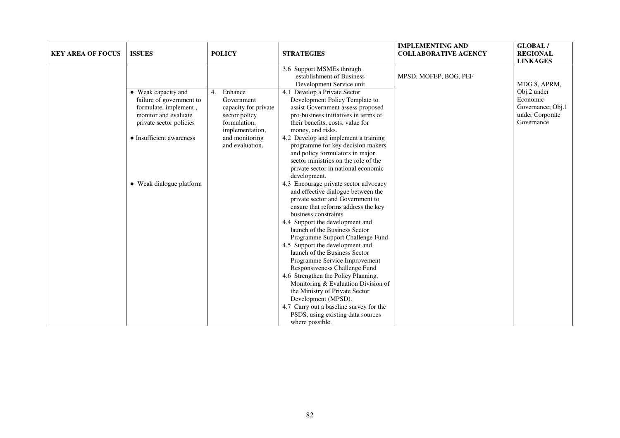| <b>KEY AREA OF FOCUS</b> | <b>ISSUES</b>                                                                                                                                           | <b>POLICY</b>                                                                                                                                | <b>STRATEGIES</b>                                                                                                                                                                                                                                                                                                                                                                                                                                                                                                                                                                                                                                                      | <b>IMPLEMENTING AND</b><br><b>COLLABORATIVE AGENCY</b> | <b>GLOBAL/</b><br><b>REGIONAL</b><br><b>LINKAGES</b>                          |
|--------------------------|---------------------------------------------------------------------------------------------------------------------------------------------------------|----------------------------------------------------------------------------------------------------------------------------------------------|------------------------------------------------------------------------------------------------------------------------------------------------------------------------------------------------------------------------------------------------------------------------------------------------------------------------------------------------------------------------------------------------------------------------------------------------------------------------------------------------------------------------------------------------------------------------------------------------------------------------------------------------------------------------|--------------------------------------------------------|-------------------------------------------------------------------------------|
|                          |                                                                                                                                                         |                                                                                                                                              | 3.6 Support MSMEs through<br>establishment of Business<br>Development Service unit                                                                                                                                                                                                                                                                                                                                                                                                                                                                                                                                                                                     | MPSD, MOFEP, BOG, PEF                                  | MDG 8, APRM,                                                                  |
|                          | • Weak capacity and<br>failure of government to<br>formulate, implement,<br>monitor and evaluate<br>private sector policies<br>• Insufficient awareness | Enhance<br>4.<br>Government<br>capacity for private<br>sector policy<br>formulation,<br>implementation,<br>and monitoring<br>and evaluation. | 4.1 Develop a Private Sector<br>Development Policy Template to<br>assist Government assess proposed<br>pro-business initiatives in terms of<br>their benefits, costs, value for<br>money, and risks.<br>4.2 Develop and implement a training<br>programme for key decision makers<br>and policy formulators in major<br>sector ministries on the role of the<br>private sector in national economic<br>development.                                                                                                                                                                                                                                                    |                                                        | Obj.2 under<br>Economic<br>Governance; Obj.1<br>under Corporate<br>Governance |
|                          | • Weak dialogue platform                                                                                                                                |                                                                                                                                              | 4.3 Encourage private sector advocacy<br>and effective dialogue between the<br>private sector and Government to<br>ensure that reforms address the key<br>business constraints<br>4.4 Support the development and<br>launch of the Business Sector<br>Programme Support Challenge Fund<br>4.5 Support the development and<br>launch of the Business Sector<br>Programme Service Improvement<br>Responsiveness Challenge Fund<br>4.6 Strengthen the Policy Planning,<br>Monitoring & Evaluation Division of<br>the Ministry of Private Sector<br>Development (MPSD).<br>4.7 Carry out a baseline survey for the<br>PSDS, using existing data sources<br>where possible. |                                                        |                                                                               |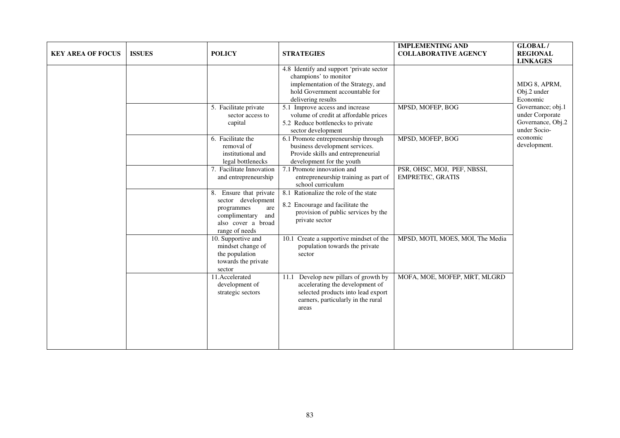| <b>KEY AREA OF FOCUS</b> | <b>ISSUES</b> | <b>POLICY</b>                                                                                                                     | <b>STRATEGIES</b>                                                                                                                                                 | <b>IMPLEMENTING AND</b><br><b>COLLABORATIVE AGENCY</b> | GLOBAL/<br><b>REGIONAL</b><br><b>LINKAGES</b>                                                         |
|--------------------------|---------------|-----------------------------------------------------------------------------------------------------------------------------------|-------------------------------------------------------------------------------------------------------------------------------------------------------------------|--------------------------------------------------------|-------------------------------------------------------------------------------------------------------|
|                          |               |                                                                                                                                   | 4.8 Identify and support 'private sector<br>champions' to monitor<br>implementation of the Strategy, and<br>hold Government accountable for<br>delivering results |                                                        | MDG 8, APRM,<br>Obj.2 under<br>Economic                                                               |
|                          |               | 5. Facilitate private<br>sector access to<br>capital                                                                              | 5.1 Improve access and increase<br>volume of credit at affordable prices<br>5.2 Reduce bottlenecks to private<br>sector development                               | MPSD, MOFEP, BOG                                       | Governance; obj.1<br>under Corporate<br>Governance, Obj.2<br>under Socio-<br>economic<br>development. |
|                          |               | 6. Facilitate the<br>removal of<br>institutional and<br>legal bottlenecks                                                         | 6.1 Promote entrepreneurship through<br>business development services.<br>Provide skills and entrepreneurial<br>development for the youth                         | MPSD, MOFEP, BOG                                       |                                                                                                       |
|                          |               | 7. Facilitate Innovation<br>and entrepreneurship                                                                                  | 7.1 Promote innovation and<br>entrepreneurship training as part of<br>school curriculum                                                                           | PSR, OHSC, MOJ, PEF, NBSSI,<br><b>EMPRETEC, GRATIS</b> |                                                                                                       |
|                          |               | 8. Ensure that private<br>sector development<br>programmes<br>are<br>complimentary<br>and<br>also cover a broad<br>range of needs | 8.1 Rationalize the role of the state<br>8.2 Encourage and facilitate the<br>provision of public services by the<br>private sector                                |                                                        |                                                                                                       |
|                          |               | 10. Supportive and<br>mindset change of<br>the population<br>towards the private<br>sector                                        | 10.1 Create a supportive mindset of the<br>population towards the private<br>sector                                                                               | MPSD, MOTI, MOES, MOI, The Media                       |                                                                                                       |
|                          |               | 11.Accelerated<br>development of<br>strategic sectors                                                                             | Develop new pillars of growth by<br>11.1<br>accelerating the development of<br>selected products into lead export<br>earners, particularly in the rural<br>areas  | MOFA, MOE, MOFEP, MRT, MLGRD                           |                                                                                                       |
|                          |               |                                                                                                                                   |                                                                                                                                                                   |                                                        |                                                                                                       |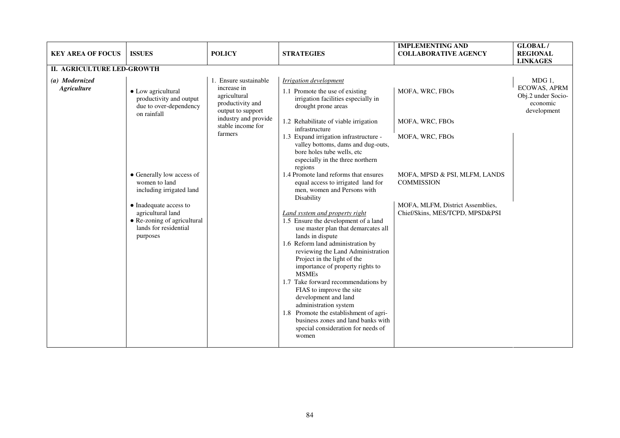| <b>KEY AREA OF FOCUS</b>             | <b>ISSUES</b>                                                                                                                                                                                                                                                                       | <b>POLICY</b>                                                                                                                                         | <b>STRATEGIES</b>                                                                                                                                                                                                                                                                                                                                                                                                                                                                                                                                                                                                                                                                                                                                                                                                                                                                                                                                                                                                                       | <b>IMPLEMENTING AND</b><br><b>COLLABORATIVE AGENCY</b>                                                                                                                             | <b>GLOBAL/</b><br><b>REGIONAL</b><br><b>LINKAGES</b>                             |
|--------------------------------------|-------------------------------------------------------------------------------------------------------------------------------------------------------------------------------------------------------------------------------------------------------------------------------------|-------------------------------------------------------------------------------------------------------------------------------------------------------|-----------------------------------------------------------------------------------------------------------------------------------------------------------------------------------------------------------------------------------------------------------------------------------------------------------------------------------------------------------------------------------------------------------------------------------------------------------------------------------------------------------------------------------------------------------------------------------------------------------------------------------------------------------------------------------------------------------------------------------------------------------------------------------------------------------------------------------------------------------------------------------------------------------------------------------------------------------------------------------------------------------------------------------------|------------------------------------------------------------------------------------------------------------------------------------------------------------------------------------|----------------------------------------------------------------------------------|
| II. AGRICULTURE LED-GROWTH           |                                                                                                                                                                                                                                                                                     |                                                                                                                                                       |                                                                                                                                                                                                                                                                                                                                                                                                                                                                                                                                                                                                                                                                                                                                                                                                                                                                                                                                                                                                                                         |                                                                                                                                                                                    |                                                                                  |
| (a) Modernized<br><b>Agriculture</b> | • Low agricultural<br>productivity and output<br>due to over-dependency<br>on rainfall<br>• Generally low access of<br>women to land<br>including irrigated land<br>• Inadequate access to<br>agricultural land<br>• Re-zoning of agricultural<br>lands for residential<br>purposes | 1. Ensure sustainable<br>increase in<br>agricultural<br>productivity and<br>output to support<br>industry and provide<br>stable income for<br>farmers | Irrigation development<br>1.1 Promote the use of existing<br>irrigation facilities especially in<br>drought prone areas<br>1.2 Rehabilitate of viable irrigation<br>infrastructure<br>1.3 Expand irrigation infrastructure -<br>valley bottoms, dams and dug-outs,<br>bore holes tube wells, etc<br>especially in the three northern<br>regions<br>1.4 Promote land reforms that ensures<br>equal access to irrigated land for<br>men, women and Persons with<br>Disability<br><b>Land system and property right</b><br>1.5 Ensure the development of a land<br>use master plan that demarcates all<br>lands in dispute<br>1.6 Reform land administration by<br>reviewing the Land Administration<br>Project in the light of the<br>importance of property rights to<br><b>MSMEs</b><br>1.7 Take forward recommendations by<br>FIAS to improve the site<br>development and land<br>administration system<br>1.8 Promote the establishment of agri-<br>business zones and land banks with<br>special consideration for needs of<br>women | MOFA, WRC, FBOs<br>MOFA, WRC, FBOs<br>MOFA, WRC, FBOs<br>MOFA, MPSD & PSI, MLFM, LANDS<br><b>COMMISSION</b><br>MOFA, MLFM, District Assemblies,<br>Chief/Skins, MES/TCPD, MPSD&PSI | $MDG1$ .<br><b>ECOWAS, APRM</b><br>Obj.2 under Socio-<br>economic<br>development |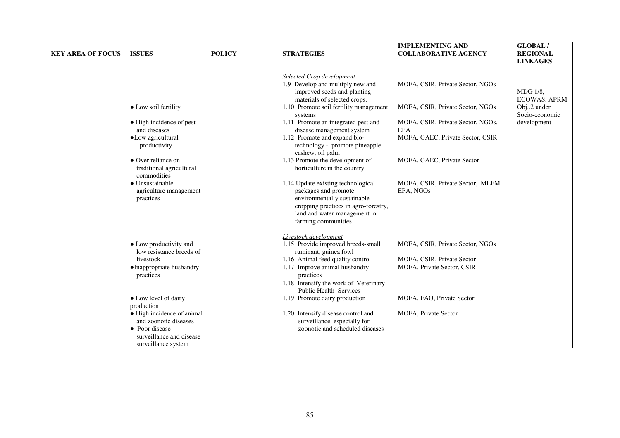| <b>KEY AREA OF FOCUS</b> | <b>ISSUES</b>                                                                                                                                                                                     | <b>POLICY</b> | <b>STRATEGIES</b>                                                                                                                                                                                                                                                                                                                                                                                                                                           | <b>IMPLEMENTING AND</b><br><b>COLLABORATIVE AGENCY</b>                                                                                                                                                                         | GLOBAL/<br><b>REGIONAL</b><br><b>LINKAGES</b>                                  |
|--------------------------|---------------------------------------------------------------------------------------------------------------------------------------------------------------------------------------------------|---------------|-------------------------------------------------------------------------------------------------------------------------------------------------------------------------------------------------------------------------------------------------------------------------------------------------------------------------------------------------------------------------------------------------------------------------------------------------------------|--------------------------------------------------------------------------------------------------------------------------------------------------------------------------------------------------------------------------------|--------------------------------------------------------------------------------|
|                          | • Low soil fertility<br>• High incidence of pest<br>and diseases<br>•Low agricultural<br>productivity<br>• Over reliance on<br>traditional agricultural<br>commodities<br>$\bullet$ Unsustainable |               | <b>Selected Crop development</b><br>1.9 Develop and multiply new and<br>improved seeds and planting<br>materials of selected crops.<br>1.10 Promote soil fertility management<br>systems<br>1.11 Promote an integrated pest and<br>disease management system<br>1.12 Promote and expand bio-<br>technology - promote pineapple,<br>cashew, oil palm<br>1.13 Promote the development of<br>horticulture in the country<br>1.14 Update existing technological | MOFA, CSIR, Private Sector, NGOs<br>MOFA, CSIR, Private Sector, NGOs<br>MOFA, CSIR, Private Sector, NGOs,<br><b>EPA</b><br>MOFA, GAEC, Private Sector, CSIR<br>MOFA, GAEC, Private Sector<br>MOFA, CSIR, Private Sector, MLFM, | MDG 1/8,<br><b>ECOWAS, APRM</b><br>Obj2 under<br>Socio-economic<br>development |
|                          | agriculture management<br>practices                                                                                                                                                               |               | packages and promote<br>environmentally sustainable<br>cropping practices in agro-forestry,<br>land and water management in<br>farming communities                                                                                                                                                                                                                                                                                                          | EPA, NGOs                                                                                                                                                                                                                      |                                                                                |
|                          | • Low productivity and<br>low resistance breeds of<br>livestock<br>• Inappropriate husbandry<br>practices                                                                                         |               | Livestock development<br>1.15 Provide improved breeds-small<br>ruminant, guinea fowl<br>1.16 Animal feed quality control<br>1.17 Improve animal husbandry<br>practices<br>1.18 Intensify the work of Veterinary<br>Public Health Services                                                                                                                                                                                                                   | MOFA, CSIR, Private Sector, NGOs<br>MOFA, CSIR, Private Sector<br>MOFA, Private Sector, CSIR                                                                                                                                   |                                                                                |
|                          | • Low level of dairy<br>production<br>• High incidence of animal<br>and zoonotic diseases<br>• Poor disease<br>surveillance and disease<br>surveillance system                                    |               | 1.19 Promote dairy production<br>1.20 Intensify disease control and<br>surveillance, especially for<br>zoonotic and scheduled diseases                                                                                                                                                                                                                                                                                                                      | MOFA, FAO, Private Sector<br>MOFA, Private Sector                                                                                                                                                                              |                                                                                |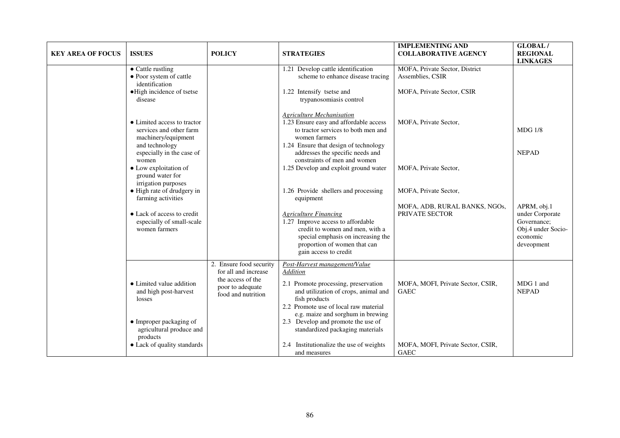| <b>KEY AREA OF FOCUS</b> | <b>ISSUES</b>                                                                                                                  | <b>POLICY</b>                                                                                                  | <b>STRATEGIES</b>                                                                                                                                                                                                                                                                                         | <b>IMPLEMENTING AND</b><br><b>COLLABORATIVE AGENCY</b> | <b>GLOBAL/</b><br><b>REGIONAL</b><br><b>LINKAGES</b>                                          |
|--------------------------|--------------------------------------------------------------------------------------------------------------------------------|----------------------------------------------------------------------------------------------------------------|-----------------------------------------------------------------------------------------------------------------------------------------------------------------------------------------------------------------------------------------------------------------------------------------------------------|--------------------------------------------------------|-----------------------------------------------------------------------------------------------|
|                          | • Cattle rustling<br>• Poor system of cattle<br>identification                                                                 |                                                                                                                | 1.21 Develop cattle identification<br>scheme to enhance disease tracing                                                                                                                                                                                                                                   | MOFA, Private Sector, District<br>Assemblies, CSIR     |                                                                                               |
|                          | ·High incidence of tsetse<br>disease                                                                                           |                                                                                                                | 1.22 Intensify tsetse and<br>trypanosomiasis control                                                                                                                                                                                                                                                      | MOFA, Private Sector, CSIR                             |                                                                                               |
|                          | • Limited access to tractor<br>services and other farm<br>machinery/equipment                                                  |                                                                                                                | <b>Agriculture Mechanisation</b><br>1.23 Ensure easy and affordable access<br>to tractor services to both men and<br>women farmers                                                                                                                                                                        | MOFA, Private Sector,                                  | <b>MDG 1/8</b>                                                                                |
|                          | and technology<br>especially in the case of<br>women<br>• Low exploitation of                                                  |                                                                                                                | 1.24 Ensure that design of technology<br>addresses the specific needs and<br>constraints of men and women<br>1.25 Develop and exploit ground water                                                                                                                                                        | MOFA, Private Sector,                                  | <b>NEPAD</b>                                                                                  |
|                          | ground water for<br>irrigation purposes<br>• High rate of drudgery in<br>farming activities                                    |                                                                                                                | 1.26 Provide shellers and processing<br>equipment                                                                                                                                                                                                                                                         | MOFA, Private Sector,                                  |                                                                                               |
|                          | • Lack of access to credit<br>especially of small-scale<br>women farmers                                                       |                                                                                                                | <b>Agriculture Financing</b><br>1.27 Improve access to affordable<br>credit to women and men, with a<br>special emphasis on increasing the<br>proportion of women that can<br>gain access to credit                                                                                                       | MOFA, ADB, RURAL BANKS, NGOs,<br>PRIVATE SECTOR        | APRM, obj.1<br>under Corporate<br>Governance;<br>Obj.4 under Socio-<br>economic<br>deveopment |
|                          | • Limited value addition<br>and high post-harvest<br>losses<br>• Improper packaging of<br>agricultural produce and<br>products | 2. Ensure food security<br>for all and increase<br>the access of the<br>poor to adequate<br>food and nutrition | Post-Harvest management/Value<br><b>Addition</b><br>2.1 Promote processing, preservation<br>and utilization of crops, animal and<br>fish products<br>2.2 Promote use of local raw material<br>e.g. maize and sorghum in brewing<br>2.3 Develop and promote the use of<br>standardized packaging materials | MOFA, MOFI, Private Sector, CSIR,<br><b>GAEC</b>       | MDG 1 and<br><b>NEPAD</b>                                                                     |
|                          | • Lack of quality standards                                                                                                    |                                                                                                                | 2.4 Institutionalize the use of weights<br>and measures                                                                                                                                                                                                                                                   | MOFA, MOFI, Private Sector, CSIR,<br><b>GAEC</b>       |                                                                                               |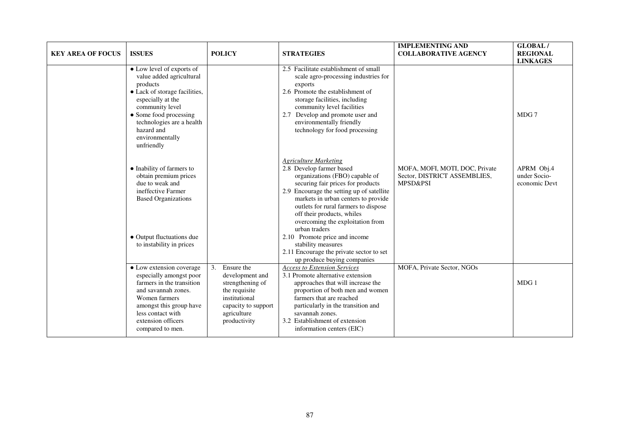| <b>KEY AREA OF FOCUS</b> | <b>ISSUES</b>                                                                                                                                                                                                                                    | <b>POLICY</b>                                                                                                                                   | <b>STRATEGIES</b>                                                                                                                                                                                                                                                                                                                                                                                                                                                                | <b>IMPLEMENTING AND</b><br><b>COLLABORATIVE AGENCY</b>                                | <b>GLOBAL/</b><br><b>REGIONAL</b><br><b>LINKAGES</b> |
|--------------------------|--------------------------------------------------------------------------------------------------------------------------------------------------------------------------------------------------------------------------------------------------|-------------------------------------------------------------------------------------------------------------------------------------------------|----------------------------------------------------------------------------------------------------------------------------------------------------------------------------------------------------------------------------------------------------------------------------------------------------------------------------------------------------------------------------------------------------------------------------------------------------------------------------------|---------------------------------------------------------------------------------------|------------------------------------------------------|
|                          | • Low level of exports of<br>value added agricultural<br>products<br>• Lack of storage facilities,<br>especially at the<br>community level<br>• Some food processing<br>technologies are a health<br>hazard and<br>environmentally<br>unfriendly |                                                                                                                                                 | 2.5 Facilitate establishment of small<br>scale agro-processing industries for<br>exports<br>2.6 Promote the establishment of<br>storage facilities, including<br>community level facilities<br>2.7 Develop and promote user and<br>environmentally friendly<br>technology for food processing                                                                                                                                                                                    |                                                                                       | MDG 7                                                |
|                          | • Inability of farmers to<br>obtain premium prices<br>due to weak and<br>ineffective Farmer<br><b>Based Organizations</b><br>• Output fluctuations due<br>to instability in prices                                                               |                                                                                                                                                 | <b>Agriculture Marketing</b><br>2.8 Develop farmer based<br>organizations (FBO) capable of<br>securing fair prices for products<br>2.9 Encourage the setting up of satellite<br>markets in urban centers to provide<br>outlets for rural farmers to dispose<br>off their products, whiles<br>overcoming the exploitation from<br>urban traders<br>2.10 Promote price and income<br>stability measures<br>2.11 Encourage the private sector to set<br>up produce buying companies | MOFA, MOFI, MOTI, DOC, Private<br>Sector, DISTRICT ASSEMBLIES,<br><b>MPSD&amp;PSI</b> | APRM Obj.4<br>under Socio-<br>economic Devt          |
|                          | • Low extension coverage<br>especially amongst poor<br>farmers in the transition<br>and savannah zones.<br>Women farmers<br>amongst this group have<br>less contact with<br>extension officers<br>compared to men.                               | 3.<br>Ensure the<br>development and<br>strengthening of<br>the requisite<br>institutional<br>capacity to support<br>agriculture<br>productivity | <b>Access to Extension Services</b><br>3.1 Promote alternative extension<br>approaches that will increase the<br>proportion of both men and women<br>farmers that are reached<br>particularly in the transition and<br>savannah zones.<br>3.2 Establishment of extension<br>information centers (EIC)                                                                                                                                                                            | MOFA, Private Sector, NGOs                                                            | MDG 1                                                |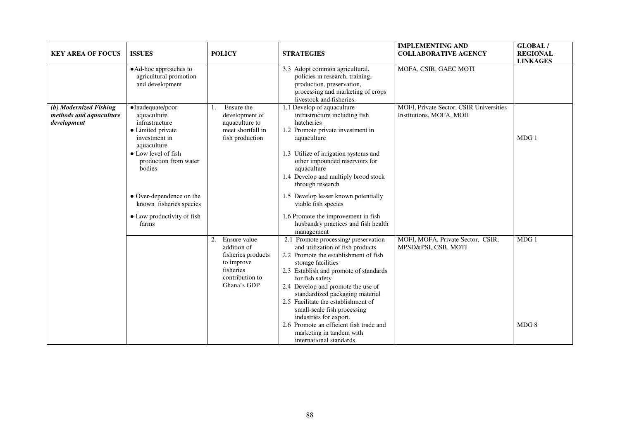| <b>KEY AREA OF FOCUS</b>                                         | <b>ISSUES</b>                                                                                                                                                                                                                                                  | <b>POLICY</b>                                                                                                        | <b>STRATEGIES</b>                                                                                                                                                                                                                                                                                                                                                                                                                                                               | <b>IMPLEMENTING AND</b><br><b>COLLABORATIVE AGENCY</b>             | <b>GLOBAL/</b><br><b>REGIONAL</b><br><b>LINKAGES</b> |
|------------------------------------------------------------------|----------------------------------------------------------------------------------------------------------------------------------------------------------------------------------------------------------------------------------------------------------------|----------------------------------------------------------------------------------------------------------------------|---------------------------------------------------------------------------------------------------------------------------------------------------------------------------------------------------------------------------------------------------------------------------------------------------------------------------------------------------------------------------------------------------------------------------------------------------------------------------------|--------------------------------------------------------------------|------------------------------------------------------|
|                                                                  | • Ad-hoc approaches to<br>agricultural promotion<br>and development                                                                                                                                                                                            |                                                                                                                      | 3.3 Adopt common agricultural.<br>policies in research, training,<br>production, preservation,<br>processing and marketing of crops<br>livestock and fisheries.                                                                                                                                                                                                                                                                                                                 | MOFA, CSIR, GAEC MOTI                                              |                                                      |
| (b) Modernized Fishing<br>methods and aquaculture<br>development | ·Inadequate/poor<br>aquaculture<br>infrastructure<br>• Limited private<br>investment in<br>aquaculture<br>• Low level of fish<br>production from water<br>bodies<br>• Over-dependence on the<br>known fisheries species<br>• Low productivity of fish<br>farms | Ensure the<br>1.<br>development of<br>aquaculture to<br>meet shortfall in<br>fish production                         | 1.1 Develop of aquaculture<br>infrastructure including fish<br>hatcheries<br>1.2 Promote private investment in<br>aquaculture<br>1.3 Utilize of irrigation systems and<br>other impounded reservoirs for<br>aquaculture<br>1.4 Develop and multiply brood stock<br>through research<br>1.5 Develop lesser known potentially<br>viable fish species<br>1.6 Promote the improvement in fish<br>husbandry practices and fish health<br>management                                  | MOFI, Private Sector, CSIR Universities<br>Institutions, MOFA, MOH | MDG1                                                 |
|                                                                  |                                                                                                                                                                                                                                                                | Ensure value<br>2.<br>addition of<br>fisheries products<br>to improve<br>fisheries<br>contribution to<br>Ghana's GDP | 2.1 Promote processing/ preservation<br>and utilization of fish products<br>2.2 Promote the establishment of fish<br>storage facilities<br>2.3 Establish and promote of standards<br>for fish safety<br>2.4 Develop and promote the use of<br>standardized packaging material<br>2.5 Facilitate the establishment of<br>small-scale fish processing<br>industries for export.<br>2.6 Promote an efficient fish trade and<br>marketing in tandem with<br>international standards | MOFI, MOFA, Private Sector, CSIR,<br>MPSD&PSI, GSB, MOTI           | MDG 1<br>MDG8                                        |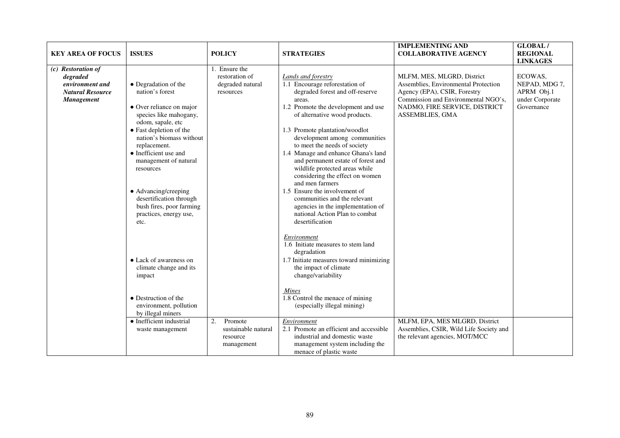| <b>KEY AREA OF FOCUS</b>                                                                          | <b>ISSUES</b>                                                                                                                                                                                                                                                                                                                                                     | <b>POLICY</b>                                                    | <b>STRATEGIES</b>                                                                                                                                                                                                                                                                                                                                                                                                                                                                                                                                                                                | <b>IMPLEMENTING AND</b><br><b>COLLABORATIVE AGENCY</b>                                                                                                                                        | GLOBAL/<br><b>REGIONAL</b><br><b>LINKAGES</b>                           |
|---------------------------------------------------------------------------------------------------|-------------------------------------------------------------------------------------------------------------------------------------------------------------------------------------------------------------------------------------------------------------------------------------------------------------------------------------------------------------------|------------------------------------------------------------------|--------------------------------------------------------------------------------------------------------------------------------------------------------------------------------------------------------------------------------------------------------------------------------------------------------------------------------------------------------------------------------------------------------------------------------------------------------------------------------------------------------------------------------------------------------------------------------------------------|-----------------------------------------------------------------------------------------------------------------------------------------------------------------------------------------------|-------------------------------------------------------------------------|
| (c) Restoration of<br>degraded<br>environment and<br><b>Natural Resource</b><br><b>Management</b> | • Degradation of the<br>nation's forest<br>• Over reliance on major<br>species like mahogany,<br>odom, sapale, etc<br>• Fast depletion of the<br>nation's biomass without<br>replacement.<br>• Inefficient use and<br>management of natural<br>resources<br>• Advancing/creeping<br>desertification through<br>bush fires, poor farming<br>practices, energy use, | 1. Ensure the<br>restoration of<br>degraded natural<br>resources | <b>Lands and forestry</b><br>1.1 Encourage reforestation of<br>degraded forest and off-reserve<br>areas.<br>1.2 Promote the development and use<br>of alternative wood products.<br>1.3 Promote plantation/woodlot<br>development among communities<br>to meet the needs of society<br>1.4 Manage and enhance Ghana's land<br>and permanent estate of forest and<br>wildlife protected areas while<br>considering the effect on women<br>and men farmers<br>1.5 Ensure the involvement of<br>communities and the relevant<br>agencies in the implementation of<br>national Action Plan to combat | MLFM, MES, MLGRD, District<br>Assemblies, Environmental Protection<br>Agency (EPA), CSIR, Forestry<br>Commission and Environmental NGO's,<br>NADMO, FIRE SERVICE, DISTRICT<br>ASSEMBLIES, GMA | ECOWAS,<br>NEPAD, MDG 7,<br>APRM Obj.1<br>under Corporate<br>Governance |
|                                                                                                   | etc.<br>• Lack of awareness on<br>climate change and its<br>impact<br>• Destruction of the<br>environment, pollution<br>by illegal miners<br>• Inefficient industrial<br>waste management                                                                                                                                                                         | 2.<br>Promote<br>sustainable natural<br>resource<br>management   | desertification<br>Environment<br>1.6 Initiate measures to stem land<br>degradation<br>1.7 Initiate measures toward minimizing<br>the impact of climate<br>change/variability<br>Mines<br>1.8 Control the menace of mining<br>(especially illegal mining)<br>Environment<br>2.1 Promote an efficient and accessible<br>industrial and domestic waste<br>management system including the<br>menace of plastic waste                                                                                                                                                                               | MLFM, EPA, MES MLGRD, District<br>Assemblies, CSIR, Wild Life Society and<br>the relevant agencies, MOT/MCC                                                                                   |                                                                         |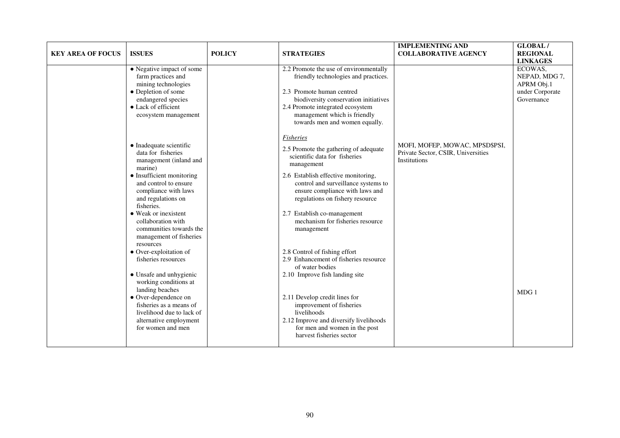| <b>KEY AREA OF FOCUS</b> | <b>ISSUES</b>                                                                                                                                                                                                                                                                                                    | <b>POLICY</b> | <b>STRATEGIES</b>                                                                                                                                                                                                                                                                                                                             | <b>IMPLEMENTING AND</b><br><b>COLLABORATIVE AGENCY</b>                               | <b>GLOBAL/</b><br><b>REGIONAL</b><br><b>LINKAGES</b>                    |
|--------------------------|------------------------------------------------------------------------------------------------------------------------------------------------------------------------------------------------------------------------------------------------------------------------------------------------------------------|---------------|-----------------------------------------------------------------------------------------------------------------------------------------------------------------------------------------------------------------------------------------------------------------------------------------------------------------------------------------------|--------------------------------------------------------------------------------------|-------------------------------------------------------------------------|
|                          | • Negative impact of some<br>farm practices and<br>mining technologies<br>• Depletion of some<br>endangered species<br>• Lack of efficient<br>ecosystem management                                                                                                                                               |               | 2.2 Promote the use of environmentally<br>friendly technologies and practices.<br>2.3 Promote human centred<br>biodiversity conservation initiatives<br>2.4 Promote integrated ecosystem<br>management which is friendly<br>towards men and women equally.                                                                                    |                                                                                      | ECOWAS,<br>NEPAD, MDG 7,<br>APRM Obj.1<br>under Corporate<br>Governance |
|                          | $\bullet$ Inadequate scientific<br>data for fisheries<br>management (inland and<br>marine)<br>• Insufficient monitoring<br>and control to ensure<br>compliance with laws<br>and regulations on<br>fisheries.<br>• Weak or inexistent<br>collaboration with<br>communities towards the<br>management of fisheries |               | <b>Fisheries</b><br>2.5 Promote the gathering of adequate<br>scientific data for fisheries<br>management<br>2.6 Establish effective monitoring,<br>control and surveillance systems to<br>ensure compliance with laws and<br>regulations on fishery resource<br>2.7 Establish co-management<br>mechanism for fisheries resource<br>management | MOFI, MOFEP, MOWAC, MPSD\$PSI,<br>Private Sector, CSIR, Universities<br>Institutions |                                                                         |
|                          | resources<br>• Over-exploitation of<br>fisheries resources<br>• Unsafe and unhygienic<br>working conditions at<br>landing beaches<br>• Over-dependence on<br>fisheries as a means of<br>livelihood due to lack of<br>alternative employment<br>for women and men                                                 |               | 2.8 Control of fishing effort<br>2.9 Enhancement of fisheries resource<br>of water bodies<br>2.10 Improve fish landing site<br>2.11 Develop credit lines for<br>improvement of fisheries<br>livelihoods<br>2.12 Improve and diversify livelihoods<br>for men and women in the post<br>harvest fisheries sector                                |                                                                                      | MDG1                                                                    |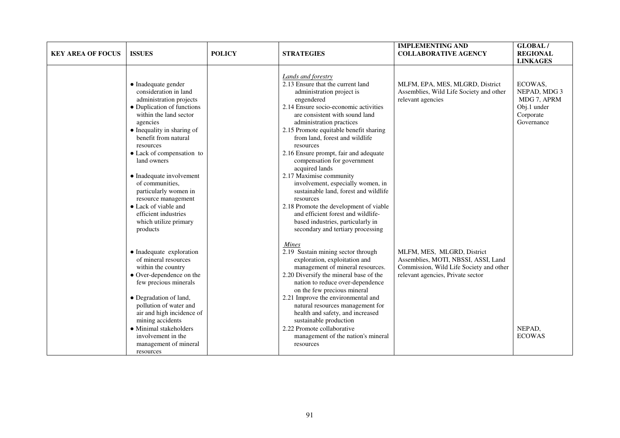| <b>KEY AREA OF FOCUS</b> | <b>ISSUES</b>                                                                                                                                                                                                                                                                                                                                                                                                                                  | <b>POLICY</b> | <b>STRATEGIES</b>                                                                                                                                                                                                                                                                                                                                                                                                                                                                                                                                                                                                                                                            | <b>IMPLEMENTING AND</b><br><b>COLLABORATIVE AGENCY</b>                                                                                            | GLOBAL/<br><b>REGIONAL</b><br><b>LINKAGES</b>                                    |
|--------------------------|------------------------------------------------------------------------------------------------------------------------------------------------------------------------------------------------------------------------------------------------------------------------------------------------------------------------------------------------------------------------------------------------------------------------------------------------|---------------|------------------------------------------------------------------------------------------------------------------------------------------------------------------------------------------------------------------------------------------------------------------------------------------------------------------------------------------------------------------------------------------------------------------------------------------------------------------------------------------------------------------------------------------------------------------------------------------------------------------------------------------------------------------------------|---------------------------------------------------------------------------------------------------------------------------------------------------|----------------------------------------------------------------------------------|
|                          | • Inadequate gender<br>consideration in land<br>administration projects<br>• Duplication of functions<br>within the land sector<br>agencies<br>• Inequality in sharing of<br>benefit from natural<br>resources<br>• Lack of compensation to<br>land owners<br>• Inadequate involvement<br>of communities.<br>particularly women in<br>resource management<br>• Lack of viable and<br>efficient industries<br>which utilize primary<br>products |               | Lands and forestry<br>2.13 Ensure that the current land<br>administration project is<br>engendered<br>2.14 Ensure socio-economic activities<br>are consistent with sound land<br>administration practices<br>2.15 Promote equitable benefit sharing<br>from land, forest and wildlife<br>resources<br>2.16 Ensure prompt, fair and adequate<br>compensation for government<br>acquired lands<br>2.17 Maximise community<br>involvement, especially women, in<br>sustainable land, forest and wildlife<br>resources<br>2.18 Promote the development of viable<br>and efficient forest and wildlife-<br>based industries, particularly in<br>secondary and tertiary processing | MLFM, EPA, MES, MLGRD, District<br>Assemblies, Wild Life Society and other<br>relevant agencies                                                   | ECOWAS,<br>NEPAD, MDG 3<br>MDG 7, APRM<br>Obj.1 under<br>Corporate<br>Governance |
|                          | • Inadequate exploration<br>of mineral resources<br>within the country<br>• Over-dependence on the<br>few precious minerals<br>• Degradation of land,<br>pollution of water and<br>air and high incidence of<br>mining accidents<br>• Minimal stakeholders<br>involvement in the<br>management of mineral<br>resources                                                                                                                         |               | <b>Mines</b><br>2.19 Sustain mining sector through<br>exploration, exploitation and<br>management of mineral resources.<br>2.20 Diversify the mineral base of the<br>nation to reduce over-dependence<br>on the few precious mineral<br>2.21 Improve the environmental and<br>natural resources management for<br>health and safety, and increased<br>sustainable production<br>2.22 Promote collaborative<br>management of the nation's mineral<br>resources                                                                                                                                                                                                                | MLFM, MES, MLGRD, District<br>Assemblies, MOTI, NBSSI, ASSI, Land<br>Commission, Wild Life Society and other<br>relevant agencies, Private sector | NEPAD,<br><b>ECOWAS</b>                                                          |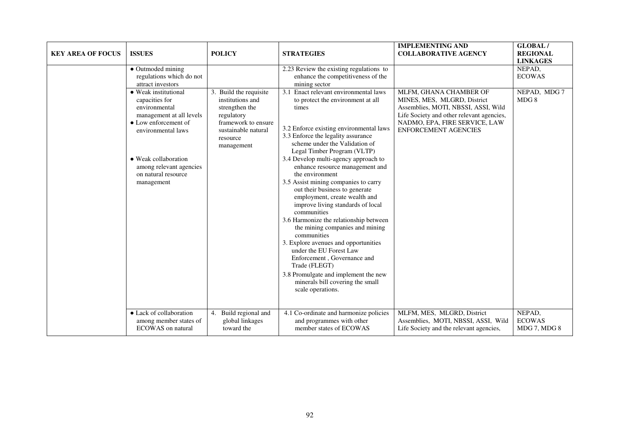| <b>KEY AREA OF FOCUS</b> | <b>ISSUES</b>                                                                                                                                                                                                             | <b>POLICY</b>                                                                                                                                      | <b>STRATEGIES</b>                                                                                                                                                                                                                                                                                                                                                                                                                                                                                                                                                                                                                                                                                                                                                                                                  | <b>IMPLEMENTING AND</b><br><b>COLLABORATIVE AGENCY</b>                                                                                                                                             | <b>GLOBAL/</b><br><b>REGIONAL</b><br><b>LINKAGES</b> |
|--------------------------|---------------------------------------------------------------------------------------------------------------------------------------------------------------------------------------------------------------------------|----------------------------------------------------------------------------------------------------------------------------------------------------|--------------------------------------------------------------------------------------------------------------------------------------------------------------------------------------------------------------------------------------------------------------------------------------------------------------------------------------------------------------------------------------------------------------------------------------------------------------------------------------------------------------------------------------------------------------------------------------------------------------------------------------------------------------------------------------------------------------------------------------------------------------------------------------------------------------------|----------------------------------------------------------------------------------------------------------------------------------------------------------------------------------------------------|------------------------------------------------------|
|                          | • Outmoded mining<br>regulations which do not<br>attract investors                                                                                                                                                        |                                                                                                                                                    | 2.23 Review the existing regulations to<br>enhance the competitiveness of the<br>mining sector                                                                                                                                                                                                                                                                                                                                                                                                                                                                                                                                                                                                                                                                                                                     |                                                                                                                                                                                                    | NEPAD,<br><b>ECOWAS</b>                              |
|                          | • Weak institutional<br>capacities for<br>environmental<br>management at all levels<br>• Low enforcement of<br>environmental laws<br>• Weak collaboration<br>among relevant agencies<br>on natural resource<br>management | 3. Build the requisite<br>institutions and<br>strengthen the<br>regulatory<br>framework to ensure<br>sustainable natural<br>resource<br>management | 3.1 Enact relevant environmental laws<br>to protect the environment at all<br>times<br>3.2 Enforce existing environmental laws<br>3.3 Enforce the legality assurance<br>scheme under the Validation of<br>Legal Timber Program (VLTP)<br>3.4 Develop multi-agency approach to<br>enhance resource management and<br>the environment<br>3.5 Assist mining companies to carry<br>out their business to generate<br>employment, create wealth and<br>improve living standards of local<br>communities<br>3.6 Harmonize the relationship between<br>the mining companies and mining<br>communities<br>3. Explore avenues and opportunities<br>under the EU Forest Law<br>Enforcement, Governance and<br>Trade (FLEGT)<br>3.8 Promulgate and implement the new<br>minerals bill covering the small<br>scale operations. | MLFM, GHANA CHAMBER OF<br>MINES, MES, MLGRD, District<br>Assemblies, MOTI, NBSSI, ASSI, Wild<br>Life Society and other relevant agencies,<br>NADMO, EPA, FIRE SERVICE, LAW<br>ENFORCEMENT AGENCIES | NEPAD, MDG 7<br>MDG 8                                |
|                          | • Lack of collaboration<br>among member states of<br><b>ECOWAS</b> on natural                                                                                                                                             | Build regional and<br>4.<br>global linkages<br>toward the                                                                                          | 4.1 Co-ordinate and harmonize policies<br>and programmes with other<br>member states of ECOWAS                                                                                                                                                                                                                                                                                                                                                                                                                                                                                                                                                                                                                                                                                                                     | MLFM, MES, MLGRD, District<br>Assemblies, MOTI, NBSSI, ASSI, Wild<br>Life Society and the relevant agencies,                                                                                       | NEPAD,<br><b>ECOWAS</b><br>MDG 7, MDG 8              |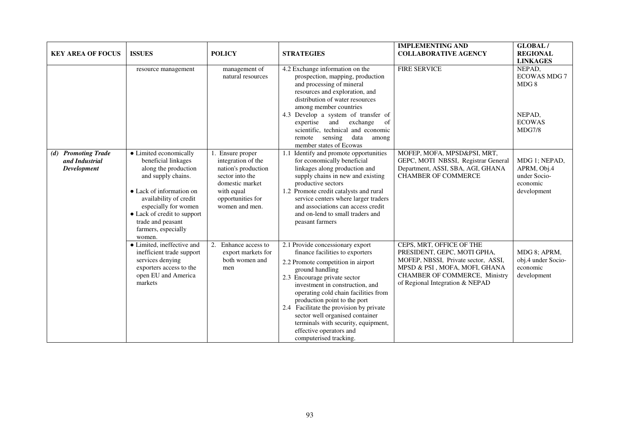| <b>KEY AREA OF FOCUS</b>                                              | <b>ISSUES</b>                                                                                                                                                                                                                                                  | <b>POLICY</b>                                                                                                                                         | <b>STRATEGIES</b>                                                                                                                                                                                                                                                                                                                                                                                                                                 | <b>IMPLEMENTING AND</b><br><b>COLLABORATIVE AGENCY</b>                                                                                                                                              | <b>GLOBAL/</b><br><b>REGIONAL</b><br><b>LINKAGES</b>                       |
|-----------------------------------------------------------------------|----------------------------------------------------------------------------------------------------------------------------------------------------------------------------------------------------------------------------------------------------------------|-------------------------------------------------------------------------------------------------------------------------------------------------------|---------------------------------------------------------------------------------------------------------------------------------------------------------------------------------------------------------------------------------------------------------------------------------------------------------------------------------------------------------------------------------------------------------------------------------------------------|-----------------------------------------------------------------------------------------------------------------------------------------------------------------------------------------------------|----------------------------------------------------------------------------|
|                                                                       | resource management                                                                                                                                                                                                                                            | management of<br>natural resources                                                                                                                    | 4.2 Exchange information on the<br>prospection, mapping, production<br>and processing of mineral<br>resources and exploration, and<br>distribution of water resources<br>among member countries<br>4.3 Develop a system of transfer of<br>exchange<br>expertise and<br>of<br>scientific, technical and economic<br>sensing<br>data<br>remote<br>among<br>member states of Ecowas                                                                  | <b>FIRE SERVICE</b>                                                                                                                                                                                 | NEPAD,<br><b>ECOWAS MDG 7</b><br>MDG8<br>NEPAD,<br><b>ECOWAS</b><br>MDG7/8 |
| <b>Promoting Trade</b><br>(d)<br>and Industrial<br><b>Development</b> | • Limited economically<br>beneficial linkages<br>along the production<br>and supply chains.<br>• Lack of information on<br>availability of credit<br>especially for women<br>• Lack of credit to support<br>trade and peasant<br>farmers, especially<br>women. | Ensure proper<br>integration of the<br>nation's production<br>sector into the<br>domestic market<br>with equal<br>opportunities for<br>women and men. | 1.1 Identify and promote opportunities<br>for economically beneficial<br>linkages along production and<br>supply chains in new and existing<br>productive sectors<br>1.2 Promote credit catalysts and rural<br>service centers where larger traders<br>and associations can access credit<br>and on-lend to small traders and<br>peasant farmers                                                                                                  | MOFEP, MOFA, MPSD&PSI, MRT,<br>GEPC, MOTI NBSSI, Registrar General<br>Department, ASSI, SBA, AGI, GHANA<br><b>CHAMBER OF COMMERCE</b>                                                               | MDG 1; NEPAD,<br>APRM, Obj.4<br>under Socio-<br>economic<br>development    |
|                                                                       | • Limited, ineffective and<br>inefficient trade support<br>services denying<br>exporters access to the<br>open EU and America<br>markets                                                                                                                       | Enhance access to<br>2.<br>export markets for<br>both women and<br>men                                                                                | 2.1 Provide concessionary export<br>finance facilities to exporters<br>2.2 Promote competition in airport<br>ground handling<br>2.3 Encourage private sector<br>investment in construction, and<br>operating cold chain facilities from<br>production point to the port<br>2.4 Facilitate the provision by private<br>sector well organised container<br>terminals with security, equipment,<br>effective operators and<br>computerised tracking. | CEPS, MRT, OFFICE OF THE<br>PRESIDENT, GEPC, MOTI GPHA,<br>MOFEP, NBSSI, Private sector, ASSI,<br>MPSD & PSI, MOFA, MOFI, GHANA<br>CHAMBER OF COMMERCE, Ministry<br>of Regional Integration & NEPAD | MDG 8; APRM,<br>obj.4 under Socio-<br>economic<br>development              |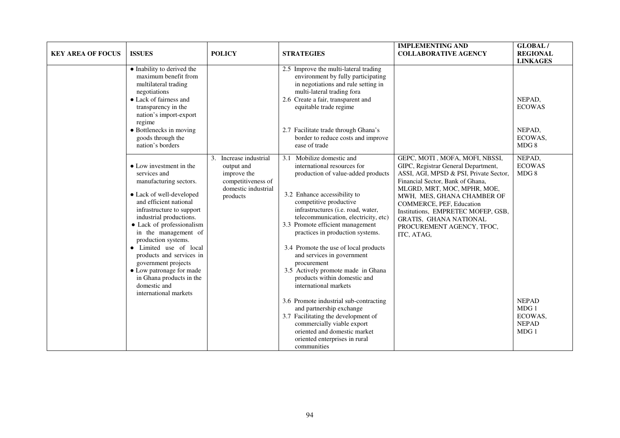| <b>KEY AREA OF FOCUS</b> | <b>ISSUES</b>                                                                                                                                                                                                                                                                                                                                                                                                                             | <b>POLICY</b>                                                                                                   | <b>STRATEGIES</b>                                                                                                                                                                                                                                                                                                                                                                                                                                                                                                                                                                                                                                                                                               | <b>IMPLEMENTING AND</b><br><b>COLLABORATIVE AGENCY</b>                                                                                                                                                                                                                                                                                                  | <b>GLOBAL/</b><br><b>REGIONAL</b><br><b>LINKAGES</b>                                         |
|--------------------------|-------------------------------------------------------------------------------------------------------------------------------------------------------------------------------------------------------------------------------------------------------------------------------------------------------------------------------------------------------------------------------------------------------------------------------------------|-----------------------------------------------------------------------------------------------------------------|-----------------------------------------------------------------------------------------------------------------------------------------------------------------------------------------------------------------------------------------------------------------------------------------------------------------------------------------------------------------------------------------------------------------------------------------------------------------------------------------------------------------------------------------------------------------------------------------------------------------------------------------------------------------------------------------------------------------|---------------------------------------------------------------------------------------------------------------------------------------------------------------------------------------------------------------------------------------------------------------------------------------------------------------------------------------------------------|----------------------------------------------------------------------------------------------|
|                          | • Inability to derived the<br>maximum benefit from<br>multilateral trading<br>negotiations<br>• Lack of fairness and<br>transparency in the<br>nation's import-export<br>regime<br>• Bottlenecks in moving<br>goods through the<br>nation's borders                                                                                                                                                                                       |                                                                                                                 | 2.5 Improve the multi-lateral trading<br>environment by fully participating<br>in negotiations and rule setting in<br>multi-lateral trading fora<br>2.6 Create a fair, transparent and<br>equitable trade regime<br>2.7 Facilitate trade through Ghana's<br>border to reduce costs and improve<br>ease of trade                                                                                                                                                                                                                                                                                                                                                                                                 |                                                                                                                                                                                                                                                                                                                                                         | NEPAD,<br><b>ECOWAS</b><br>NEPAD,<br>ECOWAS,<br>MDG 8                                        |
|                          | • Low investment in the<br>services and<br>manufacturing sectors.<br>• Lack of well-developed<br>and efficient national<br>infrastructure to support<br>industrial productions.<br>• Lack of professionalism<br>in the management of<br>production systems.<br>• Limited use of local<br>products and services in<br>government projects<br>• Low patronage for made<br>in Ghana products in the<br>domestic and<br>international markets | Increase industrial<br>3.<br>output and<br>improve the<br>competitiveness of<br>domestic industrial<br>products | 3.1 Mobilize domestic and<br>international resources for<br>production of value-added products<br>3.2 Enhance accessibility to<br>competitive productive<br>infrastructures (i.e. road, water,<br>telecommunication, electricity, etc)<br>3.3 Promote efficient management<br>practices in production systems.<br>3.4 Promote the use of local products<br>and services in government<br>procurement<br>3.5 Actively promote made in Ghana<br>products within domestic and<br>international markets<br>3.6 Promote industrial sub-contracting<br>and partnership exchange<br>3.7 Facilitating the development of<br>commercially viable export<br>oriented and domestic market<br>oriented enterprises in rural | GEPC, MOTI, MOFA, MOFI, NBSSI,<br>GIPC, Registrar General Department,<br>ASSI, AGI, MPSD & PSI, Private Sector,<br>Financial Sector, Bank of Ghana,<br>MLGRD, MRT, MOC, MPHR, MOE,<br>MWH, MES, GHANA CHAMBER OF<br>COMMERCE, PEF, Education<br>Institutions, EMPRETEC MOFEP, GSB,<br>GRATIS, GHANA NATIONAL<br>PROCUREMENT AGENCY, TFOC,<br>ITC, ATAG, | NEPAD,<br><b>ECOWAS</b><br>MDG 8<br><b>NEPAD</b><br>MDG1<br>ECOWAS,<br><b>NEPAD</b><br>MDG 1 |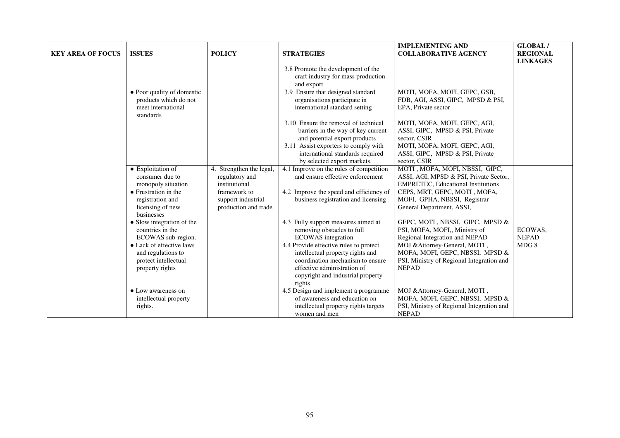| <b>KEY AREA OF FOCUS</b> | <b>ISSUES</b>                                                                                                                                                                                                                                                                                     | <b>POLICY</b>                                                                                                             | <b>STRATEGIES</b>                                                                                                                                                                                                                                                                                                                                                                                                | <b>IMPLEMENTING AND</b><br><b>COLLABORATIVE AGENCY</b>                                                                                                                                                                                                                                                                                                                                                                                                    | GLOBAL/<br><b>REGIONAL</b>      |
|--------------------------|---------------------------------------------------------------------------------------------------------------------------------------------------------------------------------------------------------------------------------------------------------------------------------------------------|---------------------------------------------------------------------------------------------------------------------------|------------------------------------------------------------------------------------------------------------------------------------------------------------------------------------------------------------------------------------------------------------------------------------------------------------------------------------------------------------------------------------------------------------------|-----------------------------------------------------------------------------------------------------------------------------------------------------------------------------------------------------------------------------------------------------------------------------------------------------------------------------------------------------------------------------------------------------------------------------------------------------------|---------------------------------|
|                          |                                                                                                                                                                                                                                                                                                   |                                                                                                                           |                                                                                                                                                                                                                                                                                                                                                                                                                  |                                                                                                                                                                                                                                                                                                                                                                                                                                                           | <b>LINKAGES</b>                 |
|                          | • Poor quality of domestic<br>products which do not<br>meet international<br>standards                                                                                                                                                                                                            |                                                                                                                           | 3.8 Promote the development of the<br>craft industry for mass production<br>and export<br>3.9 Ensure that designed standard<br>organisations participate in<br>international standard setting                                                                                                                                                                                                                    | MOTI, MOFA, MOFI, GEPC, GSB,<br>FDB, AGI, ASSI, GIPC, MPSD & PSI,<br>EPA. Private sector                                                                                                                                                                                                                                                                                                                                                                  |                                 |
|                          |                                                                                                                                                                                                                                                                                                   |                                                                                                                           | 3.10 Ensure the removal of technical<br>barriers in the way of key current<br>and potential export products<br>3.11 Assist exporters to comply with<br>international standards required<br>by selected export markets.                                                                                                                                                                                           | MOTI, MOFA, MOFI, GEPC, AGI,<br>ASSI, GIPC, MPSD & PSI, Private<br>sector, CSIR<br>MOTI, MOFA, MOFI, GEPC, AGI,<br>ASSI, GIPC, MPSD & PSI, Private<br>sector, CSIR                                                                                                                                                                                                                                                                                        |                                 |
|                          | • Exploitation of<br>consumer due to<br>monopoly situation<br>$\bullet$ Frustration in the<br>registration and<br>licensing of new<br>businesses<br>• Slow integration of the<br>countries in the<br>ECOWAS sub-region.<br>• Lack of effective laws<br>and regulations to<br>protect intellectual | 4. Strengthen the legal,<br>regulatory and<br>institutional<br>framework to<br>support industrial<br>production and trade | 4.1 Improve on the rules of competition<br>and ensure effective enforcement<br>4.2 Improve the speed and efficiency of<br>business registration and licensing<br>4.3 Fully support measures aimed at<br>removing obstacles to full<br><b>ECOWAS</b> integration<br>4.4 Provide effective rules to protect<br>intellectual property rights and<br>coordination mechanism to ensure<br>effective administration of | MOTI, MOFA, MOFI, NBSSI, GIPC,<br>ASSI, AGI, MPSD & PSI, Private Sector,<br><b>EMPRETEC, Educational Institutions</b><br>CEPS, MRT, GEPC, MOTI, MOFA,<br>MOFI, GPHA, NBSSI, Registrar<br>General Department, ASSI,<br>GEPC, MOTI, NBSSI, GIPC, MPSD &<br>PSI, MOFA, MOFI,, Ministry of<br>Regional Integration and NEPAD<br>MOJ & Attorney-General, MOTI,<br>MOFA, MOFI, GEPC, NBSSI, MPSD &<br>PSI, Ministry of Regional Integration and<br><b>NEPAD</b> | ECOWAS,<br><b>NEPAD</b><br>MDG8 |
|                          | property rights<br>• Low awareness on<br>intellectual property<br>rights.                                                                                                                                                                                                                         |                                                                                                                           | copyright and industrial property<br>rights<br>4.5 Design and implement a programme<br>of awareness and education on<br>intellectual property rights targets<br>women and men                                                                                                                                                                                                                                    | MOJ & Attorney-General, MOTI,<br>MOFA, MOFI, GEPC, NBSSI, MPSD &<br>PSI, Ministry of Regional Integration and<br><b>NEPAD</b>                                                                                                                                                                                                                                                                                                                             |                                 |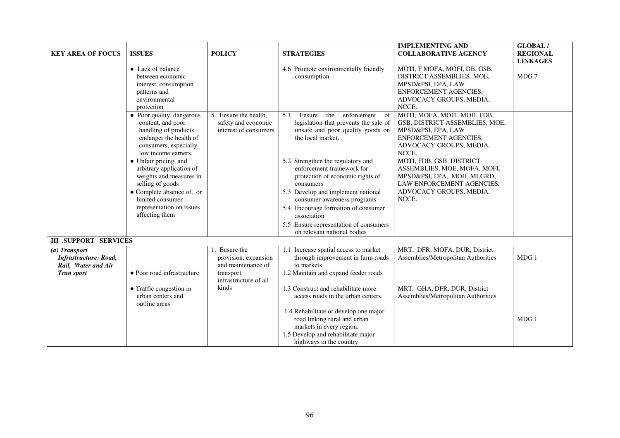| <b>KEY AREA OF FOCUS</b>                                                                  | <b>ISSUES</b>                                                                                                                                    | <b>POLICY</b>                                                                                     | <b>STRATEGIES</b>                                                                                                                                                  | <b>IMPLEMENTING AND</b><br><b>COLLABORATIVE AGENCY</b>                                                                                                  | GLOBAL/<br><b>REGIONAL</b><br><b>LINKAGES</b> |
|-------------------------------------------------------------------------------------------|--------------------------------------------------------------------------------------------------------------------------------------------------|---------------------------------------------------------------------------------------------------|--------------------------------------------------------------------------------------------------------------------------------------------------------------------|---------------------------------------------------------------------------------------------------------------------------------------------------------|-----------------------------------------------|
|                                                                                           | • Lack of balance<br>between economic<br>interest, consumption<br>patterns and<br>environmental<br>protection                                    |                                                                                                   | 4.6 Promote environmentally friendly<br>consumption                                                                                                                | MOTI, F MOFA, MOFI, DB, GSB,<br>DISTRICT ASSEMBLIES, MOE,<br>MPSD&PSI, EPA, LAW<br>ENFORCEMENT AGENCIES.<br>ADVOCACY GROUPS, MEDIA,<br>NCCE.            | MDG 7                                         |
|                                                                                           | • Poor quality, dangerous<br>content, and poor<br>handling of products<br>endanger the health of<br>consumers, especially<br>low income earners. | 5. Ensure the health,<br>safety and economic<br>interest of consumers                             | 5.1<br>Ensure<br>the<br>enforcement<br>-of<br>legislation that prevents the sale of<br>unsafe and poor quality goods on<br>the local market.                       | MOTI, MOFA, MOFI, MOH, FDB,<br>GSB, DISTRICT ASSEMBLIES, MOE,<br>MPSD&PSI, EPA, LAW<br>ENFORCEMENT AGENCIES,<br>ADVOCACY GROUPS, MEDIA,<br>NCCE.        |                                               |
|                                                                                           | • Unfair pricing, and<br>arbitrary application of<br>weights and measures in<br>selling of goods<br>• Complete absence of, or                    |                                                                                                   | 5.2 Strengthen the regulatory and<br>enforcement framework for<br>protection of economic rights of<br>consumers<br>5.3 Develop and implement national              | MOTI, FDB, GSB, DISTRICT<br>ASSEMBLIES, MOE, MOFA, MOFI,<br>MPSD&PSI, EPA, MOH, MLGRD,<br>LAW ENFORCEMENT AGENCIES,<br>ADVOCACY GROUPS, MEDIA,<br>NCCE. |                                               |
|                                                                                           | limited consumer<br>representation on issues<br>affecting them                                                                                   |                                                                                                   | consumer awareness programs<br>5.4 Encourage formation of consumer<br>association<br>5.5 Ensure representation of consumers<br>on relevant national bodies         |                                                                                                                                                         |                                               |
| <b>III .SUPPORT SERVICES</b>                                                              |                                                                                                                                                  |                                                                                                   |                                                                                                                                                                    |                                                                                                                                                         |                                               |
| (a) Transport<br><b>Infrastructure: Road,</b><br>Rail, Water and Air<br><b>Tran sport</b> | • Poor road infrastructure                                                                                                                       | 1. Ensure the<br>provision, expansion<br>and maintenance of<br>transport<br>infrastructure of all | 1.1 Increase spatial access to market<br>through improvement in farm roads<br>to markets<br>1.2 Maintain and expand feeder roads                                   | MRT, DFR, MOFA, DUR, District<br>Assemblies/Metropolitan Authorities                                                                                    | MDG1                                          |
|                                                                                           | • Traffic congestion in<br>urban centers and<br>outline areas                                                                                    | kinds                                                                                             | 1.3 Construct and rehabilitate more<br>access roads in the urban centers.                                                                                          | MRT, GHA, DFR, DUR, District<br>Assemblies/Metropolitan Authorities                                                                                     |                                               |
|                                                                                           |                                                                                                                                                  |                                                                                                   | 1.4 Rehabilitate or develop one major<br>road linking rural and urban<br>markets in every region.<br>1.5 Develop and rehabilitate major<br>highways in the country |                                                                                                                                                         | MDG 1                                         |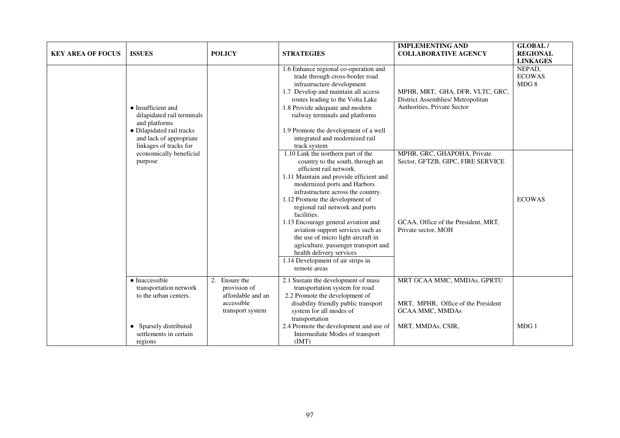| <b>KEY AREA OF FOCUS</b> | <b>ISSUES</b>                                                                                                                                                                                     | <b>POLICY</b>                                                                           | <b>STRATEGIES</b>                                                                                                                                                                                                                                                                                                                                                                                                                                                                                                                                  | <b>IMPLEMENTING AND</b><br><b>COLLABORATIVE AGENCY</b>                                                                         | <b>GLOBAL/</b><br><b>REGIONAL</b><br><b>LINKAGES</b> |
|--------------------------|---------------------------------------------------------------------------------------------------------------------------------------------------------------------------------------------------|-----------------------------------------------------------------------------------------|----------------------------------------------------------------------------------------------------------------------------------------------------------------------------------------------------------------------------------------------------------------------------------------------------------------------------------------------------------------------------------------------------------------------------------------------------------------------------------------------------------------------------------------------------|--------------------------------------------------------------------------------------------------------------------------------|------------------------------------------------------|
|                          | $\bullet$ Insufficient and<br>dilapidated rail terminals<br>and platforms<br>• Dilapidated rail tracks<br>and lack of appropriate<br>linkages of tracks for<br>economically beneficial<br>purpose |                                                                                         | 1.6 Enhance regional co-operation and<br>trade through cross-border road<br>infrastructure development<br>1.7 Develop and maintain all access<br>routes leading to the Volta Lake<br>1.8 Provide adequate and modern<br>railway terminals and platforms<br>1.9 Promote the development of a well<br>integrated and modernized rail<br>track system                                                                                                                                                                                                 | MPHR, MRT, GHA, DFR, VLTC, GRC,<br>District Assemblies/ Metropolitan<br>Authorities, Private Sector                            | NEPAD,<br><b>ECOWAS</b><br>MDG 8                     |
|                          |                                                                                                                                                                                                   |                                                                                         | 1.10 Link the northern part of the<br>country to the south, through an<br>efficient rail network.<br>1.11 Maintain and provide efficient and<br>modernized ports and Harbors<br>infrastructure across the country.<br>1.12 Promote the development of<br>regional rail network and ports<br>facilities.<br>1.13 Encourage general aviation and<br>aviation support services such as<br>the use of micro light aircraft in<br>agriculture, passenger transport and<br>health delivery services<br>1.14 Development of air strips in<br>remote areas | MPHR, GRC, GHAPOHA, Private<br>Sector, GFTZB, GIPC, FIRE SERVICE<br>GCAA, Office of the President, MRT,<br>Private sector, MOH | <b>ECOWAS</b>                                        |
|                          | • Inaccessible<br>transportation network<br>to the urban centers.                                                                                                                                 | 2.<br>Ensure the<br>provision of<br>affordable and an<br>accessible<br>transport system | 2.1 Sustain the development of mass<br>transportation system for road<br>2.2 Promote the development of<br>disability friendly public transport<br>system for all modes of<br>transportation                                                                                                                                                                                                                                                                                                                                                       | MRT GCAA MMC, MMDAs, GPRTU<br>MRT, MPHR, Office of the President<br><b>GCAA MMC, MMDAs</b>                                     |                                                      |
|                          | Sparsely distributed<br>settlements in certain<br>regions                                                                                                                                         |                                                                                         | 2.4 Promote the development and use of<br>Intermediate Modes of transport<br>(IMT)                                                                                                                                                                                                                                                                                                                                                                                                                                                                 | MRT, MMDAs, CSIR,                                                                                                              | MDG 1                                                |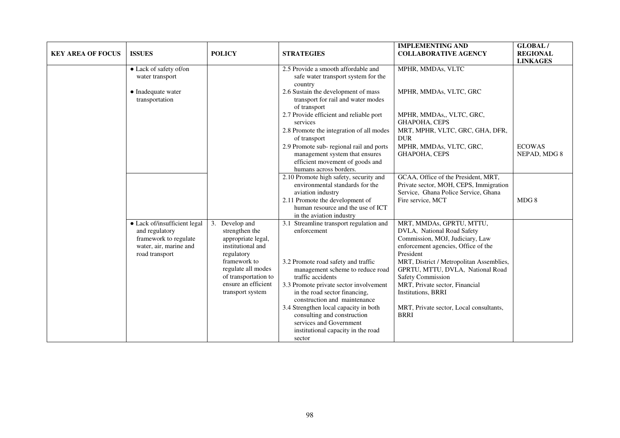| <b>KEY AREA OF FOCUS</b> | <b>ISSUES</b>                                                                                                       | <b>POLICY</b>                                                                                         | <b>STRATEGIES</b>                                                                                                                                                               | <b>IMPLEMENTING AND</b><br><b>COLLABORATIVE AGENCY</b>                                                                                                           | <b>GLOBAL/</b><br><b>REGIONAL</b><br><b>LINKAGES</b> |
|--------------------------|---------------------------------------------------------------------------------------------------------------------|-------------------------------------------------------------------------------------------------------|---------------------------------------------------------------------------------------------------------------------------------------------------------------------------------|------------------------------------------------------------------------------------------------------------------------------------------------------------------|------------------------------------------------------|
|                          | • Lack of safety of/on<br>water transport                                                                           |                                                                                                       | 2.5 Provide a smooth affordable and<br>safe water transport system for the<br>country                                                                                           | MPHR, MMDAs, VLTC                                                                                                                                                |                                                      |
|                          | • Inadequate water<br>transportation                                                                                |                                                                                                       | 2.6 Sustain the development of mass<br>transport for rail and water modes<br>of transport                                                                                       | MPHR, MMDAs, VLTC, GRC                                                                                                                                           |                                                      |
|                          |                                                                                                                     |                                                                                                       | 2.7 Provide efficient and reliable port<br>services                                                                                                                             | MPHR, MMDAs,, VLTC, GRC,<br><b>GHAPOHA, CEPS</b>                                                                                                                 |                                                      |
|                          |                                                                                                                     |                                                                                                       | 2.8 Promote the integration of all modes<br>of transport                                                                                                                        | MRT, MPHR, VLTC, GRC, GHA, DFR,<br><b>DUR</b>                                                                                                                    |                                                      |
|                          |                                                                                                                     |                                                                                                       | 2.9 Promote sub-regional rail and ports<br>management system that ensures<br>efficient movement of goods and<br>humans across borders.                                          | MPHR, MMDAs, VLTC, GRC,<br><b>GHAPOHA, CEPS</b>                                                                                                                  | <b>ECOWAS</b><br>NEPAD, MDG 8                        |
|                          |                                                                                                                     |                                                                                                       | 2.10 Promote high safety, security and<br>environmental standards for the<br>aviation industry                                                                                  | GCAA, Office of the President, MRT,<br>Private sector, MOH, CEPS, Immigration<br>Service, Ghana Police Service, Ghana                                            |                                                      |
|                          |                                                                                                                     |                                                                                                       | 2.11 Promote the development of<br>human resource and the use of ICT<br>in the aviation industry                                                                                | Fire service, MCT                                                                                                                                                | MDG8                                                 |
|                          | • Lack of/insufficient legal<br>and regulatory<br>framework to regulate<br>water, air, marine and<br>road transport | 3.<br>Develop and<br>strengthen the<br>appropriate legal,<br>institutional and<br>regulatory          | 3.1 Streamline transport regulation and<br>enforcement                                                                                                                          | MRT, MMDAs, GPRTU, MTTU,<br>DVLA, National Road Safety<br>Commission, MOJ, Judiciary, Law<br>enforcement agencies, Office of the<br>President                    |                                                      |
|                          |                                                                                                                     | framework to<br>regulate all modes<br>of transportation to<br>ensure an efficient<br>transport system | 3.2 Promote road safety and traffic<br>management scheme to reduce road<br>traffic accidents<br>3.3 Promote private sector involvement<br>in the road sector financing,         | MRT, District / Metropolitan Assemblies,<br>GPRTU, MTTU, DVLA, National Road<br><b>Safety Commission</b><br>MRT, Private sector, Financial<br>Institutions, BRRI |                                                      |
|                          |                                                                                                                     |                                                                                                       | construction and maintenance<br>3.4 Strengthen local capacity in both<br>consulting and construction<br>services and Government<br>institutional capacity in the road<br>sector | MRT, Private sector, Local consultants,<br><b>BRRI</b>                                                                                                           |                                                      |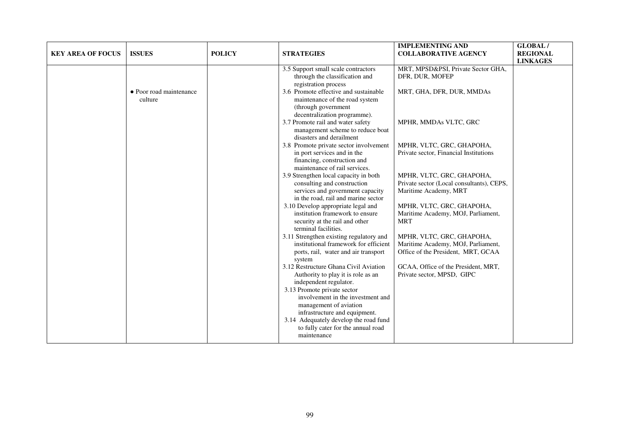| <b>KEY AREA OF FOCUS</b> | <b>ISSUES</b>                      | <b>POLICY</b> | <b>STRATEGIES</b>                                                                                                                                                                                                                                                                                                                                                                                                                                                                                                                                                                                                                                                                                                                                                                                                                                                                                                                                                                                                                                                                                                                                                                                                                               | <b>IMPLEMENTING AND</b><br><b>COLLABORATIVE AGENCY</b>                                                                                                                                                                                                                                                                                                                                                                                                                                                                                               | GLOBAL/<br><b>REGIONAL</b><br><b>LINKAGES</b> |
|--------------------------|------------------------------------|---------------|-------------------------------------------------------------------------------------------------------------------------------------------------------------------------------------------------------------------------------------------------------------------------------------------------------------------------------------------------------------------------------------------------------------------------------------------------------------------------------------------------------------------------------------------------------------------------------------------------------------------------------------------------------------------------------------------------------------------------------------------------------------------------------------------------------------------------------------------------------------------------------------------------------------------------------------------------------------------------------------------------------------------------------------------------------------------------------------------------------------------------------------------------------------------------------------------------------------------------------------------------|------------------------------------------------------------------------------------------------------------------------------------------------------------------------------------------------------------------------------------------------------------------------------------------------------------------------------------------------------------------------------------------------------------------------------------------------------------------------------------------------------------------------------------------------------|-----------------------------------------------|
|                          | • Poor road maintenance<br>culture |               | 3.5 Support small scale contractors<br>through the classification and<br>registration process<br>3.6 Promote effective and sustainable<br>maintenance of the road system<br>(through government<br>decentralization programme).<br>3.7 Promote rail and water safety<br>management scheme to reduce boat<br>disasters and derailment<br>3.8 Promote private sector involvement<br>in port services and in the<br>financing, construction and<br>maintenance of rail services.<br>3.9 Strengthen local capacity in both<br>consulting and construction<br>services and government capacity<br>in the road, rail and marine sector<br>3.10 Develop appropriate legal and<br>institution framework to ensure<br>security at the rail and other<br>terminal facilities.<br>3.11 Strengthen existing regulatory and<br>institutional framework for efficient<br>ports, rail, water and air transport<br>system<br>3.12 Restructure Ghana Civil Aviation<br>Authority to play it is role as an<br>independent regulator.<br>3.13 Promote private sector<br>involvement in the investment and<br>management of aviation<br>infrastructure and equipment.<br>3.14 Adequately develop the road fund<br>to fully cater for the annual road<br>maintenance | MRT, MPSD&PSI, Private Sector GHA,<br>DFR, DUR, MOFEP<br>MRT, GHA, DFR, DUR, MMDAs<br>MPHR, MMDAs VLTC, GRC<br>MPHR, VLTC, GRC, GHAPOHA,<br>Private sector, Financial Institutions<br>MPHR, VLTC, GRC, GHAPOHA,<br>Private sector (Local consultants), CEPS,<br>Maritime Academy, MRT<br>MPHR, VLTC, GRC, GHAPOHA,<br>Maritime Academy, MOJ, Parliament,<br><b>MRT</b><br>MPHR, VLTC, GRC, GHAPOHA,<br>Maritime Academy, MOJ, Parliament,<br>Office of the President, MRT, GCAA<br>GCAA, Office of the President, MRT,<br>Private sector, MPSD, GIPC |                                               |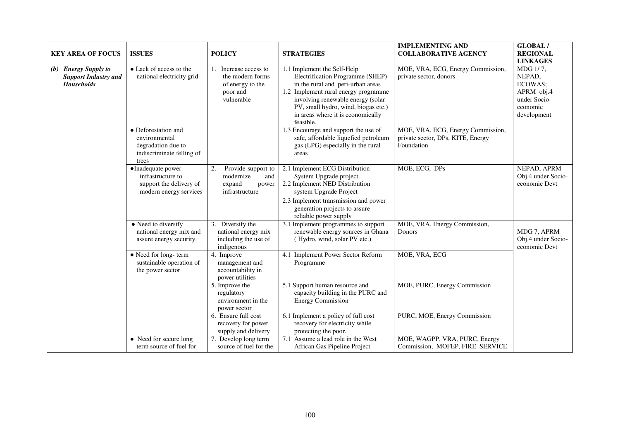| <b>KEY AREA OF FOCUS</b>                                                 | <b>ISSUES</b>                                                                                                                                   | <b>POLICY</b>                                                                                                                                                                  | <b>STRATEGIES</b>                                                                                                                                                                                                                                                                                                                                                                                        | <b>IMPLEMENTING AND</b><br><b>COLLABORATIVE AGENCY</b>                                                                                              | <b>GLOBAL/</b><br><b>REGIONAL</b><br><b>LINKAGES</b>                                   |
|--------------------------------------------------------------------------|-------------------------------------------------------------------------------------------------------------------------------------------------|--------------------------------------------------------------------------------------------------------------------------------------------------------------------------------|----------------------------------------------------------------------------------------------------------------------------------------------------------------------------------------------------------------------------------------------------------------------------------------------------------------------------------------------------------------------------------------------------------|-----------------------------------------------------------------------------------------------------------------------------------------------------|----------------------------------------------------------------------------------------|
| (b) Energy Supply to<br><b>Support Industry and</b><br><b>Households</b> | • Lack of access to the<br>national electricity grid<br>• Deforestation and<br>environmental<br>degradation due to<br>indiscriminate felling of | Increase access to<br>the modern forms<br>of energy to the<br>poor and<br>vulnerable                                                                                           | 1.1 Implement the Self-Help<br>Electrification Programme (SHEP)<br>in the rural and peri-urban areas<br>1.2 Implement rural energy programme<br>involving renewable energy (solar<br>PV, small hydro, wind, biogas etc.)<br>in areas where it is economically<br>feasible.<br>1.3 Encourage and support the use of<br>safe, affordable liquefied petroleum<br>gas (LPG) especially in the rural<br>areas | MOE, VRA, ECG, Energy Commission,<br>private sector, donors<br>MOE, VRA, ECG, Energy Commission,<br>private sector, DPs, KITE, Energy<br>Foundation | MDG 1/7,<br>NEPAD,<br>ECOWAS;<br>APRM obj.4<br>under Socio-<br>economic<br>development |
|                                                                          | trees<br>·Inadequate power<br>infrastructure to<br>support the delivery of<br>modern energy services                                            | Provide support to<br>2.<br>modernize<br>and<br>expand<br>power<br>infrastructure                                                                                              | 2.1 Implement ECG Distribution<br>System Upgrade project.<br>2.2 Implement NED Distribution<br>system Upgrade Project<br>2.3 Implement transmission and power<br>generation projects to assure<br>reliable power supply                                                                                                                                                                                  | MOE, ECG, DPs                                                                                                                                       | NEPAD, APRM<br>Obj.4 under Socio-<br>economic Devt                                     |
|                                                                          | • Need to diversify<br>national energy mix and<br>assure energy security.<br>• Need for long-term<br>sustainable operation of                   | 3. Diversify the<br>national energy mix<br>including the use of<br>indigenous<br>4. Improve<br>management and                                                                  | 3.1 Implement programmes to support<br>renewable energy sources in Ghana<br>(Hydro, wind, solar PV etc.)<br>4.1 Implement Power Sector Reform<br>Programme                                                                                                                                                                                                                                               | MOE, VRA, Energy Commission,<br>Donors<br>MOE, VRA, ECG                                                                                             | MDG 7, APRM<br>Obj.4 under Socio-<br>economic Devt                                     |
|                                                                          | the power sector                                                                                                                                | accountability in<br>power utilities<br>5. Improve the<br>regulatory<br>environment in the<br>power sector<br>6. Ensure full cost<br>recovery for power<br>supply and delivery | 5.1 Support human resource and<br>capacity building in the PURC and<br><b>Energy Commission</b><br>6.1 Implement a policy of full cost<br>recovery for electricity while<br>protecting the poor.                                                                                                                                                                                                         | MOE, PURC, Energy Commission<br>PURC, MOE, Energy Commission                                                                                        |                                                                                        |
|                                                                          | • Need for secure long<br>term source of fuel for                                                                                               | 7. Develop long term<br>source of fuel for the                                                                                                                                 | 7.1 Assume a lead role in the West<br>African Gas Pipeline Project                                                                                                                                                                                                                                                                                                                                       | MOE, WAGPP, VRA, PURC, Energy<br>Commission, MOFEP, FIRE SERVICE                                                                                    |                                                                                        |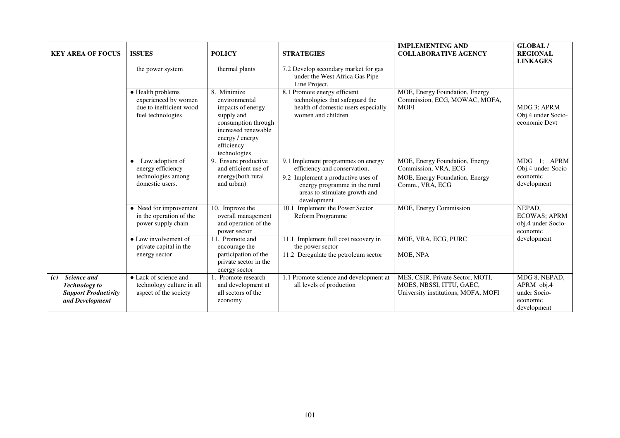| <b>KEY AREA OF FOCUS</b>                                                                            | <b>ISSUES</b>                                                                              | <b>POLICY</b>                                                                                                                                                  | <b>STRATEGIES</b>                                                                                                                                                                         | <b>IMPLEMENTING AND</b><br><b>COLLABORATIVE AGENCY</b>                                                      | GLOBAL/<br><b>REGIONAL</b><br><b>LINKAGES</b>                          |
|-----------------------------------------------------------------------------------------------------|--------------------------------------------------------------------------------------------|----------------------------------------------------------------------------------------------------------------------------------------------------------------|-------------------------------------------------------------------------------------------------------------------------------------------------------------------------------------------|-------------------------------------------------------------------------------------------------------------|------------------------------------------------------------------------|
|                                                                                                     | the power system                                                                           | thermal plants                                                                                                                                                 | 7.2 Develop secondary market for gas<br>under the West Africa Gas Pipe<br>Line Project.                                                                                                   |                                                                                                             |                                                                        |
|                                                                                                     | • Health problems<br>experienced by women<br>due to inefficient wood<br>fuel technologies  | 8. Minimize<br>environmental<br>impacts of energy<br>supply and<br>consumption through<br>increased renewable<br>energy / energy<br>efficiency<br>technologies | 8.1 Promote energy efficient<br>technologies that safeguard the<br>health of domestic users especially<br>women and children                                                              | MOE, Energy Foundation, Energy<br>Commission, ECG, MOWAC, MOFA,<br><b>MOFI</b>                              | MDG 3; APRM<br>Obj.4 under Socio-<br>economic Devt                     |
|                                                                                                     | Low adoption of<br>$\bullet$<br>energy efficiency<br>technologies among<br>domestic users. | 9. Ensure productive<br>and efficient use of<br>energy(both rural<br>and urban)                                                                                | 9.1 Implement programmes on energy<br>efficiency and conservation.<br>9.2 Implement a productive uses of<br>energy programme in the rural<br>areas to stimulate growth and<br>development | MOE, Energy Foundation, Energy<br>Commission, VRA, ECG<br>MOE, Energy Foundation, Energy<br>Comm., VRA, ECG | MDG 1; APRM<br>Obj.4 under Socio-<br>economic<br>development           |
|                                                                                                     | • Need for improvement<br>in the operation of the<br>power supply chain                    | 10. Improve the<br>overall management<br>and operation of the<br>power sector                                                                                  | Implement the Power Sector<br>10.1<br>Reform Programme                                                                                                                                    | MOE, Energy Commission                                                                                      | NEPAD.<br><b>ECOWAS; APRM</b><br>obj.4 under Socio-<br>economic        |
|                                                                                                     | • Low involvement of<br>private capital in the<br>energy sector                            | 11. Promote and<br>encourage the<br>participation of the<br>private sector in the<br>energy sector                                                             | Implement full cost recovery in<br>11.1<br>the power sector<br>11.2 Deregulate the petroleum sector                                                                                       | MOE, VRA, ECG, PURC<br>MOE, NPA                                                                             | development                                                            |
| <b>Science and</b><br>(c)<br><b>Technology</b> to<br><b>Support Productivity</b><br>and Development | • Lack of science and<br>technology culture in all<br>aspect of the society                | Promote research<br>and development at<br>all sectors of the<br>economy                                                                                        | 1.1 Promote science and development at<br>all levels of production                                                                                                                        | MES, CSIR, Private Sector, MOTI,<br>MOES, NBSSI, ITTU, GAEC,<br>University institutions, MOFA, MOFI         | MDG 8, NEPAD,<br>APRM obj.4<br>under Socio-<br>economic<br>development |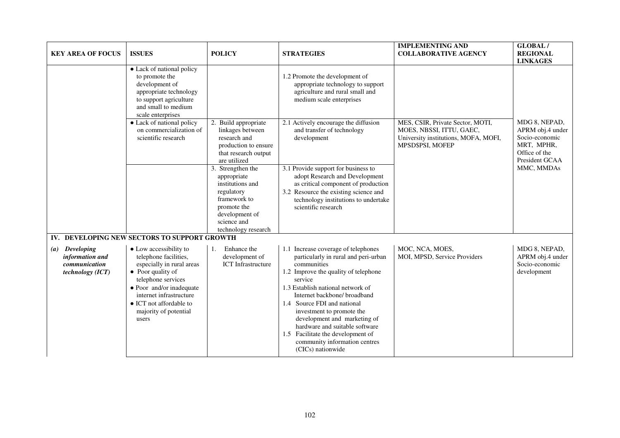| <b>KEY AREA OF FOCUS</b>                                                         | <b>ISSUES</b>                                                                                                                                                                                                                                                                               | <b>POLICY</b>                                                                                                                                             | <b>STRATEGIES</b>                                                                                                                                                                                                                                                                                                                                                                                                                           | <b>IMPLEMENTING AND</b><br><b>COLLABORATIVE AGENCY</b>                                                                   | GLOBAL/<br><b>REGIONAL</b><br><b>LINKAGES</b>                                                        |
|----------------------------------------------------------------------------------|---------------------------------------------------------------------------------------------------------------------------------------------------------------------------------------------------------------------------------------------------------------------------------------------|-----------------------------------------------------------------------------------------------------------------------------------------------------------|---------------------------------------------------------------------------------------------------------------------------------------------------------------------------------------------------------------------------------------------------------------------------------------------------------------------------------------------------------------------------------------------------------------------------------------------|--------------------------------------------------------------------------------------------------------------------------|------------------------------------------------------------------------------------------------------|
|                                                                                  | • Lack of national policy<br>to promote the<br>development of<br>appropriate technology<br>to support agriculture<br>and small to medium<br>scale enterprises                                                                                                                               |                                                                                                                                                           | 1.2 Promote the development of<br>appropriate technology to support<br>agriculture and rural small and<br>medium scale enterprises                                                                                                                                                                                                                                                                                                          |                                                                                                                          |                                                                                                      |
|                                                                                  | • Lack of national policy<br>on commercialization of<br>scientific research                                                                                                                                                                                                                 | 2. Build appropriate<br>linkages between<br>research and<br>production to ensure<br>that research output<br>are utilized                                  | 2.1 Actively encourage the diffusion<br>and transfer of technology<br>development                                                                                                                                                                                                                                                                                                                                                           | MES, CSIR, Private Sector, MOTI,<br>MOES, NBSSI, ITTU, GAEC,<br>University institutions, MOFA, MOFI,<br>MPSD\$PSI, MOFEP | MDG 8, NEPAD,<br>APRM obj.4 under<br>Socio-economic<br>MRT, MPHR,<br>Office of the<br>President GCAA |
|                                                                                  |                                                                                                                                                                                                                                                                                             | 3. Strengthen the<br>appropriate<br>institutions and<br>regulatory<br>framework to<br>promote the<br>development of<br>science and<br>technology research | 3.1 Provide support for business to<br>adopt Research and Development<br>as critical component of production<br>3.2 Resource the existing science and<br>technology institutions to undertake<br>scientific research                                                                                                                                                                                                                        |                                                                                                                          | MMC, MMDAs                                                                                           |
| <b>Developing</b><br>(a)<br>information and<br>communication<br>technology (ICT) | IV. DEVELOPING NEW SECTORS TO SUPPORT GROWTH<br>• Low accessibility to<br>telephone facilities,<br>especially in rural areas<br>• Poor quality of<br>telephone services<br>• Poor and/or inadequate<br>internet infrastructure<br>• ICT not affordable to<br>majority of potential<br>users | Enhance the<br>1.<br>development of<br><b>ICT</b> Infrastructure                                                                                          | 1.1 Increase coverage of telephones<br>particularly in rural and peri-urban<br>communities<br>1.2 Improve the quality of telephone<br>service<br>1.3 Establish national network of<br>Internet backbone/ broadband<br>1.4 Source FDI and national<br>investment to promote the<br>development and marketing of<br>hardware and suitable software<br>1.5 Facilitate the development of<br>community information centres<br>(CICs) nationwide | MOC, NCA, MOES,<br>MOI, MPSD, Service Providers                                                                          | MDG 8, NEPAD,<br>APRM obj.4 under<br>Socio-economic<br>development                                   |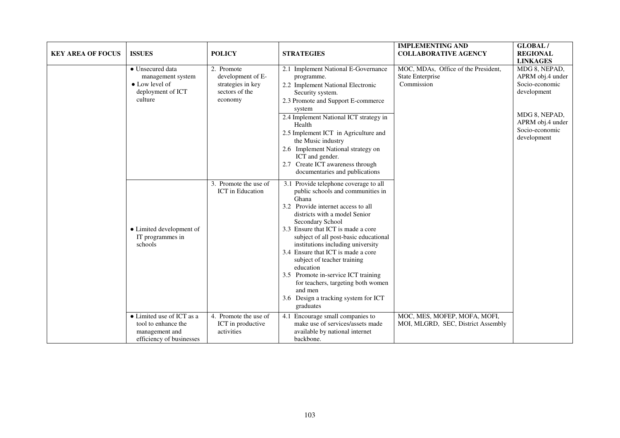| <b>KEY AREA OF FOCUS</b> | <b>ISSUES</b>                                                                                  | <b>POLICY</b>                                                                     | <b>STRATEGIES</b>                                                                                                                                                                                                                                                                                                                                                                                                                                                                                                                 | <b>IMPLEMENTING AND</b><br><b>COLLABORATIVE AGENCY</b>                | <b>GLOBAL/</b><br><b>REGIONAL</b><br><b>LINKAGES</b>                                                                                     |
|--------------------------|------------------------------------------------------------------------------------------------|-----------------------------------------------------------------------------------|-----------------------------------------------------------------------------------------------------------------------------------------------------------------------------------------------------------------------------------------------------------------------------------------------------------------------------------------------------------------------------------------------------------------------------------------------------------------------------------------------------------------------------------|-----------------------------------------------------------------------|------------------------------------------------------------------------------------------------------------------------------------------|
|                          | • Unsecured data<br>management system<br>• Low level of<br>deployment of ICT<br>culture        | 2. Promote<br>development of E-<br>strategies in key<br>sectors of the<br>economy | 2.1 Implement National E-Governance<br>programme.<br>2.2 Implement National Electronic<br>Security system.<br>2.3 Promote and Support E-commerce<br>system<br>2.4 Implement National ICT strategy in<br>Health<br>2.5 Implement ICT in Agriculture and<br>the Music industry<br>2.6 Implement National strategy on<br>ICT and gender.<br>2.7 Create ICT awareness through<br>documentaries and publications                                                                                                                       | MOC, MDAs, Office of the President,<br>State Enterprise<br>Commission | MDG 8, NEPAD,<br>APRM obj.4 under<br>Socio-economic<br>development<br>MDG 8, NEPAD,<br>APRM obj.4 under<br>Socio-economic<br>development |
|                          | • Limited development of<br>IT programmes in<br>schools                                        | 3. Promote the use of<br>ICT in Education                                         | 3.1 Provide telephone coverage to all<br>public schools and communities in<br>Ghana<br>3.2 Provide internet access to all<br>districts with a model Senior<br>Secondary School<br>3.3 Ensure that ICT is made a core<br>subject of all post-basic educational<br>institutions including university<br>3.4 Ensure that ICT is made a core<br>subject of teacher training<br>education<br>3.5 Promote in-service ICT training<br>for teachers, targeting both women<br>and men<br>3.6 Design a tracking system for ICT<br>graduates |                                                                       |                                                                                                                                          |
|                          | • Limited use of ICT as a<br>tool to enhance the<br>management and<br>efficiency of businesses | 4. Promote the use of<br>ICT in productive<br>activities                          | 4.1 Encourage small companies to<br>make use of services/assets made<br>available by national internet<br>backbone.                                                                                                                                                                                                                                                                                                                                                                                                               | MOC, MES, MOFEP, MOFA, MOFI,<br>MOI, MLGRD, SEC, District Assembly    |                                                                                                                                          |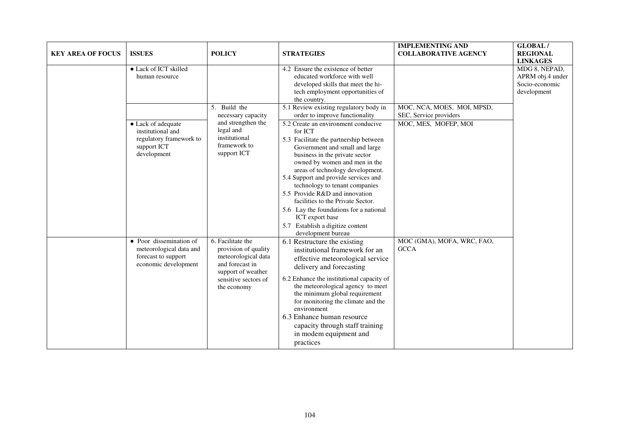| <b>KEY AREA OF FOCUS</b> | <b>ISSUES</b>                                                                                     | <b>POLICY</b>                                                                                                                                    | <b>STRATEGIES</b>                                                                                                                                                                                                                                                                                                                                                                                                                                                                                                                                                                     | <b>IMPLEMENTING AND</b><br><b>COLLABORATIVE AGENCY</b>                       | GLOBAL/<br><b>REGIONAL</b><br><b>LINKAGES</b>                      |
|--------------------------|---------------------------------------------------------------------------------------------------|--------------------------------------------------------------------------------------------------------------------------------------------------|---------------------------------------------------------------------------------------------------------------------------------------------------------------------------------------------------------------------------------------------------------------------------------------------------------------------------------------------------------------------------------------------------------------------------------------------------------------------------------------------------------------------------------------------------------------------------------------|------------------------------------------------------------------------------|--------------------------------------------------------------------|
|                          | • Lack of ICT skilled<br>human resource                                                           |                                                                                                                                                  | 4.2 Ensure the existence of better<br>educated workforce with well<br>developed skills that meet the hi-<br>tech employment opportunities of<br>the country.                                                                                                                                                                                                                                                                                                                                                                                                                          |                                                                              | MDG 8, NEPAD,<br>APRM obj.4 under<br>Socio-economic<br>development |
|                          | • Lack of adequate<br>institutional and<br>regulatory framework to<br>support ICT<br>development  | 5. Build the<br>necessary capacity<br>and strengthen the<br>legal and<br>institutional<br>framework to<br>support ICT                            | 5.1 Review existing regulatory body in<br>order to improve functionality<br>5.2 Create an environment conducive<br>for ICT<br>5.3 Facilitate the partnership between<br>Government and small and large<br>business in the private sector<br>owned by women and men in the<br>areas of technology development.<br>5.4 Support and provide services and<br>technology to tenant companies<br>5.5 Provide R&D and innovation<br>facilities to the Private Sector.<br>5.6 Lay the foundations for a national<br>ICT export base<br>5.7 Establish a digitize content<br>development bureau | MOC, NCA, MOES, MOI, MPSD,<br>SEC, Service providers<br>MOC, MES, MOFEP, MOI |                                                                    |
|                          | • Poor dissemination of<br>meteorological data and<br>forecast to support<br>economic development | 6. Facilitate the<br>provision of quality<br>meteorological data<br>and forecast in<br>support of weather<br>sensitive sectors of<br>the economy | 6.1 Restructure the existing<br>institutional framework for an<br>effective meteorological service<br>delivery and forecasting<br>6.2 Enhance the institutional capacity of<br>the meteorological agency to meet<br>the minimum global requirement<br>for monitoring the climate and the<br>environment<br>6.3 Enhance human resource<br>capacity through staff training<br>in modem equipment and<br>practices                                                                                                                                                                       | MOC (GMA), MOFA, WRC, FAO,<br><b>GCCA</b>                                    |                                                                    |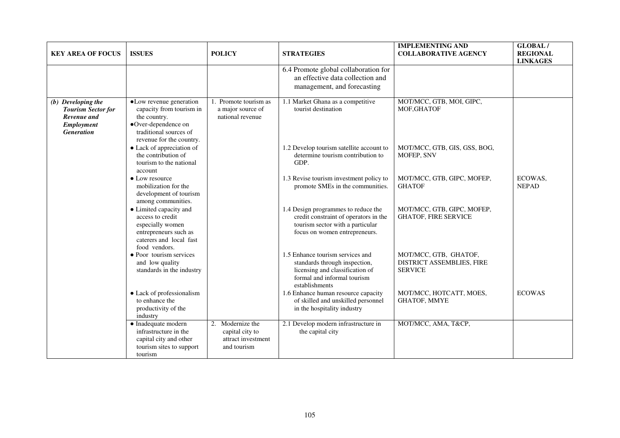| <b>KEY AREA OF FOCUS</b>                                                                                 | <b>ISSUES</b>                                                                                                                                    | <b>POLICY</b>                                                            | <b>STRATEGIES</b>                                                                                                                                     | <b>IMPLEMENTING AND</b><br><b>COLLABORATIVE AGENCY</b>               | GLOBAL/<br><b>REGIONAL</b><br><b>LINKAGES</b> |
|----------------------------------------------------------------------------------------------------------|--------------------------------------------------------------------------------------------------------------------------------------------------|--------------------------------------------------------------------------|-------------------------------------------------------------------------------------------------------------------------------------------------------|----------------------------------------------------------------------|-----------------------------------------------|
|                                                                                                          |                                                                                                                                                  |                                                                          | 6.4 Promote global collaboration for<br>an effective data collection and<br>management, and forecasting                                               |                                                                      |                                               |
| (b) Developing the<br><b>Tourism Sector for</b><br>Revenue and<br><b>Employment</b><br><b>Generation</b> | •Low revenue generation<br>capacity from tourism in<br>the country.<br>•Over-dependence on<br>traditional sources of<br>revenue for the country. | 1. Promote tourism as<br>a major source of<br>national revenue           | 1.1 Market Ghana as a competitive<br>tourist destination                                                                                              | MOT/MCC, GTB, MOI, GIPC,<br>MOF, GHATOF                              |                                               |
|                                                                                                          | • Lack of appreciation of<br>the contribution of<br>tourism to the national<br>account                                                           |                                                                          | 1.2 Develop tourism satellite account to<br>determine tourism contribution to<br>GDP.                                                                 | MOT/MCC, GTB, GIS, GSS, BOG,<br>MOFEP, SNV                           |                                               |
|                                                                                                          | • Low resource<br>mobilization for the<br>development of tourism<br>among communities.                                                           |                                                                          | 1.3 Revise tourism investment policy to<br>promote SMEs in the communities.                                                                           | MOT/MCC, GTB, GIPC, MOFEP,<br><b>GHATOF</b>                          | ECOWAS,<br><b>NEPAD</b>                       |
|                                                                                                          | • Limited capacity and<br>access to credit<br>especially women<br>entrepreneurs such as<br>caterers and local fast<br>food vendors.              |                                                                          | 1.4 Design programmes to reduce the<br>credit constraint of operators in the<br>tourism sector with a particular<br>focus on women entrepreneurs.     | MOT/MCC, GTB, GIPC, MOFEP,<br><b>GHATOF, FIRE SERVICE</b>            |                                               |
|                                                                                                          | • Poor tourism services<br>and low quality<br>standards in the industry                                                                          |                                                                          | 1.5 Enhance tourism services and<br>standards through inspection,<br>licensing and classification of<br>formal and informal tourism<br>establishments | MOT/MCC, GTB, GHATOF,<br>DISTRICT ASSEMBLIES, FIRE<br><b>SERVICE</b> |                                               |
|                                                                                                          | • Lack of professionalism<br>to enhance the<br>productivity of the<br>industry                                                                   |                                                                          | 1.6 Enhance human resource capacity<br>of skilled and unskilled personnel<br>in the hospitality industry                                              | MOT/MCC, HOTCATT, MOES,<br>GHATOF, MMYE                              | <b>ECOWAS</b>                                 |
|                                                                                                          | $\bullet$ Inadequate modern<br>infrastructure in the<br>capital city and other<br>tourism sites to support<br>tourism                            | 2. Modernize the<br>capital city to<br>attract investment<br>and tourism | 2.1 Develop modern infrastructure in<br>the capital city                                                                                              | MOT/MCC, AMA, T&CP,                                                  |                                               |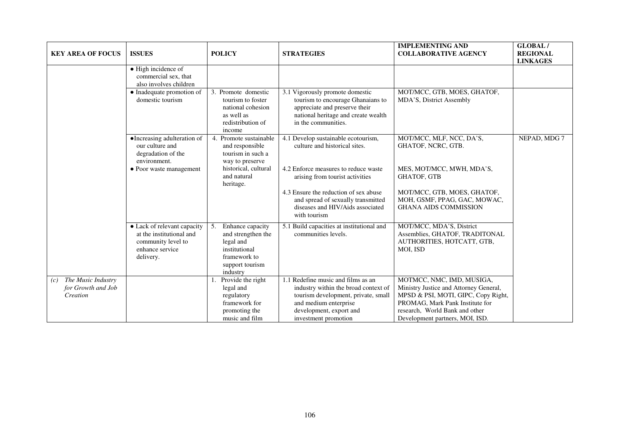| <b>KEY AREA OF FOCUS</b>                                    | <b>ISSUES</b>                                                                                                 | <b>POLICY</b>                                                                                                             | <b>STRATEGIES</b>                                                                                                                                                                             | <b>IMPLEMENTING AND</b><br><b>COLLABORATIVE AGENCY</b>                                                                                                                                                             | <b>GLOBAL/</b><br><b>REGIONAL</b><br><b>LINKAGES</b> |
|-------------------------------------------------------------|---------------------------------------------------------------------------------------------------------------|---------------------------------------------------------------------------------------------------------------------------|-----------------------------------------------------------------------------------------------------------------------------------------------------------------------------------------------|--------------------------------------------------------------------------------------------------------------------------------------------------------------------------------------------------------------------|------------------------------------------------------|
|                                                             | $\bullet$ High incidence of<br>commercial sex, that<br>also involves children                                 |                                                                                                                           |                                                                                                                                                                                               |                                                                                                                                                                                                                    |                                                      |
|                                                             | • Inadequate promotion of<br>domestic tourism                                                                 | 3. Promote domestic<br>tourism to foster<br>national cohesion<br>as well as<br>redistribution of<br>income                | 3.1 Vigorously promote domestic<br>tourism to encourage Ghanaians to<br>appreciate and preserve their<br>national heritage and create wealth<br>in the communities.                           | MOT/MCC, GTB, MOES, GHATOF,<br>MDA'S, District Assembly                                                                                                                                                            |                                                      |
|                                                             | •Increasing adulteration of<br>our culture and<br>degradation of the<br>environment.                          | 4. Promote sustainable<br>and responsible<br>tourism in such a<br>way to preserve                                         | 4.1 Develop sustainable ecotourism,<br>culture and historical sites.                                                                                                                          | MOT/MCC, MLF, NCC, DA'S,<br>GHATOF, NCRC, GTB.                                                                                                                                                                     | NEPAD, MDG 7                                         |
|                                                             | • Poor waste management                                                                                       | historical, cultural<br>and natural<br>heritage.                                                                          | 4.2 Enforce measures to reduce waste<br>arising from tourist activities                                                                                                                       | MES, MOT/MCC, MWH, MDA'S,<br><b>GHATOF, GTB</b>                                                                                                                                                                    |                                                      |
|                                                             |                                                                                                               |                                                                                                                           | 4.3 Ensure the reduction of sex abuse<br>and spread of sexually transmitted<br>diseases and HIV/Aids associated<br>with tourism                                                               | MOT/MCC, GTB, MOES, GHATOF,<br>MOH, GSMF, PPAG, GAC, MOWAC,<br><b>GHANA AIDS COMMISSION</b>                                                                                                                        |                                                      |
|                                                             | • Lack of relevant capacity<br>at the institutional and<br>community level to<br>enhance service<br>delivery. | 5.<br>Enhance capacity<br>and strengthen the<br>legal and<br>institutional<br>framework to<br>support tourism<br>industry | 5.1 Build capacities at institutional and<br>communities levels.                                                                                                                              | MOT/MCC, MDA'S, District<br>Assemblies, GHATOF, TRADITONAL<br>AUTHORITIES, HOTCATT, GTB,<br>MOI, ISD                                                                                                               |                                                      |
| The Music Industry<br>(c)<br>for Growth and Job<br>Creation |                                                                                                               | Provide the right<br>legal and<br>regulatory<br>framework for<br>promoting the<br>music and film                          | 1.1 Redefine music and films as an<br>industry within the broad context of<br>tourism development, private, small<br>and medium enterprise<br>development, export and<br>investment promotion | MOTMCC, NMC, IMD, MUSIGA,<br>Ministry Justice and Attorney General,<br>MPSD & PSI, MOTI, GIPC, Copy Right,<br>PROMAG, Mark Pank Institute for<br>research, World Bank and other<br>Development partners, MOI, ISD. |                                                      |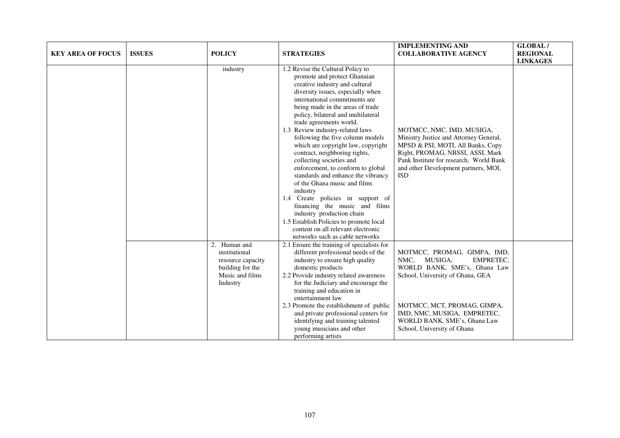| <b>KEY AREA OF FOCUS</b> | <b>ISSUES</b> | <b>POLICY</b>                                                                                         | <b>STRATEGIES</b>                                                                                                                                                                                                                                                                                                                                                                                                                                                                                                                                                                                                                                                                                                                                                                                       | <b>IMPLEMENTING AND</b><br><b>COLLABORATIVE AGENCY</b>                                                                                                                                                                                                           | <b>GLOBAL/</b><br><b>REGIONAL</b><br><b>LINKAGES</b> |
|--------------------------|---------------|-------------------------------------------------------------------------------------------------------|---------------------------------------------------------------------------------------------------------------------------------------------------------------------------------------------------------------------------------------------------------------------------------------------------------------------------------------------------------------------------------------------------------------------------------------------------------------------------------------------------------------------------------------------------------------------------------------------------------------------------------------------------------------------------------------------------------------------------------------------------------------------------------------------------------|------------------------------------------------------------------------------------------------------------------------------------------------------------------------------------------------------------------------------------------------------------------|------------------------------------------------------|
|                          |               | industry                                                                                              | 1.2 Revise the Cultural Policy to<br>promote and protect Ghanaian<br>creative industry and cultural<br>diversity issues, especially when<br>international commitments are<br>being made in the areas of trade<br>policy, bilateral and multilateral<br>trade agreements world.<br>1.3 Review industry-related laws<br>following the five column models<br>which are copyright law, copyright<br>contract, neighboring rights,<br>collecting societies and<br>enforcement, to conform to global<br>standards and enhance the vibrancy<br>of the Ghana music and films<br>industry<br>1.4 Create policies in support of<br>financing the music and films<br>industry production chain<br>1.5 Establish Policies to promote local<br>content on all relevant electronic<br>networks such as cable networks | MOTMCC, NMC, IMD, MUSIGA,<br>Ministry Justice and Attorney General,<br>MPSD & PSI, MOTI, All Banks, Copy<br>Right, PROMAG, NBSSI, ASSI, Mark<br>Pank Institute for research, World Bank<br>and other Development partners, MOI,<br><b>ISD</b>                    |                                                      |
|                          |               | 2. Human and<br>institutional<br>resource capacity<br>building for the<br>Music and films<br>Industry | 2.1 Ensure the training of specialists for<br>different professional needs of the<br>industry to ensure high quality<br>domestic products<br>2.2 Provide industry related awareness<br>for the Judiciary and encourage the<br>training and education in<br>entertainment law<br>2.3 Promote the establishment of public<br>and private professional centers for<br>identifying and training talented<br>young musicians and other<br>performing artists                                                                                                                                                                                                                                                                                                                                                 | MOTMCC, PROMAG, GIMPA, IMD,<br>NMC, MUSIGA,<br><b>EMPRETEC,</b><br>WORLD BANK, SME's, Ghana Law<br>School, University of Ghana, GEA<br>MOTMCC, MCT, PROMAG, GIMPA,<br>IMD, NMC, MUSIGA, EMPRETEC,<br>WORLD BANK, SME's, Ghana Law<br>School, University of Ghana |                                                      |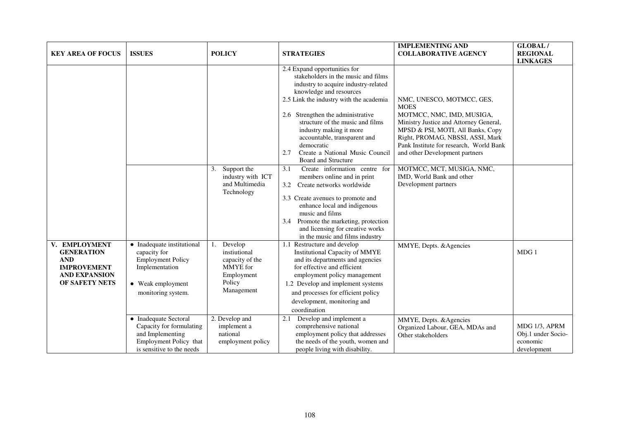| <b>KEY AREA OF FOCUS</b>                                                                                         | <b>ISSUES</b>                                                                                                                       | <b>POLICY</b>                                                                                | <b>STRATEGIES</b>                                                                                                                                                                                                                                                                                                                                                                                                                                                                                                                                              | <b>IMPLEMENTING AND</b><br><b>COLLABORATIVE AGENCY</b>                                                                                                                                                                                                                                                                                                  | GLOBAL/<br><b>REGIONAL</b><br><b>LINKAGES</b>                  |
|------------------------------------------------------------------------------------------------------------------|-------------------------------------------------------------------------------------------------------------------------------------|----------------------------------------------------------------------------------------------|----------------------------------------------------------------------------------------------------------------------------------------------------------------------------------------------------------------------------------------------------------------------------------------------------------------------------------------------------------------------------------------------------------------------------------------------------------------------------------------------------------------------------------------------------------------|---------------------------------------------------------------------------------------------------------------------------------------------------------------------------------------------------------------------------------------------------------------------------------------------------------------------------------------------------------|----------------------------------------------------------------|
|                                                                                                                  |                                                                                                                                     | 3.<br>Support the<br>industry with ICT<br>and Multimedia<br>Technology                       | 2.4 Expand opportunities for<br>stakeholders in the music and films<br>industry to acquire industry-related<br>knowledge and resources<br>2.5 Link the industry with the academia<br>2.6 Strengthen the administrative<br>structure of the music and films<br>industry making it more<br>accountable, transparent and<br>democratic<br>Create a National Music Council<br>2.7<br><b>Board and Structure</b><br>Create information centre<br>3.1<br>for<br>members online and in print<br>Create networks worldwide<br>3.2<br>3.3 Create avenues to promote and | NMC, UNESCO, MOTMCC, GES,<br><b>MOES</b><br>MOTMCC, NMC, IMD, MUSIGA,<br>Ministry Justice and Attorney General,<br>MPSD & PSI, MOTI, All Banks, Copy<br>Right, PROMAG, NBSSI, ASSI, Mark<br>Pank Institute for research, World Bank<br>and other Development partners<br>MOTMCC, MCT, MUSIGA, NMC,<br>IMD, World Bank and other<br>Development partners |                                                                |
|                                                                                                                  |                                                                                                                                     |                                                                                              | enhance local and indigenous<br>music and films<br>Promote the marketing, protection<br>3.4<br>and licensing for creative works<br>in the music and films industry                                                                                                                                                                                                                                                                                                                                                                                             |                                                                                                                                                                                                                                                                                                                                                         |                                                                |
| V. EMPLOYMENT<br><b>GENERATION</b><br><b>AND</b><br><b>IMPROVEMENT</b><br><b>AND EXPANSION</b><br>OF SAFETY NETS | • Inadequate institutional<br>capacity for<br><b>Employment Policy</b><br>Implementation<br>• Weak employment<br>monitoring system. | Develop<br>instiutional<br>capacity of the<br>MMYE for<br>Employment<br>Policy<br>Management | 1.1 Restructure and develop<br>Institutional Capacity of MMYE<br>and its departments and agencies<br>for effective and efficient<br>employment policy management<br>1.2 Develop and implement systems<br>and processes for efficient policy<br>development, monitoring and<br>coordination                                                                                                                                                                                                                                                                     | MMYE, Depts. & Agencies                                                                                                                                                                                                                                                                                                                                 | MDG 1                                                          |
|                                                                                                                  | • Inadequate Sectoral<br>Capacity for formulating<br>and Implementing<br>Employment Policy that<br>is sensitive to the needs        | 2. Develop and<br>implement a<br>national<br>employment policy                               | Develop and implement a<br>2.1<br>comprehensive national<br>employment policy that addresses<br>the needs of the youth, women and<br>people living with disability.                                                                                                                                                                                                                                                                                                                                                                                            | MMYE, Depts. & Agencies<br>Organized Labour, GEA, MDAs and<br>Other stakeholders                                                                                                                                                                                                                                                                        | MDG 1/3, APRM<br>Obj.1 under Socio-<br>economic<br>development |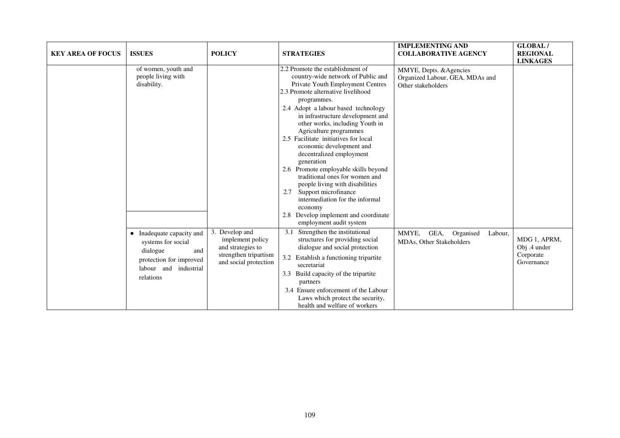| <b>KEY AREA OF FOCUS</b> | <b>ISSUES</b>                                                                                                                                  | <b>POLICY</b>                                                                                             | <b>STRATEGIES</b>                                                                                                                                                                                                                                                                                                                                                                                                                                                                                                                                                                                                                                                                      | <b>IMPLEMENTING AND</b><br><b>COLLABORATIVE AGENCY</b>                           | GLOBAL/<br><b>REGIONAL</b><br><b>LINKAGES</b>           |
|--------------------------|------------------------------------------------------------------------------------------------------------------------------------------------|-----------------------------------------------------------------------------------------------------------|----------------------------------------------------------------------------------------------------------------------------------------------------------------------------------------------------------------------------------------------------------------------------------------------------------------------------------------------------------------------------------------------------------------------------------------------------------------------------------------------------------------------------------------------------------------------------------------------------------------------------------------------------------------------------------------|----------------------------------------------------------------------------------|---------------------------------------------------------|
|                          | of women, youth and<br>people living with<br>disability.                                                                                       |                                                                                                           | 2.2 Promote the establishment of<br>country-wide network of Public and<br>Private Youth Employment Centres<br>2.3 Promote alternative livelihood<br>programmes.<br>2.4 Adopt a labour based technology<br>in infrastructure development and<br>other works, including Youth in<br>Agriculture programmes<br>2.5 Facilitate initiatives for local<br>economic development and<br>decentralized employment<br>generation<br>2.6 Promote employable skills beyond<br>traditional ones for women and<br>people living with disabilities<br>Support microfinance<br>2.7<br>intermediation for the informal<br>economy<br>Develop implement and coordinate<br>2.8<br>employment audit system | MMYE, Depts. & Agencies<br>Organized Labour, GEA, MDAs and<br>Other stakeholders |                                                         |
|                          | Inadequate capacity and<br>$\bullet$<br>systems for social<br>dialogue<br>and<br>protection for improved<br>labour and industrial<br>relations | 3. Develop and<br>implement policy<br>and strategies to<br>strengthen tripartism<br>and social protection | Strengthen the institutional<br>3.1<br>structures for providing social<br>dialogue and social protection<br>Establish a functioning tripartite<br>3.2<br>secretariat<br>3.3 Build capacity of the tripartite<br>partners<br>3.4 Ensure enforcement of the Labour<br>Laws which protect the security,<br>health and welfare of workers                                                                                                                                                                                                                                                                                                                                                  | MMYE,<br>GEA,<br>Organised<br>Labour,<br>MDAs, Other Stakeholders                | MDG 1, APRM,<br>Obj .4 under<br>Corporate<br>Governance |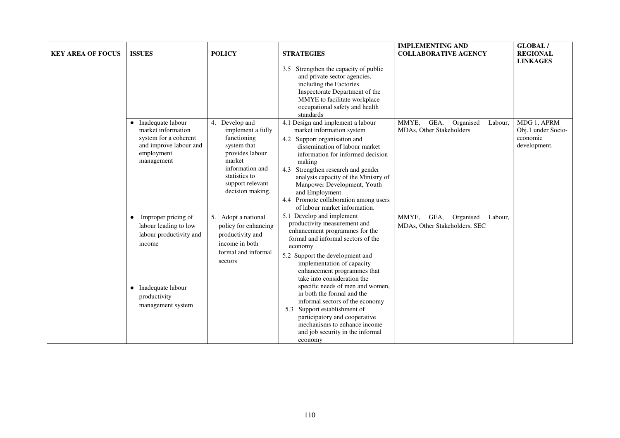| <b>KEY AREA OF FOCUS</b> | <b>ISSUES</b>                                                                                                                               | <b>POLICY</b>                                                                                                                                                              | <b>STRATEGIES</b>                                                                                                                                                                                                                                                                                                                                                                                                   | <b>IMPLEMENTING AND</b><br><b>COLLABORATIVE AGENCY</b>                 | GLOBAL/<br><b>REGIONAL</b><br><b>LINKAGES</b>                 |
|--------------------------|---------------------------------------------------------------------------------------------------------------------------------------------|----------------------------------------------------------------------------------------------------------------------------------------------------------------------------|---------------------------------------------------------------------------------------------------------------------------------------------------------------------------------------------------------------------------------------------------------------------------------------------------------------------------------------------------------------------------------------------------------------------|------------------------------------------------------------------------|---------------------------------------------------------------|
|                          |                                                                                                                                             |                                                                                                                                                                            | 3.5 Strengthen the capacity of public<br>and private sector agencies,<br>including the Factories<br>Inspectorate Department of the<br>MMYE to facilitate workplace<br>occupational safety and health<br>standards                                                                                                                                                                                                   |                                                                        |                                                               |
|                          | • Inadequate labour<br>market information<br>system for a coherent<br>and improve labour and<br>employment<br>management                    | 4. Develop and<br>implement a fully<br>functioning<br>system that<br>provides labour<br>market<br>information and<br>statistics to<br>support relevant<br>decision making. | 4.1 Design and implement a labour<br>market information system<br>4.2 Support organisation and<br>dissemination of labour market<br>information for informed decision<br>making<br>4.3 Strengthen research and gender<br>analysis capacity of the Ministry of<br>Manpower Development, Youth<br>and Employment<br>4.4 Promote collaboration among users<br>of labour market information.                            | MMYE,<br>GEA,<br>Organised<br>Labour,<br>MDAs, Other Stakeholders      | MDG 1, APRM<br>Obj.1 under Socio-<br>economic<br>development. |
|                          | Improper pricing of<br>labour leading to low<br>labour productivity and<br>income<br>Inadequate labour<br>productivity<br>management system | 5. Adopt a national<br>policy for enhancing<br>productivity and<br>income in both<br>formal and informal<br>sectors                                                        | 5.1 Develop and implement<br>productivity measurement and<br>enhancement programmes for the<br>formal and informal sectors of the<br>economy<br>5.2 Support the development and<br>implementation of capacity<br>enhancement programmes that<br>take into consideration the<br>specific needs of men and women,<br>in both the formal and the<br>informal sectors of the economy<br>Support establishment of<br>5.3 | MMYE,<br>GEA,<br>Organised<br>Labour,<br>MDAs, Other Stakeholders, SEC |                                                               |
|                          |                                                                                                                                             |                                                                                                                                                                            | participatory and cooperative<br>mechanisms to enhance income<br>and job security in the informal<br>economy                                                                                                                                                                                                                                                                                                        |                                                                        |                                                               |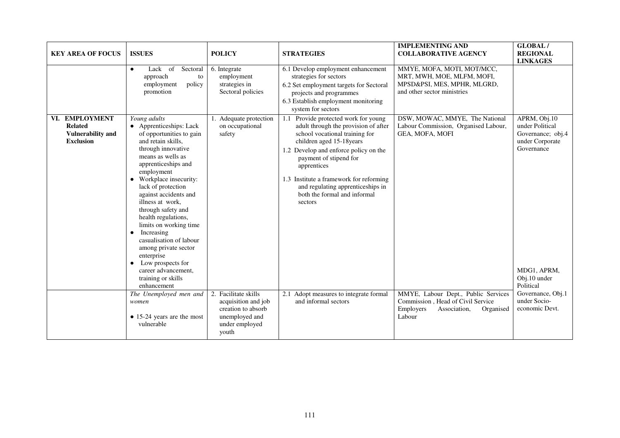| <b>KEY AREA OF FOCUS</b>                                                                   | <b>ISSUES</b>                                                                                                                                                                                                                                                                                                                                                                                                                                                                                                                                                                                            | <b>POLICY</b>                                                                                                                                                         | <b>STRATEGIES</b>                                                                                                                                                                                                                                                                                                                                                                                                             | <b>IMPLEMENTING AND</b><br><b>COLLABORATIVE AGENCY</b>                                                                                                                                                                    | GLOBAL/<br><b>REGIONAL</b><br><b>LINKAGES</b>                                                                                                                                            |
|--------------------------------------------------------------------------------------------|----------------------------------------------------------------------------------------------------------------------------------------------------------------------------------------------------------------------------------------------------------------------------------------------------------------------------------------------------------------------------------------------------------------------------------------------------------------------------------------------------------------------------------------------------------------------------------------------------------|-----------------------------------------------------------------------------------------------------------------------------------------------------------------------|-------------------------------------------------------------------------------------------------------------------------------------------------------------------------------------------------------------------------------------------------------------------------------------------------------------------------------------------------------------------------------------------------------------------------------|---------------------------------------------------------------------------------------------------------------------------------------------------------------------------------------------------------------------------|------------------------------------------------------------------------------------------------------------------------------------------------------------------------------------------|
|                                                                                            | Lack of Sectoral<br>$\bullet$<br>approach<br>to<br>policy<br>employment<br>promotion                                                                                                                                                                                                                                                                                                                                                                                                                                                                                                                     | 6. Integrate<br>employment<br>strategies in<br>Sectoral policies                                                                                                      | 6.1 Develop employment enhancement<br>strategies for sectors<br>6.2 Set employment targets for Sectoral<br>projects and programmes<br>6.3 Establish employment monitoring<br>system for sectors                                                                                                                                                                                                                               | MMYE, MOFA, MOTI, MOT/MCC,<br>MRT, MWH, MOE, MLFM, MOFI,<br>MPSD&PSI, MES, MPHR, MLGRD,<br>and other sector ministries                                                                                                    |                                                                                                                                                                                          |
| <b>EMPLOYMENT</b><br>VI.<br><b>Related</b><br><b>Vulnerability and</b><br><b>Exclusion</b> | Young adults<br>• Apprenticeships: Lack<br>of opportunities to gain<br>and retain skills.<br>through innovative<br>means as wells as<br>apprenticeships and<br>employment<br>Workplace insecurity:<br>lack of protection<br>against accidents and<br>illness at work.<br>through safety and<br>health regulations,<br>limits on working time<br>Increasing<br>٠<br>casualisation of labour<br>among private sector<br>enterprise<br>Low prospects for<br>career advancement,<br>training or skills<br>enhancement<br>The Unemployed men and<br>women<br>$\bullet$ 15-24 years are the most<br>vulnerable | 1. Adequate protection<br>on occupational<br>safety<br>2. Facilitate skills<br>acquisition and job<br>creation to absorb<br>unemployed and<br>under employed<br>youth | Provide protected work for young<br>1.1<br>adult through the provision of after<br>school vocational training for<br>children aged 15-18 years<br>1.2 Develop and enforce policy on the<br>payment of stipend for<br>apprentices<br>1.3 Institute a framework for reforming<br>and regulating apprenticeships in<br>both the formal and informal<br>sectors<br>2.1 Adopt measures to integrate formal<br>and informal sectors | DSW, MOWAC, MMYE, The National<br>Labour Commission, Organised Labour,<br>GEA, MOFA, MOFI<br>MMYE, Labour Dept., Public Services<br>Commission, Head of Civil Service<br>Employers<br>Association,<br>Organised<br>Labour | APRM, Obj.10<br>under Political<br>Governance; obj.4<br>under Corporate<br>Governance<br>MDG1, APRM,<br>Obj.10 under<br>Political<br>Governance, Obj.1<br>under Socio-<br>economic Devt. |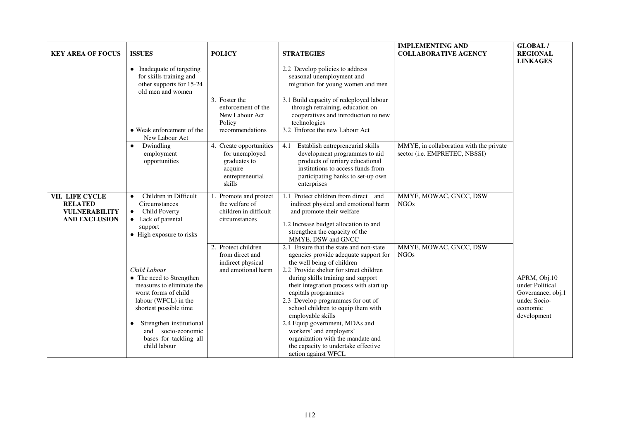| <b>KEY AREA OF FOCUS</b>                                                          | <b>ISSUES</b>                                                                                                                                                                                                                               | <b>POLICY</b>                                                                                     | <b>STRATEGIES</b>                                                                                                                                                                                                                                                                                                                                                                                                                                                                                                                 | <b>IMPLEMENTING AND</b><br><b>COLLABORATIVE AGENCY</b>                   | GLOBAL/<br><b>REGIONAL</b><br><b>LINKAGES</b>                                                   |
|-----------------------------------------------------------------------------------|---------------------------------------------------------------------------------------------------------------------------------------------------------------------------------------------------------------------------------------------|---------------------------------------------------------------------------------------------------|-----------------------------------------------------------------------------------------------------------------------------------------------------------------------------------------------------------------------------------------------------------------------------------------------------------------------------------------------------------------------------------------------------------------------------------------------------------------------------------------------------------------------------------|--------------------------------------------------------------------------|-------------------------------------------------------------------------------------------------|
|                                                                                   | Inadequate of targeting<br>$\bullet$<br>for skills training and<br>other supports for 15-24<br>old men and women                                                                                                                            |                                                                                                   | 2.2 Develop policies to address<br>seasonal unemployment and<br>migration for young women and men                                                                                                                                                                                                                                                                                                                                                                                                                                 |                                                                          |                                                                                                 |
|                                                                                   | • Weak enforcement of the<br>New Labour Act                                                                                                                                                                                                 | $\overline{3}$ . Foster the<br>enforcement of the<br>New Labour Act<br>Policy<br>recommendations  | 3.1 Build capacity of redeployed labour<br>through retraining, education on<br>cooperatives and introduction to new<br>technologies<br>3.2 Enforce the new Labour Act                                                                                                                                                                                                                                                                                                                                                             |                                                                          |                                                                                                 |
|                                                                                   | Dwindling<br>$\bullet$<br>employment<br>opportunities                                                                                                                                                                                       | 4. Create opportunities<br>for unemployed<br>graduates to<br>acquire<br>entrepreneurial<br>skills | 4.1<br>Establish entrepreneurial skills<br>development programmes to aid<br>products of tertiary educational<br>institutions to access funds from<br>participating banks to set-up own<br>enterprises                                                                                                                                                                                                                                                                                                                             | MMYE, in collaboration with the private<br>sector (i.e. EMPRETEC, NBSSI) |                                                                                                 |
| VII. LIFE CYCLE<br><b>RELATED</b><br><b>VULNERABILITY</b><br><b>AND EXCLUSION</b> | Children in Difficult<br>$\bullet$<br>Circumstances<br>Child Poverty<br>$\bullet$<br>• Lack of parental<br>support<br>• High exposure to risks                                                                                              | Promote and protect<br>the welfare of<br>children in difficult<br>circumstances                   | 1.1 Protect children from direct<br>and<br>indirect physical and emotional harm<br>and promote their welfare<br>1.2 Increase budget allocation to and<br>strengthen the capacity of the<br>MMYE, DSW and GNCC                                                                                                                                                                                                                                                                                                                     | MMYE, MOWAC, GNCC, DSW<br><b>NGOs</b>                                    |                                                                                                 |
|                                                                                   | Child Labour<br>• The need to Strengthen<br>measures to eliminate the<br>worst forms of child<br>labour (WFCL) in the<br>shortest possible time<br>Strengthen institutional<br>and socio-economic<br>bases for tackling all<br>child labour | 2. Protect children<br>from direct and<br>indirect physical<br>and emotional harm                 | 2.1 Ensure that the state and non-state<br>agencies provide adequate support for<br>the well being of children<br>2.2 Provide shelter for street children<br>during skills training and support<br>their integration process with start up<br>capitals programmes<br>2.3 Develop programmes for out of<br>school children to equip them with<br>employable skills<br>2.4 Equip government, MDAs and<br>workers' and employers'<br>organization with the mandate and<br>the capacity to undertake effective<br>action against WFCL | MMYE, MOWAC, GNCC, DSW<br><b>NGOs</b>                                    | APRM, Obj.10<br>under Political<br>Governance; obj.1<br>under Socio-<br>economic<br>development |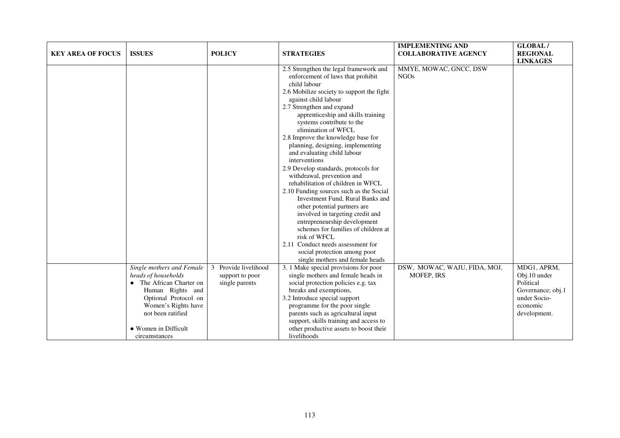| <b>KEY AREA OF FOCUS</b> | <b>ISSUES</b>                                                                                                                                                                                               | <b>POLICY</b>                                                | <b>STRATEGIES</b>                                                                                                                                                                                                                                                                                                                                                                                                                                                                                                                                                                                                                                                                                                                                                                                                                                                                | <b>IMPLEMENTING AND</b><br><b>COLLABORATIVE AGENCY</b> | <b>GLOBAL/</b><br><b>REGIONAL</b><br><b>LINKAGES</b>                                                      |
|--------------------------|-------------------------------------------------------------------------------------------------------------------------------------------------------------------------------------------------------------|--------------------------------------------------------------|----------------------------------------------------------------------------------------------------------------------------------------------------------------------------------------------------------------------------------------------------------------------------------------------------------------------------------------------------------------------------------------------------------------------------------------------------------------------------------------------------------------------------------------------------------------------------------------------------------------------------------------------------------------------------------------------------------------------------------------------------------------------------------------------------------------------------------------------------------------------------------|--------------------------------------------------------|-----------------------------------------------------------------------------------------------------------|
|                          |                                                                                                                                                                                                             |                                                              | 2.5 Strengthen the legal framework and<br>enforcement of laws that prohibit<br>child labour<br>2.6 Mobilize society to support the fight<br>against child labour<br>2.7 Strengthen and expand<br>apprenticeship and skills training<br>systems contribute to the<br>elimination of WFCL<br>2.8 Improve the knowledge base for<br>planning, designing, implementing<br>and evaluating child labour<br>interventions<br>2.9 Develop standards, protocols for<br>withdrawal, prevention and<br>rehabilitation of children in WFCL<br>2.10 Funding sources such as the Social<br>Investment Fund, Rural Banks and<br>other potential partners are<br>involved in targeting credit and<br>entrepreneurship development<br>schemes for families of children at<br>risk of WFCL<br>2.11 Conduct needs assessment for<br>social protection among poor<br>single mothers and female heads | MMYE, MOWAC, GNCC, DSW<br><b>NGOs</b>                  |                                                                                                           |
|                          | Single mothers and Female<br>heads of households<br>The African Charter on<br>Human Rights and<br>Optional Protocol on<br>Women's Rights have<br>not been ratified<br>• Women in Difficult<br>circumstances | Provide livelihood<br>3<br>support to poor<br>single parents | 3. 1 Make special provisions for poor<br>single mothers and female heads in<br>social protection policies e.g. tax<br>breaks and exemptions,<br>3.2 Introduce special support<br>programme for the poor single<br>parents such as agricultural input<br>support, skills training and access to<br>other productive assets to boost their<br>livelihoods                                                                                                                                                                                                                                                                                                                                                                                                                                                                                                                          | DSW, MOWAC, WAJU, FIDA, MOJ,<br>MOFEP, IRS             | MDG1, APRM,<br>Obj.10 under<br>Political<br>Governance; obj.1<br>under Socio-<br>economic<br>development. |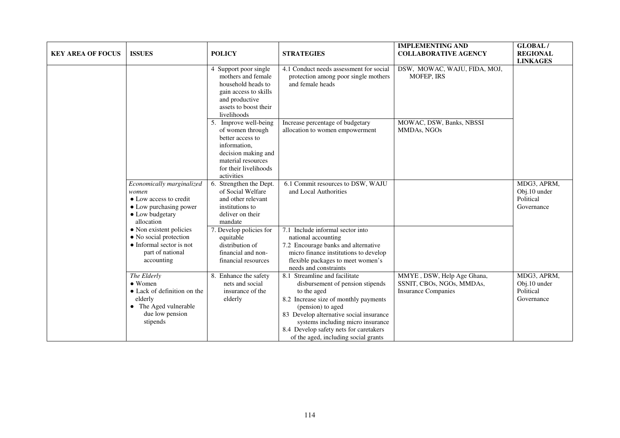| <b>KEY AREA OF FOCUS</b> | <b>ISSUES</b>                                                                                                                    | <b>POLICY</b>                                                                                                                                                     | <b>STRATEGIES</b>                                                                                                                                                                                                                                                                                                | <b>IMPLEMENTING AND</b><br><b>COLLABORATIVE AGENCY</b>                                | <b>GLOBAL/</b><br><b>REGIONAL</b><br><b>LINKAGES</b>   |
|--------------------------|----------------------------------------------------------------------------------------------------------------------------------|-------------------------------------------------------------------------------------------------------------------------------------------------------------------|------------------------------------------------------------------------------------------------------------------------------------------------------------------------------------------------------------------------------------------------------------------------------------------------------------------|---------------------------------------------------------------------------------------|--------------------------------------------------------|
|                          |                                                                                                                                  | 4 Support poor single<br>mothers and female<br>household heads to<br>gain access to skills<br>and productive<br>assets to boost their<br>livelihoods              | 4.1 Conduct needs assessment for social<br>protection among poor single mothers<br>and female heads                                                                                                                                                                                                              | DSW, MOWAC, WAJU, FIDA, MOJ,<br><b>MOFEP, IRS</b>                                     |                                                        |
|                          |                                                                                                                                  | 5. Improve well-being<br>of women through<br>better access to<br>information,<br>decision making and<br>material resources<br>for their livelihoods<br>activities | Increase percentage of budgetary<br>allocation to women empowerment                                                                                                                                                                                                                                              | MOWAC, DSW, Banks, NBSSI<br>MMDAs, NGOs                                               |                                                        |
|                          | Economically marginalized<br>women<br>• Low access to credit<br>• Low purchasing power<br>• Low budgetary<br>allocation          | Strengthen the Dept.<br>6.<br>of Social Welfare<br>and other relevant<br>institutions to<br>deliver on their<br>mandate                                           | 6.1 Commit resources to DSW, WAJU<br>and Local Authorities                                                                                                                                                                                                                                                       |                                                                                       | MDG3, APRM,<br>Obj.10 under<br>Political<br>Governance |
|                          | • Non existent policies<br>• No social protection<br>• Informal sector is not<br>part of national<br>accounting                  | Develop policies for<br>equitable<br>distribution of<br>financial and non-<br>financial resources                                                                 | 7.1 Include informal sector into<br>national accounting<br>7.2 Encourage banks and alternative<br>micro finance institutions to develop<br>flexible packages to meet women's<br>needs and constraints                                                                                                            |                                                                                       |                                                        |
|                          | The Elderly<br>$\bullet$ Women<br>• Lack of definition on the<br>elderly<br>• The Aged vulnerable<br>due low pension<br>stipends | 8. Enhance the safety<br>nets and social<br>insurance of the<br>elderly                                                                                           | 8.1 Streamline and facilitate<br>disbursement of pension stipends<br>to the aged<br>8.2 Increase size of monthly payments<br>(pension) to aged<br>83 Develop alternative social insurance<br>systems including micro insurance<br>8.4 Develop safety nets for caretakers<br>of the aged, including social grants | MMYE, DSW, Help Age Ghana,<br>SSNIT, CBOs, NGOs, MMDAs,<br><b>Insurance Companies</b> | MDG3, APRM,<br>Obj.10 under<br>Political<br>Governance |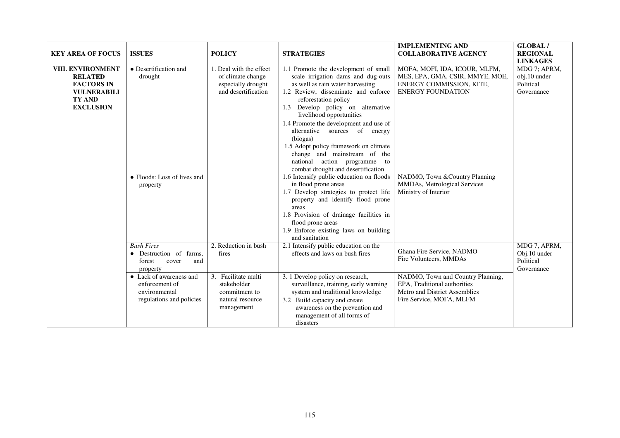| <b>KEY AREA OF FOCUS</b>                                                                                            | <b>ISSUES</b>                                                                                 | <b>POLICY</b>                                                                             | <b>STRATEGIES</b>                                                                                                                                                                                                                                                                                                                                                                                                                                                                                                                                                                                                                                                                                                                                                                    | <b>IMPLEMENTING AND</b><br><b>COLLABORATIVE AGENCY</b>                                                                                                                                                             | <b>GLOBAL/</b><br><b>REGIONAL</b><br><b>LINKAGES</b>    |
|---------------------------------------------------------------------------------------------------------------------|-----------------------------------------------------------------------------------------------|-------------------------------------------------------------------------------------------|--------------------------------------------------------------------------------------------------------------------------------------------------------------------------------------------------------------------------------------------------------------------------------------------------------------------------------------------------------------------------------------------------------------------------------------------------------------------------------------------------------------------------------------------------------------------------------------------------------------------------------------------------------------------------------------------------------------------------------------------------------------------------------------|--------------------------------------------------------------------------------------------------------------------------------------------------------------------------------------------------------------------|---------------------------------------------------------|
| VIII. ENVIRONMENT<br><b>RELATED</b><br><b>FACTORS IN</b><br><b>VULNERABILI</b><br><b>TY AND</b><br><b>EXCLUSION</b> | • Desertification and<br>drought<br>• Floods: Loss of lives and<br>property                   | 1. Deal with the effect<br>of climate change<br>especially drought<br>and desertification | 1.1 Promote the development of small<br>scale irrigation dams and dug-outs<br>as well as rain water harvesting<br>1.2 Review, disseminate and enforce<br>reforestation policy<br>Develop policy on alternative<br>1.3<br>livelihood opportunities<br>1.4 Promote the development and use of<br>alternative sources of energy<br>(biogas)<br>1.5 Adopt policy framework on climate<br>change and mainstream of the<br>action programme<br>national<br>to<br>combat drought and desertification<br>1.6 Intensify public education on floods<br>in flood prone areas<br>1.7 Develop strategies to protect life<br>property and identify flood prone<br>areas<br>1.8 Provision of drainage facilities in<br>flood prone areas<br>1.9 Enforce existing laws on building<br>and sanitation | MOFA, MOFI, IDA, ICOUR, MLFM,<br>MES, EPA, GMA, CSIR, MMYE, MOE,<br>ENERGY COMMISSION, KITE,<br><b>ENERGY FOUNDATION</b><br>NADMO, Town & Country Planning<br>MMDAs, Metrological Services<br>Ministry of Interior | MDG 7; APRM,<br>obj.10 under<br>Political<br>Governance |
|                                                                                                                     | <b>Bush Fires</b><br>Destruction of farms,<br>$\bullet$<br>forest<br>cover<br>and<br>property | 2. Reduction in bush<br>fires                                                             | 2.1 Intensify public education on the<br>effects and laws on bush fires                                                                                                                                                                                                                                                                                                                                                                                                                                                                                                                                                                                                                                                                                                              | Ghana Fire Service, NADMO<br>Fire Volunteers, MMDAs                                                                                                                                                                | MDG 7, APRM,<br>Obj.10 under<br>Political<br>Governance |
|                                                                                                                     | • Lack of awareness and<br>enforcement of<br>environmental<br>regulations and policies        | 3. Facilitate multi<br>stakeholder<br>commitment to<br>natural resource<br>management     | 3. 1 Develop policy on research,<br>surveillance, training, early warning<br>system and traditional knowledge<br>3.2 Build capacity and create<br>awareness on the prevention and<br>management of all forms of<br>disasters                                                                                                                                                                                                                                                                                                                                                                                                                                                                                                                                                         | NADMO, Town and Country Planning,<br>EPA, Traditional authorities<br>Metro and District Assemblies<br>Fire Service, MOFA, MLFM                                                                                     |                                                         |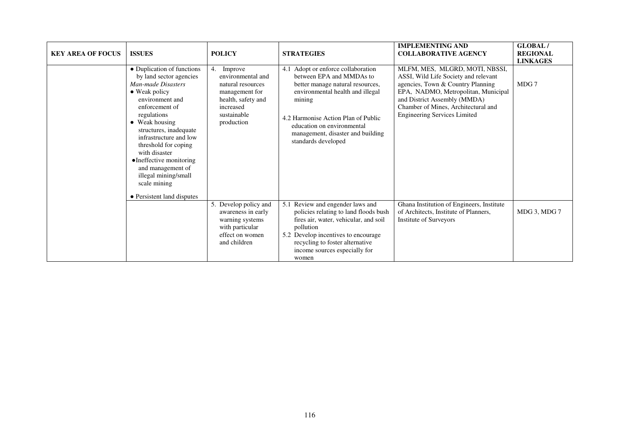| <b>KEY AREA OF FOCUS</b> | <b>ISSUES</b>                                                                                                                                                                                                                                                                                                                                                                                  | <b>POLICY</b>                                                                                                                             | <b>STRATEGIES</b>                                                                                                                                                                                                                                                                 | <b>IMPLEMENTING AND</b><br><b>COLLABORATIVE AGENCY</b>                                                                                                                                                                                                           | GLOBAL/<br><b>REGIONAL</b><br><b>LINKAGES</b> |
|--------------------------|------------------------------------------------------------------------------------------------------------------------------------------------------------------------------------------------------------------------------------------------------------------------------------------------------------------------------------------------------------------------------------------------|-------------------------------------------------------------------------------------------------------------------------------------------|-----------------------------------------------------------------------------------------------------------------------------------------------------------------------------------------------------------------------------------------------------------------------------------|------------------------------------------------------------------------------------------------------------------------------------------------------------------------------------------------------------------------------------------------------------------|-----------------------------------------------|
|                          | • Duplication of functions<br>by land sector agencies<br>Man-made Disasters<br>$\bullet$ Weak policy<br>environment and<br>enforcement of<br>regulations<br>• Weak housing<br>structures, inadequate<br>infrastructure and low<br>threshold for coping<br>with disaster<br>• Ineffective monitoring<br>and management of<br>illegal mining/small<br>scale mining<br>• Persistent land disputes | Improve<br>4.<br>environmental and<br>natural resources<br>management for<br>health, safety and<br>increased<br>sustainable<br>production | 4.1 Adopt or enforce collaboration<br>between EPA and MMDAs to<br>better manage natural resources,<br>environmental health and illegal<br>mining<br>4.2 Harmonise Action Plan of Public<br>education on environmental<br>management, disaster and building<br>standards developed | MLFM, MES, MLGRD, MOTI, NBSSI,<br>ASSI, Wild Life Society and relevant<br>agencies, Town & Country Planning<br>EPA, NADMO, Metropolitan, Municipal<br>and District Assembly (MMDA)<br>Chamber of Mines, Architectural and<br><b>Engineering Services Limited</b> | MDG 7                                         |
|                          |                                                                                                                                                                                                                                                                                                                                                                                                | 5. Develop policy and<br>awareness in early<br>warning systems<br>with particular<br>effect on women<br>and children                      | 5.1 Review and engender laws and<br>policies relating to land floods bush<br>fires air, water, vehicular, and soil<br>pollution<br>5.2 Develop incentives to encourage<br>recycling to foster alternative<br>income sources especially for<br>women                               | Ghana Institution of Engineers, Institute<br>of Architects, Institute of Planners,<br><b>Institute of Surveyors</b>                                                                                                                                              | MDG 3, MDG 7                                  |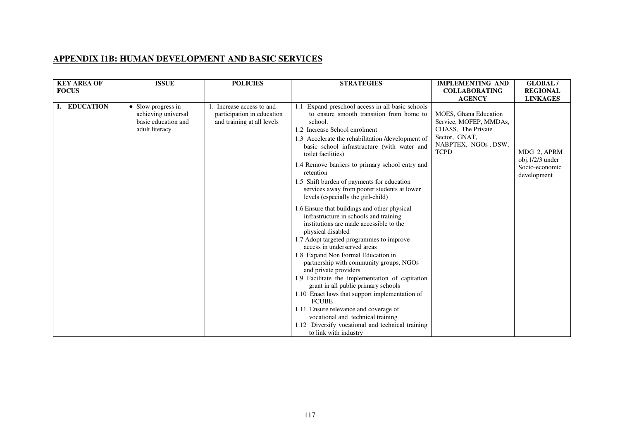## **APPENDIX I1B: HUMAN DEVELOPMENT AND BASIC SERVICES**

| <b>KEY AREA OF</b> | <b>ISSUE</b>                                                                       | <b>POLICIES</b>                                                                    | <b>STRATEGIES</b>                                                                                                                                                                                                                                                                                                                                                                                                                                                                                                                                                                                                                                                                                                                                                                                                                                                                                                                                                                                                     | <b>IMPLEMENTING AND</b>                                                                                                                              | <b>GLOBAL/</b>                                                                     |
|--------------------|------------------------------------------------------------------------------------|------------------------------------------------------------------------------------|-----------------------------------------------------------------------------------------------------------------------------------------------------------------------------------------------------------------------------------------------------------------------------------------------------------------------------------------------------------------------------------------------------------------------------------------------------------------------------------------------------------------------------------------------------------------------------------------------------------------------------------------------------------------------------------------------------------------------------------------------------------------------------------------------------------------------------------------------------------------------------------------------------------------------------------------------------------------------------------------------------------------------|------------------------------------------------------------------------------------------------------------------------------------------------------|------------------------------------------------------------------------------------|
| <b>FOCUS</b>       |                                                                                    |                                                                                    |                                                                                                                                                                                                                                                                                                                                                                                                                                                                                                                                                                                                                                                                                                                                                                                                                                                                                                                                                                                                                       | <b>COLLABORATING</b>                                                                                                                                 | <b>REGIONAL</b>                                                                    |
| I. EDUCATION       | • Slow progress in<br>achieving universal<br>basic education and<br>adult literacy | Increase access to and<br>participation in education<br>and training at all levels | Expand preschool access in all basic schools<br>to ensure smooth transition from home to<br>school.<br>1.2 Increase School enrolment<br>1.3 Accelerate the rehabilitation /development of<br>basic school infrastructure (with water and<br>toilet facilities)<br>1.4 Remove barriers to primary school entry and<br>retention<br>1.5 Shift burden of payments for education<br>services away from poorer students at lower<br>levels (especially the girl-child)<br>1.6 Ensure that buildings and other physical<br>infrastructure in schools and training<br>institutions are made accessible to the<br>physical disabled<br>1.7 Adopt targeted programmes to improve<br>access in underserved areas<br>1.8 Expand Non Formal Education in<br>partnership with community groups, NGOs<br>and private providers<br>1.9 Facilitate the implementation of capitation<br>grant in all public primary schools<br>1.10 Enact laws that support implementation of<br><b>FCUBE</b><br>1.11 Ensure relevance and coverage of | <b>AGENCY</b><br><b>MOES, Ghana Education</b><br>Service, MOFEP, MMDAs,<br>CHASS, The Private<br>Sector, GNAT,<br>NABPTEX, NGOs, DSW,<br><b>TCPD</b> | <b>LINKAGES</b><br>MDG 2, APRM<br>obj.1/2/3 under<br>Socio-economic<br>development |
|                    |                                                                                    |                                                                                    | vocational and technical training<br>1.12 Diversify vocational and technical training<br>to link with industry                                                                                                                                                                                                                                                                                                                                                                                                                                                                                                                                                                                                                                                                                                                                                                                                                                                                                                        |                                                                                                                                                      |                                                                                    |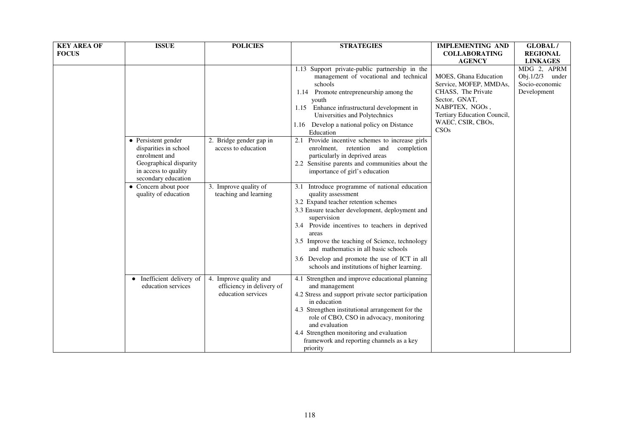| <b>KEY AREA OF</b><br><b>FOCUS</b> | <b>ISSUE</b>                                                                           | <b>POLICIES</b>                                                           | <b>STRATEGIES</b>                                                                                                                                                                                                                                                                                                                                                                                                                   | <b>IMPLEMENTING AND</b><br><b>COLLABORATING</b>                                                                                         | <b>GLOBAL/</b><br><b>REGIONAL</b>                                  |
|------------------------------------|----------------------------------------------------------------------------------------|---------------------------------------------------------------------------|-------------------------------------------------------------------------------------------------------------------------------------------------------------------------------------------------------------------------------------------------------------------------------------------------------------------------------------------------------------------------------------------------------------------------------------|-----------------------------------------------------------------------------------------------------------------------------------------|--------------------------------------------------------------------|
|                                    |                                                                                        |                                                                           |                                                                                                                                                                                                                                                                                                                                                                                                                                     | <b>AGENCY</b>                                                                                                                           | <b>LINKAGES</b>                                                    |
|                                    |                                                                                        |                                                                           | 1.13 Support private-public partnership in the<br>management of vocational and technical<br>schools<br>1.14 Promote entrepreneurship among the<br>youth<br>1.15 Enhance infrastructural development in<br>Universities and Polytechnics                                                                                                                                                                                             | MOES, Ghana Education<br>Service, MOFEP, MMDAs,<br>CHASS, The Private<br>Sector, GNAT,<br>NABPTEX, NGOs,<br>Tertiary Education Council, | MDG 2, APRM<br>Obj. $1/2/3$ under<br>Socio-economic<br>Development |
|                                    | • Persistent gender<br>disparities in school                                           | 2. Bridge gender gap in<br>access to education                            | 1.16 Develop a national policy on Distance<br>Education<br>2.1 Provide incentive schemes to increase girls<br>enrolment, retention<br>and<br>completion                                                                                                                                                                                                                                                                             | WAEC, CSIR, CBOs,<br>CSOs                                                                                                               |                                                                    |
|                                    | enrolment and<br>Geographical disparity<br>in access to quality<br>secondary education |                                                                           | particularly in deprived areas<br>2.2 Sensitise parents and communities about the<br>importance of girl's education                                                                                                                                                                                                                                                                                                                 |                                                                                                                                         |                                                                    |
|                                    | • Concern about poor<br>quality of education                                           | 3. Improve quality of<br>teaching and learning                            | 3.1 Introduce programme of national education<br>quality assessment<br>3.2 Expand teacher retention schemes<br>3.3 Ensure teacher development, deployment and<br>supervision<br>3.4 Provide incentives to teachers in deprived<br>areas<br>3.5 Improve the teaching of Science, technology<br>and mathematics in all basic schools<br>3.6 Develop and promote the use of ICT in all<br>schools and institutions of higher learning. |                                                                                                                                         |                                                                    |
|                                    | Inefficient delivery of<br>$\bullet$<br>education services                             | 4. Improve quality and<br>efficiency in delivery of<br>education services | 4.1 Strengthen and improve educational planning<br>and management<br>4.2 Stress and support private sector participation<br>in education<br>4.3 Strengthen institutional arrangement for the<br>role of CBO, CSO in advocacy, monitoring<br>and evaluation<br>4.4 Strengthen monitoring and evaluation<br>framework and reporting channels as a key<br>priority                                                                     |                                                                                                                                         |                                                                    |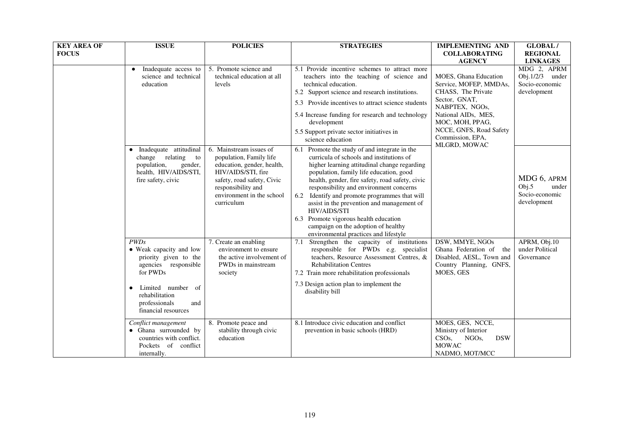| <b>KEY AREA OF</b><br><b>FOCUS</b> | <b>ISSUE</b>                                                                                                                                                                                    | <b>POLICIES</b>                                                                                                                                                                                       | <b>STRATEGIES</b>                                                                                                                                                                                                                                                                                                                                                                                                                                                                                                                    | <b>IMPLEMENTING AND</b><br><b>COLLABORATING</b><br><b>AGENCY</b>                                                                                                                                                         | GLOBAL/<br><b>REGIONAL</b><br><b>LINKAGES</b>                      |
|------------------------------------|-------------------------------------------------------------------------------------------------------------------------------------------------------------------------------------------------|-------------------------------------------------------------------------------------------------------------------------------------------------------------------------------------------------------|--------------------------------------------------------------------------------------------------------------------------------------------------------------------------------------------------------------------------------------------------------------------------------------------------------------------------------------------------------------------------------------------------------------------------------------------------------------------------------------------------------------------------------------|--------------------------------------------------------------------------------------------------------------------------------------------------------------------------------------------------------------------------|--------------------------------------------------------------------|
|                                    | Inadequate access to<br>$\bullet$<br>science and technical<br>education                                                                                                                         | 5. Promote science and<br>technical education at all<br>levels                                                                                                                                        | 5.1 Provide incentive schemes to attract more<br>teachers into the teaching of science and<br>technical education.<br>5.2 Support science and research institutions.<br>5.3 Provide incentives to attract science students<br>5.4 Increase funding for research and technology<br>development<br>5.5 Support private sector initiatives in<br>science education                                                                                                                                                                      | <b>MOES, Ghana Education</b><br>Service, MOFEP, MMDAs,<br>CHASS, The Private<br>Sector, GNAT,<br>NABPTEX, NGOs,<br>National AIDs, MES,<br>MOC, MOH, PPAG,<br>NCCE, GNFS, Road Safety<br>Commission, EPA,<br>MLGRD, MOWAC | MDG 2, APRM<br>Obj. $1/2/3$ under<br>Socio-economic<br>development |
|                                    | Inadequate attitudinal<br>change relating<br>to<br>population,<br>gender,<br>health, HIV/AIDS/STI,<br>fire safety, civic                                                                        | 6. Mainstream issues of<br>population, Family life<br>education, gender, health,<br>HIV/AIDS/STI, fire<br>safety, road safety, Civic<br>responsibility and<br>environment in the school<br>curriculum | Promote the study of and integrate in the<br>6.1<br>curricula of schools and institutions of<br>higher learning attitudinal change regarding<br>population, family life education, good<br>health, gender, fire safety, road safety, civic<br>responsibility and environment concerns<br>6.2 Identify and promote programmes that will<br>assist in the prevention and management of<br><b>HIV/AIDS/STI</b><br>6.3 Promote vigorous health education<br>campaign on the adoption of healthy<br>environmental practices and lifestyle |                                                                                                                                                                                                                          | MDG 6, APRM<br>Obj.5<br>under<br>Socio-economic<br>development     |
|                                    | PWDs<br>• Weak capacity and low<br>priority given to the<br>agencies responsible<br>for PWDs<br>Limited number of<br>$\bullet$<br>rehabilitation<br>professionals<br>and<br>financial resources | 7. Create an enabling<br>environment to ensure<br>the active involvement of<br>PWDs in mainstream<br>society                                                                                          | Strengthen the capacity of institutions<br>7.1<br>responsible for PWDs e.g. specialist<br>teachers, Resource Assessment Centres, &<br><b>Rehabilitation Centres</b><br>7.2 Train more rehabilitation professionals<br>7.3 Design action plan to implement the<br>disability bill                                                                                                                                                                                                                                                     | DSW, MMYE, NGOs<br>Ghana Federation of<br>the<br>Disabled, AESL, Town and<br>Country Planning, GNFS,<br>MOES, GES                                                                                                        | APRM, Obj.10<br>under Political<br>Governance                      |
|                                    | Conflict management<br>• Ghana surrounded by<br>countries with conflict.<br>Pockets of conflict<br>internally.                                                                                  | 8. Promote peace and<br>stability through civic<br>education                                                                                                                                          | 8.1 Introduce civic education and conflict<br>prevention in basic schools (HRD)                                                                                                                                                                                                                                                                                                                                                                                                                                                      | MOES, GES, NCCE,<br>Ministry of Interior<br>$CSOs$ ,<br>NGO <sub>s</sub><br><b>DSW</b><br><b>MOWAC</b><br>NADMO, MOT/MCC                                                                                                 |                                                                    |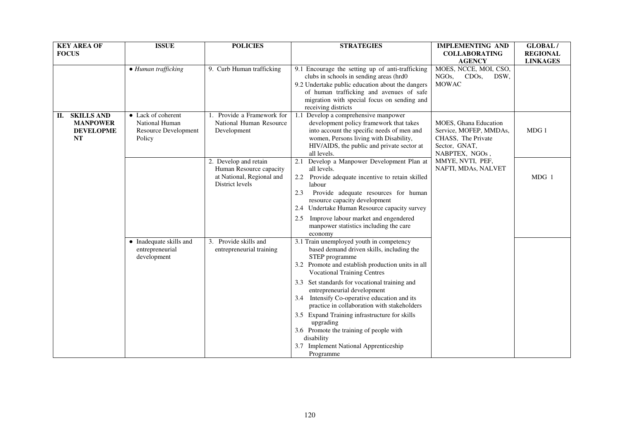| <b>KEY AREA OF</b><br><b>FOCUS</b>                                          | <b>ISSUE</b>                                                           | <b>POLICIES</b>                                                                                  | <b>STRATEGIES</b>                                                                                                                                                                                                                                                                                                                                                                                                                                                                                                                                                            | <b>IMPLEMENTING AND</b><br><b>COLLABORATING</b><br><b>AGENCY</b>                                         | <b>GLOBAL/</b><br><b>REGIONAL</b><br><b>LINKAGES</b> |
|-----------------------------------------------------------------------------|------------------------------------------------------------------------|--------------------------------------------------------------------------------------------------|------------------------------------------------------------------------------------------------------------------------------------------------------------------------------------------------------------------------------------------------------------------------------------------------------------------------------------------------------------------------------------------------------------------------------------------------------------------------------------------------------------------------------------------------------------------------------|----------------------------------------------------------------------------------------------------------|------------------------------------------------------|
|                                                                             | • Human trafficking                                                    | 9. Curb Human trafficking                                                                        | 9.1 Encourage the setting up of anti-trafficking<br>clubs in schools in sending areas (hrd0<br>9.2 Undertake public education about the dangers<br>of human trafficking and avenues of safe<br>migration with special focus on sending and<br>receiving districts                                                                                                                                                                                                                                                                                                            | MOES, NCCE, MOI, CSO,<br>NGO <sub>s</sub><br>CDO <sub>s</sub> ,<br>DSW,<br><b>MOWAC</b>                  |                                                      |
| <b>SKILLS AND</b><br>П.<br><b>MANPOWER</b><br><b>DEVELOPME</b><br><b>NT</b> | • Lack of coherent<br>National Human<br>Resource Development<br>Policy | 1. Provide a Framework for<br>National Human Resource<br>Development                             | 1.1<br>Develop a comprehensive manpower<br>development policy framework that takes<br>into account the specific needs of men and<br>women, Persons living with Disability,<br>HIV/AIDS, the public and private sector at<br>all levels.                                                                                                                                                                                                                                                                                                                                      | MOES, Ghana Education<br>Service, MOFEP, MMDAs,<br>CHASS, The Private<br>Sector, GNAT,<br>NABPTEX, NGOs, | MDG 1                                                |
|                                                                             |                                                                        | 2. Develop and retain<br>Human Resource capacity<br>at National, Regional and<br>District levels | Develop a Manpower Development Plan at<br>2.1<br>all levels.<br>2.2<br>Provide adequate incentive to retain skilled<br>labour<br>Provide adequate resources for human<br>2.3<br>resource capacity development<br>Undertake Human Resource capacity survey<br>2.4<br>Improve labour market and engendered<br>2.5<br>manpower statistics including the care                                                                                                                                                                                                                    | MMYE, NVTI, PEF,<br>NAFTI, MDAs, NALVET                                                                  | $MDG_1$                                              |
|                                                                             | • Inadequate skills and<br>entrepreneurial<br>development              | 3. Provide skills and<br>entrepreneurial training                                                | economy<br>3.1 Train unemployed youth in competency<br>based demand driven skills, including the<br>STEP programme<br>3.2 Promote and establish production units in all<br><b>Vocational Training Centres</b><br>3.3 Set standards for vocational training and<br>entrepreneurial development<br>3.4 Intensify Co-operative education and its<br>practice in collaboration with stakeholders<br>3.5 Expand Training infrastructure for skills<br>upgrading<br>3.6 Promote the training of people with<br>disability<br><b>Implement National Apprenticeship</b><br>Programme |                                                                                                          |                                                      |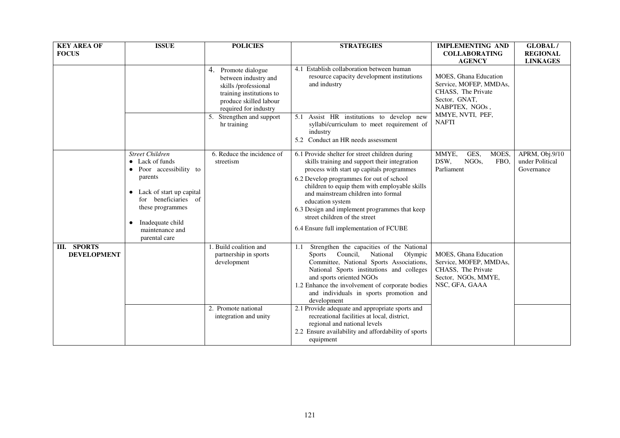| <b>KEY AREA OF</b><br><b>FOCUS</b>       | <b>ISSUE</b>                                                                                                                                                                                                                         | <b>POLICIES</b>                                                                                                                                    | <b>STRATEGIES</b>                                                                                                                                                                                                                                                                                                                                                                                                                 | <b>IMPLEMENTING AND</b><br><b>COLLABORATING</b><br><b>AGENCY</b>                                                                             | <b>GLOBAL/</b><br><b>REGIONAL</b><br><b>LINKAGES</b> |
|------------------------------------------|--------------------------------------------------------------------------------------------------------------------------------------------------------------------------------------------------------------------------------------|----------------------------------------------------------------------------------------------------------------------------------------------------|-----------------------------------------------------------------------------------------------------------------------------------------------------------------------------------------------------------------------------------------------------------------------------------------------------------------------------------------------------------------------------------------------------------------------------------|----------------------------------------------------------------------------------------------------------------------------------------------|------------------------------------------------------|
|                                          |                                                                                                                                                                                                                                      | 4. Promote dialogue<br>between industry and<br>skills /professional<br>training institutions to<br>produce skilled labour<br>required for industry | 4.1 Establish collaboration between human<br>resource capacity development institutions<br>and industry                                                                                                                                                                                                                                                                                                                           | MOES, Ghana Education<br>Service, MOFEP, MMDAs,<br>CHASS, The Private<br>Sector, GNAT.<br>NABPTEX, NGOs,<br>MMYE, NVTI, PEF,<br><b>NAFTI</b> |                                                      |
|                                          |                                                                                                                                                                                                                                      | 5. Strengthen and support<br>hr training                                                                                                           | Assist HR institutions to develop new<br>5.1<br>syllabi/curriculum to meet requirement of<br>industry<br>5.2 Conduct an HR needs assessment                                                                                                                                                                                                                                                                                       |                                                                                                                                              |                                                      |
|                                          | <b>Street Children</b><br>$\bullet$ Lack of funds<br>Poor accessibility to<br>parents<br>• Lack of start up capital<br>for beneficiaries of<br>these programmes<br>Inadequate child<br>$\bullet$<br>maintenance and<br>parental care | 6. Reduce the incidence of<br>streetism                                                                                                            | 6.1 Provide shelter for street children during<br>skills training and support their integration<br>process with start up capitals programmes<br>6.2 Develop programmes for out of school<br>children to equip them with employable skills<br>and mainstream children into formal<br>education system<br>6.3 Design and implement programmes that keep<br>street children of the street<br>6.4 Ensure full implementation of FCUBE | MMYE,<br>GES,<br>MOES,<br>DSW,<br>NGO <sub>s</sub> ,<br>FBO.<br>Parliament                                                                   | APRM, Obj.9/10<br>under Political<br>Governance      |
| <b>III. SPORTS</b><br><b>DEVELOPMENT</b> |                                                                                                                                                                                                                                      | 1. Build coalition and<br>partnership in sports<br>development                                                                                     | Strengthen the capacities of the National<br>1.1<br>Sports Council, National<br>Olympic<br>Committee, National Sports Associations,<br>National Sports institutions and colleges<br>and sports oriented NGOs<br>1.2 Enhance the involvement of corporate bodies<br>and individuals in sports promotion and<br>development                                                                                                         | <b>MOES, Ghana Education</b><br>Service, MOFEP, MMDAs,<br>CHASS, The Private<br>Sector, NGOs, MMYE,<br>NSC, GFA, GAAA                        |                                                      |
|                                          |                                                                                                                                                                                                                                      | 2. Promote national<br>integration and unity                                                                                                       | 2.1 Provide adequate and appropriate sports and<br>recreational facilities at local, district,<br>regional and national levels<br>2.2 Ensure availability and affordability of sports<br>equipment                                                                                                                                                                                                                                |                                                                                                                                              |                                                      |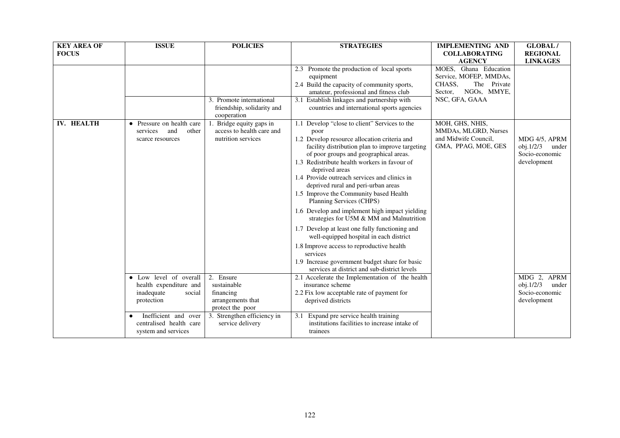| <b>KEY AREA OF</b><br><b>FOCUS</b> | <b>ISSUE</b>                                                                           | <b>POLICIES</b>                                                                | <b>STRATEGIES</b>                                                                                                                                                                                                                                                                                                                                                                                                                                                                                                                                                                                                                                                                                                                                                                       | <b>IMPLEMENTING AND</b><br><b>COLLABORATING</b><br><b>AGENCY</b>                                                     | <b>GLOBAL/</b><br><b>REGIONAL</b><br><b>LINKAGES</b>                |
|------------------------------------|----------------------------------------------------------------------------------------|--------------------------------------------------------------------------------|-----------------------------------------------------------------------------------------------------------------------------------------------------------------------------------------------------------------------------------------------------------------------------------------------------------------------------------------------------------------------------------------------------------------------------------------------------------------------------------------------------------------------------------------------------------------------------------------------------------------------------------------------------------------------------------------------------------------------------------------------------------------------------------------|----------------------------------------------------------------------------------------------------------------------|---------------------------------------------------------------------|
|                                    |                                                                                        | 3. Promote international<br>friendship, solidarity and<br>cooperation          | 2.3 Promote the production of local sports<br>equipment<br>2.4 Build the capacity of community sports,<br>amateur, professional and fitness club<br>3.1 Establish linkages and partnership with<br>countries and international sports agencies                                                                                                                                                                                                                                                                                                                                                                                                                                                                                                                                          | MOES, Ghana Education<br>Service, MOFEP, MMDAs,<br>CHASS,<br>The Private<br>NGOs, MMYE,<br>Sector,<br>NSC, GFA, GAAA |                                                                     |
| IV. HEALTH                         | • Pressure on health care<br>and<br>other<br>services<br>scarce resources              | 1. Bridge equity gaps in<br>access to health care and<br>nutrition services    | 1.1 Develop "close to client" Services to the<br>poor<br>1.2 Develop resource allocation criteria and<br>facility distribution plan to improve targeting<br>of poor groups and geographical areas.<br>1.3 Redistribute health workers in favour of<br>deprived areas<br>1.4 Provide outreach services and clinics in<br>deprived rural and peri-urban areas<br>1.5 Improve the Community based Health<br>Planning Services (CHPS)<br>1.6 Develop and implement high impact yielding<br>strategies for U5M & MM and Malnutrition<br>1.7 Develop at least one fully functioning and<br>well-equipped hospital in each district<br>1.8 Improve access to reproductive health<br>services<br>1.9 Increase government budget share for basic<br>services at district and sub-district levels | MOH, GHS, NHIS,<br>MMDAs, MLGRD, Nurses<br>and Midwife Council,<br>GMA, PPAG, MOE, GES                               | MDG 4/5, APRM<br>$obj.1/2/3$ under<br>Socio-economic<br>development |
|                                    | • Low level of overall<br>health expenditure and<br>inadequate<br>social<br>protection | 2. Ensure<br>sustainable<br>financing<br>arrangements that<br>protect the poor | 2.1 Accelerate the Implementation of the health<br>insurance scheme<br>2.2 Fix low acceptable rate of payment for<br>deprived districts                                                                                                                                                                                                                                                                                                                                                                                                                                                                                                                                                                                                                                                 |                                                                                                                      | MDG 2, APRM<br>obj.1/2/3<br>under<br>Socio-economic<br>development  |
|                                    | Inefficient and over<br>centralised health care<br>system and services                 | 3. Strengthen efficiency in<br>service delivery                                | 3.1<br>Expand pre service health training<br>institutions facilities to increase intake of<br>trainees                                                                                                                                                                                                                                                                                                                                                                                                                                                                                                                                                                                                                                                                                  |                                                                                                                      |                                                                     |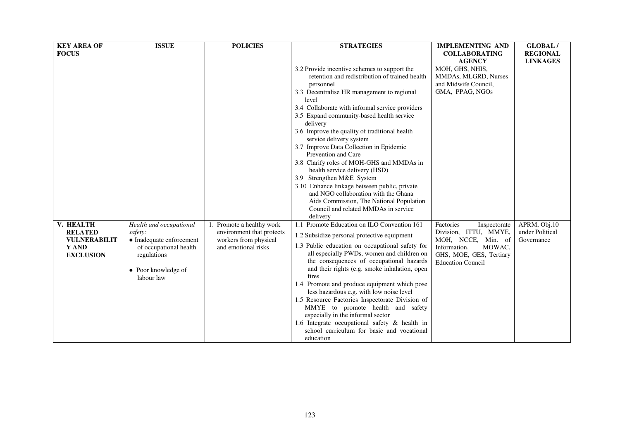| <b>KEY AREA OF</b><br><b>FOCUS</b>                                              | <b>ISSUE</b>                                                                                                                                 | <b>POLICIES</b>                                                                                        | <b>STRATEGIES</b>                                                                                                                                                                                                                                                                                                                                                                                                                                                                                                                                                                                                                                                                                                               | <b>IMPLEMENTING AND</b><br><b>COLLABORATING</b>                                                                                                              | <b>GLOBAL/</b><br><b>REGIONAL</b>             |
|---------------------------------------------------------------------------------|----------------------------------------------------------------------------------------------------------------------------------------------|--------------------------------------------------------------------------------------------------------|---------------------------------------------------------------------------------------------------------------------------------------------------------------------------------------------------------------------------------------------------------------------------------------------------------------------------------------------------------------------------------------------------------------------------------------------------------------------------------------------------------------------------------------------------------------------------------------------------------------------------------------------------------------------------------------------------------------------------------|--------------------------------------------------------------------------------------------------------------------------------------------------------------|-----------------------------------------------|
|                                                                                 |                                                                                                                                              |                                                                                                        | 3.2 Provide incentive schemes to support the<br>retention and redistribution of trained health<br>personnel<br>3.3 Decentralise HR management to regional<br>level<br>3.4 Collaborate with informal service providers<br>3.5 Expand community-based health service<br>delivery<br>3.6 Improve the quality of traditional health<br>service delivery system<br>3.7 Improve Data Collection in Epidemic<br>Prevention and Care<br>3.8 Clarify roles of MOH-GHS and MMDAs in<br>health service delivery (HSD)<br>3.9 Strengthen M&E System<br>3.10 Enhance linkage between public, private<br>and NGO collaboration with the Ghana<br>Aids Commission, The National Population<br>Council and related MMDAs in service<br>delivery | <b>AGENCY</b><br>MOH, GHS, NHIS,<br>MMDAs, MLGRD, Nurses<br>and Midwife Council,<br>GMA, PPAG, NGOs                                                          | <b>LINKAGES</b>                               |
| V. HEALTH<br><b>RELATED</b><br><b>VULNERABILIT</b><br>Y AND<br><b>EXCLUSION</b> | Health and occupational<br>safety:<br>• Inadequate enforcement<br>of occupational health<br>regulations<br>• Poor knowledge of<br>labour law | 1. Promote a healthy work<br>environment that protects<br>workers from physical<br>and emotional risks | Promote Education on ILO Convention 161<br>1.1<br>1.2 Subsidize personal protective equipment<br>1.3 Public education on occupational safety for<br>all especially PWDs, women and children on<br>the consequences of occupational hazards<br>and their rights (e.g. smoke inhalation, open<br>fires<br>1.4 Promote and produce equipment which pose<br>less hazardous e.g. with low noise level<br>1.5 Resource Factories Inspectorate Division of<br>MMYE to promote health and safety<br>especially in the informal sector<br>1.6 Integrate occupational safety $\&$ health in<br>school curriculum for basic and vocational<br>education                                                                                    | Factories<br>Inspectorate<br>Division, ITTU, MMYE,<br>MOH, NCCE,<br>Min. of<br>Information,<br>MOWAC,<br>GHS, MOE, GES, Tertiary<br><b>Education Council</b> | APRM, Obj.10<br>under Political<br>Governance |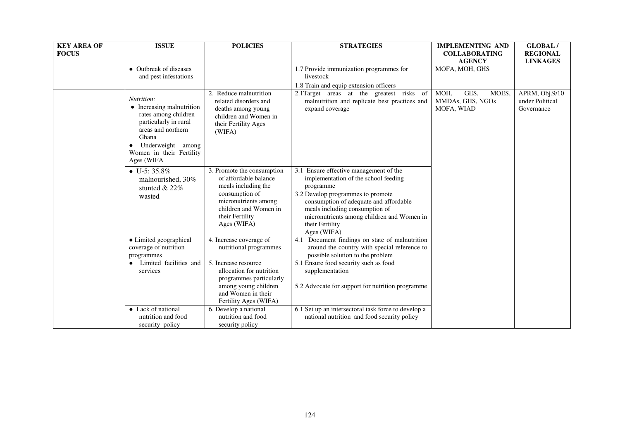| <b>KEY AREA OF</b> | <b>ISSUE</b>                                                                                                                                                                           | <b>POLICIES</b>                                                                                                                                                                 | <b>STRATEGIES</b>                                                                                                                                                                                                                                                                            | <b>IMPLEMENTING AND</b>                                 | <b>GLOBAL/</b>                                  |
|--------------------|----------------------------------------------------------------------------------------------------------------------------------------------------------------------------------------|---------------------------------------------------------------------------------------------------------------------------------------------------------------------------------|----------------------------------------------------------------------------------------------------------------------------------------------------------------------------------------------------------------------------------------------------------------------------------------------|---------------------------------------------------------|-------------------------------------------------|
| <b>FOCUS</b>       |                                                                                                                                                                                        |                                                                                                                                                                                 |                                                                                                                                                                                                                                                                                              | <b>COLLABORATING</b>                                    | <b>REGIONAL</b>                                 |
|                    |                                                                                                                                                                                        |                                                                                                                                                                                 |                                                                                                                                                                                                                                                                                              | <b>AGENCY</b>                                           | <b>LINKAGES</b>                                 |
|                    | • Outbreak of diseases                                                                                                                                                                 |                                                                                                                                                                                 | 1.7 Provide immunization programmes for                                                                                                                                                                                                                                                      | MOFA, MOH, GHS                                          |                                                 |
|                    | and pest infestations                                                                                                                                                                  |                                                                                                                                                                                 | livestock                                                                                                                                                                                                                                                                                    |                                                         |                                                 |
|                    |                                                                                                                                                                                        |                                                                                                                                                                                 | 1.8 Train and equip extension officers                                                                                                                                                                                                                                                       |                                                         |                                                 |
|                    | Nutrition:<br>• Increasing malnutrition<br>rates among children<br>particularly in rural<br>areas and northern<br>Ghana<br>Underweight among<br>Women in their Fertility<br>Ages (WIFA | 2. Reduce malnutrition<br>related disorders and<br>deaths among young<br>children and Women in<br>their Fertility Ages<br>(WIFA)                                                | 2.1Target areas at the greatest risks of<br>malnutrition and replicate best practices and<br>expand coverage                                                                                                                                                                                 | MOH,<br>GES,<br>MOES,<br>MMDAs, GHS, NGOs<br>MOFA, WIAD | APRM, Obj.9/10<br>under Political<br>Governance |
|                    | $\bullet$ U-5: 35.8%<br>malnourished, 30%<br>stunted $& 22\%$<br>wasted                                                                                                                | 3. Promote the consumption<br>of affordable balance<br>meals including the<br>consumption of<br>micronutrients among<br>children and Women in<br>their Fertility<br>Ages (WIFA) | 3.1 Ensure effective management of the<br>implementation of the school feeding<br>programme<br>3.2 Develop programmes to promote<br>consumption of adequate and affordable<br>meals including consumption of<br>micronutrients among children and Women in<br>their Fertility<br>Ages (WIFA) |                                                         |                                                 |
|                    | • Limited geographical<br>coverage of nutrition<br>programmes                                                                                                                          | 4. Increase coverage of<br>nutritional programmes                                                                                                                               | 4.1 Document findings on state of malnutrition<br>around the country with special reference to<br>possible solution to the problem                                                                                                                                                           |                                                         |                                                 |
|                    | Limited facilities and<br>services                                                                                                                                                     | 5. Increase resource<br>allocation for nutrition<br>programmes particularly<br>among young children<br>and Women in their<br>Fertility Ages (WIFA)                              | 5.1 Ensure food security such as food<br>supplementation<br>5.2 Advocate for support for nutrition programme                                                                                                                                                                                 |                                                         |                                                 |
|                    | • Lack of national<br>nutrition and food<br>security policy                                                                                                                            | 6. Develop a national<br>nutrition and food<br>security policy                                                                                                                  | 6.1 Set up an intersectoral task force to develop a<br>national nutrition and food security policy                                                                                                                                                                                           |                                                         |                                                 |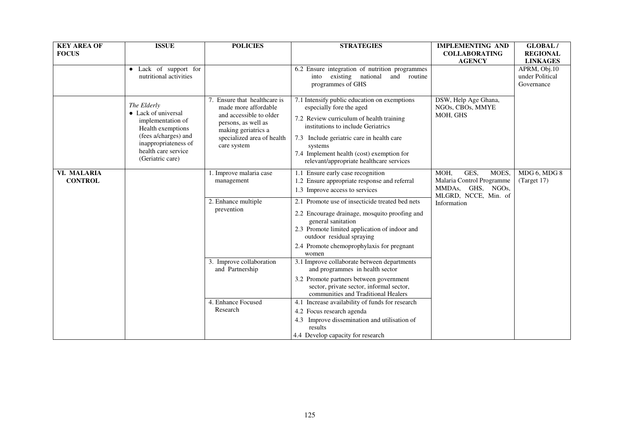| <b>KEY AREA OF</b><br><b>FOCUS</b> | <b>ISSUE</b>                                                                                                                                                            | <b>POLICIES</b>                                                                                                                                                            | <b>STRATEGIES</b>                                                                                                                                                                                                                                                                                           | <b>IMPLEMENTING AND</b><br><b>COLLABORATING</b><br><b>AGENCY</b>                                | <b>GLOBAL/</b><br><b>REGIONAL</b><br><b>LINKAGES</b> |
|------------------------------------|-------------------------------------------------------------------------------------------------------------------------------------------------------------------------|----------------------------------------------------------------------------------------------------------------------------------------------------------------------------|-------------------------------------------------------------------------------------------------------------------------------------------------------------------------------------------------------------------------------------------------------------------------------------------------------------|-------------------------------------------------------------------------------------------------|------------------------------------------------------|
|                                    | Lack of support for<br>nutritional activities                                                                                                                           |                                                                                                                                                                            | 6.2 Ensure integration of nutrition programmes<br>existing national<br>and routine<br>into<br>programmes of GHS                                                                                                                                                                                             |                                                                                                 | APRM, Obj.10<br>under Political<br>Governance        |
|                                    | The Elderly<br>• Lack of universal<br>implementation of<br>Health exemptions<br>(fees a/charges) and<br>inappropriateness of<br>health care service<br>(Geriatric care) | 7. Ensure that healthcare is<br>made more affordable<br>and accessible to older<br>persons, as well as<br>making geriatrics a<br>specialized area of health<br>care system | 7.1 Intensify public education on exemptions<br>especially fore the aged<br>7.2 Review curriculum of health training<br>institutions to include Geriatrics<br>7.3 Include geriatric care in health care<br>systems<br>7.4 Implement health (cost) exemption for<br>relevant/appropriate healthcare services | DSW, Help Age Ghana,<br>NGOs, CBOs, MMYE<br>MOH, GHS                                            |                                                      |
| VI. MALARIA<br><b>CONTROL</b>      |                                                                                                                                                                         | 1. Improve malaria case<br>management                                                                                                                                      | 1.1 Ensure early case recognition<br>1.2 Ensure appropriate response and referral<br>1.3 Improve access to services                                                                                                                                                                                         | MOH,<br>GES,<br>MOES,<br>Malaria Control Programme<br>MMDAs, GHS, NGOs,<br>MLGRD, NCCE, Min. of | MDG 6, MDG 8<br>$^{(Target 17)}$                     |
|                                    |                                                                                                                                                                         | 2. Enhance multiple<br>prevention                                                                                                                                          | 2.1 Promote use of insecticide treated bed nets<br>2.2 Encourage drainage, mosquito proofing and<br>general sanitation<br>2.3 Promote limited application of indoor and<br>outdoor residual spraying<br>2.4 Promote chemoprophylaxis for pregnant<br>women                                                  | Information                                                                                     |                                                      |
|                                    |                                                                                                                                                                         | 3. Improve collaboration<br>and Partnership                                                                                                                                | 3.1 Improve collaborate between departments<br>and programmes in health sector<br>3.2 Promote partners between government<br>sector, private sector, informal sector,<br>communities and Traditional Healers                                                                                                |                                                                                                 |                                                      |
|                                    |                                                                                                                                                                         | 4. Enhance Focused<br>Research                                                                                                                                             | 4.1 Increase availability of funds for research<br>4.2 Focus research agenda<br>4.3 Improve dissemination and utilisation of<br>results<br>4.4 Develop capacity for research                                                                                                                                |                                                                                                 |                                                      |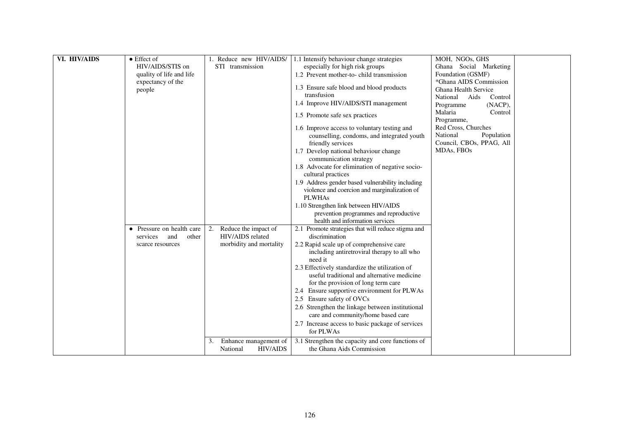| VI. HIV/AIDS | $\bullet$ Effect of       | 1. Reduce new HIV/AIDS/     | 1.1 Intensify behaviour change strategies          | MOH, NGOs, GHS           |  |
|--------------|---------------------------|-----------------------------|----------------------------------------------------|--------------------------|--|
|              | HIV/AIDS/STIS on          | STI transmission            | especially for high risk groups                    | Ghana Social Marketing   |  |
|              | quality of life and life  |                             | 1.2 Prevent mother-to-child transmission           | Foundation (GSMF)        |  |
|              | expectancy of the         |                             |                                                    | *Ghana AIDS Commission   |  |
|              | people                    |                             | 1.3 Ensure safe blood and blood products           | Ghana Health Service     |  |
|              |                           |                             | transfusion                                        | National Aids<br>Control |  |
|              |                           |                             | 1.4 Improve HIV/AIDS/STI management                | (NACP),<br>Programme     |  |
|              |                           |                             |                                                    | Malaria<br>Control       |  |
|              |                           |                             | 1.5 Promote safe sex practices                     | Programme,               |  |
|              |                           |                             | 1.6 Improve access to voluntary testing and        | Red Cross, Churches      |  |
|              |                           |                             | counselling, condoms, and integrated youth         | National<br>Population   |  |
|              |                           |                             | friendly services                                  | Council, CBOs, PPAG, All |  |
|              |                           |                             | 1.7 Develop national behaviour change              | MDAs, FBOs               |  |
|              |                           |                             | communication strategy                             |                          |  |
|              |                           |                             | 1.8 Advocate for elimination of negative socio-    |                          |  |
|              |                           |                             | cultural practices                                 |                          |  |
|              |                           |                             | 1.9 Address gender based vulnerability including   |                          |  |
|              |                           |                             | violence and coercion and marginalization of       |                          |  |
|              |                           |                             | <b>PLWHAs</b>                                      |                          |  |
|              |                           |                             | 1.10 Strengthen link between HIV/AIDS              |                          |  |
|              |                           |                             | prevention programmes and reproductive             |                          |  |
|              |                           |                             | health and information services                    |                          |  |
|              | • Pressure on health care | Reduce the impact of<br>2.  | 2.1 Promote strategies that will reduce stigma and |                          |  |
|              | services<br>and<br>other  | HIV/AIDS related            | discrimination                                     |                          |  |
|              | scarce resources          | morbidity and mortality     | 2.2 Rapid scale up of comprehensive care           |                          |  |
|              |                           |                             | including antiretroviral therapy to all who        |                          |  |
|              |                           |                             | need it                                            |                          |  |
|              |                           |                             | 2.3 Effectively standardize the utilization of     |                          |  |
|              |                           |                             | useful traditional and alternative medicine        |                          |  |
|              |                           |                             | for the provision of long term care                |                          |  |
|              |                           |                             | Ensure supportive environment for PLWAs<br>2.4     |                          |  |
|              |                           |                             | Ensure safety of OVCs                              |                          |  |
|              |                           |                             | 2.6 Strengthen the linkage between institutional   |                          |  |
|              |                           |                             | care and community/home based care                 |                          |  |
|              |                           |                             | 2.7 Increase access to basic package of services   |                          |  |
|              |                           |                             | for PLWAs                                          |                          |  |
|              |                           | 3.<br>Enhance management of | 3.1 Strengthen the capacity and core functions of  |                          |  |
|              |                           | <b>HIV/AIDS</b><br>National | the Ghana Aids Commission                          |                          |  |
|              |                           |                             |                                                    |                          |  |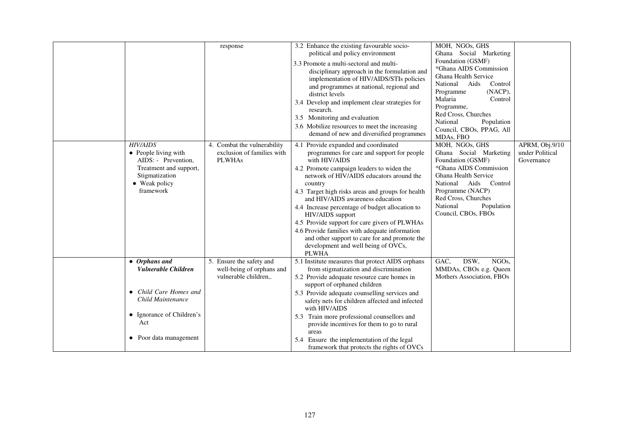|                                                                                                                                          | response                                                                       | 3.2 Enhance the existing favourable socio-<br>political and policy environment<br>3.3 Promote a multi-sectoral and multi-<br>disciplinary approach in the formulation and<br>implementation of HIV/AIDS/STIs policies<br>and programmes at national, regional and<br>district levels<br>3.4 Develop and implement clear strategies for<br>research.<br>3.5 Monitoring and evaluation                                                                                                                                                                                                  | MOH, NGOs, GHS<br>Ghana Social Marketing<br>Foundation (GSMF)<br>*Ghana AIDS Commission<br>Ghana Health Service<br>National<br>Aids<br>Control<br>(NACP),<br>Programme<br>Malaria<br>Control<br>Programme,<br>Red Cross, Churches          |                                                 |
|------------------------------------------------------------------------------------------------------------------------------------------|--------------------------------------------------------------------------------|---------------------------------------------------------------------------------------------------------------------------------------------------------------------------------------------------------------------------------------------------------------------------------------------------------------------------------------------------------------------------------------------------------------------------------------------------------------------------------------------------------------------------------------------------------------------------------------|--------------------------------------------------------------------------------------------------------------------------------------------------------------------------------------------------------------------------------------------|-------------------------------------------------|
|                                                                                                                                          |                                                                                | 3.6 Mobilize resources to meet the increasing<br>demand of new and diversified programmes                                                                                                                                                                                                                                                                                                                                                                                                                                                                                             | National<br>Population<br>Council, CBOs, PPAG, All<br>MDAs, FBO                                                                                                                                                                            |                                                 |
| <b>HIV/AIDS</b><br>• People living with<br>AIDS: - Prevention,<br>Treatment and support,<br>Stigmatization<br>• Weak policy<br>framework | 4. Combat the vulnerability<br>exclusion of families with<br><b>PLWHAs</b>     | Provide expanded and coordinated<br>4.1<br>programmes for care and support for people<br>with HIV/AIDS<br>4.2 Promote campaign leaders to widen the<br>network of HIV/AIDS educators around the<br>country<br>4.3 Target high risks areas and groups for health<br>and HIV/AIDS awareness education<br>4.4 Increase percentage of budget allocation to<br>HIV/AIDS support<br>4.5 Provide support for care givers of PLWHAs<br>4.6 Provide families with adequate information<br>and other support to care for and promote the<br>development and well being of OVCs,<br><b>PLWHA</b> | MOH, NGOs, GHS<br>Ghana Social Marketing<br>Foundation (GSMF)<br>*Ghana AIDS Commission<br>Ghana Health Service<br>National<br>Aids<br>Control<br>Programme (NACP)<br>Red Cross, Churches<br>National<br>Population<br>Council, CBOs, FBOs | APRM, Obj.9/10<br>under Political<br>Governance |
| $\bullet$ Orphans and<br>Vulnerable Children                                                                                             | 5. Ensure the safety and<br>well-being of orphans and<br>vulnerable children,. | 5.1 Institute measures that protect AIDS orphans<br>from stigmatization and discrimination<br>5.2 Provide adequate resource care homes in<br>support of orphaned children                                                                                                                                                                                                                                                                                                                                                                                                             | GAC,<br>DSW,<br>NGO <sub>s</sub><br>MMDAs, CBOs e.g. Queen<br>Mothers Association, FBOs                                                                                                                                                    |                                                 |
| • Child Care Homes and<br>Child Maintenance                                                                                              |                                                                                | 5.3 Provide adequate counselling services and<br>safety nets for children affected and infected<br>with HIV/AIDS                                                                                                                                                                                                                                                                                                                                                                                                                                                                      |                                                                                                                                                                                                                                            |                                                 |
| • Ignorance of Children's<br>Act                                                                                                         |                                                                                | 5.3 Train more professional counsellors and<br>provide incentives for them to go to rural<br>areas                                                                                                                                                                                                                                                                                                                                                                                                                                                                                    |                                                                                                                                                                                                                                            |                                                 |
| Poor data management<br>$\bullet$                                                                                                        |                                                                                | 5.4 Ensure the implementation of the legal<br>framework that protects the rights of OVCs                                                                                                                                                                                                                                                                                                                                                                                                                                                                                              |                                                                                                                                                                                                                                            |                                                 |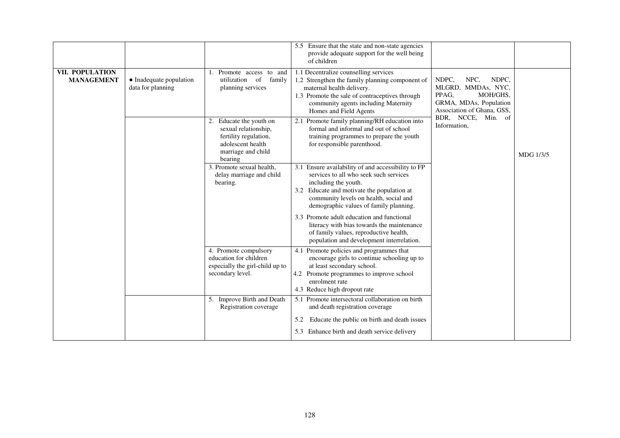|                                      |                                                                                                                                                                      |                                                                                                                                | 5.5 Ensure that the state and non-state agencies<br>provide adequate support for the well being<br>of children                                                                                                                                         |                                                                                                                                                 |  |
|--------------------------------------|----------------------------------------------------------------------------------------------------------------------------------------------------------------------|--------------------------------------------------------------------------------------------------------------------------------|--------------------------------------------------------------------------------------------------------------------------------------------------------------------------------------------------------------------------------------------------------|-------------------------------------------------------------------------------------------------------------------------------------------------|--|
| VII. POPULATION<br><b>MANAGEMENT</b> | • Inadequate population<br>data for planning                                                                                                                         | 1. Promote access to and<br>utilization of<br>family<br>planning services                                                      | 1.1 Decentralize counselling services<br>1.2 Strengthen the family planning component of<br>maternal health delivery.<br>1.3 Promote the sale of contraceptives through<br>community agents including Maternity<br>Homes and Field Agents              | NDPC,<br>NPC.<br>NDPC,<br>MLGRD, MMDAs, NYC,<br>PPAG,<br>MOH/GHS,<br>GRMA, MDAs, Population<br>Association of Ghana, GSS,<br>BDR, NCCE, Min. of |  |
|                                      | 2. Educate the youth on<br>2.1<br>sexual relationship,<br>fertility regulation,<br>adolescent health<br>for responsible parenthood.<br>marriage and child<br>bearing | Promote family planning/RH education into<br>formal and informal and out of school<br>training programmes to prepare the youth | Information,                                                                                                                                                                                                                                           | MDG 1/3/5                                                                                                                                       |  |
|                                      |                                                                                                                                                                      | 3. Promote sexual health.<br>delay marriage and child<br>bearing.                                                              | 3.1 Ensure availability of and accessibility to FP<br>services to all who seek such services<br>including the youth.<br>3.2 Educate and motivate the population at<br>community levels on health, social and<br>demographic values of family planning. |                                                                                                                                                 |  |
|                                      |                                                                                                                                                                      |                                                                                                                                | 3.3 Promote adult education and functional<br>literacy with bias towards the maintenance<br>of family values, reproductive health,<br>population and development interrelation.                                                                        |                                                                                                                                                 |  |
|                                      |                                                                                                                                                                      | 4. Promote compulsory<br>education for children<br>especially the girl-child up to<br>secondary level.                         | 4.1 Promote policies and programmes that<br>encourage girls to continue schooling up to<br>at least secondary school.<br>4.2 Promote programmes to improve school<br>enrolment rate<br>4.3 Reduce high dropout rate                                    |                                                                                                                                                 |  |
|                                      |                                                                                                                                                                      | 5. Improve Birth and Death<br>Registration coverage                                                                            | 5.1 Promote intersectoral collaboration on birth<br>and death registration coverage                                                                                                                                                                    |                                                                                                                                                 |  |
|                                      |                                                                                                                                                                      |                                                                                                                                | Educate the public on birth and death issues<br>5.2<br>5.3 Enhance birth and death service delivery                                                                                                                                                    |                                                                                                                                                 |  |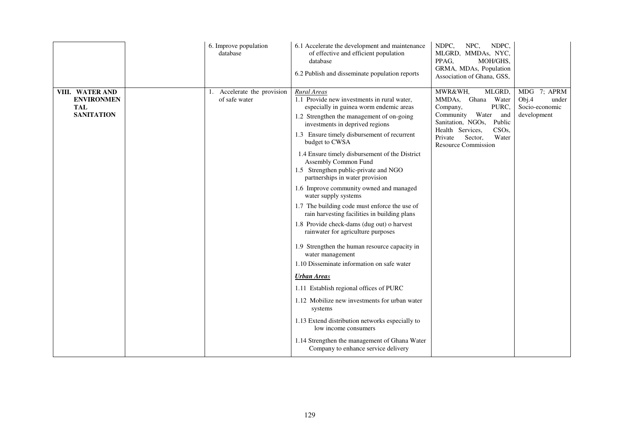|                                                                         | 6. Improve population<br>database            | 6.1 Accelerate the development and maintenance<br>of effective and efficient population<br>database<br>6.2 Publish and disseminate population reports                                                                                                                                                                                                                                                                                                                                                                                                                                                                                                                                                                                                                                                                                                                                                                                                                                                                                                   | NDPC,<br>NPC,<br>NDPC,<br>MLGRD, MMDAs, NYC,<br>PPAG,<br>MOH/GHS,<br>GRMA, MDAs, Population<br>Association of Ghana, GSS,                                                                                               |                                                                |
|-------------------------------------------------------------------------|----------------------------------------------|---------------------------------------------------------------------------------------------------------------------------------------------------------------------------------------------------------------------------------------------------------------------------------------------------------------------------------------------------------------------------------------------------------------------------------------------------------------------------------------------------------------------------------------------------------------------------------------------------------------------------------------------------------------------------------------------------------------------------------------------------------------------------------------------------------------------------------------------------------------------------------------------------------------------------------------------------------------------------------------------------------------------------------------------------------|-------------------------------------------------------------------------------------------------------------------------------------------------------------------------------------------------------------------------|----------------------------------------------------------------|
| VIII. WATER AND<br><b>ENVIRONMEN</b><br><b>TAL</b><br><b>SANITATION</b> | 1. Accelerate the provision<br>of safe water | <b>Rural Areas</b><br>1.1 Provide new investments in rural water,<br>especially in guinea worm endemic areas<br>1.2 Strengthen the management of on-going<br>investments in deprived regions<br>1.3 Ensure timely disbursement of recurrent<br>budget to CWSA<br>1.4 Ensure timely disbursement of the District<br>Assembly Common Fund<br>1.5 Strengthen public-private and NGO<br>partnerships in water provision<br>1.6 Improve community owned and managed<br>water supply systems<br>1.7 The building code must enforce the use of<br>rain harvesting facilities in building plans<br>1.8 Provide check-dams (dug out) o harvest<br>rainwater for agriculture purposes<br>1.9 Strengthen the human resource capacity in<br>water management<br>1.10 Disseminate information on safe water<br><b>Urban Areas</b><br>1.11 Establish regional offices of PURC<br>1.12 Mobilize new investments for urban water<br>systems<br>1.13 Extend distribution networks especially to<br>low income consumers<br>1.14 Strengthen the management of Ghana Water | MWR&WH,<br>MLGRD,<br>MMDAs, Ghana Water<br>PURC,<br>Company,<br>Community Water and<br>Sanitation, NGOs,<br>Public<br>CSO <sub>s</sub><br>Health Services,<br>Water<br>Private<br>Sector,<br><b>Resource Commission</b> | MDG 7; APRM<br>Obj.4<br>under<br>Socio-economic<br>development |
|                                                                         |                                              | Company to enhance service delivery                                                                                                                                                                                                                                                                                                                                                                                                                                                                                                                                                                                                                                                                                                                                                                                                                                                                                                                                                                                                                     |                                                                                                                                                                                                                         |                                                                |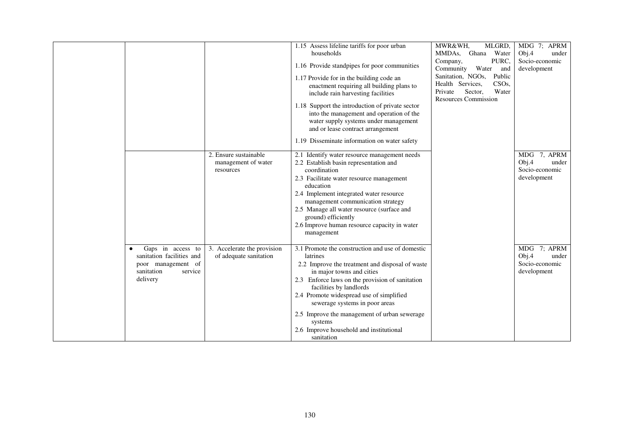|                                                             |                                                       | 1.15 Assess lifeline tariffs for poor urban                                           | MWR&WH,<br>MLGRD,                                                                                  | MDG 7; APRM                   |
|-------------------------------------------------------------|-------------------------------------------------------|---------------------------------------------------------------------------------------|----------------------------------------------------------------------------------------------------|-------------------------------|
|                                                             |                                                       | households                                                                            | MMDAs, Ghana Water                                                                                 | Obj.4<br>under                |
|                                                             |                                                       | 1.16 Provide standpipes for poor communities                                          | PURC,<br>Company,<br>Community Water<br>and                                                        | Socio-economic<br>development |
|                                                             |                                                       | 1.17 Provide for in the building code an<br>enactment requiring all building plans to | Sanitation, NGOs,<br>Public<br>Health Services,<br>CSO <sub>s</sub><br>Water<br>Sector,<br>Private |                               |
|                                                             |                                                       | include rain harvesting facilities                                                    | <b>Resources Commission</b>                                                                        |                               |
|                                                             |                                                       | 1.18 Support the introduction of private sector                                       |                                                                                                    |                               |
|                                                             |                                                       | into the management and operation of the                                              |                                                                                                    |                               |
|                                                             |                                                       | water supply systems under management                                                 |                                                                                                    |                               |
|                                                             |                                                       | and or lease contract arrangement                                                     |                                                                                                    |                               |
|                                                             |                                                       | 1.19 Disseminate information on water safety                                          |                                                                                                    |                               |
|                                                             | 2. Ensure sustainable                                 | 2.1 Identify water resource management needs                                          |                                                                                                    | MDG 7, APRM                   |
|                                                             | management of water                                   | 2.2 Establish basin representation and                                                |                                                                                                    | Obj.4<br>under                |
|                                                             | resources                                             | coordination                                                                          |                                                                                                    | Socio-economic                |
|                                                             |                                                       | 2.3 Facilitate water resource management<br>education                                 |                                                                                                    | development                   |
|                                                             |                                                       | 2.4 Implement integrated water resource                                               |                                                                                                    |                               |
|                                                             |                                                       | management communication strategy                                                     |                                                                                                    |                               |
|                                                             |                                                       | 2.5 Manage all water resource (surface and<br>ground) efficiently                     |                                                                                                    |                               |
|                                                             |                                                       | 2.6 Improve human resource capacity in water                                          |                                                                                                    |                               |
|                                                             |                                                       | management                                                                            |                                                                                                    |                               |
|                                                             |                                                       |                                                                                       |                                                                                                    |                               |
| Gaps in access to<br>$\bullet$<br>sanitation facilities and | 3. Accelerate the provision<br>of adequate sanitation | 3.1 Promote the construction and use of domestic<br>latrines                          |                                                                                                    | MDG 7; APRM<br>Obj.4<br>under |
| poor management of                                          |                                                       | 2.2 Improve the treatment and disposal of waste                                       |                                                                                                    | Socio-economic                |
| sanitation<br>service                                       |                                                       | in major towns and cities                                                             |                                                                                                    | development                   |
| delivery                                                    |                                                       | 2.3 Enforce laws on the provision of sanitation<br>facilities by landlords            |                                                                                                    |                               |
|                                                             |                                                       | 2.4 Promote widespread use of simplified                                              |                                                                                                    |                               |
|                                                             |                                                       | sewerage systems in poor areas                                                        |                                                                                                    |                               |
|                                                             |                                                       | 2.5 Improve the management of urban sewerage<br>systems                               |                                                                                                    |                               |
|                                                             |                                                       | 2.6 Improve household and institutional                                               |                                                                                                    |                               |
|                                                             |                                                       | sanitation                                                                            |                                                                                                    |                               |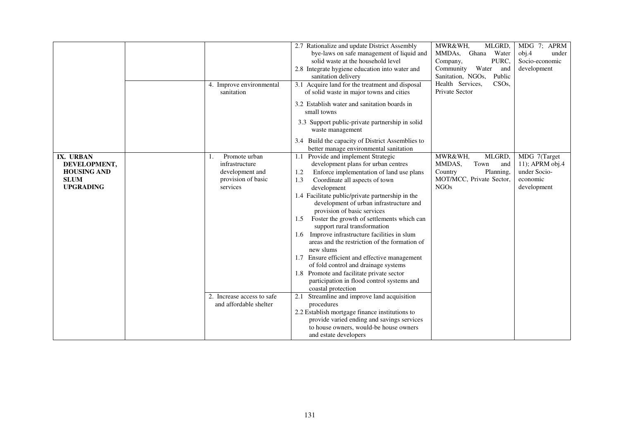|                                                                                    | 4. Improve environmental<br>sanitation                                                     | 2.7 Rationalize and update District Assembly<br>bye-laws on safe management of liquid and<br>solid waste at the household level<br>2.8 Integrate hygiene education into water and<br>sanitation delivery<br>3.1 Acquire land for the treatment and disposal<br>of solid waste in major towns and cities                                                                                                                                                                                                                                                                                                                                                                                                                              | MWR&WH,<br>MLGRD,<br>Ghana Water<br>MMDA <sub>s</sub><br>PURC,<br>Company,<br>Water<br>Community<br>and<br>Sanitation, NGOs,<br>Public<br>Health Services,<br>CSO <sub>s</sub><br>Private Sector | MDG 7; APRM<br>obj.4<br>under<br>Socio-economic<br>development             |
|------------------------------------------------------------------------------------|--------------------------------------------------------------------------------------------|--------------------------------------------------------------------------------------------------------------------------------------------------------------------------------------------------------------------------------------------------------------------------------------------------------------------------------------------------------------------------------------------------------------------------------------------------------------------------------------------------------------------------------------------------------------------------------------------------------------------------------------------------------------------------------------------------------------------------------------|--------------------------------------------------------------------------------------------------------------------------------------------------------------------------------------------------|----------------------------------------------------------------------------|
|                                                                                    |                                                                                            | 3.2 Establish water and sanitation boards in<br>small towns<br>3.3 Support public-private partnership in solid<br>waste management                                                                                                                                                                                                                                                                                                                                                                                                                                                                                                                                                                                                   |                                                                                                                                                                                                  |                                                                            |
|                                                                                    |                                                                                            | 3.4 Build the capacity of District Assemblies to<br>better manage environmental sanitation                                                                                                                                                                                                                                                                                                                                                                                                                                                                                                                                                                                                                                           |                                                                                                                                                                                                  |                                                                            |
| IX. URBAN<br>DEVELOPMENT,<br><b>HOUSING AND</b><br><b>SLUM</b><br><b>UPGRADING</b> | Promote urban<br>1.<br>infrastructure<br>development and<br>provision of basic<br>services | Provide and implement Strategic<br>1.1<br>development plans for urban centres<br>Enforce implementation of land use plans<br>1.2<br>Coordinate all aspects of town<br>1.3<br>development<br>1.4 Facilitate public/private partnership in the<br>development of urban infrastructure and<br>provision of basic services<br>Foster the growth of settlements which can<br>1.5<br>support rural transformation<br>1.6 Improve infrastructure facilities in slum<br>areas and the restriction of the formation of<br>new slums<br>1.7 Ensure efficient and effective management<br>of fold control and drainage systems<br>1.8 Promote and facilitate private sector<br>participation in flood control systems and<br>coastal protection | MWR&WH,<br>MLGRD,<br>MMDAS,<br>Town<br>and<br>Planning,<br>Country<br>MOT/MCC, Private Sector,<br><b>NGOs</b>                                                                                    | MDG 7(Target<br>11); APRM obj.4<br>under Socio-<br>economic<br>development |
|                                                                                    | 2. Increase access to safe<br>and affordable shelter                                       | Streamline and improve land acquisition<br>2.1<br>procedures<br>2.2 Establish mortgage finance institutions to<br>provide varied ending and savings services<br>to house owners, would-be house owners<br>and estate developers                                                                                                                                                                                                                                                                                                                                                                                                                                                                                                      |                                                                                                                                                                                                  |                                                                            |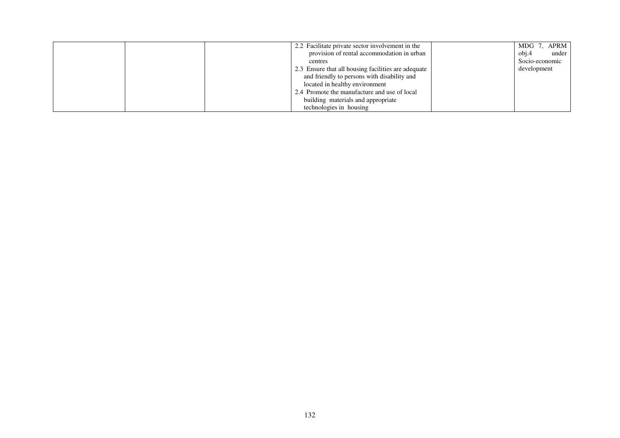|  | 2.2 Facilitate private sector involvement in the    | MDG 7, APRM    |
|--|-----------------------------------------------------|----------------|
|  | provision of rental accommodation in urban          | obj.4<br>under |
|  | centres                                             | Socio-economic |
|  | 2.3 Ensure that all housing facilities are adequate | development    |
|  | and friendly to persons with disability and         |                |
|  | located in healthy environment                      |                |
|  | 2.4 Promote the manufacture and use of local        |                |
|  | building materials and appropriate                  |                |
|  | technologies in housing                             |                |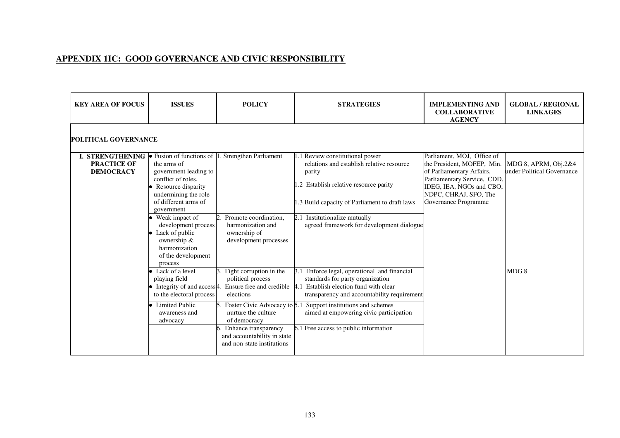## **APPENDIX 1IC: GOOD GOVERNANCE AND CIVIC RESPONSIBILITY**

| <b>KEY AREA OF FOCUS</b>                                                                                                             | <b>ISSUES</b>                                                                                                                                                                                                                                                                    | <b>POLICY</b>                                                                                                                                                                                                                                     | <b>STRATEGIES</b>                                                                                                                                                                                                                                                                                | <b>IMPLEMENTING AND</b><br><b>COLLABORATIVE</b><br><b>AGENCY</b>                                                                                                                                  | <b>GLOBAL / REGIONAL</b><br><b>LINKAGES</b>          |  |  |  |
|--------------------------------------------------------------------------------------------------------------------------------------|----------------------------------------------------------------------------------------------------------------------------------------------------------------------------------------------------------------------------------------------------------------------------------|---------------------------------------------------------------------------------------------------------------------------------------------------------------------------------------------------------------------------------------------------|--------------------------------------------------------------------------------------------------------------------------------------------------------------------------------------------------------------------------------------------------------------------------------------------------|---------------------------------------------------------------------------------------------------------------------------------------------------------------------------------------------------|------------------------------------------------------|--|--|--|
| <b>POLITICAL GOVERNANCE</b>                                                                                                          |                                                                                                                                                                                                                                                                                  |                                                                                                                                                                                                                                                   |                                                                                                                                                                                                                                                                                                  |                                                                                                                                                                                                   |                                                      |  |  |  |
| <b>I. STRENGTHENING</b> $\bullet$ Fusion of functions of $\vert 1$ . Strengthen Parliament<br><b>PRACTICE OF</b><br><b>DEMOCRACY</b> | the arms of<br>government leading to<br>conflict of roles.<br>• Resource disparity<br>undermining the role<br>of different arms of<br>government<br>• Weak impact of<br>development process<br>• Lack of public<br>ownership &<br>harmonization<br>of the development<br>process | Promote coordination,<br>harmonization and<br>ownership of<br>development processes                                                                                                                                                               | 1.1 Review constitutional power<br>relations and establish relative resource<br>parity<br>1.2 Establish relative resource parity<br>1.3 Build capacity of Parliament to draft laws<br>2.1 Institutionalize mutually<br>agreed framework for development dialogue                                 | Parliament, MOJ, Office of<br>the President, MOFEP, Min.<br>of Parliamentary Affairs,<br>Parliamentary Service, CDD,<br>IDEG, IEA, NGOs and CBO,<br>NDPC, CHRAJ, SFO, The<br>Governance Programme | MDG 8, APRM, $Obj.2&4$<br>under Political Governance |  |  |  |
|                                                                                                                                      | • Lack of a level<br>playing field<br>$\bullet$ Integrity of and access <sup>4</sup> .<br>to the electoral process<br>• Limited Public<br>awareness and<br>advocacy                                                                                                              | Fight corruption in the<br>political process<br>Ensure free and credible<br>elections<br>Foster Civic Advocacy to 5.1<br>nurture the culture<br>of democracy<br>Enhance transparency<br>and accountability in state<br>and non-state institutions | Enforce legal, operational and financial<br>standards for party organization<br>Establish election fund with clear<br>4.1<br>transparency and accountability requirement<br>Support institutions and schemes<br>aimed at empowering civic participation<br>6.1 Free access to public information |                                                                                                                                                                                                   | MDG8                                                 |  |  |  |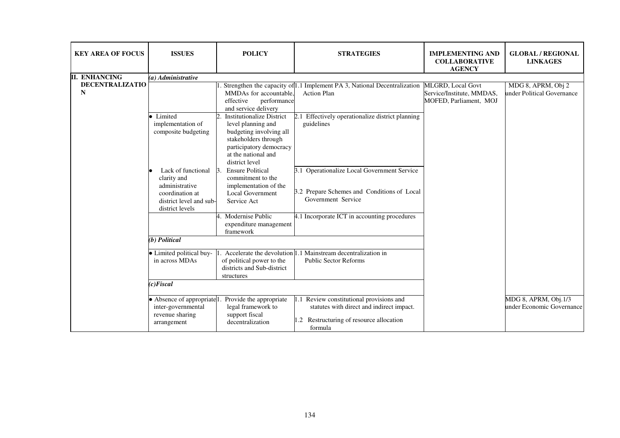| <b>KEY AREA OF FOCUS</b>    | <b>ISSUES</b>                                                                                                        | <b>POLICY</b>                                                                                                                                                                 | <b>STRATEGIES</b>                                                                                                                        | <b>IMPLEMENTING AND</b><br><b>COLLABORATIVE</b><br><b>AGENCY</b>                | <b>GLOBAL / REGIONAL</b><br><b>LINKAGES</b>       |
|-----------------------------|----------------------------------------------------------------------------------------------------------------------|-------------------------------------------------------------------------------------------------------------------------------------------------------------------------------|------------------------------------------------------------------------------------------------------------------------------------------|---------------------------------------------------------------------------------|---------------------------------------------------|
| II. ENHANCING               | (a) Administrative                                                                                                   |                                                                                                                                                                               |                                                                                                                                          |                                                                                 |                                                   |
| <b>DECENTRALIZATIO</b><br>N |                                                                                                                      | MMDAs for accountable,<br>effective<br>performance<br>and service delivery                                                                                                    | . Strengthen the capacity of 1.1 Implement PA 3, National Decentralization<br><b>Action Plan</b>                                         | <b>MLGRD, Local Govt</b><br>Service/Institute, MMDAS,<br>MOFED, Parliament, MOJ | MDG 8, APRM, Obj 2<br>under Political Governance  |
|                             | • Limited<br>implementation of<br>composite budgeting                                                                | <b>Institutionalize District</b><br>level planning and<br>budgeting involving all<br>stakeholders through<br>participatory democracy<br>at the national and<br>district level | 2.1 Effectively operationalize district planning<br>guidelines                                                                           |                                                                                 |                                                   |
|                             | Lack of functional<br>clarity and<br>administrative<br>coordination at<br>district level and sub-<br>district levels | <b>Ensure Political</b><br>-13<br>commitment to the<br>implementation of the<br><b>Local Government</b><br>Service Act                                                        | 3.1 Operationalize Local Government Service<br>3.2 Prepare Schemes and Conditions of Local<br>Government Service                         |                                                                                 |                                                   |
|                             |                                                                                                                      | Modernise Public<br>expenditure management<br>framework                                                                                                                       | 4.1 Incorporate ICT in accounting procedures                                                                                             |                                                                                 |                                                   |
|                             | (b) Political                                                                                                        |                                                                                                                                                                               |                                                                                                                                          |                                                                                 |                                                   |
|                             | • Limited political buy-<br>in across MDAs                                                                           | of political power to the<br>districts and Sub-district<br>structures                                                                                                         | Accelerate the devolution 1.1 Mainstream decentralization in<br><b>Public Sector Reforms</b>                                             |                                                                                 |                                                   |
|                             | $(c)$ Fiscal                                                                                                         |                                                                                                                                                                               |                                                                                                                                          |                                                                                 |                                                   |
|                             | • Absence of appropriate <sup>1</sup> .<br>inter-governmental<br>revenue sharing<br>arrangement                      | Provide the appropriate<br>legal framework to<br>support fiscal<br>decentralization                                                                                           | 1.1 Review constitutional provisions and<br>statutes with direct and indirect impact.<br>Restructuring of resource allocation<br>formula |                                                                                 | MDG 8, APRM, Obj.1/3<br>under Economic Governance |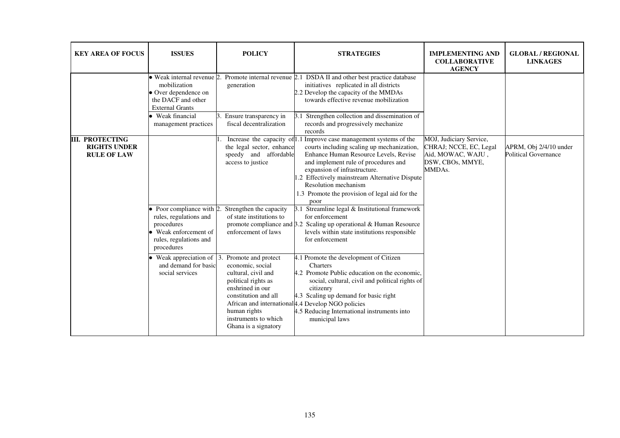| <b>KEY AREA OF FOCUS</b>                                            | <b>ISSUES</b>                                                                                                                                                                                                            | <b>POLICY</b>                                                                                                                                                                                                                                                                                                                                              | <b>STRATEGIES</b>                                                                                                                                                                                                                                                                                                                                                                                                                                                                                                                                                                                                                                                                                                                                                                                                                                                                                                               | <b>IMPLEMENTING AND</b><br><b>COLLABORATIVE</b><br><b>AGENCY</b>                                     | <b>GLOBAL / REGIONAL</b><br><b>LINKAGES</b>           |
|---------------------------------------------------------------------|--------------------------------------------------------------------------------------------------------------------------------------------------------------------------------------------------------------------------|------------------------------------------------------------------------------------------------------------------------------------------------------------------------------------------------------------------------------------------------------------------------------------------------------------------------------------------------------------|---------------------------------------------------------------------------------------------------------------------------------------------------------------------------------------------------------------------------------------------------------------------------------------------------------------------------------------------------------------------------------------------------------------------------------------------------------------------------------------------------------------------------------------------------------------------------------------------------------------------------------------------------------------------------------------------------------------------------------------------------------------------------------------------------------------------------------------------------------------------------------------------------------------------------------|------------------------------------------------------------------------------------------------------|-------------------------------------------------------|
|                                                                     | • Weak internal revenue 2.<br>mobilization<br>• Over dependence on<br>the DACF and other<br><b>External Grants</b><br>• Weak financial                                                                                   | generation<br>Ensure transparency in                                                                                                                                                                                                                                                                                                                       | Promote internal revenue 2.1 DSDA II and other best practice database<br>initiatives replicated in all districts<br>2.2 Develop the capacity of the MMDAs<br>towards effective revenue mobilization<br>3.1 Strengthen collection and dissemination of                                                                                                                                                                                                                                                                                                                                                                                                                                                                                                                                                                                                                                                                           |                                                                                                      |                                                       |
|                                                                     | management practices                                                                                                                                                                                                     | fiscal decentralization                                                                                                                                                                                                                                                                                                                                    | records and progressively mechanize<br>records                                                                                                                                                                                                                                                                                                                                                                                                                                                                                                                                                                                                                                                                                                                                                                                                                                                                                  |                                                                                                      |                                                       |
| <b>III. PROTECTING</b><br><b>RIGHTS UNDER</b><br><b>RULE OF LAW</b> | $\bullet$ Poor compliance with 2.<br>rules, regulations and<br>procedures<br>• Weak enforcement of<br>rules, regulations and<br>procedures<br>Weak appreciation of $\vert$ 3.<br>and demand for basic<br>social services | the legal sector, enhance<br>speedy and affordable<br>access to justice<br>Strengthen the capacity<br>of state institutions to<br>enforcement of laws<br>Promote and protect<br>economic, social<br>cultural, civil and<br>political rights as<br>enshrined in our<br>constitution and all<br>human rights<br>instruments to which<br>Ghana is a signatory | Increase the capacity of 1.1 Improve case management systems of the<br>courts including scaling up mechanization,<br>Enhance Human Resource Levels, Revise<br>and implement rule of procedures and<br>expansion of infrastructure.<br>1.2 Effectively mainstream Alternative Dispute<br>Resolution mechanism<br>1.3 Promote the provision of legal aid for the<br>poor<br>3.1 Streamline legal $&$ Institutional framework<br>for enforcement<br>promote compliance and $3.2$ Scaling up operational & Human Resource<br>levels within state institutions responsible<br>for enforcement<br>4.1 Promote the development of Citizen<br>Charters<br>4.2 Promote Public education on the economic,<br>social, cultural, civil and political rights of<br>citizenry<br>4.3 Scaling up demand for basic right<br>African and international 4.4 Develop NGO policies<br>4.5 Reducing International instruments into<br>municipal laws | MOJ, Judiciary Service,<br>CHRAJ; NCCE, EC, Legal<br>Aid, MOWAC, WAJU,<br>DSW, CBOs, MMYE,<br>MMDAs. | APRM, Obj 2/4/10 under<br><b>Political Governance</b> |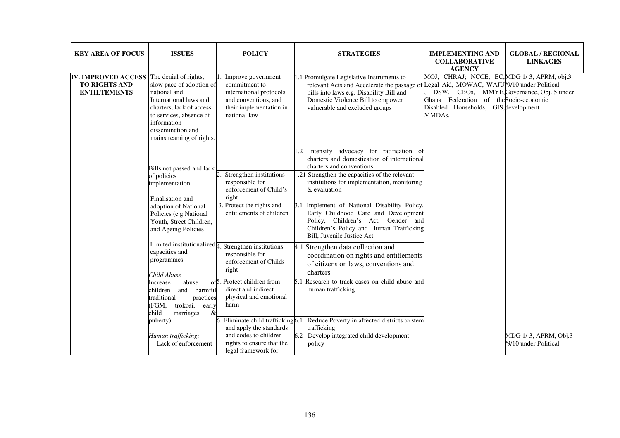| <b>KEY AREA OF FOCUS</b>                                                                        | <b>ISSUES</b>                                                                                                                                                                                                                                                                                                                              | <b>POLICY</b>                                                                                                                                                                                                                                                                        | <b>STRATEGIES</b>                                                                                                                                                                                                                                                                                                                                                                                                                                  | <b>IMPLEMENTING AND</b><br><b>COLLABORATIVE</b><br><b>AGENCY</b>                                                                                                                     | <b>GLOBAL / REGIONAL</b><br><b>LINKAGES</b>   |
|-------------------------------------------------------------------------------------------------|--------------------------------------------------------------------------------------------------------------------------------------------------------------------------------------------------------------------------------------------------------------------------------------------------------------------------------------------|--------------------------------------------------------------------------------------------------------------------------------------------------------------------------------------------------------------------------------------------------------------------------------------|----------------------------------------------------------------------------------------------------------------------------------------------------------------------------------------------------------------------------------------------------------------------------------------------------------------------------------------------------------------------------------------------------------------------------------------------------|--------------------------------------------------------------------------------------------------------------------------------------------------------------------------------------|-----------------------------------------------|
| <b>IV. IMPROVED ACCESS</b> The denial of rights,<br><b>TO RIGHTS AND</b><br><b>ENTILTEMENTS</b> | slow pace of adoption of<br>national and<br>International laws and<br>charters, lack of access<br>to services, absence of<br>information<br>dissemination and<br>mainstreaming of rights.                                                                                                                                                  | Improve government<br>commitment to<br>international protocols<br>and conventions, and<br>their implementation in<br>national law                                                                                                                                                    | 1.1 Promulgate Legislative Instruments to<br>relevant Acts and Accelerate the passage of Legal Aid, MOWAC, WAJU/9/10 under Political<br>bills into laws e.g. Disability Bill and<br>Domestic Violence Bill to empower<br>vulnerable and excluded groups                                                                                                                                                                                            | MOJ, CHRAJ; NCCE, EC, MDG 1/3, APRM, obj.3<br>DSW, CBOs, MMYE, Governance, Obj. 5 under<br>Ghana Federation of the Socio-economic<br>Disabled Households, GIS, development<br>MMDAs, |                                               |
|                                                                                                 | Bills not passed and lack<br>of policies<br>implementation<br>Finalisation and<br>adoption of National<br>Policies (e.g National<br>Youth, Street Children,<br>and Ageing Policies                                                                                                                                                         | Strengthen institutions<br>responsible for<br>enforcement of Child's<br>right<br>3. Protect the rights and<br>entitlements of children                                                                                                                                               | Intensify advocacy for ratification of<br>1.2<br>charters and domestication of international<br>charters and conventions<br>.21 Strengthen the capacities of the relevant<br>institutions for implementation, monitoring<br>& evaluation<br>Implement of National Disability Policy,<br>3.1<br>Early Childhood Care and Development<br>Policy, Children's Act, Gender and<br>Children's Policy and Human Trafficking<br>Bill, Juvenile Justice Act |                                                                                                                                                                                      |                                               |
|                                                                                                 | Limited institutionalized $\frac{1}{4}$ . Strengthen institutions<br>capacities and<br>programmes<br>Child Abuse<br>of <sub>5</sub> .<br>abuse<br>Increase<br>children<br>and<br>harmful<br>traditional<br>practices<br>(FGM,<br>trokosi,<br>early<br>$\&$<br>child<br>marriages<br>puberty)<br>Human trafficking:-<br>Lack of enforcement | responsible for<br>enforcement of Childs<br>right<br>. Protect children from<br>direct and indirect<br>physical and emotional<br>harm<br>. Eliminate child trafficking $6.1$<br>and apply the standards<br>and codes to children<br>rights to ensure that the<br>legal framework for | 4.1 Strengthen data collection and<br>coordination on rights and entitlements<br>of citizens on laws, conventions and<br>charters<br>5.1 Research to track cases on child abuse and<br>human trafficking<br>Reduce Poverty in affected districts to stem<br>trafficking<br>6.2 Develop integrated child development<br>policy                                                                                                                      |                                                                                                                                                                                      | MDG 1/3, APRM, Obj.3<br>/9/10 under Political |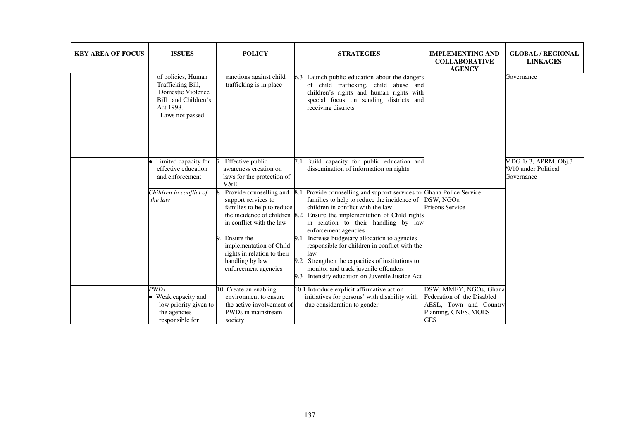| <b>KEY AREA OF FOCUS</b> | <b>ISSUES</b>                                                                                                       | <b>POLICY</b>                                                                                                                             | <b>STRATEGIES</b>                                                                                                                                                                                                                                                         | <b>IMPLEMENTING AND</b><br><b>COLLABORATIVE</b><br><b>AGENCY</b>                                                     | <b>GLOBAL / REGIONAL</b><br><b>LINKAGES</b>                 |
|--------------------------|---------------------------------------------------------------------------------------------------------------------|-------------------------------------------------------------------------------------------------------------------------------------------|---------------------------------------------------------------------------------------------------------------------------------------------------------------------------------------------------------------------------------------------------------------------------|----------------------------------------------------------------------------------------------------------------------|-------------------------------------------------------------|
|                          | of policies, Human<br>Trafficking Bill,<br>Domestic Violence<br>Bill and Children's<br>Act 1998.<br>Laws not passed | sanctions against child<br>trafficking is in place                                                                                        | 6.3 Launch public education about the dangers<br>of child trafficking, child abuse and<br>children's rights and human rights with<br>special focus on sending districts and<br>receiving districts                                                                        |                                                                                                                      | Governance                                                  |
|                          | • Limited capacity for<br>effective education<br>and enforcement                                                    | Effective public<br>awareness creation on<br>laws for the protection of<br>V&E                                                            | 7.1 Build capacity for public education and<br>dissemination of information on rights                                                                                                                                                                                     |                                                                                                                      | MDG 1/3, APRM, Obj.3<br>/9/10 under Political<br>Governance |
|                          | Children in conflict of<br>the law                                                                                  | Provide counselling and<br>support services to<br>families to help to reduce<br>the incidence of children 8.2<br>in conflict with the law | Provide counselling and support services to Ghana Police Service,<br>8.1<br>families to help to reduce the incidence of<br>children in conflict with the law<br>Ensure the implementation of Child rights<br>in relation to their handling by law<br>enforcement agencies | DSW, NGOs,<br><b>Prisons Service</b>                                                                                 |                                                             |
|                          |                                                                                                                     | Ensure the<br>implementation of Child<br>rights in relation to their<br>handling by law<br>enforcement agencies                           | Increase budgetary allocation to agencies<br>9.1<br>responsible for children in conflict with the<br>law<br>Strengthen the capacities of institutions to<br>9.2<br>monitor and track juvenile offenders<br>Intensify education on Juvenile Justice Act<br>9.3             |                                                                                                                      |                                                             |
|                          | PWDs<br>• Weak capacity and<br>low priority given to<br>the agencies<br>responsible for                             | 10. Create an enabling<br>environment to ensure<br>the active involvement of<br>PWDs in mainstream<br>society                             | 10.1 Introduce explicit affirmative action<br>initiatives for persons' with disability with<br>due consideration to gender                                                                                                                                                | DSW, MMEY, NGOs, Ghana<br>Federation of the Disabled<br>AESL, Town and Country<br>Planning, GNFS, MOES<br><b>GES</b> |                                                             |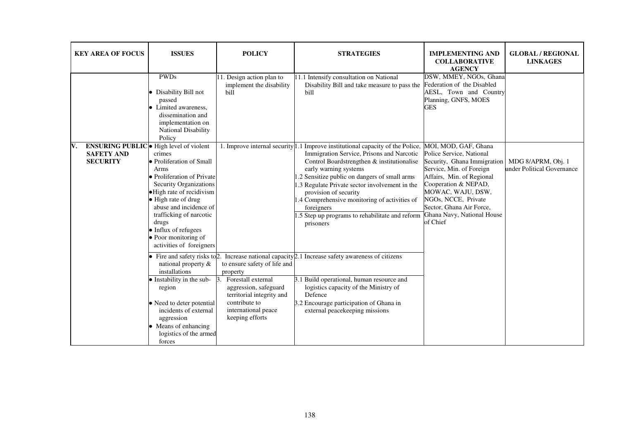| <b>KEY AREA OF FOCUS</b>                                                                     | <b>ISSUES</b>                                                                                                                                                                                                                                                                                           | <b>POLICY</b>                                                                                                                                                                         | <b>STRATEGIES</b>                                                                                                                                                                                                                                                                                                                                                                                                                                           | <b>IMPLEMENTING AND</b><br><b>COLLABORATIVE</b><br><b>AGENCY</b>                                                                                                                                                                                                                   | <b>GLOBAL / REGIONAL</b><br><b>LINKAGES</b>      |
|----------------------------------------------------------------------------------------------|---------------------------------------------------------------------------------------------------------------------------------------------------------------------------------------------------------------------------------------------------------------------------------------------------------|---------------------------------------------------------------------------------------------------------------------------------------------------------------------------------------|-------------------------------------------------------------------------------------------------------------------------------------------------------------------------------------------------------------------------------------------------------------------------------------------------------------------------------------------------------------------------------------------------------------------------------------------------------------|------------------------------------------------------------------------------------------------------------------------------------------------------------------------------------------------------------------------------------------------------------------------------------|--------------------------------------------------|
|                                                                                              | <b>PWDs</b><br>• Disability Bill not<br>passed<br>• Limited awareness,<br>dissemination and<br>implementation on<br>National Disability<br>Policy                                                                                                                                                       | 11. Design action plan to<br>implement the disability<br>bill                                                                                                                         | 11.1 Intensify consultation on National<br>Disability Bill and take measure to pass the<br>bill                                                                                                                                                                                                                                                                                                                                                             | DSW, MMEY, NGOs, Ghana<br>Federation of the Disabled<br>AESL, Town and Country<br>Planning, GNFS, MOES<br><b>GES</b>                                                                                                                                                               |                                                  |
| <b>ENSURING PUBLIC</b> • High level of violent<br>V.<br><b>SAFETY AND</b><br><b>SECURITY</b> | crimes<br>• Proliferation of Small<br>Arms<br>• Proliferation of Private<br><b>Security Organizations</b><br>• High rate of recidivism<br>• High rate of drug<br>abuse and incidence of<br>trafficking of narcotic<br>drugs<br>• Influx of refugees<br>• Poor monitoring of<br>activities of foreigners |                                                                                                                                                                                       | 1. Improve internal security 1.1 Improve institutional capacity of the Police,<br>Immigration Service, Prisons and Narcotic<br>Control Boardstrengthen & institutionalise<br>early warning systems<br>.2 Sensitize public on dangers of small arms<br>1.3 Regulate Private sector involvement in the<br>provision of security<br>1.4 Comprehensive monitoring of activities of<br>foreigners<br>.5 Step up programs to rehabilitate and reform<br>prisoners | MOI, MOD, GAF, Ghana<br>Police Service, National<br>Security, Ghana Immigration<br>Service, Min. of Foreign<br>Affairs, Min. of Regional<br>Cooperation & NEPAD,<br>MOWAC, WAJU, DSW,<br>NGOs, NCCE, Private<br>Sector, Ghana Air Force,<br>Ghana Navy, National House<br>of Chief | MDG 8/APRM, Obj. 1<br>under Political Governance |
|                                                                                              | $\bullet$ Fire and safety risks to 2.<br>national property &<br>installations<br>• Instability in the sub-<br>region<br>• Need to deter potential<br>incidents of external<br>aggression<br>• Means of enhancing<br>logistics of the armed<br>forces                                                    | to ensure safety of life and<br>property<br>Forestall external<br>Β.<br>aggression, safeguard<br>territorial integrity and<br>contribute to<br>international peace<br>keeping efforts | Increase national capacity 2.1 Increase safety awareness of citizens<br>3.1 Build operational, human resource and<br>logistics capacity of the Ministry of<br>Defence<br>3.2 Encourage participation of Ghana in<br>external peacekeeping missions                                                                                                                                                                                                          |                                                                                                                                                                                                                                                                                    |                                                  |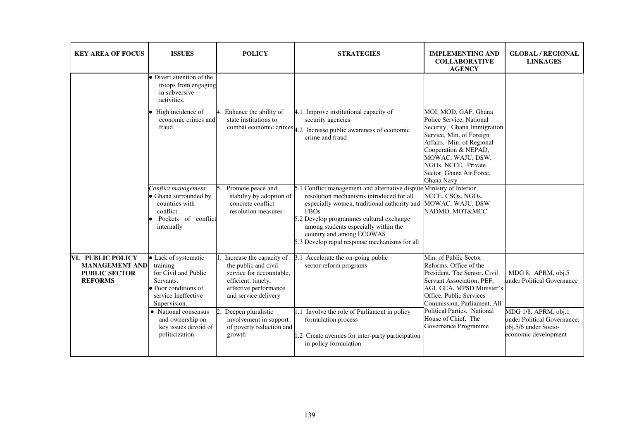| <b>KEY AREA OF FOCUS</b>                                                             | <b>ISSUES</b>                                                                                                                        | <b>POLICY</b>                                                                                                                                       | <b>STRATEGIES</b>                                                                                                                                                                                                                                                                                                                               | <b>IMPLEMENTING AND</b><br><b>COLLABORATIVE</b><br><b>AGENCY</b>                                                                                                                                                                                       | <b>GLOBAL / REGIONAL</b><br><b>LINKAGES</b>                                                         |
|--------------------------------------------------------------------------------------|--------------------------------------------------------------------------------------------------------------------------------------|-----------------------------------------------------------------------------------------------------------------------------------------------------|-------------------------------------------------------------------------------------------------------------------------------------------------------------------------------------------------------------------------------------------------------------------------------------------------------------------------------------------------|--------------------------------------------------------------------------------------------------------------------------------------------------------------------------------------------------------------------------------------------------------|-----------------------------------------------------------------------------------------------------|
|                                                                                      | • Divert attention of the<br>troops from engaging<br>in subversive<br>activities.                                                    |                                                                                                                                                     |                                                                                                                                                                                                                                                                                                                                                 |                                                                                                                                                                                                                                                        |                                                                                                     |
|                                                                                      | • High incidence of<br>economic crimes and<br>fraud                                                                                  | Enhance the ability of<br>state institutions to                                                                                                     | 4.1 Improve institutional capacity of<br>security agencies<br>combat economic crimes $ 4.2 $ Increase public awareness of economic<br>crime and fraud                                                                                                                                                                                           | MOI, MOD, GAF, Ghana<br>Police Service, National<br>Security, Ghana Immigration<br>Service, Min. of Foreign<br>Affairs, Min. of Regional<br>Cooperation & NEPAD,<br>MOWAC, WAJU, DSW,<br>NGOs, NCCE, Private<br>Sector, Ghana Air Force,<br>Ghana Navy |                                                                                                     |
|                                                                                      | Conflict management:<br>• Ghana surrounded by<br>countries with<br>conflict.<br>Pockets of conflict<br>internally                    | Promote peace and<br>stability by adoption of<br>concrete conflict<br>resolution measures                                                           | 5.1 Conflict management and alternative dispute Ministry of Interior<br>resolution mechanisms introduced for all<br>especially women, traditional authority and<br><b>FBOs</b><br>5.2 Develop programmes cultural exchange<br>among students especially within the<br>country and among ECOWAS<br>5.3 Develop rapid response mechanisms for all | NCCE, CSOs, NGOs,<br>MOWAC, WAJU, DSW<br>NADMO, MOT&MCC                                                                                                                                                                                                |                                                                                                     |
| VI. PUBLIC POLICY<br><b>MANAGEMENT AND</b><br><b>PUBLIC SECTOR</b><br><b>REFORMS</b> | • Lack of systematic<br>training<br>for Civil and Public<br>Servants.<br>• Poor conditions of<br>service Ineffective<br>Supervision. | Increase the capacity of<br>the public and civil<br>service for accountable,<br>efficient, timely,<br>effective performance<br>and service delivery | 3.1 Accelerate the on-going public<br>sector reform programs                                                                                                                                                                                                                                                                                    | Min. of Public Sector<br>Reforms, Office of the<br>President, The Senior, Civil<br>Servant Association, PEF,<br>AGI, GEA, MPSD Minister's<br>Office, Public Services<br>Commission, Parliament, All                                                    | MDG 8, APRM, obj.5<br>under Political Governance                                                    |
|                                                                                      | • National consensus<br>and ownership on<br>key issues devoid of<br>politicization                                                   | Deepen pluralistic<br>$\mathcal{D}$<br>involvement in support<br>of poverty reduction and<br>growth                                                 | 1.1 Involve the role of Parliament in policy<br>formulation process<br>1.2 Create avenues for inter-party participation<br>in policy formulation                                                                                                                                                                                                | Political Parties, National<br>House of Chief, The<br>Governance Programme                                                                                                                                                                             | MDG 1/8, APRM, obj.1<br>under Political Governance;<br>obj.5/6 under Socio-<br>economic development |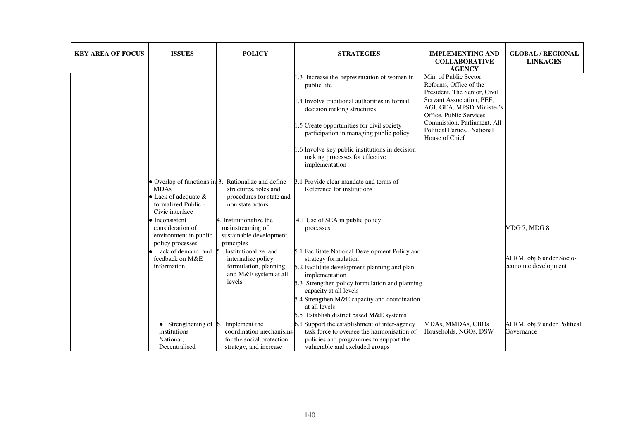| <b>KEY AREA OF FOCUS</b> | <b>ISSUES</b>                                                                           | <b>POLICY</b>                                                                                                                | <b>STRATEGIES</b>                                                                                                                                                                                                                                                                                                                         | <b>IMPLEMENTING AND</b><br><b>COLLABORATIVE</b><br><b>AGENCY</b>                                                                                                                                                                                     | <b>GLOBAL / REGIONAL</b><br><b>LINKAGES</b>      |
|--------------------------|-----------------------------------------------------------------------------------------|------------------------------------------------------------------------------------------------------------------------------|-------------------------------------------------------------------------------------------------------------------------------------------------------------------------------------------------------------------------------------------------------------------------------------------------------------------------------------------|------------------------------------------------------------------------------------------------------------------------------------------------------------------------------------------------------------------------------------------------------|--------------------------------------------------|
|                          |                                                                                         |                                                                                                                              | 1.3 Increase the representation of women in<br>public life<br>1.4 Involve traditional authorities in formal<br>decision making structures<br>1.5 Create opportunities for civil society<br>participation in managing public policy<br>1.6 Involve key public institutions in decision<br>making processes for effective<br>implementation | Min. of Public Sector<br>Reforms, Office of the<br>President, The Senior, Civil<br>Servant Association, PEF,<br>AGI, GEA, MPSD Minister's<br>Office, Public Services<br>Commission, Parliament, All<br>Political Parties, National<br>House of Chief |                                                  |
|                          | <b>MDAs</b><br>• Lack of adequate &<br>formalized Public -<br>Civic interface           | • Overlap of functions in 3. Rationalize and define<br>structures, roles and<br>procedures for state and<br>non state actors | 3.1 Provide clear mandate and terms of<br>Reference for institutions                                                                                                                                                                                                                                                                      |                                                                                                                                                                                                                                                      |                                                  |
|                          | $\bullet$ Inconsistent<br>consideration of<br>environment in public<br>policy processes | 4. Institutionalize the<br>mainstreaming of<br>sustainable development<br>principles                                         | 4.1 Use of SEA in public policy<br>processes                                                                                                                                                                                                                                                                                              |                                                                                                                                                                                                                                                      | MDG 7, MDG 8                                     |
|                          | • Lack of demand and $\overline{5}$ .<br>feedback on M&E<br>information                 | Institutionalize and<br>internalize policy<br>formulation, planning,<br>and M&E system at all<br>levels                      | 5.1 Facilitate National Development Policy and<br>strategy formulation<br>5.2 Facilitate development planning and plan<br>implementation<br>5.3 Strengthen policy formulation and planning<br>capacity at all levels<br>5.4 Strengthen M&E capacity and coordination<br>at all levels<br>5.5 Establish district based M&E systems         |                                                                                                                                                                                                                                                      | APRM, obj.6 under Socio-<br>economic development |
|                          | $\bullet$ Strengthening of 6.<br>institutions -<br>National,<br>Decentralised           | Implement the<br>coordination mechanisms<br>for the social protection<br>strategy, and increase                              | 6.1 Support the establishment of inter-agency<br>task force to oversee the harmonisation of<br>policies and programmes to support the<br>vulnerable and excluded groups                                                                                                                                                                   | MDAs, MMDAs, CBOs<br>Households, NGOs, DSW                                                                                                                                                                                                           | APRM, obj.9 under Political<br>Governance        |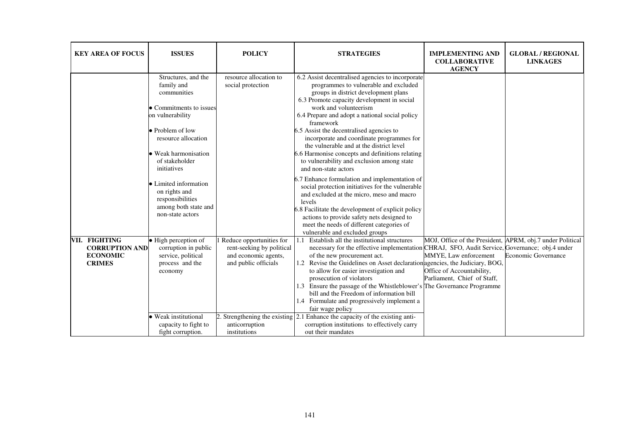| <b>KEY AREA OF FOCUS</b>                                                   | <b>ISSUES</b>                                                                                                                                                                                                                                                                                                 | <b>POLICY</b>                                                                                         | <b>STRATEGIES</b>                                                                                                                                                                                                                                                                                                                                                                                                                                                                                                                                                                                                                                                                                                                                                                                                                                                                   | <b>IMPLEMENTING AND</b><br><b>COLLABORATIVE</b><br><b>AGENCY</b>                                                                               | <b>GLOBAL / REGIONAL</b><br><b>LINKAGES</b> |
|----------------------------------------------------------------------------|---------------------------------------------------------------------------------------------------------------------------------------------------------------------------------------------------------------------------------------------------------------------------------------------------------------|-------------------------------------------------------------------------------------------------------|-------------------------------------------------------------------------------------------------------------------------------------------------------------------------------------------------------------------------------------------------------------------------------------------------------------------------------------------------------------------------------------------------------------------------------------------------------------------------------------------------------------------------------------------------------------------------------------------------------------------------------------------------------------------------------------------------------------------------------------------------------------------------------------------------------------------------------------------------------------------------------------|------------------------------------------------------------------------------------------------------------------------------------------------|---------------------------------------------|
|                                                                            | Structures, and the<br>family and<br>communities<br>• Commitments to issues<br>on vulnerability<br>• Problem of low<br>resource allocation<br>• Weak harmonisation<br>of stakeholder<br>initiatives<br>• Limited information<br>on rights and<br>responsibilities<br>among both state and<br>non-state actors | resource allocation to<br>social protection                                                           | 6.2 Assist decentralised agencies to incorporate<br>programmes to vulnerable and excluded<br>groups in district development plans<br>6.3 Promote capacity development in social<br>work and volunteerism<br>6.4 Prepare and adopt a national social policy<br>framework<br>6.5 Assist the decentralised agencies to<br>incorporate and coordinate programmes for<br>the vulnerable and at the district level<br>6.6 Harmonise concepts and definitions relating<br>to vulnerability and exclusion among state<br>and non-state actors<br>6.7 Enhance formulation and implementation of<br>social protection initiatives for the vulnerable<br>and excluded at the micro, meso and macro<br>levels<br>6.8 Facilitate the development of explicit policy<br>actions to provide safety nets designed to<br>meet the needs of different categories of<br>vulnerable and excluded groups |                                                                                                                                                |                                             |
| VII. FIGHTING<br><b>CORRUPTION AND</b><br><b>ECONOMIC</b><br><b>CRIMES</b> | • High perception of<br>corruption in public<br>service, political<br>process and the<br>economy<br>• Weak institutional                                                                                                                                                                                      | Reduce opportunities for<br>rent-seeking by political<br>and economic agents,<br>and public officials | Establish all the institutional structures<br>1.1<br>necessary for the effective implementation CHRAJ, SFO, Audit Service, Governance; obj.4 under<br>of the new procurement act.<br>1.2 Revise the Guidelines on Asset declaration agencies, the Judiciary, BOG,<br>to allow for easier investigation and<br>prosecution of violators<br>1.3 Ensure the passage of the Whistleblower's The Governance Programme<br>bill and the Freedom of information bill<br>1.4 Formulate and progressively implement a<br>fair wage policy<br>2. Strengthening the existing $\boxed{2.1}$ Enhance the capacity of the existing anti-                                                                                                                                                                                                                                                           | MOJ, Office of the President, APRM, obj.7 under Political<br>MMYE, Law enforcement<br>Office of Accountability,<br>Parliament, Chief of Staff, | <b>Economic Governance</b>                  |
|                                                                            | capacity to fight to<br>fight corruption.                                                                                                                                                                                                                                                                     | anticorruption<br>institutions                                                                        | corruption institutions to effectively carry<br>out their mandates                                                                                                                                                                                                                                                                                                                                                                                                                                                                                                                                                                                                                                                                                                                                                                                                                  |                                                                                                                                                |                                             |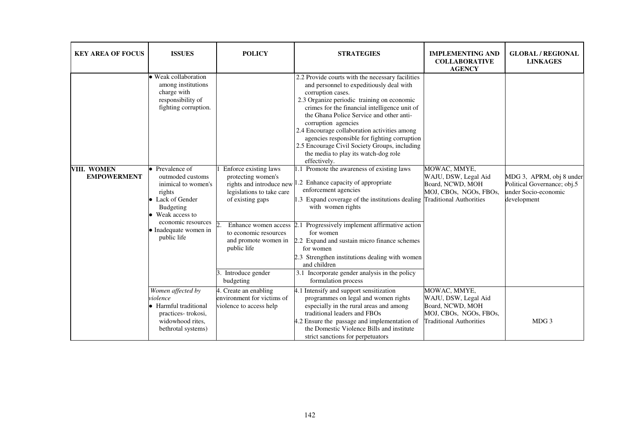| <b>KEY AREA OF FOCUS</b>          | <b>ISSUES</b>                                                                                                           | <b>POLICY</b>                                                                                | <b>STRATEGIES</b>                                                                                                                                                                                                                                                                                                                                                                                                                                                                            | <b>IMPLEMENTING AND</b><br><b>COLLABORATIVE</b><br><b>AGENCY</b>                                                     | <b>GLOBAL / REGIONAL</b><br><b>LINKAGES</b>                                                    |
|-----------------------------------|-------------------------------------------------------------------------------------------------------------------------|----------------------------------------------------------------------------------------------|----------------------------------------------------------------------------------------------------------------------------------------------------------------------------------------------------------------------------------------------------------------------------------------------------------------------------------------------------------------------------------------------------------------------------------------------------------------------------------------------|----------------------------------------------------------------------------------------------------------------------|------------------------------------------------------------------------------------------------|
|                                   | · Weak collaboration<br>among institutions<br>charge with<br>responsibility of<br>fighting corruption.                  |                                                                                              | 2.2 Provide courts with the necessary facilities<br>and personnel to expeditiously deal with<br>corruption cases.<br>2.3 Organize periodic training on economic<br>crimes for the financial intelligence unit of<br>the Ghana Police Service and other anti-<br>corruption agencies<br>2.4 Encourage collaboration activities among<br>agencies responsible for fighting corruption<br>2.5 Encourage Civil Society Groups, including<br>the media to play its watch-dog role<br>effectively. |                                                                                                                      |                                                                                                |
| VIII. WOMEN<br><b>EMPOWERMENT</b> | • Prevalence of<br>outmoded customs<br>inimical to women's<br>rights<br>• Lack of Gender<br>Budgeting<br>Weak access to | Enforce existing laws<br>protecting women's<br>legislations to take care<br>of existing gaps | 1.1 Promote the awareness of existing laws<br>rights and introduce new <sup>1.2</sup> Enhance capacity of appropriate<br>enforcement agencies<br>1.3 Expand coverage of the institutions dealing Traditional Authorities<br>with women rights                                                                                                                                                                                                                                                | MOWAC, MMYE,<br>WAJU, DSW, Legal Aid<br>Board, NCWD, MOH<br>MOJ, CBOs, NGOs, FBOs,                                   | MDG 3, APRM, obj 8 under<br>Political Governance; obj.5<br>under Socio-economic<br>development |
|                                   | economic resources<br>• Inadequate women in<br>public life                                                              | to economic resources<br>public life<br>Introduce gender<br>budgeting                        | Enhance women access 2.1 Progressively implement affirmative action<br>for women<br>and promote women in $\vert 2.2 \rangle$ Expand and sustain micro finance schemes<br>for women<br>2.3 Strengthen institutions dealing with women<br>and children<br>3.1 Incorporate gender analysis in the policy<br>formulation process                                                                                                                                                                 |                                                                                                                      |                                                                                                |
|                                   | Women affected by<br>violence<br>• Harmful traditional<br>practices-trokosi,<br>widowhood rites,<br>bethrotal systems)  | 4. Create an enabling<br>environment for victims of<br>violence to access help               | 4.1 Intensify and support sensitization<br>programmes on legal and women rights<br>especially in the rural areas and among<br>traditional leaders and FBOs<br>4.2 Ensure the passage and implementation of<br>the Domestic Violence Bills and institute<br>strict sanctions for perpetuators                                                                                                                                                                                                 | MOWAC, MMYE,<br>WAJU, DSW, Legal Aid<br>Board, NCWD, MOH<br>MOJ, CBOs, NGOs, FBOs,<br><b>Traditional Authorities</b> | MDG <sub>3</sub>                                                                               |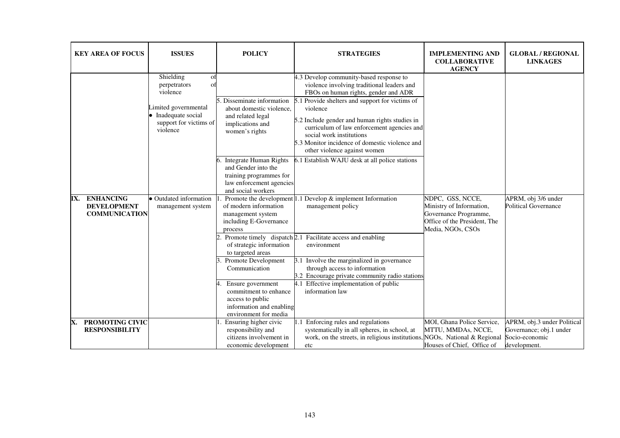| <b>KEY AREA OF FOCUS</b>                                              | <b>ISSUES</b>                                                                                                                                                                                        | <b>POLICY</b>                                                                                                                                                                                                                                                                                                                                                                                                                                                                                                                                                                    | <b>STRATEGIES</b>                                                                                                                                                                                                                                                                                                                                                                                                                                                                                                                                                                                                                                                                                                                                                                                     | <b>IMPLEMENTING AND</b><br><b>COLLABORATIVE</b><br><b>AGENCY</b>                                                           | <b>GLOBAL / REGIONAL</b><br><b>LINKAGES</b>                                              |
|-----------------------------------------------------------------------|------------------------------------------------------------------------------------------------------------------------------------------------------------------------------------------------------|----------------------------------------------------------------------------------------------------------------------------------------------------------------------------------------------------------------------------------------------------------------------------------------------------------------------------------------------------------------------------------------------------------------------------------------------------------------------------------------------------------------------------------------------------------------------------------|-------------------------------------------------------------------------------------------------------------------------------------------------------------------------------------------------------------------------------------------------------------------------------------------------------------------------------------------------------------------------------------------------------------------------------------------------------------------------------------------------------------------------------------------------------------------------------------------------------------------------------------------------------------------------------------------------------------------------------------------------------------------------------------------------------|----------------------------------------------------------------------------------------------------------------------------|------------------------------------------------------------------------------------------|
| <b>ENHANCING</b><br>IX.<br><b>DEVELOPMENT</b><br><b>COMMUNICATION</b> | Shielding<br>O <sub>1</sub><br>perpetrators<br>$\Omega$<br>violence<br>imited governmental<br>Inadequate social<br>support for victims of<br>violence<br>• Outdated information<br>management system | . Disseminate information<br>about domestic violence,<br>and related legal<br>implications and<br>women's rights<br>Integrate Human Rights<br>and Gender into the<br>training programmes for<br>law enforcement agencies<br>and social workers<br>of modern information<br>management system<br>including E-Governance<br>process<br>Promote timely dispatch 2.1<br>of strategic information<br>to targeted areas<br>Promote Development<br>Communication<br>Ensure government<br>commitment to enhance<br>access to public<br>information and enabling<br>environment for media | 4.3 Develop community-based response to<br>violence involving traditional leaders and<br>FBOs on human rights, gender and ADR<br>5.1 Provide shelters and support for victims of<br>violence<br>5.2 Include gender and human rights studies in<br>curriculum of law enforcement agencies and<br>social work institutions<br>5.3 Monitor incidence of domestic violence and<br>other violence against women<br>6.1 Establish WAJU desk at all police stations<br>Promote the development $ 1.1$ Develop $\&$ implement Information<br>management policy<br>Facilitate access and enabling<br>environment<br>3.1 Involve the marginalized in governance<br>through access to information<br>3.2 Encourage private community radio stations<br>4.1 Effective implementation of public<br>information law | NDPC, GSS, NCCE,<br>Ministry of Information,<br>Governance Programme,<br>Office of the President, The<br>Media, NGOs, CSOs | APRM, obj 3/6 under<br><b>Political Governance</b>                                       |
| PROMOTING CIVIC<br>X.<br><b>RESPONSIBILITY</b>                        |                                                                                                                                                                                                      | Ensuring higher civic<br>responsibility and<br>citizens involvement in<br>economic development                                                                                                                                                                                                                                                                                                                                                                                                                                                                                   | 1.1 Enforcing rules and regulations<br>systematically in all spheres, in school, at<br>work, on the streets, in religious institutions,<br>etc                                                                                                                                                                                                                                                                                                                                                                                                                                                                                                                                                                                                                                                        | MOI, Ghana Police Service,<br>MTTU, MMDAs, NCCE,<br>NGOs, National & Regional<br>Houses of Chief, Office of                | APRM, obj.3 under Political<br>Governance; obj.1 under<br>Socio-economic<br>development. |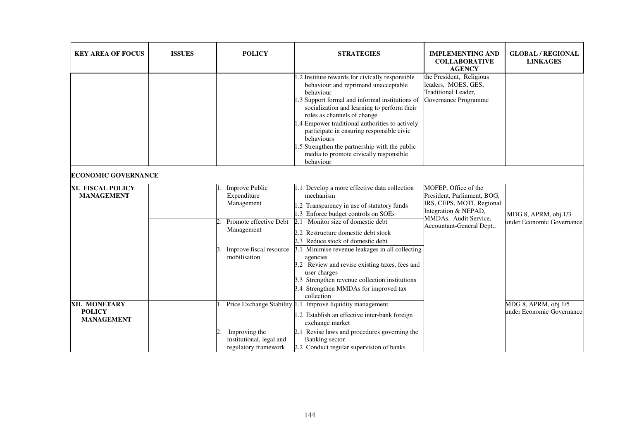| <b>KEY AREA OF FOCUS</b>                            | <b>ISSUES</b> | <b>POLICY</b>                                                                                                                         | <b>STRATEGIES</b>                                                                                                                                                                                                                                                                                                                                                                                                                                                                                            | <b>IMPLEMENTING AND</b><br><b>COLLABORATIVE</b><br><b>AGENCY</b>                                                                                               | <b>GLOBAL / REGIONAL</b><br><b>LINKAGES</b>       |
|-----------------------------------------------------|---------------|---------------------------------------------------------------------------------------------------------------------------------------|--------------------------------------------------------------------------------------------------------------------------------------------------------------------------------------------------------------------------------------------------------------------------------------------------------------------------------------------------------------------------------------------------------------------------------------------------------------------------------------------------------------|----------------------------------------------------------------------------------------------------------------------------------------------------------------|---------------------------------------------------|
|                                                     |               |                                                                                                                                       | 1.2 Institute rewards for civically responsible<br>behaviour and reprimand unacceptable<br>behaviour<br>1.3 Support formal and informal institutions of<br>socialization and learning to perform their<br>roles as channels of change<br>1.4 Empower traditional authorities to actively<br>participate in ensuring responsible civic<br>behaviours<br>1.5 Strengthen the partnership with the public<br>media to promote civically responsible<br>behaviour                                                 | the President, Religious<br>leaders, MOES, GES,<br>Traditional Leader.<br>Governance Programme                                                                 |                                                   |
| <b>ECONOMIC GOVERNANCE</b>                          |               |                                                                                                                                       |                                                                                                                                                                                                                                                                                                                                                                                                                                                                                                              |                                                                                                                                                                |                                                   |
| XI. FISCAL POLICY<br><b>MANAGEMENT</b>              |               | <b>Improve Public</b><br>Expenditure<br>Management<br>Promote effective Debt<br>Management<br>Improve fiscal resource<br>mobilisation | 1.1 Develop a more effective data collection<br>mechanism<br>1.2 Transparency in use of statutory funds<br>1.3 Enforce budget controls on SOEs<br>Monitor size of domestic debt<br>2.1<br>2.2 Restructure domestic debt stock<br>2.3 Reduce stock of domestic debt<br>3.1 Minimise revenue leakages in all collecting<br>agencies<br>3.2 Review and revise existing taxes, fees and<br>user charges<br>3.3 Strengthen revenue collection institutions<br>3.4 Strengthen MMDAs for improved tax<br>collection | MOFEP, Office of the<br>President, Parliament, BOG,<br>IRS, CEPS, MOTI, Regional<br>Integration & NEPAD,<br>MMDAs, Audit Service,<br>Accountant-General Dept., | MDG 8, APRM, obj.1/3<br>under Economic Governance |
| XII. MONETARY<br><b>POLICY</b><br><b>MANAGEMENT</b> |               | Improving the<br>institutional, legal and<br>regulatory framework                                                                     | Price Exchange Stability 1.1 Improve liquidity management<br>1.2 Establish an effective inter-bank foreign<br>exchange market<br>2.1 Revise laws and procedures governing the<br>Banking sector<br>2.2 Conduct regular supervision of banks                                                                                                                                                                                                                                                                  |                                                                                                                                                                | MDG 8, APRM, obj 1/5<br>under Economic Governance |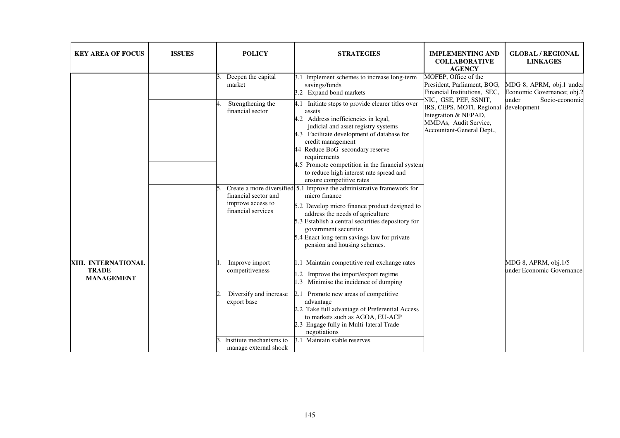| <b>KEY AREA OF FOCUS</b>                                 | <b>ISSUES</b> | <b>POLICY</b>                                                                                                                                                                                                                              | <b>STRATEGIES</b>                                                                                                                                                                                                                                                                                                                                                                                                                                                                                                                                                                                                                                                                                                                          | <b>IMPLEMENTING AND</b><br><b>COLLABORATIVE</b><br><b>AGENCY</b>                                                                             | <b>GLOBAL / REGIONAL</b><br><b>LINKAGES</b>            |
|----------------------------------------------------------|---------------|--------------------------------------------------------------------------------------------------------------------------------------------------------------------------------------------------------------------------------------------|--------------------------------------------------------------------------------------------------------------------------------------------------------------------------------------------------------------------------------------------------------------------------------------------------------------------------------------------------------------------------------------------------------------------------------------------------------------------------------------------------------------------------------------------------------------------------------------------------------------------------------------------------------------------------------------------------------------------------------------------|----------------------------------------------------------------------------------------------------------------------------------------------|--------------------------------------------------------|
|                                                          |               | Deepen the capital<br>market                                                                                                                                                                                                               | 3.1 Implement schemes to increase long-term<br>savings/funds<br>3.2 Expand bond markets                                                                                                                                                                                                                                                                                                                                                                                                                                                                                                                                                                                                                                                    | MOFEP, Office of the<br>President, Parliament, BOG,<br>Financial Institutions, SEC,                                                          | MDG 8, APRM, obj.1 under<br>Economic Governance; obj.2 |
|                                                          |               | Strengthening the<br>financial sector<br>financial sector and<br>improve access to<br>financial services                                                                                                                                   | Initiate steps to provide clearer titles over<br>4.1<br>assets<br>4.2 Address inefficiencies in legal,<br>judicial and asset registry systems<br>4.3 Facilitate development of database for<br>credit management<br>44 Reduce BoG secondary reserve<br>requirements<br>4.5 Promote competition in the financial system<br>to reduce high interest rate spread and<br>ensure competitive rates<br>Create a more diversified 5.1 Improve the administrative framework for<br>micro finance<br>5.2 Develop micro finance product designed to<br>address the needs of agriculture<br>5.3 Establish a central securities depository for<br>government securities<br>5.4 Enact long-term savings law for private<br>pension and housing schemes. | NIC, GSE, PEF, SSNIT,<br>IRS, CEPS, MOTI, Regional development<br>Integration & NEPAD,<br>MMDAs, Audit Service,<br>Accountant-General Dept., | under<br>Socio-economic                                |
| XIII. INTERNATIONAL<br><b>TRADE</b><br><b>MANAGEMENT</b> |               | Improve import<br>competitiveness                                                                                                                                                                                                          | 1.1 Maintain competitive real exchange rates<br>.2 Improve the import/export regime<br>Minimise the incidence of dumping<br>$\left  .3 \right $                                                                                                                                                                                                                                                                                                                                                                                                                                                                                                                                                                                            |                                                                                                                                              | MDG 8, APRM, obj.1/5<br>under Economic Governance      |
|                                                          |               | Diversify and increase<br>2.1 Promote new areas of competitive<br>export base<br>advantage<br>2.2 Take full advantage of Preferential Access<br>to markets such as AGOA, EU-ACP<br>2.3 Engage fully in Multi-lateral Trade<br>negotiations |                                                                                                                                                                                                                                                                                                                                                                                                                                                                                                                                                                                                                                                                                                                                            |                                                                                                                                              |                                                        |
|                                                          |               | Institute mechanisms to<br>manage external shock                                                                                                                                                                                           | 3.1 Maintain stable reserves                                                                                                                                                                                                                                                                                                                                                                                                                                                                                                                                                                                                                                                                                                               |                                                                                                                                              |                                                        |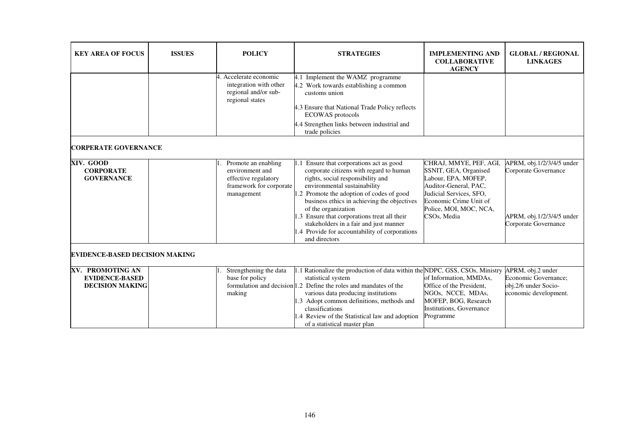| <b>KEY AREA OF FOCUS</b>                                            | <b>ISSUES</b> | <b>POLICY</b>                                                                                           | <b>STRATEGIES</b>                                                                                                                                                                                                                                                                                                                                                                                                                        | <b>IMPLEMENTING AND</b><br><b>COLLABORATIVE</b><br><b>AGENCY</b>                                                                                                                              | <b>GLOBAL / REGIONAL</b><br><b>LINKAGES</b>                                                            |
|---------------------------------------------------------------------|---------------|---------------------------------------------------------------------------------------------------------|------------------------------------------------------------------------------------------------------------------------------------------------------------------------------------------------------------------------------------------------------------------------------------------------------------------------------------------------------------------------------------------------------------------------------------------|-----------------------------------------------------------------------------------------------------------------------------------------------------------------------------------------------|--------------------------------------------------------------------------------------------------------|
|                                                                     |               | 4. Accelerate economic<br>integration with other<br>regional and/or sub-<br>regional states             | 4.1 Implement the WAMZ programme<br>4.2 Work towards establishing a common<br>customs union<br>4.3 Ensure that National Trade Policy reflects<br><b>ECOWAS</b> protocols<br>4.4 Strengthen links between industrial and<br>trade policies                                                                                                                                                                                                |                                                                                                                                                                                               |                                                                                                        |
| <b>CORPERATE GOVERNANCE</b>                                         |               |                                                                                                         |                                                                                                                                                                                                                                                                                                                                                                                                                                          |                                                                                                                                                                                               |                                                                                                        |
| XIV. GOOD<br><b>CORPORATE</b><br><b>GOVERNANCE</b>                  |               | Promote an enabling<br>environment and<br>effective regulatory<br>framework for corporate<br>management | 1.1 Ensure that corporations act as good<br>corporate citizens with regard to human<br>rights, social responsibility and<br>environmental sustainability<br>1.2 Promote the adoption of codes of good<br>business ethics in achieving the objectives<br>of the organization<br>1.3 Ensure that corporations treat all their<br>stakeholders in a fair and just manner<br>1.4 Provide for accountability of corporations<br>and directors | CHRAJ, MMYE, PEF, AGI,<br>SSNIT, GEA, Organised<br>Labour, EPA, MOFEP,<br>Auditor-General, PAC,<br>Judicial Services, SFO,<br>Economic Crime Unit of<br>Police, MOI, MOC, NCA,<br>CSOs, Media | APRM, obj.1/2/3/4/5 under<br>Corporate Governance<br>APRM, obj.1/2/3/4/5 under<br>Corporate Governance |
| <b>EVIDENCE-BASED DECISION MAKING</b>                               |               |                                                                                                         |                                                                                                                                                                                                                                                                                                                                                                                                                                          |                                                                                                                                                                                               |                                                                                                        |
| XV. PROMOTING AN<br><b>EVIDENCE-BASED</b><br><b>DECISION MAKING</b> |               | Strengthening the data<br>base for policy<br>making                                                     | 1.1 Rationalize the production of data within the NDPC, GSS, CSOs, Ministry<br>statistical system<br>formulation and decision 1.2 Define the roles and mandates of the<br>various data producing institutions<br>1.3 Adopt common definitions, methods and<br>classifications<br>1.4 Review of the Statistical law and adoption<br>of a statistical master plan                                                                          | of Information, MMDAs,<br>Office of the President,<br>NGOs, NCCE, MDAs,<br>MOFEP, BOG, Research<br>Institutions, Governance<br>Programme                                                      | APRM, obj.2 under<br>Economic Governance;<br>obj.2/6 under Socio-<br>economic development.             |